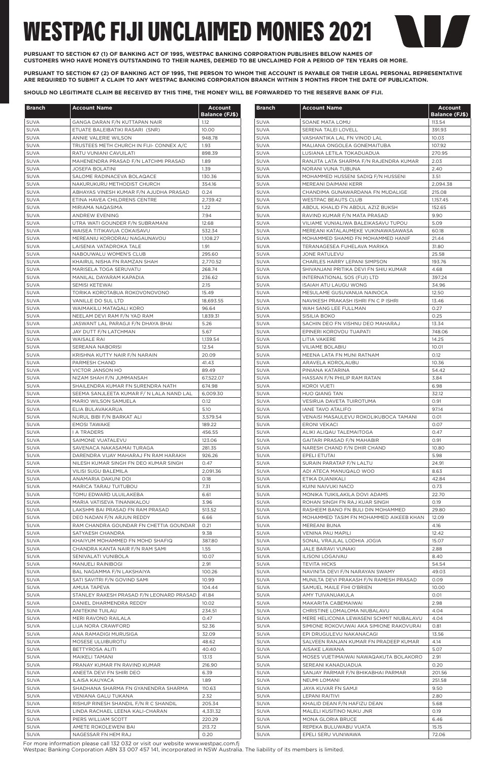| <b>Branch</b>              | <b>Account Name</b>                                                           | <b>Account</b>                | <b>Branch</b>              | <b>Account Name</b>                                                       | <b>Account</b><br><b>Balance (FJ\$)</b> |
|----------------------------|-------------------------------------------------------------------------------|-------------------------------|----------------------------|---------------------------------------------------------------------------|-----------------------------------------|
| <b>SUVA</b>                | <b>GANGA DARAN F/N KUTTAPAN NAIR</b>                                          | <b>Balance (FJ\$)</b><br>1.12 | <b>SUVA</b>                | SOANE MATA LOMU                                                           | 113.54                                  |
| <b>SUVA</b>                | ETUATE BALEIBATIKI RASARI (SNR)                                               | 10.00                         | <b>SUVA</b>                | SERENA TALEI LOVELL                                                       | 391.93                                  |
| <b>SUVA</b>                | ANNIE VALERIE WILSON                                                          | 948.78                        | <b>SUVA</b>                | VASHANTIKA LAL FN VINOD LAL                                               | 10.03                                   |
| <b>SUVA</b>                | TRUSTEES METH CHURCH IN FIJI- CONNEX A/C                                      | 1.93                          | <b>SUVA</b>                | MALIANA ONGOLEA GONEMAITUBA                                               | 107.92                                  |
| <b>SUVA</b>                | RATU VUNIANI CAVUILATI                                                        | 898.39                        | <b>SUVA</b>                | LUSIANA LETILA TOKADUADUA                                                 | 270.95                                  |
| <b>SUVA</b>                | MAHENENDRA PRASAD F/N LATCHMI PRASAD                                          | 1.89                          | <b>SUVA</b>                | RANJITA LATA SHARMA F/N RAJENDRA KUMAR                                    | 2.03                                    |
| <b>SUVA</b>                | <b>JOSEFA BOLATINI</b>                                                        | 1.39                          | <b>SUVA</b>                | NORANI VUNA TUBUNA                                                        | 2.40                                    |
| <b>SUVA</b><br><b>SUVA</b> | SALOME RADINACEVA BOLAQACE<br>NAKURUKURU METHODIST CHURCH                     | 130.36<br>354.16              | <b>SUVA</b><br><b>SUVA</b> | MOHAMMED HUSSENI SADIQ F/N HUSSENI<br>MEREANI DAIMANI KERR                | 3.51<br>2,094.38                        |
| <b>SUVA</b>                | ABHAYAS VINESH KUMAR F/N AJUDHA PRASAD                                        | 0.24                          | <b>SUVA</b>                | CHANDIMA GUNAWARDANA FN MUDALIGE                                          | 215.08                                  |
| <b>SUVA</b>                | ETINA HAVEA CHILDRENS CENTRE                                                  | 2,739.42                      | <b>SUVA</b>                | <b>WESTPAC BEAUTS CLUB</b>                                                | 1,157.45                                |
| <b>SUVA</b>                | MIRIAMA NAQASIMA                                                              | 1.22                          | <b>SUVA</b>                | ABDUL KHALID FN ABDUL AZIZ BUKSH                                          | 152.65                                  |
| <b>SUVA</b>                | ANDREW EVENING                                                                | 7.94                          | <b>SUVA</b>                | RAVIND KUMAR F/N MATA PRASAD                                              | 9.90                                    |
| <b>SUVA</b>                | UTRA WATI GOUNDER F/N SUBRAMANI                                               | 12.68                         | <b>SUVA</b>                | VILIAME VUNIALIWA BALEIKASAVU TUPOU                                       | 5.09                                    |
| <b>SUVA</b><br><b>SUVA</b> | WAISEA TITIKAVUA COKAISAVU<br>MEREANIU KORODRAU NAGAUNAVOU                    | 532.34<br>1,108.27            | <b>SUVA</b><br><b>SUVA</b> | MEREANI KATALAUMEKE VUKINAWASAWASA<br>MOHAMMED SHAMID FN MOHAMMED HANIF   | 60.18<br>21.44                          |
| <b>SUVA</b>                | LAISENIA VATADROKA TALE                                                       | 1.91                          | <b>SUVA</b>                | TERANAGESEA FUHELAVA MARIKA                                               | 31.80                                   |
| <b>SUVA</b>                | NABOUWALU WOMEN'S CLUB                                                        | 295.60                        | <b>SUVA</b>                | <b>JONE RATULEVU</b>                                                      | 25.58                                   |
| <b>SUVA</b>                | KHAIRUL NISHA FN RAMZAN SHAH                                                  | 2,770.52                      | <b>SUVA</b>                | CHARLES HARRY LEPANI SIMPSON                                              | 193.76                                  |
| <b>SUVA</b>                | MARISELA TOGA SERUVATU                                                        | 268.74                        | <b>SUVA</b>                | SHIVANJANI PRITIKA DEVI FN SHIU KUMAR                                     | 4.68                                    |
| <b>SUVA</b>                | MANILAL DAYARAM KAPADIA                                                       | 236.62                        | <b>SUVA</b>                | INTERNATIONAL SOS (FIJI) LTD                                              | 397.24                                  |
| <b>SUVA</b><br><b>SUVA</b> | SEMISI KETEWAI<br>TORIKA KOROTABUA ROKOVONOVONO                               | 2.15<br>15.49                 | <b>SUVA</b><br><b>SUVA</b> | <b>ISAIAH ATU LAUGU WONG</b><br>MESULAME GUSUVANUA NAINOCA                | 34.96<br>12.50                          |
| <b>SUVA</b>                | VANILLE DO SUL LTD                                                            | 18,693.55                     | <b>SUVA</b>                | NAVIKESH PRAKASH ISHRI FN C P ISHRI                                       | 13.46                                   |
| <b>SUVA</b>                | WAIMAKILU MATAQALI KORO                                                       | 96.64                         | <b>SUVA</b>                | WAH SANG LEE FULLMAN                                                      | 0.27                                    |
| SUVA                       | NEELAM DEVI RAM F/N YAD RAM                                                   | 1,839.31                      | <b>SUVA</b>                | SISILIA BOKO                                                              | 0.25                                    |
| <b>SUVA</b>                | JASWANT LAL PARAGJI F/N DHAYA BHAI                                            | 5.26                          | <b>SUVA</b>                | SACHIN DEO FN VISHNU DEO MAHARAJ                                          | 13.34                                   |
| <b>SUVA</b>                | JAY DUTT F/N LATCHMAN                                                         | 5.67                          | <b>SUVA</b>                | EPINERI KOROVOU TUAPATI                                                   | 748.06                                  |
| <b>SUVA</b>                | <b>WAISALE RAI</b>                                                            | 1,139.54                      | <b>SUVA</b>                | LITIA VAKERE                                                              | 14.25                                   |
| <b>SUVA</b><br><b>SUVA</b> | SEREANA NABORISI<br>KRISHNA KUTTY NAIR F/N NARAIN                             | 12.54<br>20.09                | <b>SUVA</b><br><b>SUVA</b> | <b>VILIAME BOLABIU</b><br>MEENA LATA FN MUNI RATNAM                       | 10.01<br>0.12                           |
| <b>SUVA</b>                | PARMESH CHAND                                                                 | 41.43                         | <b>SUVA</b>                | ARAVELA KOROLAUBU                                                         | 10.36                                   |
| <b>SUVA</b>                | <b>VICTOR JANSON HO</b>                                                       | 89.49                         | <b>SUVA</b>                | PINIANA KATARINA                                                          | 54.42                                   |
| <b>SUVA</b>                | NIZAM SHAH F/N JUMMANSAH                                                      | 67,522.07                     | <b>SUVA</b>                | HASSAN F/N PHILIP RAM RATAN                                               | 3.84                                    |
| <b>SUVA</b>                | SHAILENDRA KUMAR FN SURENDRA NATH                                             | 674.98                        | <b>SUVA</b>                | <b>KOROI VUETI</b>                                                        | 6.98                                    |
| <b>SUVA</b>                | SEEMA SANJLEETA KUMAR F/ N LALA NAND LAL                                      | 6,009.30                      | <b>SUVA</b>                | <b>HUO QIANG TAN</b>                                                      | 32.12                                   |
| SUVA                       | MARIO WILSON SAMUELA                                                          | 0.12                          | SUVA                       | VESIRUA DAVETA TUIROTUMA                                                  | 0.91                                    |
| <b>SUVA</b><br><b>SUVA</b> | ELIA BULAVAKARUA<br>NURUL BIBI F/N BARKAT ALI                                 | 5.10<br>3,579.54              | <b>SUVA</b><br><b>SUVA</b> | <b>IANE TAVO ATALIFO</b><br>VENAISI MASAULEVU ROKOLIKUBOCA TAMANI         | 97.14<br>0.01                           |
| <b>SUVA</b>                | <b>EMOSI TAWAKE</b>                                                           | 189.22                        | <b>SUVA</b>                | <b>ERONI VEKACI</b>                                                       | 0.07                                    |
| <b>SUVA</b>                | <b>I A TRADERS</b>                                                            | 456.55                        | <b>SUVA</b>                | ALIKI ALIQAU TALEMAITOGA                                                  | 0.47                                    |
| <b>SUVA</b>                | SAIMONE VUATALEVU                                                             | 123.06                        | <b>SUVA</b>                | <b>GAITARI PRASAD F/N MAHABIR</b>                                         | 0.91                                    |
| SUVA                       | SAVENACA NAKASAMAI TURAGA                                                     | 281.35                        | <b>SUVA</b>                | NARESH CHAND F/N DHIR CHAND                                               | 10.80                                   |
| <b>SUVA</b>                | DARENDRA VIJAY MAHARAJ FN RAM HARAKH<br>NILESH KUMAR SINGH FN DEO KUMAR SINGH | 926.26                        | <b>SUVA</b>                | EPELI ETUTAI                                                              | 5.98                                    |
| <b>SUVA</b><br><b>SUVA</b> | VILISI SUGU BALEMILA                                                          | 0.47<br>2,091.36              | <b>SUVA</b><br><b>SUVA</b> | SURAIN PARATAP F/N LALTU<br>ADI ATECA MANUQALO WOO                        | 24.91<br>8.63                           |
| <b>SUVA</b>                | ANAMARIA DAKUNI DOI                                                           | 0.18                          | <b>SUVA</b>                | ETIKA DUANIKALI                                                           | 42.84                                   |
| <b>SUVA</b>                | MARICA TARAU TUITUBOU                                                         | 7.31                          | <b>SUVA</b>                | KUINI NAIVUKI NACO                                                        | 0.73                                    |
| <b>SUVA</b>                | TOMU EDWARD ULUILAKEBA                                                        | 6.61                          | <b>SUVA</b>                | MONIKA TUIKILAKILA DOVI ADAMS                                             | 22.70                                   |
| <b>SUVA</b>                | MARIA VATISEVA TINANIKALOU                                                    | 3.96                          | <b>SUVA</b>                | ROHAN SINGH FN RAJ KUAR SINGH                                             | 0.19                                    |
| <b>SUVA</b>                | LAKSHMI BAI PRASAD FN RAM PRASAD                                              | 513.52                        | <b>SUVA</b>                | RASHEEM BANO FN BULI DIN MOHAMMED                                         | 29.80                                   |
| <b>SUVA</b><br><b>SUVA</b> | DEO NADAN F/N ARJUN REDDY<br>RAM CHANDRA GOUNDAR FN CHETTIA GOUNDAR           | 6.66<br>0.21                  | <b>SUVA</b><br><b>SUVA</b> | MOHAMMED TASIM FN MOHAMMED AIKEEB KHAN<br>MEREANI BUNA                    | 12.09<br>4.16                           |
| <b>SUVA</b>                | SATYAESH CHANDRA                                                              | 9.38                          | <b>SUVA</b>                | <b>VENINA PAU MAPILI</b>                                                  | 12.42                                   |
| <b>SUVA</b>                | KHAIYUM MOHAMMED FN MOHD SHAFIQ                                               | 387.80                        | <b>SUVA</b>                | SONAL VRAJLAL LODHIA JOGIA                                                | 15.07                                   |
| <b>SUVA</b>                | CHANDRA KANTA NAIR F/N RAM SAMI                                               | 1.55                          | <b>SUVA</b>                | JALE BARAVI VUNAKI                                                        | 2.88                                    |
| <b>SUVA</b>                | SENIVALATI VUNIBOLA                                                           | 10.07                         | <b>SUVA</b>                | <b>ILISONI LOGAIVAU</b>                                                   | 8.40                                    |
| <b>SUVA</b>                | <b>MANUELI RAINIBOGI</b>                                                      | 2.91                          | <b>SUVA</b>                | <b>TEVITA HICKS</b>                                                       | 54.54                                   |
| <b>SUVA</b><br><b>SUVA</b> | BAL NAGAMMA F/N LAKSHAIYA<br>SATI SAVITRI F/N GOVIND SAMI                     | 100.26<br>10.99               | <b>SUVA</b><br><b>SUVA</b> | NAVINITA DEVI F/N NARAYAN SWAMY<br>MUNILTA DEVI PRAKASH F/N RAMESH PRASAD | 49.03<br>0.09                           |
| <b>SUVA</b>                | AMUIA TAPEVA                                                                  | 104.44                        | <b>SUVA</b>                | SAMUEL MAILE FIHI O'BRIEN                                                 | 10.00                                   |
| <b>SUVA</b>                | STANLEY RAKESH PRASAD F/N LEONARD PRASAD                                      | 41.84                         | <b>SUVA</b>                | AMY TUIVANUAKULA                                                          | 0.01                                    |
| <b>SUVA</b>                | DANIEL DHARMENDRA REDDY                                                       | 10.02                         | <b>SUVA</b>                | MAKARITA CABEMAIWAI                                                       | 2.98                                    |
| <b>SUVA</b>                | ANITEKINI TUILAU                                                              | 234.51                        | <b>SUVA</b>                | CHRISTINE LOMALOMA NIUBALAVU                                              | 4.04                                    |
| <b>SUVA</b>                | MERI RAVONO RAILALA                                                           | 0.47                          | <b>SUVA</b>                | MERE HELICONIA LEWASENI SCHMIT NIUBALAVU                                  | 4.04                                    |
| <b>SUVA</b><br><b>SUVA</b> | LIJA NORA CRAWFORD<br>ANA RAMADIGI MURUSIGA                                   | 52.36<br>32.09                | <b>SUVA</b><br><b>SUVA</b> | SIMIONE ROKOVUWAI AKA SIMIONE RAKOVURAI<br>EPI DRUGULEVU NAKANACAGI       | 0.81<br>13.56                           |
| <b>SUVA</b>                | MOSESE ULUIBUROTU                                                             | 48.62                         | <b>SUVA</b>                | SALVEEN RANJAN KUMAR FN PRADEEP KUMAR                                     | 4.14                                    |
| <b>SUVA</b>                | BETTYROSA ALITI                                                               | 40.40                         | <b>SUVA</b>                | AISAKE LAWANA                                                             | 5.07                                    |
| <b>SUVA</b>                | MAIKELI TAMANI                                                                | 13.13                         | <b>SUVA</b>                | MOSES VUETIMAIWAI NAWAQAKUTA BOLAKORO                                     | 2.91                                    |
| <b>SUVA</b>                | PRANAY KUMAR FN RAVIND KUMAR                                                  | 216.90                        | <b>SUVA</b>                | SEREANI KANADUADUA                                                        | 0.20                                    |
| <b>SUVA</b>                | ANEETA DEVI FN SHIRI DEO                                                      | 6.39                          | <b>SUVA</b>                | SANJAY PARMAR F/N BHIKABHAI PARMAR                                        | 201.56                                  |
| <b>SUVA</b>                | ILAISA KAUYACA                                                                | 1.89                          | <b>SUVA</b>                | NEUMI LOMANI                                                              | 251.58                                  |
| <b>SUVA</b><br><b>SUVA</b> | SHADHANA SHARMA FN GYANENDRA SHARMA<br>VENIANA GALU TUKANA                    | 110.63<br>2.32                | <b>SUVA</b><br><b>SUVA</b> | <b>JAYA KUVAR FN SAMJI</b><br><b>LEPANI RAITIVI</b>                       | 9.50<br>2.80                            |
| <b>SUVA</b>                | RISHUP RINESH SHANDIL F/N R C SHANDIL                                         | 205.34                        | <b>SUVA</b>                | KHALID DEAN F/N HAFIZU DEAN                                               | 5.68                                    |
| <b>SUVA</b>                | LINDA RACHAEL LEENA KALI-CHARAN                                               | 4,331.32                      | <b>SUVA</b>                | MALELI KUSITINO NUKU JNR                                                  | 0.19                                    |
| <b>SUVA</b>                | PIERS WILLIAM SCOTT                                                           | 220.29                        | <b>SUVA</b>                | MONA GLORIA BRUCE                                                         | 6.46                                    |
| <b>SUVA</b>                | AMETE ROKOLEWENI BAI                                                          | 213.72                        | SUVA                       | REPEKA BULUWABU VUATA                                                     | 15.15                                   |
| SUVA                       | NAGESSAR FN HEM RAJ                                                           | 0.20                          | SUVA                       | EPELI SERU VUNIWAWA                                                       | 72.06                                   |

## **WESTPAC FIJI UNCLAIMED MONIES 2021**



**PURSUANT TO SECTION 67 (2) OF BANKING ACT OF 1995, THE PERSON TO WHOM THE ACCOUNT IS PAYABLE OR THEIR LEGAL PERSONAL REPRESENTATIVE ARE REQUIRED TO SUBMIT A CLAIM TO ANY WESTPAC BANKING CORPORATION BRANCH WITHIN 3 MONTHS FROM THE DATE OF PUBLICATION.** 

**SHOULD NO LEGITIMATE CLAIM BE RECEIVED BY THIS TIME, THE MONEY WILL BE FORWARDED TO THE RESERVE BANK OF FIJI.**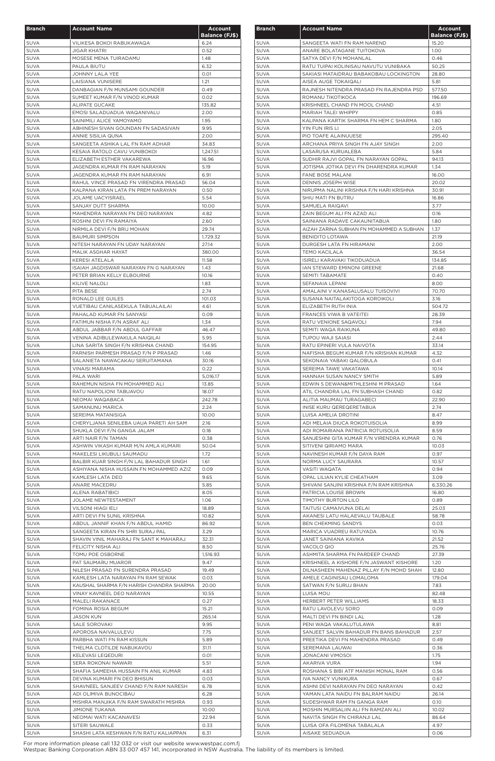| <b>Branch</b>              | <b>Account Name</b>                                                        | <b>Account</b>        |
|----------------------------|----------------------------------------------------------------------------|-----------------------|
|                            |                                                                            | <b>Balance (FJ\$)</b> |
| <b>SUVA</b>                | VILIKESA BOKOI RABUKAWAQA                                                  | 6.24                  |
| <b>SUVA</b>                | JIGAR KHATRI                                                               | 0.52                  |
| <b>SUVA</b>                | MOSESE MENA TUIRADAMU                                                      | 1.48                  |
| <b>SUVA</b>                | PAULA BIUTU                                                                | 6.32                  |
| <b>SUVA</b><br><b>SUVA</b> | JOHNNY LALA YEE<br>LAISIANA VUNISERE                                       | 0.01<br>1.21          |
| <b>SUVA</b>                | DANBAGIAN F/N MUNSAMI GOUNDER                                              | 0.49                  |
| <b>SUVA</b>                | SUMEET KUMAR F/N VINOD KUMAR                                               | 0.02                  |
| <b>SUVA</b>                | ALIPATE GUCAKE                                                             | 135.82                |
| SUVA                       | EMOSI SALADUADUA WAQANIVALU                                                | 2.00                  |
| SUVA                       | SAINIMILI ALICE YAMOYAMO                                                   | 1.95                  |
| <b>SUVA</b>                | ABHINESH SIVAN GOUNDAN FN SADASIVAN                                        | 9.95                  |
| <b>SUVA</b>                | ANNIE SISILIA QUNA                                                         | 2.00                  |
| <b>SUVA</b>                | SANGEETA ASHIKA LAL FN RAM ADHAR                                           | 34.83                 |
| <b>SUVA</b>                | KESAIA RATOLO CAVU VUNIBOKOI<br>ELIZABETH ESTHER VAKAREWA                  | 1,247.51              |
| <b>SUVA</b><br><b>SUVA</b> | JAGENDRA KUMAR FN RAM NARAYAN                                              | 16.96<br>5.19         |
| <b>SUVA</b>                | JAGENDRA KUMAR FN RAM NARAYAN                                              | 6.91                  |
| <b>SUVA</b>                | RAHUL VINCE PRASAD FN VIRENDRA PRASAD                                      | 56.04                 |
| SUVA                       | KALPANA KIRAN LATA FN PREM NARAYAN                                         | 0.50                  |
| <b>SUVA</b>                | <b>JOLAME UACYISRAEL</b>                                                   | 5.54                  |
| <b>SUVA</b>                | SANJAY DUTT SHARMA                                                         | 10.00                 |
| <b>SUVA</b>                | MAHENDRA NARAYAN FN DEO NARAYAN                                            | 4.82                  |
| <b>SUVA</b>                | ROSHNI DEVI FN RAMAIYA                                                     | 2.60                  |
| <b>SUVA</b>                | NIRMILA DEVI F/N BRIJ MOHAN                                                | 29.74                 |
| SUVA                       | <b>BAUMURI SIMPSON</b>                                                     | 1,729.32              |
| SUVA                       | NITESH NARAYAN FN UDAY NARAYAN                                             | 27.14                 |
| <b>SUVA</b><br><b>SUVA</b> | MALIK ASGHAR HAYAT<br><b>KERESI ATELALA</b>                                | 380.00<br>11.58       |
| <b>SUVA</b>                | ISAIAH JAGDISWAR NARAYAN FN G NARAYAN                                      | 1.43                  |
| <b>SUVA</b>                | PETER BRIAN KELLY ELBOURNE                                                 | 10.16                 |
| <b>SUVA</b>                | KILIVE NALOLI                                                              | 1.83                  |
| <b>SUVA</b>                | PITA BESE                                                                  | 2.74                  |
| <b>SUVA</b>                | RONALD LEE GUILES                                                          | 101.03                |
| <b>SUVA</b>                | VUETIBAU CANILASEKULA TABUALAILAI                                          | 4.61                  |
| <b>SUVA</b>                | PAHALAD KUMAR FN SANYASI                                                   | 0.09                  |
| <b>SUVA</b>                | FATIMUN NISHA F/N ASRAF ALI                                                | 1.34                  |
| SUVA                       | ABDUL JABBAR F/N ABDUL GAFFAR                                              | 46.47                 |
| <b>SUVA</b>                | VENINA ADIBULEWAKULA NAIQILAI                                              | 5.95                  |
| <b>SUVA</b>                | LINA SARITA SINGH F/N KRISHNA CHAND                                        | 154.95                |
| <b>SUVA</b>                | PARNISH PARMESH PRASAD F/N P PRASAD                                        | 1.46<br>30.16         |
| <b>SUVA</b><br><b>SUVA</b> | SALANIETA NAWACAKAU SERUITAMANA<br><b>VINAISI MARAMA</b>                   | 0.22                  |
| <b>SUVA</b>                | PALA WARI                                                                  | 5.016.17              |
| <b>SUVA</b>                | RAHEMUN NISHA FN MOHAMMED ALI                                              | 13.85                 |
| <b>SUVA</b>                | RATU NAPOLIONI TABUAVOU                                                    | 18.07                 |
| SUVA                       | NEOMAI WAQABACA                                                            | 242.78                |
| <b>SUVA</b>                | SAMANUNU MARICA                                                            | 2.24                  |
| <b>SUVA</b>                | SEREIMA MATANISIGA                                                         | 10.00                 |
| <b>SUVA</b>                | CHERYLJANA SENILEBA UAUA PARETI AH SAM                                     | 2.16                  |
| <b>SUVA</b>                | SHUKLA DEVI F/N GANGA JALAM                                                | 0.18                  |
| <b>SUVA</b><br><b>SUVA</b> | ARTI NAIR F/N TAMAN<br>ASHWIN VIKASH KUMAR M/N AMLA KUMARI                 | 0.38<br>50.04         |
| <b>SUVA</b>                | MAKELESI LIKUBULI SAUMADU                                                  | 1.72                  |
| <b>SUVA</b>                | BALBIR KUAR SINGH F/N LAL BAHADUR SINGH                                    | 1.61                  |
| <b>SUVA</b>                | ASHIYANA NISHA HUSSAIN FN MOHAMMED AZIZ                                    | 0.09                  |
| <b>SUVA</b>                | KAMLESH LATA DEO                                                           | 9.65                  |
| <b>SUVA</b>                | ANARE MACEDRU                                                              | 5.85                  |
| <b>SUVA</b>                | ALENA RABATIBICI                                                           | 8.05                  |
| <b>SUVA</b>                | JOLAME NEWTESTAMENT                                                        | 1.06                  |
| <b>SUVA</b>                | <b>VILSONI HIAGI IELI</b>                                                  | 18.89                 |
| <b>SUVA</b>                | ARTI DEVI FN SUNIL KRISHNA                                                 | 10.82                 |
| <b>SUVA</b>                | ABDUL JANNIF KHAN F/N ABDUL HAMID                                          | 86.92                 |
| <b>SUVA</b><br><b>SUVA</b> | SANGEETA KIRAN FN SHRI SURAJ PAL<br>SHAVIN VINIL MAHARAJ FN SANT K MAHARAJ | 3.29<br>32.31         |
| <b>SUVA</b>                | FELICITY NISHA ALI                                                         | 8.50                  |
| <b>SUVA</b>                | TOMU POE OSBORNE                                                           | 1,516.93              |
| <b>SUVA</b>                | PAT SAUMARU MUAROR                                                         | 9.47                  |
| <b>SUVA</b>                | NILESH PRASAD FN SURENDRA PRASAD                                           | 19.49                 |
| <b>SUVA</b>                | KAMLESH LATA NARAYAN FN RAM SEWAK                                          | 0.03                  |
| <b>SUVA</b>                | KAUSHAL SHARMA F/N HARISH CHANDRA SHARMA                                   | 20.00                 |
| <b>SUVA</b>                | VINAY KAVNEEL DEO NARAYAN                                                  | 10.55                 |
| <b>SUVA</b>                | MALELI RAKANACE                                                            | 0.27                  |
| <b>SUVA</b>                | FOMINA ROSIA BEGUM                                                         | 15.21                 |
| SUVA                       | <b>JASON KUN</b>                                                           | 265.14                |
| SUVA                       | SALE SOROVAKI                                                              | 9.95                  |
| <b>SUVA</b><br><b>SUVA</b> | APOROSA NAIVALULEVU<br>PARBHA WATI FN RAM KISSUN                           | 7.75                  |
| <b>SUVA</b>                | THELMA CLOTILDE NABUKAVOU                                                  | 5.89<br>31.11         |
| <b>SUVA</b>                | KELEVASI LEQEDURI                                                          | 0.01                  |
| <b>SUVA</b>                | SERA ROKONAI NAWARI                                                        | 5.51                  |
| <b>SUVA</b>                | SHAFIA SAMEEHA HUSSAIN FN ANIL KUMAR                                       | 4.83                  |
| <b>SUVA</b>                | DEVINA KUMARI FN DEO BHISUN                                                | 0.03                  |
| <b>SUVA</b>                | SHAVNEEL SANJEEV CHAND F/N RAM NARESH                                      | 6.78                  |
| <b>SUVA</b>                | ADI OLIMIVA BUNOCIBAU                                                      | 6.28                  |
| SUVA                       | MISHRA MANJIKA F/N RAM SWARATH MISHRA                                      | 0.93                  |
| <b>SUVA</b>                | <b>JIMIONE TUKANA</b>                                                      | 10.00                 |
| <b>SUVA</b>                | NEOMAI WATI KACANAVESI                                                     | 22.94                 |
| <b>SUVA</b>                | SITERI SAUWALE                                                             | 0.33                  |
| <b>SUVA</b>                | SHASHI LATA KESHWAN F/N RATU KALIAPPAN                                     | 6.31                  |

| <b>Branch</b>              | <b>Account Name</b>                                                | <b>Account</b>                 |
|----------------------------|--------------------------------------------------------------------|--------------------------------|
| <b>SUVA</b>                | SANGEETA WATI FN RAM NAREND                                        | <b>Balance (FJ\$)</b><br>15.20 |
| SUVA                       | ANARE BOLATAGANE TUITOKOVA                                         | 1.00                           |
| <b>SUVA</b>                | SATYA DEVI F/N MOHANLAL                                            | 0.46                           |
| <b>SUVA</b>                | RATU TUIPAI KOLINISAU NAVUTU VUNIBAKA                              | 50.25                          |
| SUVA                       | SAKIASI MATAIDRAU BABAKOBAU LOCKINGTON                             | 28.80                          |
| <b>SUVA</b>                | AISEA AUGE TOKAIQALI                                               | 5.81                           |
| <b>SUVA</b>                | RAJNESH NITENDRA PRASAD FN RAJENDRA PSD                            | 577.50                         |
| <b>SUVA</b>                | ROMANU TIKOTIKOCA                                                  | 196.69                         |
| <b>SUVA</b>                | KRISHNEEL CHAND FN MOOL CHAND                                      | 4.51                           |
| <b>SUVA</b>                | MARIAH TALEI WHIPPY                                                | 0.85                           |
| <b>SUVA</b>                | KALPANA KARTIK SHARMA FN HEM C SHARMA                              | 1.80                           |
| SUVA                       | YIN FUN IRIS LI                                                    | 2.05                           |
| <b>SUVA</b>                | PIO TOAFE ALAINUUESE                                               | 295.40                         |
| <b>SUVA</b>                | ARCHANA PRIYA SINGH FN AJAY SINGH                                  | 2.00                           |
| SUVA                       | LASARUSA KURUALEBA                                                 | 5.84                           |
| SUVA                       | SUDHIR RAJVI GOPAL FN NARAYAN GOPAL                                | 94.13                          |
| <b>SUVA</b>                | JOTISMA JOTIKA DEVI FN DHARENDRA KUMAR                             | 1.34                           |
| <b>SUVA</b>                | <b>FANE BOSE MALANI</b>                                            | 16.00                          |
| SUVA                       | DENNIS JOSEPH WISE                                                 | 20.02                          |
| <b>SUVA</b>                | NIRUPMA NALINI KRISHNA F/N HARI KRISHNA                            | 30.91                          |
| <b>SUVA</b>                | SHIU MATI FN BUTRU                                                 | 16.86                          |
| SUVA<br>SUVA               | SAMUELA RAIQAVI<br>ZAIN BEGUM ALI FN AZAD ALI                      | 3.77<br>0.16                   |
| <b>SUVA</b>                | SAINIANA RADAVE CAKAUNITABUA                                       | 1.80                           |
|                            |                                                                    |                                |
| SUVA<br>SUVA               | AIZAH ZARINA SUBHAN FN MOHAMMED A SUBHAN<br><b>BENIDITO LOTAWA</b> | 1.37<br>21.19                  |
| <b>SUVA</b>                | DURGESH LATA FN HIRAMANI                                           | 2.00                           |
| <b>SUVA</b>                | <b>TEMO KACILALA</b>                                               | 36.54                          |
| <b>SUVA</b>                | ISIRELI KARAVAKI TIKODUADUA                                        | 134.85                         |
| <b>SUVA</b>                | IAN STEWARD EMINONI GREENE                                         | 21.68                          |
| <b>SUVA</b>                | SEMITI TABAMATE                                                    | 0.40                           |
| <b>SUVA</b>                | SEFANAIA LEPANI                                                    | 8.00                           |
| <b>SUVA</b>                | AMALAINI V KANASALUSALU TUISOVIVI                                  | 70.70                          |
| <b>SUVA</b>                | SUSANA NAITALAKITOGA KOROIKOLI                                     | 3.16                           |
| <b>SUVA</b>                | ELIZABETH RUTH INIA                                                | 504.72                         |
| <b>SUVA</b>                | FRANCES VIWA B VATEITEI                                            | 28.39                          |
| <b>SUVA</b>                | RATU VENIONE SAQAVOLI                                              | 7.94                           |
| <b>SUVA</b>                | SEMITI WAQA RAIKUNA                                                | 49.80                          |
| <b>SUVA</b>                | TUPOU WAJI SAIASI                                                  | 2.44                           |
| <b>SUVA</b>                | RATU EPINERI VULA NAIVOTA                                          | 33.14                          |
| <b>SUVA</b>                | NAFISHA BEGUM KUMAR F/N KRISHAN KUMAR                              | 4.32                           |
| <b>SUVA</b>                | SEKONAIA YABAKI QALOBULA                                           | 0.41                           |
| <b>SUVA</b>                | SEREIMA TAWE VAKATAWA                                              | 10.14                          |
| <b>SUVA</b>                | HANNAH SUSAN NANCY SMITH                                           | 5.89                           |
| <b>SUVA</b>                | EDWIN S DEWAN&MITHLESHNI M PRASAD                                  | 1.64                           |
| <b>SUVA</b>                | ATIL CHANDRA LAL FN SUBHASH CHAND                                  | 0.82                           |
| <b>SUVA</b>                | ALITIA MAUMAU TURAGABECI                                           | 22.90                          |
| <b>SUVA</b>                | INISE KURU QEREQERETABUA                                           | 2.74                           |
| <b>SUVA</b>                | LUISA AMELIA DROTINI                                               | 8.47                           |
| <b>SUVA</b>                | ADI MELAIA DIUCA ROKOTUISOLIA                                      | 8.99                           |
| <b>SUVA</b>                | ADI ROMARIANA PATRICIA ROTUISOLIA                                  | 8.59                           |
| <b>SUVA</b>                | SANJESHNI GITA KUMAR F/N VIRENDRA KUMAR                            | 0.76                           |
| <b>SUVA</b>                | SITIVENI QIRIAMO MARA                                              | 10.03                          |
| <b>SUVA</b>                | NAVINESH KUMAR F/N DAYA RAM                                        | 0.97                           |
| <b>SUVA</b>                | NORMA LUCY SAURARA                                                 | 10.57                          |
| <b>SUVA</b>                | VASITI WAQATA                                                      | 0.94                           |
| <b>SUVA</b>                | OPAL LILIAN KYLIE CHEATHAM                                         | 3.09                           |
| <b>SUVA</b><br><b>SUVA</b> | SHIVANI SANJINI KRISHNA F/N RAM KRISHNA<br>PATRICIA LOUISE BROWN   | 6,330.26<br>16.80              |
| <b>SUVA</b>                | TIMOTHY BURTON LILO                                                | 0.89                           |
| <b>SUVA</b>                | TAITUSI CAMAIVUNA DELAI                                            | 25.03                          |
| <b>SUVA</b>                | AKANESI LATU HALAEVALU TAUBALE                                     | 58.78                          |
| <b>SUVA</b>                | BEN CHEKMING SANDYS                                                | 0.03                           |
| <b>SUVA</b>                | MARICA VUADREU RATUYADA                                            | 10.76                          |
| <b>SUVA</b>                | JANET SAINIANA KAVIKA                                              | 21.52                          |
| <b>SUVA</b>                | VACOLO QIO                                                         | 25.76                          |
| <b>SUVA</b>                | ASHMITA SHARMA FN PARDEEP CHAND                                    | 27.39                          |
| <b>SUVA</b>                | KRISHNEEL A KISHORE F/N JASWANT KISHORE                            | 1.20                           |
| <b>SUVA</b>                | DILNASHEEN MAHENAZ PILLAY F/N MOHD SHAH                            | 12.80                          |
| <b>SUVA</b>                | AMELE CAGINISAU LOMALOMA                                           | 179.04                         |
| <b>SUVA</b>                | SATWAN F/N SURUJ BHAN                                              | 7.83                           |
| <b>SUVA</b>                | <b>LUISA MOU</b>                                                   | 82.48                          |
| <b>SUVA</b>                | HERBERT PETER WILLIAMS                                             | 18.33                          |
| <b>SUVA</b>                | RATU LAVOLEVU SORO                                                 | 0.09                           |
| <b>SUVA</b>                | MALTI DEVI FN BINDI LAL                                            | 1.28                           |
| <b>SUVA</b>                | PENI WAQA VAKALUTULAWA                                             | 8.81                           |
| SUVA                       | SANJEET SALVIN BAHADUR FN BANS BAHADUR                             | 2.57                           |
| <b>SUVA</b>                | PREETIKA DEVI FN MAHENDRA PRASAD                                   | 0.49                           |
| <b>SUVA</b>                | SEREMANA LAUWAI                                                    | 0.36                           |
| <b>SUVA</b>                | JONACANI VIMOSOI                                                   | 1.75                           |
| <b>SUVA</b>                | AKARIVA VURA                                                       | 1.94                           |
| SUVA                       | ROSHANA S BIBI ATF MANISH MONAL RAM                                | 0.56                           |
| <b>SUVA</b>                | IVA NANCY VUNIKURA                                                 | 0.67                           |
| <b>SUVA</b>                | ASHNI DEVI NARAYAN FN DEO NARAYAN                                  | 0.42                           |
| <b>SUVA</b><br><b>SUVA</b> | YAMAN LATA NAIDU FN BALRAM NAIDU<br>SUDESHWAR RAM FN GANGA RAM     | 26.14<br>0.10                  |
| <b>SUVA</b>                | MOSHIN MURSALIIN ALI FN RAMZAN ALI                                 | 10.02                          |
| <b>SUVA</b>                | NAVITA SINGH FN CHIRANJI LAL                                       | 86.64                          |
| <b>SUVA</b>                | LUISA OFA FILOMENA TABALALA                                        | 4.97                           |
| <b>SUVA</b>                | AISAKE SEDUADUA                                                    | 0.06                           |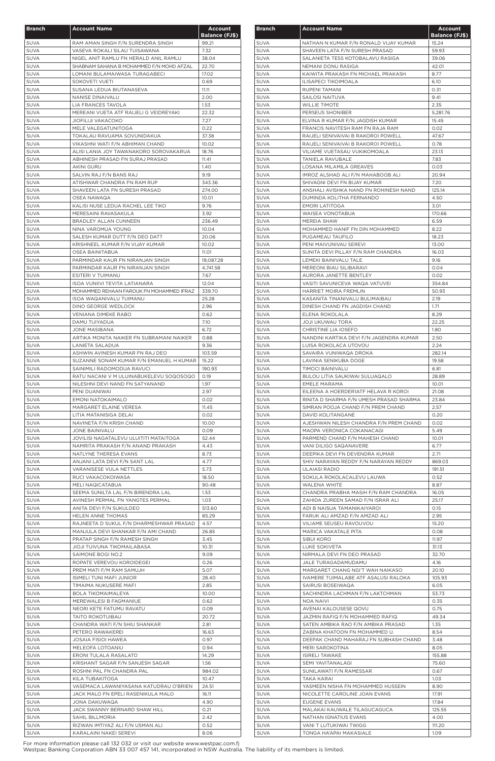| <b>Branch</b>              | <b>Account Name</b>                                                               | <b>Account</b>        |
|----------------------------|-----------------------------------------------------------------------------------|-----------------------|
|                            |                                                                                   | <b>Balance (FJ\$)</b> |
| <b>SUVA</b>                | RAM AMAN SINGH F/N SURENDRA SINGH                                                 | 99.21                 |
| <b>SUVA</b>                | VASEVA ROKALI SILAU TUISAWANA                                                     | 7.32                  |
| <b>SUVA</b><br><b>SUVA</b> | NIGEL ANIT RAMLU FN HERALD ANIL RAMLU<br>SHABNAM SAHANA B MOHAMMED F/N MOHD AFZAL | 38.04<br>22.70        |
| <b>SUVA</b>                | LOMANI BULAMAIWASA TURAGABECI                                                     | 17.02                 |
| <b>SUVA</b>                | SOKOVETI VUETI                                                                    | 0.69                  |
| <b>SUVA</b>                | SUSANA LEDUA BIUTANASEVA                                                          | 11.11                 |
| <b>SUVA</b>                | <b>NANISE DINAIVALU</b>                                                           | 2.00                  |
| <b>SUVA</b><br><b>SUVA</b> | LIA FRANCES TAVOLA<br>MEREANI VUETA ATF RAIJELI G VEIDREYAKI                      | 1.53<br>22.32         |
| <b>SUVA</b>                | <b>JIOFILIJI VAKACOKO</b>                                                         | 7.27                  |
| <b>SUVA</b>                | MELE VALEGATUNITOGA                                                               | 0.22                  |
| <b>SUVA</b>                | TOKALAU RAVUAMA SOVUNIDAKUA                                                       | 37.38                 |
| <b>SUVA</b>                | VIKASHNI WATI F/N ABHIMAN CHAND                                                   | 10.02                 |
| <b>SUVA</b>                | ALISI LANIA JOY TAWANAKORO SOROVAKARUA                                            | 18.76                 |
| <b>SUVA</b><br><b>SUVA</b> | ABHINESH PRASAD FN SURAJ PRASAD<br><b>AKINI GURU</b>                              | 11.41<br>1.40         |
| <b>SUVA</b>                | SALVIN RAJ F/N BANS RAJ                                                           | 9.19                  |
| <b>SUVA</b>                | ATISHWAR CHANDRA FN RAM RUP                                                       | 343.36                |
| <b>SUVA</b>                | SHAVEEN LATA FN SURESH PRASAD                                                     | 274.00                |
| <b>SUVA</b>                | OSEA NAWAQA                                                                       | 10.01                 |
| <b>SUVA</b>                | KALISI NUSE LEDUA RACHEL LEE TIKO                                                 | 9.76                  |
| <b>SUVA</b><br><b>SUVA</b> | MERESAINI RAVASAKULA<br>BRADLEY ALLAN CUNNEEN                                     | 3.92<br>236.49        |
| <b>SUVA</b>                | NINA VAROMUA YOUNG                                                                | 10.04                 |
| <b>SUVA</b>                | SALESH KUMAR DUTT F/N DEO DATT                                                    | 20.06                 |
| <b>SUVA</b>                | KRISHNEEL KUMAR F/N VIJAY KUMAR                                                   | 10.02                 |
| <b>SUVA</b>                | OSEA BAINITABUA                                                                   | 11.01                 |
| <b>SUVA</b>                | PARMINDAR KAUR FN NIRANJAN SINGH                                                  | 19,087.28             |
| <b>SUVA</b><br><b>SUVA</b> | PARMINDAR KAUR FN NIRANJAN SINGH<br>ESITERI V TUIMANU                             | 4,741.58<br>7.67      |
| <b>SUVA</b>                | <b>ISOA VUNIIVI TEVITA LATIANARA</b>                                              | 12.04                 |
| <b>SUVA</b>                | MOHAMMED REHAAN FAROUK FN MOHAMMED IFRAZ                                          | 339.70                |
| <b>SUVA</b>                | ISOA WAQANIVALU TUIMANU                                                           | 25.28                 |
| <b>SUVA</b>                | DINO GEORGE WEDLOCK                                                               | 2.96                  |
| <b>SUVA</b>                | VENIANA DIMEKE RABO                                                               | 0.62                  |
| <b>SUVA</b><br>SUVA        | DAMU TUIYADUA<br>JONE MASIBANA                                                    | 7.10<br>6.72          |
| <b>SUVA</b>                | ARTIKA MONITA NAIKER FN SUBRAMANI NAIKER                                          | 0.88                  |
| <b>SUVA</b>                | LANIETA SALADUA                                                                   | 9.36                  |
| <b>SUVA</b>                | ASHWIN AVINESH KUMAR FN RAJ DEO                                                   | 103.59                |
| <b>SUVA</b>                | SUZANNE SONAM KUMAR F/N EMANUEL H KUMAR                                           | 15.22                 |
| <b>SUVA</b>                | SAINIMILI RADOMODUA RAVUCI                                                        | 190.93                |
| <b>SUVA</b>                | RATU NACANI V M ULUINABUKELEVU SOQOSOQO                                           | 0.19                  |
| <b>SUVA</b>                | NILESHNI DEVI NAND FN SATYANAND                                                   | 1.97                  |
| <b>SUVA</b><br><b>SUVA</b> | PENI DUANIWAI<br><b>EMONI NATOKAIMALO</b>                                         | 2.97<br>0.02          |
| <b>SUVA</b>                | MARGARET ELAINE VERESA                                                            | 11.45                 |
| <b>SUVA</b>                | LITIA MATANISIGA DELAI                                                            | 0.02                  |
| <b>SUVA</b>                | NAVINETA F/N KRISH CHAND                                                          | 10.00                 |
| <b>SUVA</b>                | <b>JONE BAINIVALU</b>                                                             | 0.09                  |
| <b>SUVA</b>                | JOVILISI NAGATALEVU ULUITITI MATAITOGA                                            | 52.44                 |
| <b>SUVA</b>                | NAMRITA PRAKASH F/N ANAND PRAKASH                                                 | 4.43                  |
| <b>SUVA</b><br><b>SUVA</b> | NATLYNE THERESA EVANS<br>ANJANI LATA DEVI F/N SANT LAL                            | 8.73<br>4.77          |
| <b>SUVA</b>                | VARANISESE VULA NETTLES                                                           | 5.73                  |
| <b>SUVA</b>                | RUCI VAKACOKOIWASA                                                                | 18.50                 |
| <b>SUVA</b>                | MELI NAQICATABUA                                                                  | 90.48                 |
| <b>SUVA</b>                | SEEMA SUNILTA LAL F/N BIRENDRA LAL                                                | 1.53                  |
| <b>SUVA</b>                | AVINESH PERMAL FN YANGTES PERMAL                                                  | 1.03                  |
| <b>SUVA</b>                | ANITA DEVI F/N SUKULDEO                                                           | 513.60                |
| <b>SUVA</b>                | HELEN ANNE THOMAS                                                                 | 85.29                 |
| <b>SUVA</b><br><b>SUVA</b> | RAJNEETA D SUKUL F/N DHARMESHWAR PRASAD<br>MANJULA DEVI SHANKAR F/N AMI CHAND     | 4.57<br>26.85         |
| <b>SUVA</b>                | PRATAP SINGH F/N RAMESH SINGH                                                     | 3.45                  |
| <b>SUVA</b>                | JIOJI TUIVUNA TIKOMAILABASA                                                       | 10.31                 |
| <b>SUVA</b>                | SAIMONE BOGI NO.2                                                                 | 9.09                  |
| <b>SUVA</b>                | ROPATE VEREVOU KOROIDEGEI                                                         | 0.26                  |
| <b>SUVA</b>                | PREM MATI F/M RAM SAMUJH                                                          | 5.07                  |
| <b>SUVA</b>                | ISIMELI TUNI MAFI JUNIOR                                                          | 28.40<br>2.85         |
| <b>SUVA</b><br><b>SUVA</b> | TIMAIMA NUKUSERE MAFI<br><b>BOLA TIKOMAIMALEYA</b>                                | 10.00                 |
| <b>SUVA</b>                | MEREWALESI B FAGMANIUE                                                            | 0.62                  |
| <b>SUVA</b>                | NEORI KETE FATUMU RAVATU                                                          | 0.09                  |
| SUVA                       | TAITO ROKOTUIBAU                                                                  | 20.72                 |
| <b>SUVA</b>                | CHANDRA WATI F/N SHIU SHANKAR                                                     | 2.81                  |
| <b>SUVA</b>                | PETERO RAWAKEREI                                                                  | 16.63                 |
| <b>SUVA</b>                | <b>JOSAIA FISIOI HAWEA</b>                                                        | 0.97                  |
| <b>SUVA</b><br><b>SUVA</b> | MELEOFA LOTOANIU<br>ERONI TULALA RASALATO                                         | 0.94<br>14.29         |
| <b>SUVA</b>                | KRISHANT SAGAR F/N SANJESH SAGAR                                                  | 1.56                  |
| <b>SUVA</b>                | ROSHNI PAL FN CHANDRA PAL                                                         | 984.02                |
| <b>SUVA</b>                | KILA TUBAKITOGA                                                                   | 10.47                 |
| <b>SUVA</b>                | VASEMACA LAWANIYASANA KATUDRAU O'BRIEN                                            | 24.51                 |
| <b>SUVA</b>                | JACK MALO FN EPELI RASENIKULA MALO                                                | 16.11                 |
| <b>SUVA</b>                | JONA DAKUWAQA                                                                     | 4.90                  |
| <b>SUVA</b>                | JACK SWANNY BERNARD SHAW HILL                                                     | 0.21                  |
| <b>SUVA</b><br><b>SUVA</b> | SAHIL BILLMORIA<br>RIZWAN IMTIYAZ ALI F/N USMAN ALI                               | 2.42<br>0.52          |
| <b>SUVA</b>                | KARALAINI NAKEI SEREVI                                                            | 8.06                  |

| <b>Branch</b>              | <b>Account Name</b>                                              | <b>Account</b><br><b>Balance (FJ\$)</b> |
|----------------------------|------------------------------------------------------------------|-----------------------------------------|
| <b>SUVA</b>                | NATHAN N KUMAR F/N RONALD VIJAY KUMAR                            | 15.24                                   |
| <b>SUVA</b>                | SHAVEEN LATA F/N SURESH PRASAD                                   | 59.93                                   |
| <b>SUVA</b>                | SALANIETA TESS KOTOBALAVU RASIGA                                 | 39.06                                   |
| <b>SUVA</b>                | NEMANI DONU RASIGA                                               | 42.01                                   |
| <b>SUVA</b>                | KAIWITA PRAKASH FN MICHAEL PRAKASH                               | 8.77                                    |
| <b>SUVA</b>                | ILISAPECI TIKOIMOALA                                             | 6.10                                    |
| <b>SUVA</b>                | RUPENI TAMANI                                                    | 0.31                                    |
| <b>SUVA</b>                | SAILOSI NAITUVA                                                  | 9.41                                    |
| <b>SUVA</b>                | <b>WILLIE TIMOTE</b>                                             | 2.35                                    |
| <b>SUVA</b><br><b>SUVA</b> | PERSEUS SHONIBER<br>ELVINA R KUMAR F/N JAGDISH KUMAR             | 5.281.76<br>15.45                       |
| <b>SUVA</b>                | FRANCIS NAVITESH RAM FN RAJA RAM                                 | 0.02                                    |
| <b>SUVA</b>                | RAIJELI SENIVAIVAI B RAKOROI POWELL                              | 47.67                                   |
| <b>SUVA</b>                | RAIJELI SENIVAIVAI B RAKOROI POWELL                              | 0.78                                    |
| <b>SUVA</b>                | VILIAME VUETASAU VUKIKOMOALA                                     | 23.13                                   |
| <b>SUVA</b>                | <b>TANIELA RAVUBALE</b>                                          | 7.83                                    |
| <b>SUVA</b>                | LOSANA MILAMILA GREAVES                                          | 0.03                                    |
| <b>SUVA</b>                | IMROZ ALSHAD ALI F/N MAHABOOB ALI                                | 20.94                                   |
| <b>SUVA</b>                | SHIVAGNI DEVI FN BIJAY KUMAR                                     | 7.20                                    |
| <b>SUVA</b>                | ANSHALI AVISHKA NAND FN ROHINESH NAND                            | 125.14                                  |
| <b>SUVA</b>                | DUMINDA KOLITHA FERNANDO                                         | 4.50                                    |
| <b>SUVA</b>                | <b>EMORI LATITOGA</b>                                            | 3.01                                    |
| <b>SUVA</b>                | WAISEA VONOTABUA                                                 | 170.66                                  |
| <b>SUVA</b>                | MEREIA SHAW                                                      | 6.59                                    |
| <b>SUVA</b><br><b>SUVA</b> | MOHAMMED HANIF FN DIN MOHAMMED<br>PUGAMEAU TAUFILO               | 8.22<br>18.23                           |
| <b>SUVA</b>                | PENI MAIVUNIVAU SEREVI                                           | 13.00                                   |
| <b>SUVA</b>                | SUNITA DEVI PILLAY F/N RAM CHANDRA                               | 16.03                                   |
| <b>SUVA</b>                | LEMEKI BAINIVALU TALE                                            | 9.16                                    |
| <b>SUVA</b>                | <b>MEREONI BIAU SILIBARAVI</b>                                   | 0.04                                    |
| <b>SUVA</b>                | AURORA JANETTE BENTLEY                                           | 0.02                                    |
| <b>SUVA</b>                | VASITI SAVUNICEVA WAQA VATUVEI                                   | 354.84                                  |
| <b>SUVA</b>                | HARRIET MOIRA FREMLIN                                            | 50.93                                   |
| <b>SUVA</b>                | KASANITA TINANIVALU BULIMAIBAU                                   | 2.19                                    |
| <b>SUVA</b>                | DINESH CHAND FN JAGDISH CHAND                                    | 1.71                                    |
| <b>SUVA</b>                | ELENA ROKOLALA                                                   | 8.29                                    |
| <b>SUVA</b>                | <b>JOJI UKUWAU TORA</b>                                          | 22.25                                   |
| <b>SUVA</b>                | CHRISTINE LIA IOSEFO                                             | 1.80                                    |
| <b>SUVA</b>                | NANDINI KARTIKA DEVI F/N JAGENDRA KUMAR<br>LUISA ROKOLACA UTOVOU | 2.50                                    |
| <b>SUVA</b><br><b>SUVA</b> | SAVAIRA VUNIWAQA DROKA                                           | 2.24<br>282.14                          |
| <b>SUVA</b>                | LAVINIA SENIKUBA DOGE                                            | 19.58                                   |
| <b>SUVA</b>                | TIMOCI BAINIVALU                                                 | 6.81                                    |
| <b>SUVA</b>                | BULOU LITIA SAUKIWAI SULUAQALO                                   | 28.89                                   |
| <b>SUVA</b>                | EMELE MARAMA                                                     | 10.01                                   |
| <b>SUVA</b>                | EILEENA A HOERDER1ATF HELAVA R KOROI                             | 21.08                                   |
| <b>SUVA</b>                | RINITA D SHARMA F/N UMESH PRASAD SHARMA                          | 23.84                                   |
| <b>SUVA</b>                | SIMRAN POOJA CHAND F/N PREM CHAND                                | 2.57                                    |
| <b>SUVA</b>                | DAVID KOLITANGANE                                                | 0.20                                    |
| <b>SUVA</b>                | AJESHWAN NILESH CHANDRA F/N PREM CHAND                           | 0.02                                    |
| <b>SUVA</b>                | MAOPA VERONICA COKANACAGI                                        | 5.49                                    |
| <b>SUVA</b><br><b>SUVA</b> | PARMEND CHAND F/N MAHESH CHAND<br>VANI DILIGO SAQANAVERE         | 10.01<br>6.77                           |
| <b>SUVA</b>                | DEEPIKA DEVI FN DEVENDRA KUMAR                                   | 2.71                                    |
| <b>SUVA</b>                | SHIV NARAYAN REDDY F/N NARAYAN REDDY                             | 869.03                                  |
| <b>SUVA</b>                | ULAIASI RADIO                                                    | 191.51                                  |
| <b>SUVA</b>                | SOKULA ROKOLACALEVU LAUWA                                        | 0.52                                    |
| <b>SUVA</b>                | <b>WALENA WHITE</b>                                              | 8.87                                    |
| <b>SUVA</b>                | CHANDRA PRABHA MASIH F/N RAM CHANDRA                             | 16.05                                   |
| <b>SUVA</b>                | ZAHIDA ZUREEN SAMAD F/N ISRAR ALI                                | 25.17                                   |
| <b>SUVA</b>                | ADI B NAISUA TAMANIKAIYAROI                                      | 0.15                                    |
| <b>SUVA</b>                | FARUK ALI AMZAD F/N AMZAD ALI                                    | 2.95                                    |
| <b>SUVA</b>                | VILIAME SEUSEU RAVOUVOU                                          | 15.20                                   |
| <b>SUVA</b>                | MARICA VAKATALE PITA                                             | 0.08                                    |
| <b>SUVA</b>                | <b>SIBUI KORO</b>                                                | 11.97                                   |
| <b>SUVA</b>                | <b>LUKE SOKIVETA</b>                                             | 31.13                                   |
| <b>SUVA</b><br><b>SUVA</b> | NIRMALA DEVI FN DEO PRASAD<br>JALE TURAGADAMUDAMU                | 32.70<br>4.16                           |
| <b>SUVA</b>                | MARGARET CHANG NGI'T WAH NAIKASO                                 | 20.10                                   |
| <b>SUVA</b>                | IVAMERE TUIMALABE ATF ASALUSI RALOKA                             | 105.93                                  |
| <b>SUVA</b>                | SAIRUSI BOSEIWAQA                                                | 6.05                                    |
| SUVA                       | SACHINDRA LACHMAN F/N LAKTCHMAN                                  | 53.73                                   |
| <b>SUVA</b>                | <b>NOA NAIVI</b>                                                 | 0.35                                    |
| <b>SUVA</b>                | AVENAI KALOUSESE QOVU                                            | 0.75                                    |
| <b>SUVA</b>                | JAZMIN RAFIQ F/N MOHAMMED RAFIQ                                  | 49.34                                   |
| <b>SUVA</b>                | SATEN AMBIKA RAO F/N AMBIKA PRASAD                               | 1.35                                    |
| SUVA                       | ZABINA KHATOON FN MOHAMMED U.                                    | 8.54                                    |
| <b>SUVA</b>                | DEEPAK CHAND MAHARAJ FN SUBHASH CHAND                            | 3.48                                    |
| SUVA                       | MERI SAROKOTINA                                                  | 8.05                                    |
| <b>SUVA</b><br><b>SUVA</b> | <b>ISIRELI TAWAKE</b><br>SEMI YAVITANALAGI                       | 155.88<br>75.60                         |
| <b>SUVA</b>                | SUNILAWATI F/N RAMESSAR                                          | 0.67                                    |
| <b>SUVA</b>                | TAKA KARAI                                                       | 1.03                                    |
| <b>SUVA</b>                | YASMEEN NISHA FN MOHAMMED HUSSEIN                                | 8.90                                    |
| <b>SUVA</b>                | NICOLETTE CAROLINE JOAN EVANS                                    | 17.91                                   |
| <b>SUVA</b>                | <b>EUGENE EVANS</b>                                              | 17.84                                   |
| <b>SUVA</b>                | MALAKAI KAUWALE TILAGUCAGUCA                                     | 125.55                                  |
| <b>SUVA</b>                | NATHAN IGNATIUS EVANS                                            | 4.00                                    |
| SUVA                       | VANI T LUTUKIWAI TWIGG                                           | 111.20                                  |
| <b>SUVA</b>                | TONGA HA'APAI MAKASIALE                                          | 1.09                                    |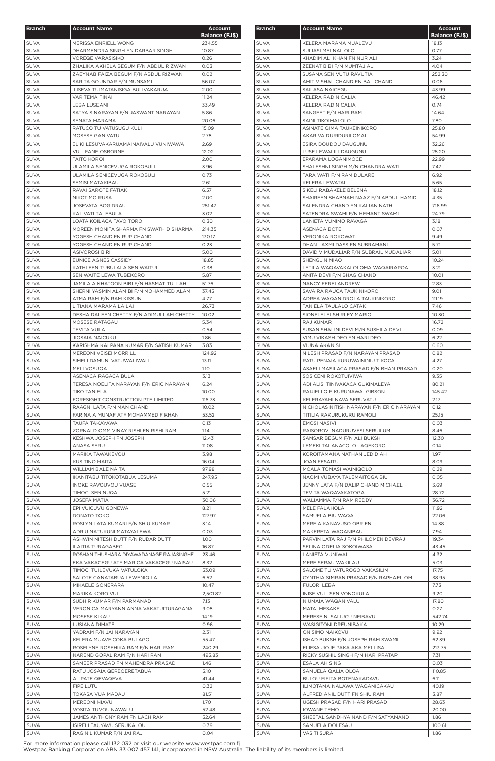| <b>Branch</b>              | <b>Account Name</b>                                                           | <b>Account</b>        |
|----------------------------|-------------------------------------------------------------------------------|-----------------------|
|                            |                                                                               | <b>Balance (FJ\$)</b> |
| <b>SUVA</b>                | MERISSA ENRIELL WONG                                                          | 234.55                |
| <b>SUVA</b>                | DHARMENDRA SINGH FN DARBAR SINGH                                              | 10.87                 |
| <b>SUVA</b>                | <b>VOREQE VARASISIKO</b>                                                      | 0.26                  |
| <b>SUVA</b><br><b>SUVA</b> | ZHALIKA AKHELA BEGUM F/N ABDUL RIZWAN<br>ZAEYNAB FAIZA BEGUM F/N ABDUL RIZWAN | 0.03<br>0.02          |
| <b>SUVA</b>                | SARITA GOUNDAR F/N MUNSAMI                                                    | 56.07                 |
| <b>SUVA</b>                | ILISEVA TUIMATANISIGA BULIVAKARUA                                             | 2.00                  |
| <b>SUVA</b>                | VARITEMA TINAI                                                                | 11.24                 |
| <b>SUVA</b>                | <b>LEBA LUSEANI</b>                                                           | 33.49                 |
| SUVA                       | SATYA S NARAYAN F/N JASWANT NARAYAN                                           | 5.86                  |
| SUVA                       | SENATA MARAMA                                                                 | 20.06                 |
| <b>SUVA</b>                | RATUCO TUIVATUSUGU KULI                                                       | 15.09                 |
| <b>SUVA</b>                | MOSESE GANIVATU                                                               | 2.78                  |
| <b>SUVA</b>                | ELIKI LESUVAKARUAMAINAIVALU VUNIWAWA                                          | 2.69                  |
| <b>SUVA</b>                | <b>VULI FANE OSBORNE</b><br><b>TAITO KOROI</b>                                | 12.02                 |
| <b>SUVA</b><br><b>SUVA</b> | ULAMILA SENICEVUGA ROKOBULI                                                   | 2.00<br>3.96          |
| <b>SUVA</b>                | ULAMILA SENICEVUGA ROKOBULI                                                   | 0.73                  |
| <b>SUVA</b>                | SEMISI MATAKIBAU                                                              | 2.61                  |
| SUVA                       | RAVAI SAROTE FATIAKI                                                          | 6.57                  |
| <b>SUVA</b>                | NIKOTIMO RUSA                                                                 | 2.00                  |
| <b>SUVA</b>                | JOSEVATA BOGIDRAU                                                             | 251.47                |
| <b>SUVA</b>                | KALIVATI TALEBULA                                                             | 3.02                  |
| <b>SUVA</b>                | LOATA KOILACA TAVO TORO                                                       | 0.30                  |
| <b>SUVA</b>                | MOREEN MONITA SHARMA FN SWATH D SHARMA                                        | 214.35                |
| SUVA                       | YOGESH CHAND FN RUP CHAND                                                     | 130.17                |
| SUVA                       | YOGESH CHAND FN RUP CHAND                                                     | 0.23                  |
| <b>SUVA</b><br><b>SUVA</b> | <b>ASIVOROSI BIRI</b><br>EUNICE AGNES CASSIDY                                 | 5.00<br>18.85         |
| <b>SUVA</b>                | KATHLEEN TUBULALA SENIWAITUI                                                  | 0.38                  |
| <b>SUVA</b>                | SENIWAITE LEWA TUBEKORO                                                       | 5.87                  |
| <b>SUVA</b>                | JAMILA A KHATOON BIBI F/N HASMAT TULLAH                                       | 51.76                 |
| <b>SUVA</b>                | SHERNI YASMIN ALAM BI F/N MOHAMMED ALAM                                       | 37.45                 |
| <b>SUVA</b>                | ATMA RAM F/N RAM KISSUN                                                       | 4.77                  |
| <b>SUVA</b>                | LITIANA MARAMA LAILAI                                                         | 26.73                 |
| <b>SUVA</b>                | DESHA DALEEN CHETTY F/N ADIMULLAM CHETTY                                      | 10.02                 |
| <b>SUVA</b>                | MOSESE RATAGAU                                                                | 5.34                  |
| SUVA                       | <b>TEVITA VULA</b>                                                            | 0.54                  |
| <b>SUVA</b>                | <b>JIOSAIA NAICUKU</b>                                                        | 1.86                  |
| <b>SUVA</b>                | KARISHMA KALPANA KUMAR F/N SATISH KUMAR                                       | 3.83                  |
| <b>SUVA</b><br><b>SUVA</b> | MEREONI VEISEI MORRILL<br>SIMELI DAMUNI VATUWALIWALI                          | 124.92<br>13.11       |
| <b>SUVA</b>                | <b>MELI VOSUQA</b>                                                            | 1.10                  |
| <b>SUVA</b>                | ASENACA RAGACA BULA                                                           | 3.13                  |
| <b>SUVA</b>                | TERESA NOELITA NARAYAN F/N ERIC NARAYAN                                       | 6.24                  |
| <b>SUVA</b>                | <b>TIKO TANIELA</b>                                                           | 10.00                 |
| <b>SUVA</b>                | FORESIGHT CONSTRUCTION PTE LIMITED                                            | 116.73                |
| <b>SUVA</b>                | RAAGNI LATA F/N MAN CHAND                                                     | 10.02                 |
| <b>SUVA</b>                | FARINA A MUNAF ATF MOHAMMED F KHAN                                            | 53.52                 |
| <b>SUVA</b>                | TAUFA TAKAYAWA                                                                | 0.13                  |
| <b>SUVA</b>                | ZORNALD OMM VINAY RISHI FN RISHI RAM                                          | 1.14                  |
| <b>SUVA</b><br><b>SUVA</b> | KESHWA JOSEPH FN JOSEPH<br>ANASA SERU                                         | 12.43<br>11.08        |
| <b>SUVA</b>                | MARIKA TAWAKEVOU                                                              | 3.98                  |
| <b>SUVA</b>                | <b>KUSITINO NAITA</b>                                                         | 16.04                 |
| <b>SUVA</b>                | WILLIAM BALE NAITA                                                            | 97.98                 |
| <b>SUVA</b>                | IKANITABU TITOKOTABUA LESUMA                                                  | 247.95                |
| <b>SUVA</b>                | INOKE RAVOUVOU VUASE                                                          | 0.55                  |
| <b>SUVA</b>                | <b>TIMOCI SENINUQA</b>                                                        | 5.21                  |
| <b>SUVA</b>                | <b>JOSEFA MATIA</b>                                                           | 30.06                 |
| <b>SUVA</b>                | EPI VUICUVU GONEWAI                                                           | 8.21                  |
| <b>SUVA</b>                | DONATO TOKO                                                                   | 127.97                |
| <b>SUVA</b>                | ROSLYN LATA KUMARI F/N SHIU KUMAR                                             | 3.14                  |
| <b>SUVA</b><br><b>SUVA</b> | ADRIU NATUKUNI MATAYALEWA                                                     | 0.03<br>1.00          |
| <b>SUVA</b>                | ASHWIN NITESH DUTT F/N RUDAR DUTT<br>ILAITIA TURAGABECI                       | 16.87                 |
| <b>SUVA</b>                | ROSHAN THUSHARA DIYAWADANAGE RAJASINGHE                                       | 23.46                 |
| <b>SUVA</b>                | EKA VAKACEGU ATF MARICA VAKACEGU NAISAU                                       | 8.32                  |
| <b>SUVA</b>                | TIMOCI TUILEVUKA VATULOKA                                                     | 53.09                 |
| <b>SUVA</b>                | SALOTE CANATABUA LEWENIQILA                                                   | 6.52                  |
| <b>SUVA</b>                | MIKAELE GONERARA                                                              | 10.47                 |
| <b>SUVA</b>                | MARIKA KOROIVUI                                                               | 2,501.82              |
| <b>SUVA</b>                | SUDHIR KUMAR F/N PARMANAD                                                     | 7.13                  |
| <b>SUVA</b>                | VERONICA MARYANN ANNA VAKATUITURAGANA                                         | 9.08                  |
| <b>SUVA</b>                | MOSESE KIKAU                                                                  | 14.19                 |
| SUVA                       | LUSIANA DIMATE                                                                | 0.96                  |
| <b>SUVA</b><br><b>SUVA</b> | YADRAM F/N JAI NARAYAN<br>KELERA MUAVEICOKA BULAGO                            | 2.31<br>55.47         |
| <b>SUVA</b>                | ROSELYNE ROSEHIKA RAM F/N HARI RAM                                            | 240.29                |
| <b>SUVA</b>                | NAREND GOPAL RAM F/N HARI RAM                                                 | 495.83                |
| <b>SUVA</b>                | SAMEER PRASAD FN MAHENDRA PRASAD                                              | 1.46                  |
| <b>SUVA</b>                | RATU JOSAIA QEREQERETABUA                                                     | 5.10                  |
| <b>SUVA</b>                | ALIPATE QEVAQEVA                                                              | 41.44                 |
| <b>SUVA</b>                | FIPE LUTU                                                                     | 0.32                  |
| <b>SUVA</b>                | TOKASA VUA MADAU                                                              | 81.51                 |
| <b>SUVA</b>                | MEREONI NIAVU                                                                 | 1.70                  |
| <b>SUVA</b>                | VOSITA TUVOU NAWALU                                                           | 52.48                 |
| <b>SUVA</b>                | JAMES ANTHONY RAM FN LACH RAM                                                 | 52.64                 |
| <b>SUVA</b>                | ISIRELI TAUYAVU SERUKALOU                                                     | 0.39                  |
| <b>SUVA</b>                | RAGINIL KUMAR F/N JAI RAJ                                                     | 0.04                  |

| <b>Branch</b>              | <b>Account Name</b>                                          | <b>Account</b><br><b>Balance (FJ\$)</b> |
|----------------------------|--------------------------------------------------------------|-----------------------------------------|
| <b>SUVA</b>                | KELERA MARAMA MUALEVU                                        | 18.13                                   |
| <b>SUVA</b>                | SULIASI MEI NAILOLO                                          | 0.77                                    |
| <b>SUVA</b>                | KHADIM ALI KHAN FN NUR ALI                                   | 3.24                                    |
| <b>SUVA</b>                | ZEENAT BIBI F/N MUMTAJ ALI                                   | 4.04                                    |
| <b>SUVA</b>                | SUSANA SENIVUTU RAVUTIA                                      | 252.30                                  |
| <b>SUVA</b>                | AMIT VISHAL CHAND FN BAL CHAND                               | 0.06                                    |
| <b>SUVA</b><br><b>SUVA</b> | SAILASA NAICEGU<br>KELERA RADINICALIA                        | 43.99<br>46.42                          |
| <b>SUVA</b>                | KELERA RADINICALIA                                           | 0.74                                    |
| <b>SUVA</b>                | SANGEET F/N HARI RAM                                         | 14.64                                   |
| <b>SUVA</b>                | SAINI TIKOIMALOLO                                            | 7.80                                    |
| <b>SUVA</b>                | ASINATE QIMA TAUKEINIKORO                                    | 25.80                                   |
| <b>SUVA</b>                | AKARIVA DURIDURILOMAI                                        | 54.99                                   |
| <b>SUVA</b>                | ESIRA DOUDOU DAUGUNU                                         | 32.26                                   |
| <b>SUVA</b>                | LUSE LEWALILI DAUGUNU                                        | 25.20                                   |
| <b>SUVA</b>                | EPARAMA LOGANIMOCE                                           | 22.99                                   |
| <b>SUVA</b>                | SHALESHNI SINGH M/N CHANDRA WATI                             | 7.47                                    |
| <b>SUVA</b><br><b>SUVA</b> | TARA WATI F/N RAM DULARE<br>KELERA LEWATAI                   | 6.92<br>5.65                            |
| <b>SUVA</b>                | SIKELI RABAKELE BELENA                                       | 18.12                                   |
| <b>SUVA</b>                | SHAIREEN SHABNAM NAAZ F/N ABDUL HAMID                        | 4.35                                    |
| <b>SUVA</b>                | SALENDRA CHAND FN KALIAN NATH                                | 716.99                                  |
| <b>SUVA</b>                | SATENDRA SWAMI F/N HEMANT SWAMI                              | 24.79                                   |
| <b>SUVA</b>                | LANIETA VUNIMO RAVAGA                                        | 3.18                                    |
| <b>SUVA</b>                | ASENACA BOTEI                                                | 0.07                                    |
| <b>SUVA</b>                | <b>VERONIKA ROKOWATI</b>                                     | 9.49                                    |
| <b>SUVA</b>                | DHAN LAXMI DASS FN SUBRAMANI                                 | 5.71                                    |
| <b>SUVA</b>                | DAVID V MUDALIAR F/N SUBRAIL MUDALIAR                        | 5.01                                    |
| <b>SUVA</b>                | <b>SHENGLIN MIAO</b>                                         | 10.24                                   |
| <b>SUVA</b>                | LETILA WAQAVAKALOLOMA WAQAIRAPOA                             | 3.21                                    |
| <b>SUVA</b>                | ANITA DEVI F/N BHAG CHAND                                    | 10.01                                   |
| <b>SUVA</b><br><b>SUVA</b> | NANCY FEREI ANDREW<br>SAVAIRA RAUCA TAUKINIKORO              | 2.83<br>9.01                            |
| <b>SUVA</b>                | ADREA WAQANIDROLA TAUKINIKORO                                | 111.19                                  |
| <b>SUVA</b>                | TANIELA TAULALO CATAKI                                       | 7.46                                    |
| <b>SUVA</b>                | SIONELELEI SHIRLEY MARIO                                     | 10.30                                   |
| <b>SUVA</b>                | <b>RAJ KUMAR</b>                                             | 16.72                                   |
| SUVA                       | SUSAN SHALINI DEVI M/N SUSHILA DEVI                          | 0.09                                    |
| <b>SUVA</b>                | VIMU VIKASH DEO FN HARI DEO                                  | 6.22                                    |
| <b>SUVA</b>                | VIUNA AKANISI                                                | 0.60                                    |
| <b>SUVA</b>                | NILESH PRASAD F/N NARAYAN PRASAD                             | 0.82                                    |
| <b>SUVA</b>                | RATU PENAIA KURUWAININIU TIKOCA                              | 4.27                                    |
| <b>SUVA</b>                | ASAELI MASILACA PRASAD F/N BHAN PRASAD                       | 0.20                                    |
| <b>SUVA</b>                | SOSICENI ROKOTUIVIWA                                         | 9.35                                    |
| <b>SUVA</b>                | ADI ALISI TINIVAKACA GUKIMALEYA                              | 80.21                                   |
| <b>SUVA</b><br><b>SUVA</b> | RAIJIELI Q F KURUNAWAI GIBSON<br>KELERAYANI NAVA SERUVATU    | 145.42<br>2.17                          |
| <b>SUVA</b>                | NICHOLAS NITISH NARAYAN F/N ERIC NARAYAN                     | 0.12                                    |
| <b>SUVA</b>                | TITILIA RAKURUKURU RAMOLI                                    | 25.15                                   |
| <b>SUVA</b>                | <b>EMOSI NASIVI</b>                                          | 0.03                                    |
| <b>SUVA</b>                | RAISOROVI NADURUVESI SERUILUMI                               | 8.46                                    |
| <b>SUVA</b>                | SAMSAR BEGUM F/N ALI BUKSH                                   | 12.30                                   |
| <b>SUVA</b>                | LEMEKI TALANACOLO LAQEKORO                                   | 0.14                                    |
| <b>SUVA</b>                | KOROITAMANA NATHAN JEDIDIAH                                  | 1.97                                    |
| <b>SUVA</b>                | JOAN FESAITU                                                 | 8.09                                    |
| <b>SUVA</b>                | MOALA TOMASI WAINIQOLO                                       | 0.29                                    |
| <b>SUVA</b>                | NAOMI VUBAYA TALEMAITOGA BIU                                 | 0.05                                    |
| <b>SUVA</b>                | JENNY LATA F/N DALIP CHAND MICHAEL                           | 3.69                                    |
| <b>SUVA</b><br><b>SUVA</b> | TEVITA WAQAVAKATOGA<br>WALIAMMA F/N RAM REDDY                | 28.72<br>36.72                          |
| <b>SUVA</b>                | MELE FALAHOLA                                                | 11.92                                   |
| <b>SUVA</b>                | SAMUELA BIU WAQA                                             | 22.06                                   |
| <b>SUVA</b>                | MEREIA KANAVUSO OBRIEN                                       | 14.38                                   |
| <b>SUVA</b>                | MAKERETA WAQANIBAU                                           | 7.94                                    |
| <b>SUVA</b>                | PARVIN LATA RAJ F/N PHILOMEN DEVRAJ                          | 19.34                                   |
| <b>SUVA</b>                | SELINA ODELIA SOKOIWASA                                      | 43.45                                   |
| <b>SUVA</b>                | LANIETA VUNIWAI                                              | 4.32                                    |
| <b>SUVA</b>                | MERE SERAU WAKILAU                                           | 5.03                                    |
| <b>SUVA</b>                | SALOME TUIVATUROGO VAKASILIMI                                | 17.75                                   |
| <b>SUVA</b>                | CYNTHIA SIMRAN PRASAD F/N RAPHAEL OM                         | 38.95                                   |
| <b>SUVA</b><br><b>SUVA</b> | <b>FULORI LEBA</b><br>INISE VULI SENIVONOKULA                | 7.73<br>9.20                            |
| <b>SUVA</b>                | NIUMAIA WAQANIVALU                                           | 17.80                                   |
| <b>SUVA</b>                | <b>MATAI MESAKE</b>                                          | 0.27                                    |
| <b>SUVA</b>                | MERESEINI SALIUCU NEIBAVU                                    | 542.74                                  |
| <b>SUVA</b>                | WASIGITONI DREUNIBAKA                                        | 10.29                                   |
| SUVA                       | <b>ONISIMO NAIKOVU</b>                                       | 9.92                                    |
| <b>SUVA</b>                | ISHAD BUKSH F/N JOSEPH RAM SWAMI                             | 62.39                                   |
| SUVA                       | ELIESA JIOJE PAKA AKA MELLISA                                | 213.75                                  |
| <b>SUVA</b>                | RICKY SUSHIL SINGH F/N HARI PRATAP                           | 7.31                                    |
| SUVA                       | ESALA AH SING                                                | 0.03                                    |
| SUVA                       | SAMUELA QALIA OLOA                                           | 110.85                                  |
| SUVA                       | BULOU FIFITA BOTENAKADAVU                                    | 6.11                                    |
| SUVA                       | ILIMOTAMA NALAWA WAQANICAKAU                                 | 40.19                                   |
| SUVA<br><b>SUVA</b>        | ALFRED ANIL DUTT FN SHIU RAM<br>UGESH PRASAD F/N HARI PRASAD | 3.87<br>28.63                           |
| <b>SUVA</b>                | <b>IOWANE TEMO</b>                                           | 20.00                                   |
| SUVA                       | SHEETAL SANDHYA NAND F/N SATYANAND                           | 1.86                                    |
| SUVA                       | SAMUELA DOLESAU                                              | 100.61                                  |
| SUVA                       | <b>VASITI SURA</b>                                           | 1.86                                    |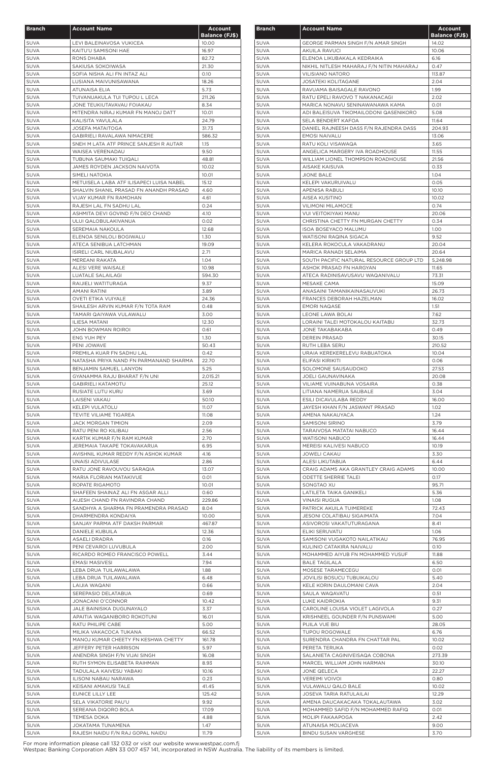| <b>Branch</b>              | <b>Account Name</b>                                                                | <b>Account</b>        |
|----------------------------|------------------------------------------------------------------------------------|-----------------------|
|                            |                                                                                    | <b>Balance (FJ\$)</b> |
| <b>SUVA</b>                | LEVI BALEINAVOSA VUKICEA                                                           | 10.00                 |
| <b>SUVA</b>                | KAITU'U SAMISONI HAE                                                               | 16.97                 |
| <b>SUVA</b>                | RONS DHABA                                                                         | 82.72                 |
| <b>SUVA</b>                | SAKIUSA SOKOIWASA                                                                  | 21.30                 |
| <b>SUVA</b>                | SOFIA NISHA ALI FN INTAZ ALI                                                       | 0.10                  |
| <b>SUVA</b>                | LUSIANA MAIVUNISAWANA                                                              | 18.26                 |
| <b>SUVA</b>                | <b>ATUNAISA ELIA</b>                                                               | 5.73                  |
| <b>SUVA</b>                | TUIVANUAKULA TUI TUPOU L LECA                                                      | 211.26                |
| <b>SUVA</b>                | JONE TEUKIUTAVAVAU FOIAKAU                                                         | 8.34                  |
| <b>SUVA</b>                | MITENDRA NIRAJ KUMAR FN MANOJ DATT                                                 | 10.01                 |
| SUVA                       | KALISITA YAVULALA                                                                  | 24.79                 |
| <b>SUVA</b>                | <b>JOSEFA MATAITOGA</b>                                                            | 31.73                 |
| <b>SUVA</b>                | GABIRIELI RAVALAWA NIMACERE                                                        | 586.32                |
| <b>SUVA</b>                | SNEH M LATA ATF PRINCE SANJESH R AUTAR                                             | 1.15                  |
| <b>SUVA</b>                | <b>WAISEA VERENADAU</b>                                                            | 9.50                  |
| <b>SUVA</b>                | TUBUNA SAUMAKI TUIQALI                                                             | 48.81                 |
| <b>SUVA</b>                | JAMES ROYDEN JACKSON NAIVOTA                                                       | 10.02                 |
| <b>SUVA</b>                | SIMELI NATOKIA                                                                     | 10.01                 |
| <b>SUVA</b><br><b>SUVA</b> | METUISELA LABA ATF ILISAPECI LUISA NABEL<br>SHALVIN SHANIL PRASAD FN ANANDH PRASAD | 15.12                 |
|                            |                                                                                    | 4.60                  |
| SUVA                       | VIJAY KUMAR FN RAMOHAN                                                             | 4.61                  |
| <b>SUVA</b>                | RAJESH LAL FN SADHU LAL                                                            | 0.24                  |
| <b>SUVA</b>                | ASHMITA DEVI GOVIND F/N DEO CHAND                                                  | 4.10                  |
| <b>SUVA</b>                | ULUI QALOBULAKIVANUA                                                               | 0.02                  |
| <b>SUVA</b>                | SEREMAIA NAKOULA                                                                   | 12.68                 |
| <b>SUVA</b>                | ELENOA SENILOLI BOGIWALU                                                           | 1.30                  |
| <b>SUVA</b>                | ATECA SENIBUA LATCHMAN                                                             | 19.09                 |
| <b>SUVA</b><br><b>SUVA</b> | ISIRELI CARL NIUBALAVU                                                             | 2.71                  |
|                            | MEREANI RAKATA                                                                     | 1.04                  |
| <b>SUVA</b>                | ALESI VERE WAISALE                                                                 | 10.98                 |
| SUVA                       | LUATALE SALAILAGI<br>RAIJIELI WATITURAGA                                           | 594.30                |
| <b>SUVA</b>                |                                                                                    | 9.37                  |
| <b>SUVA</b><br><b>SUVA</b> | <b>AMANI RATINI</b><br><b>OVETI ETIKA VUIYALE</b>                                  | 3.89                  |
|                            |                                                                                    | 24.36                 |
| <b>SUVA</b>                | SHAILESH ARVIN KUMAR F/N TOTA RAM                                                  | 0.48                  |
| <b>SUVA</b>                | TAMARI QAIYAWA VULAWALU                                                            | 3.00                  |
| <b>SUVA</b>                | ILIESA MATANI                                                                      | 12.30                 |
| <b>SUVA</b>                | JOHN BOWMAN ROIROI                                                                 | 0.61                  |
| <b>SUVA</b>                | ENG YUH PEY                                                                        | 1.30                  |
| <b>SUVA</b>                | PENI JOWAVE                                                                        | 50.43                 |
| SUVA                       | PREMILA KUAR FN SADHU LAL                                                          | 0.42                  |
| <b>SUVA</b>                | NATASHA PRIYA NAND FN PARMANAND SHARMA                                             | 22.70                 |
| <b>SUVA</b>                | BENJAMIN SAMUEL LANYON                                                             | 5.25                  |
| <b>SUVA</b>                | GYANAMMA RAJU BHARAT F/N UNI                                                       | 2,015.21              |
| <b>SUVA</b>                | <b>GABIRIELI KATAMOTU</b>                                                          | 25.12                 |
| <b>SUVA</b>                | RUSIATE LUTU KURU                                                                  | 3.69                  |
| <b>SUVA</b>                | LAISENI VAKAU                                                                      | 50.10                 |
| <b>SUVA</b>                | <b>KELEPI VULATOLU</b>                                                             | 11.07                 |
| <b>SUVA</b>                | TEVITE VILIAME TIGAREA                                                             | 11.08                 |
| <b>SUVA</b>                | <b>JACK MORGAN TIMION</b>                                                          | 2.09                  |
| <b>SUVA</b>                | RATU PENI RO KILIBAU                                                               | 2.56<br>2.70          |
| <b>SUVA</b><br><b>SUVA</b> | KARTIK KUMAR F/N RAM KUMAR<br>JEREMAIA TAKAPE TOKAVAKARUA                          | 6.95                  |
| <b>SUVA</b>                | AVISHNIL KUMAR REDDY F/N ASHOK KUMAR                                               | 4.16                  |
| <b>SUVA</b>                | UNAISI ADIVULASE                                                                   | 2.86                  |
| <b>SUVA</b>                | RATU JONE RAVOUVOU SARAQIA                                                         | 13.07                 |
| <b>SUVA</b>                | MARIA FLORIAN MATAKIVUE                                                            | 0.01                  |
| <b>SUVA</b>                | ROPATE RIGAMOTO                                                                    | 10.01                 |
| <b>SUVA</b>                | SHAFEEN SHAINAZ ALI FN ASGAR ALLI                                                  | 0.60                  |
| <b>SUVA</b>                | AIJESH CHAND FN RAVINDRA CHAND                                                     | 229.86                |
| <b>SUVA</b>                | SANDHYA A SHARMA FN PRAMENDRA PRASAD                                               | 8.04                  |
| <b>SUVA</b>                | DHARMENDRA KONDAIYA                                                                | 10.00                 |
| <b>SUVA</b>                | SANJAY PARMA ATF DAKSH PARMAR                                                      | 467.87                |
| <b>SUVA</b>                | DANIELE KUBUILA                                                                    | 12.36                 |
| <b>SUVA</b>                | ASAELI DRADRA                                                                      | 0.16                  |
| <b>SUVA</b>                | PENI CEVAROI LUVUBULA                                                              | 2.00                  |
| <b>SUVA</b>                | RICARDO ROMEO FRANCISCO POWELL                                                     | 3.44                  |
| <b>SUVA</b>                | <b>EMASI MASIVESI</b>                                                              | 7.94                  |
| <b>SUVA</b>                | LEBA DRUA TUILAWALAWA                                                              | 1.88                  |
| <b>SUVA</b>                | LEBA DRUA TUILAWALAWA                                                              | 6.48                  |
| <b>SUVA</b>                | LAIJIA WAQANI                                                                      | 0.66                  |
| <b>SUVA</b>                | SEREPASIO DELATABUA                                                                | 0.69                  |
| <b>SUVA</b>                | JONACANI O'CONNOR                                                                  | 10.42                 |
| <b>SUVA</b>                | JALE BAINISIKA DUGUNAYALO                                                          | 3.37                  |
| <b>SUVA</b>                | APAITIA WAQANIBORO ROKOTUNI                                                        | 16.01                 |
| <b>SUVA</b>                | RATU PHILIPE CABE                                                                  | 5.00                  |
| <b>SUVA</b>                | MILIKA VAKACOCA TUKANA                                                             | 66.52                 |
| <b>SUVA</b>                | MANOJ KUMAR CHEETY FN KESHWA CHETTY                                                | 161.78                |
| <b>SUVA</b>                | JEFFERY PETER HARRISON                                                             | 5.97                  |
| <b>SUVA</b>                | ANENDRA SINGH F/N VIJAI SINGH                                                      | 16.08                 |
| <b>SUVA</b>                | RUTH SYMON ELISABETA RAIHMAN                                                       | 8.93                  |
| <b>SUVA</b>                | TADULALA KAIVESU YABAKI                                                            | 10.16                 |
| <b>SUVA</b>                | ILISONI NABAU NARAWA                                                               | 0.23                  |
| <b>SUVA</b>                | KEISANI AMAKUSI TALE                                                               | 41.45                 |
| <b>SUVA</b>                | EUNICE LILLY LEE                                                                   | 125.42                |
| <b>SUVA</b>                | SELA VIKATORIE PAU'U                                                               | 9.92                  |
| <b>SUVA</b>                | SEREANA DIQORO BOLA                                                                | 17.09                 |
| <b>SUVA</b>                | TEMESA DOKA                                                                        | 4.88                  |
| <b>SUVA</b>                | JOKATAMA TUNAMENA                                                                  | 1.47                  |
| <b>SUVA</b>                | RAJESH NAIDU F/N RAJ GOPAL NAIDU                                                   | 11.79                 |

| <b>Branch</b>              | <b>Account Name</b>                                               | <u>Account</u><br><b>Balance (FJ\$)</b> |
|----------------------------|-------------------------------------------------------------------|-----------------------------------------|
| <b>SUVA</b>                | GEORGE PARMAN SINGH F/N AMAR SINGH                                | 14.02                                   |
| <b>SUVA</b>                | AKUILA RAVUCI                                                     | 10.06                                   |
| <b>SUVA</b>                | ELENOA LIKUBAKALA KEDRAIKA                                        | 6.16                                    |
| <b>SUVA</b>                | NIKHIL NITLESH MAHARAJ F/N NITIN MAHARAJ                          | 0.47                                    |
| <b>SUVA</b>                | <b>VILISIANO NATORO</b>                                           | 113.87                                  |
| <b>SUVA</b>                | <b>JOSATEKI KOLITAGANE</b>                                        | 2.04                                    |
| <b>SUVA</b>                | RAVUAMA BAISAGALE RAVONO                                          | 1.99                                    |
| <b>SUVA</b><br><b>SUVA</b> | RATU EPELI RAVOVO T NAKANACAGI<br>MARICA NONAVU SENINAWANAWA KAMA | 2.02<br>0.01                            |
| <b>SUVA</b>                | ADI BALEISUVA TIKOMAILODONI QASENIKORO                            | 5.08                                    |
| <b>SUVA</b>                | <b>SELA BENDERT KAFOA</b>                                         | 11.64                                   |
| <b>SUVA</b>                | DANIEL RAJNEESH DASS F/N RAJENDRA DASS                            | 204.93                                  |
| <b>SUVA</b>                | <b>EMOSI NAIVALU</b>                                              | 13.06                                   |
| <b>SUVA</b>                | RATU KOLI VISAWAQA                                                | 3.65                                    |
| <b>SUVA</b>                | ANGELICA MARGERY IVA ROADHOUSE                                    | 11.55                                   |
| <b>SUVA</b>                | WILLIAM LIONEL THOMPSON ROADHOUSE                                 | 21.56                                   |
| <b>SUVA</b>                | AISAKE KAISUVA                                                    | 0.33                                    |
| <b>SUVA</b>                | <b>JIONE BALE</b>                                                 | 1.04                                    |
| <b>SUVA</b>                | KELEPI VAKURUIVALU                                                | 0.05                                    |
| <b>SUVA</b>                | APENISA RABULI                                                    | 10.10                                   |
| <b>SUVA</b>                | AISEA KUSITINO                                                    | 10.02                                   |
| <b>SUVA</b>                | <b>VILIMONI MILAMOCE</b>                                          | 0.74                                    |
| <b>SUVA</b><br><b>SUVA</b> | <b>VUI VEITOKIYAKI MANU</b><br>CHRISTINA CHETTY FN MURGAN CHETTY  | 20.06<br>0.34                           |
| <b>SUVA</b>                | <b>ISOA BOSEYACO MALUMU</b>                                       | 1.00                                    |
| <b>SUVA</b>                | WATISONI RAQINA SIGACA                                            | 9.52                                    |
| <b>SUVA</b>                | KELERA ROKOCULA VAKADRANU                                         | 20.04                                   |
| <b>SUVA</b>                | MARICA RANADI SELAIMA                                             | 20.64                                   |
| <b>SUVA</b>                | SOUTH PACIFIC NATURAL RESOURCE GROUP LTD                          | 5,248.98                                |
| <b>SUVA</b>                | ASHOK PRASAD FN HARGYAN                                           | 11.65                                   |
| <b>SUVA</b>                | ATECA RADINISAVUSAVU WAQANIVALU                                   | 73.31                                   |
| <b>SUVA</b>                | MESAKE CAMA                                                       | 15.09                                   |
| <b>SUVA</b>                | ANASAINI TAMANIKAINASAUVUKI                                       | 26.73                                   |
| <b>SUVA</b>                | FRANCES DEBORAH HAZELMAN                                          | 16.02                                   |
| <b>SUVA</b>                | <b>EMORI NAQASE</b>                                               | 1.51                                    |
| <b>SUVA</b>                | LEONE LAWA BOLAI<br>LORAINI TALEI MOTOKALOU KAITABU               | 7.62                                    |
| <b>SUVA</b><br>SUVA        | JONE TAKABAKABA                                                   | 32.73<br>0.49                           |
| <b>SUVA</b>                | <b>DEREIN PRASAD</b>                                              | 30.15                                   |
| <b>SUVA</b>                | RUTH LEBA SERU                                                    | 210.52                                  |
| <b>SUVA</b>                | URAIA KEREKERELEVU RABUATOKA                                      | 10.04                                   |
| <b>SUVA</b>                | ELIFASI KIRIKITI                                                  | 0.06                                    |
| <b>SUVA</b>                | SOLOMONE SAUSAUDOKO                                               | 27.53                                   |
| <b>SUVA</b>                | <b>JOELI GAUNAVINAKA</b>                                          | 20.08                                   |
| <b>SUVA</b>                | VILIAME VUINABUNA VOSAIRA                                         | 0.38                                    |
| <b>SUVA</b>                | LITIANA NAMERUA SAUBALE                                           | 3.04                                    |
| <b>SUVA</b>                | ESILI DICAVULABA REDDY                                            | 16.00                                   |
| <b>SUVA</b>                | JAYESH KHAN F/N JASWANT PRASAD                                    | 1.02                                    |
| <b>SUVA</b>                | AMENA NAKAUYACA                                                   | 1.24                                    |
| <b>SUVA</b><br><b>SUVA</b> | <b>SAMISONI SIRINO</b><br>TARAIVOSA MATATAI NABUCO                | 3.79<br>16.44                           |
| SUVA                       | <b>WATISONI NABUCO</b>                                            | 16.44                                   |
| <b>SUVA</b>                | MEREISI KALIVESI NABUCO                                           | 10.19                                   |
| <b>SUVA</b>                | <b>JOWELI CAKAU</b>                                               | 3.30                                    |
| <b>SUVA</b>                | ALESI LIKUTABUA                                                   | 6.44                                    |
| <b>SUVA</b>                | CRAIG ADAMS AKA GRANTLEY CRAIG ADAMS                              | 10.00                                   |
| <b>SUVA</b>                | <b>ODETTE SHERRIE TALEI</b>                                       | 0.17                                    |
| <b>SUVA</b>                | SONGTAO XU                                                        | 95.71                                   |
| <b>SUVA</b>                | LATILETA TAIKA GANIKELI                                           | 5.36                                    |
| <b>SUVA</b>                | <b>VINAISI RUGUA</b>                                              | 1.08                                    |
| <b>SUVA</b>                | PATRICK AKUILA TUIMEREKE                                          | 72.43                                   |
| <b>SUVA</b>                | JESONI COLATIBAU SIGAIMATA                                        | 7.04                                    |
| <b>SUVA</b>                | ASIVOROSI VAKATUTURAGANA                                          | 8.41                                    |
| <b>SUVA</b><br><b>SUVA</b> | ELIKI SERUVATU<br>SAMISONI VUGAKOTO NAILATIKAU                    | 1.06<br>76.95                           |
| SUVA                       | KULINIO CATAKIRA NAIVALU                                          | 0.10                                    |
| <b>SUVA</b>                | MOHAMMED AIYUB FN MOHAMMED YUSUF                                  | 11.88                                   |
| <b>SUVA</b>                | <b>BALE TAGILALA</b>                                              | 6.50                                    |
| SUVA                       | MOSESE TARAMECEGU                                                 | 0.01                                    |
| <b>SUVA</b>                | <b>JOVILISI BOSUCU TUBUIKALOU</b>                                 | 5.40                                    |
| <b>SUVA</b>                | KELE KORIN DAULOMANI CAVA                                         | 2.04                                    |
| SUVA                       | SAULA WAQAVATU                                                    | 0.51                                    |
| <b>SUVA</b>                | LUKE KAIDROKIA                                                    | 9.31                                    |
| <b>SUVA</b>                | CAROLINE LOUISA VIOLET LAGIVOLA                                   | 0.27                                    |
| <b>SUVA</b>                | KRISHNEEL GOUNDER F/N PUNSWAMI                                    | 5.00                                    |
| <b>SUVA</b>                | PIJILA VUE BIU                                                    | 28.05                                   |
| <b>SUVA</b>                | TUPOU ROGOWALE                                                    | 6.76                                    |
| <b>SUVA</b>                | SURENDRA CHANDRA FN CHATTAR PAL                                   | 10.02                                   |
| <b>SUVA</b>                | PERETA TERUKA                                                     | 0.02                                    |
| <b>SUVA</b><br><b>SUVA</b> | SALANIETA CAGINIVEISAQA COBONA<br>MARCEL WILLIAM JOHN HARMAN      | 273.39<br>30.10                         |
| <b>SUVA</b>                | JONE QELECA                                                       | 22.27                                   |
| <b>SUVA</b>                | <b>VEREIMI VOIVOI</b>                                             | 0.80                                    |
| <b>SUVA</b>                | VULAWALU QALO BALE                                                | 10.02                                   |
| <b>SUVA</b>                | <b>JOSEVA TARIA RATULAILAI</b>                                    | 12.29                                   |
| <b>SUVA</b>                | AMENA DAUCAKACAKA TOKALAUTAWA                                     | 3.02                                    |
| <b>SUVA</b>                | MOHAMMED SAFID F/N MOHAMMED RAFIQ                                 | 0.01                                    |
| <b>SUVA</b>                | MOLIPI FAKAAPOGA                                                  | 2.42                                    |
| <b>SUVA</b>                | ATUNAISA MOLIACEVA                                                | 9.00                                    |
| <b>SUVA</b>                | <b>BINDU SUSAN VARGHESE</b>                                       | 3.70                                    |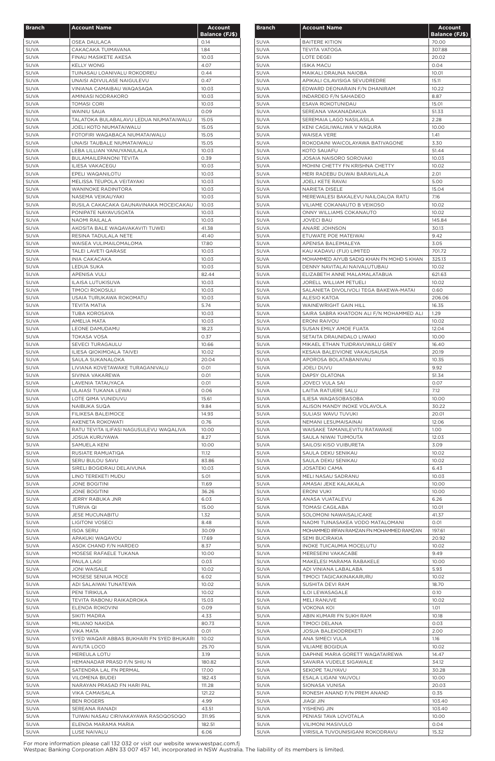| <b>Branch</b>              | <b>Account Name</b>                                      | <b>Account</b>        |
|----------------------------|----------------------------------------------------------|-----------------------|
|                            |                                                          | <b>Balance (FJ\$)</b> |
| <b>SUVA</b>                | <b>OSEA DAULACA</b>                                      | 0.14                  |
| <b>SUVA</b><br><b>SUVA</b> | CAKACAKA TUIMAVANA<br>FINAU MASIKETE AKESA               | 1.84<br>10.03         |
| <b>SUVA</b>                | <b>KELLY WONG</b>                                        | 4.07                  |
| <b>SUVA</b>                | TUINASAU LOANIVALU ROKODREU                              | 0.44                  |
| <b>SUVA</b>                | UNAISI ADIVULASE NAIGULEVU                               | 0.47                  |
| <b>SUVA</b><br><b>SUVA</b> | VINIANA CAMAIBAU WAQASAQA<br>AMINIASI NODRAKORO          | 10.03                 |
| <b>SUVA</b>                | TOMASI CORI                                              | 10.03<br>10.03        |
| <b>SUVA</b>                | WAINIU SAUA                                              | 0.09                  |
| <b>SUVA</b>                | TALATOKA BULABALAVU LEDUA NIUMATAIWALU                   | 15.05                 |
| <b>SUVA</b>                | JOELI KOTO NIUMATAIWALU                                  | 15.05                 |
| <b>SUVA</b>                | FOTOFIRI WAQABACA NIUMATAIWALU                           | 15.05                 |
| <b>SUVA</b><br><b>SUVA</b> | UNAISI TAUBALE NIUMATAIWALU<br>LEBA LILLIAN YANUYANULALA | 15.05<br>10.03        |
| <b>SUVA</b>                | <b>BULAMAILEPANONI TEVITA</b>                            | 0.39                  |
| <b>SUVA</b>                | <b>ILIESA VAKACEGU</b>                                   | 10.03                 |
| <b>SUVA</b>                | EPELI WAQANILOTU                                         | 10.03                 |
| <b>SUVA</b>                | MELISSA TEUPOLA VEITAYAKI                                | 10.03                 |
| SUVA<br><b>SUVA</b>        | <b>WANINOKE RADINITORA</b><br>NASEMA VEIKAUYAKI          | 10.03<br>10.03        |
| <b>SUVA</b>                | RUSILA CAKACAKA GAUNAVINAKA MOCEICAKAU                   | 10.03                 |
| <b>SUVA</b>                | PONIPATE NAYAVUSOATA                                     | 10.03                 |
| <b>SUVA</b>                | NAOMI RAILALA                                            | 10.03                 |
| <b>SUVA</b>                | AKOSITA BALE WAQAVAKAVITI TUWEI                          | 41.38                 |
| <b>SUVA</b>                | RESINA TADULALA NETE                                     | 41.40                 |
| <b>SUVA</b><br><b>SUVA</b> | WAISEA VULIMAILOMALOMA<br><b>TALEI LAVETI QARASE</b>     | 17.80<br>10.03        |
| <b>SUVA</b>                | INIA CAKACAKA                                            | 10.03                 |
| <b>SUVA</b>                | LEDUA SUKA                                               | 10.03                 |
| <b>SUVA</b>                | <b>APENISA VULI</b>                                      | 82.44                 |
| <b>SUVA</b>                | ILAISA LUTUKISUVA                                        | 10.03                 |
| <b>SUVA</b>                | <b>TIMOCI ROKOSULI</b><br>USAIA TURUKAWA ROKOMATU        | 10.03                 |
| <b>SUVA</b><br><b>SUVA</b> | <b>TEVITA MATIA</b>                                      | 10.03<br>5.74         |
| <b>SUVA</b>                | TUBA KOROSAYA                                            | 10.03                 |
| SUVA                       | AMELIA MATA                                              | 10.03                 |
| <b>SUVA</b>                | <b>LEONE DAMUDAMU</b>                                    | 18.23                 |
| <b>SUVA</b>                | <b>TOKASA VOSA</b>                                       | 0.37                  |
| <b>SUVA</b><br><b>SUVA</b> | SEVECI TURAGAULU<br><b>ILIESA QIOKIMOALA TAIVEI</b>      | 10.66<br>10.02        |
| <b>SUVA</b>                | SAULA SUKANALOKA                                         | 20.04                 |
| <b>SUVA</b>                | LIVIANA KOVETAWAKE TURAGANIVALU                          | 0.01                  |
| <b>SUVA</b>                | SIVINIA VAKAREWA                                         | 0.01                  |
| <b>SUVA</b>                | LAVENIA TATAUYACA                                        | 0.01                  |
| <b>SUVA</b>                | ULAIASI TUKANA LEWAI                                     | 0.06                  |
| <b>SUVA</b><br><b>SUVA</b> | LOTE QIMA VUNIDUVU<br>NAIBUKA SUQA                       | 15.61<br>9.84         |
| <b>SUVA</b>                | FILIKESA BALEIMOCE                                       | 14.93                 |
| <b>SUVA</b>                | AKENETA ROKOWATI                                         | 0.76                  |
| <b>SUVA</b>                | RATU TEVITA ILIFASI NAGUSULEVU WAQALIVA                  | 10.00                 |
| <b>SUVA</b>                | <b>JOSUA KURUYAWA</b>                                    | 8.27                  |
| <b>SUVA</b><br><b>SUVA</b> | SAMUELA KENI<br>RUSIATE RAMUATIQA                        | 10.00<br>11.12        |
| <b>SUVA</b>                | SERU BULOU SAVU                                          | 83.86                 |
| <b>SUVA</b>                | SIRELI BOGIDRAU DELAIVUNA                                | 10.03                 |
| <b>SUVA</b>                | LINO TEREKETI MUDU                                       | 5.01                  |
| <b>SUVA</b>                | <b>JONE BOGITINI</b>                                     | 11.69                 |
| <b>SUVA</b>                | <b>JONE BOGITINI</b>                                     | 36.26                 |
| <b>SUVA</b><br><b>SUVA</b> | JERRY RABUKA JNR<br>TURIVA QI                            | 6.03<br>15.00         |
| <b>SUVA</b>                | <b>JESE MUCUNABITU</b>                                   | 1.32                  |
| <b>SUVA</b>                | <b>LIGITONI VOSECI</b>                                   | 8.48                  |
| <b>SUVA</b>                | <b>ISOA SERU</b>                                         | 30.09                 |
| <b>SUVA</b>                | APAKUKI WAQAVOU                                          | 17.69                 |
| <b>SUVA</b><br><b>SUVA</b> | ASOK CHAND F/N HARDEO<br>MOSESE RAFAELE TUKANA           | 8.37<br>10.00         |
| <b>SUVA</b>                | PAULA LAGI                                               | 0.03                  |
| <b>SUVA</b>                | <b>JONI WAISALE</b>                                      | 10.02                 |
| <b>SUVA</b>                | MOSESE SENIUA MOCE                                       | 6.02                  |
| <b>SUVA</b>                | ADI SALAIWAI TUNATEWA                                    | 10.02                 |
| <b>SUVA</b><br><b>SUVA</b> | PENI TIRIKULA<br>TEVITA RABONU RAIKADROKA                | 10.02<br>15.03        |
| <b>SUVA</b>                | ELENOA ROKOVINI                                          | 0.09                  |
| <b>SUVA</b>                | SIKITI MADRA                                             | 4.33                  |
| SUVA                       | MILIANO NAKIDA                                           | 80.73                 |
| <b>SUVA</b>                | VIKA MATA                                                | 0.01                  |
| SUVA                       | SYED WAQAR ABBAS BUKHARI FN SYED BHUKARI                 | 10.02                 |
| <b>SUVA</b><br><b>SUVA</b> | <b>AVIUTA LOCO</b><br>MEREULA LOTU                       | 25.70<br>3.19         |
| <b>SUVA</b>                | HEMANADAR PRASD F/N SHIU N                               | 180.82                |
| <b>SUVA</b>                | SATENDRA LAL FN PERMAL                                   | 17.00                 |
| <b>SUVA</b>                | <b>VILOMENA BIUDEI</b>                                   | 182.43                |
| <b>SUVA</b>                | NARAYAN PRASAD FN HARI PAL                               | 111.28                |
| <b>SUVA</b>                | <b>VIKA CAMAISALA</b>                                    | 121.22                |
| <b>SUVA</b><br>SUVA        | <b>BEN ROGERS</b><br>SEREANA RANADI                      | 4.99<br>43.51         |
| <b>SUVA</b>                | TUIWAI NASAU CIRIVAKAYAWA RASOQOSOQO                     | 311.95                |
| <b>SUVA</b>                | ELENOA MARAMA MARIA                                      | 182.51                |
| <b>SUVA</b>                | LUSE NAIVALU                                             | 6.06                  |

| <b>Branch</b> | <b>Account Name</b>                      | <b>Account</b><br><b>Balance (FJ\$)</b> |
|---------------|------------------------------------------|-----------------------------------------|
| <b>SUVA</b>   | <b>BAITERE KITION</b>                    | 70.00                                   |
| <b>SUVA</b>   | <b>TEVITA VATOGA</b>                     | 307.88                                  |
| <b>SUVA</b>   | LOTE DEGEI                               | 20.02                                   |
| <b>SUVA</b>   | <b>ISIKA MACU</b>                        | 0.04                                    |
| <b>SUVA</b>   | MAIKALI DRAUNA NAIOBA                    | 10.01                                   |
| <b>SUVA</b>   | APIKALI CILAVISIGA SEVUDREDRE            | 15.11                                   |
| <b>SUVA</b>   | EDWARD DEONARAIN F/N DHANIRAM            | 10.22                                   |
| <b>SUVA</b>   | INDARDEO F/N SAHADEO                     | 8.87                                    |
| <b>SUVA</b>   | ESAVA ROKOTUNIDAU                        | 15.01                                   |
| <b>SUVA</b>   | SEREANA VAKANADAKUA                      | 51.33                                   |
| <b>SUVA</b>   | SEREMAIA LAGO NASILASILA                 | 2.28                                    |
| <b>SUVA</b>   | KENI CAGILIWALIWA V NAQURA               | 10.00                                   |
| <b>SUVA</b>   | <b>WAISEA VERE</b>                       | 1.41                                    |
| <b>SUVA</b>   | ROKODAINI WAICOLAYAWA BATIVAGONE         | 3.30                                    |
| <b>SUVA</b>   | KOTO SAUAFU                              | 51.44                                   |
| <b>SUVA</b>   | JOSAIA NAISORO SOROVAKI                  | 10.03                                   |
| <b>SUVA</b>   | MOHINI CHETTY FN KRISHNA CHETTY          | 10.02                                   |
| <b>SUVA</b>   | MERI RADEBU DUWAI BARAVILALA             | 2.01                                    |
| <b>SUVA</b>   | JOELI KETE RAVAI                         | 5.00                                    |
| <b>SUVA</b>   | NARIETA DISELE                           | 15.04                                   |
| <b>SUVA</b>   | MEREWALESI BAKALEVU NAILOALOA RATU       | 7.16                                    |
| <b>SUVA</b>   | VILIAME COKANAUTO B VEIKOSO              | 10.02                                   |
| <b>SUVA</b>   | ONNY WILLIAMS COKANAUTO                  | 10.02                                   |
| <b>SUVA</b>   | <b>JOVECI BAU</b>                        | 145.84                                  |
| <b>SUVA</b>   | ANARE JOHNSON                            | 30.13                                   |
| <b>SUVA</b>   | ETUWATE POE MATEIWAI                     | 9.42                                    |
| <b>SUVA</b>   | APENISA BALEIMALEYA                      | 3.05                                    |
| <b>SUVA</b>   | KAU KADAVU (FIJI) LIMITED                | 701.72                                  |
| <b>SUVA</b>   | MOHAMMED AIYUB SADIQ KHAN FN MOHD S KHAN | 325.13                                  |
| <b>SUVA</b>   | DENNY NAVITALAI NAIVALUTUBAU             | 10.02                                   |
| <b>SUVA</b>   | ELIZABETH ANNE MALAMALATABUA             | 621.63                                  |
| <b>SUVA</b>   | JORELL WILLIAM PETUELI                   | 10.02                                   |
| <b>SUVA</b>   | SALANIETA DIVOLIVOLI TEGA BAKEWA-MATAI   | 0.60                                    |
| <b>SUVA</b>   | ALESIO KATOA                             | 206.06                                  |
| <b>SUVA</b>   | WAINEWRIGHT GAIN HILL                    | 16.35                                   |
| <b>SUVA</b>   | SAIRA SABRA KHATOON ALI F/N MOHAMMED ALI | 1.29                                    |
| <b>SUVA</b>   | <b>ERONI RAIVOU</b>                      | 10.02                                   |
| SUVA          | SUSAN EMILY AMOE FUATA                   | 12.04                                   |
| <b>SUVA</b>   | SETAITA DRAUNIDALO LIWAKI                | 10.00                                   |
| <b>SUVA</b>   | MIKAEL ETHAN TUIDRAVUWALU GREY           | 16.40                                   |
| <b>SUVA</b>   | KESAIA BALEIVIONE VAKAUSAUSA             | 20.19                                   |
| <b>SUVA</b>   | APOROSA BOLATABANIVAU                    | 10.35                                   |
| <b>SUVA</b>   | <b>JOELI DUVU</b>                        | 9.92                                    |
| <b>SUVA</b>   | <b>DAPSY OLATONA</b>                     | 51.34                                   |
| <b>SUVA</b>   | <b>JOVECI VULA SAI</b>                   | 0.07                                    |
| <b>SUVA</b>   | <b>LAITIA RATUERE SALU</b>               | 7.12                                    |
| <b>SUVA</b>   | ILIESA WAQASOBASOBA                      | 10.00                                   |
| <b>SUVA</b>   | ALISON MANDY INOKE VOLAVOLA              | 30.22                                   |
| <b>SUVA</b>   | SULIASI WAVU TUVUKI                      | 20.01                                   |
| <b>SUVA</b>   | NEMANI LESUMAISAINAI                     | 12.06                                   |
| <b>SUVA</b>   | WAISAKE TAMANILEVITU RATAWAKE            | 1.00                                    |
| <b>SUVA</b>   | SAULA NIWAI TUIMOUTA                     | 12.03                                   |
| <b>SUVA</b>   | SAILOSI KISO VUIBURETA                   | 3.09                                    |
| <b>SUVA</b>   | SAULA DEKU SENIKAU                       | 10.02                                   |
| <b>SUVA</b>   | SAULA DEKU SENIKAU                       | 10.02                                   |
| <b>SUVA</b>   | JOSATEKI CAMA                            | 6.43                                    |
| <b>SUVA</b>   | MELI NASAU SADRANU                       | 10.03                                   |
| <b>SUVA</b>   | AMASAI JEKE KALAKALA                     | 10.00                                   |
| <b>SUVA</b>   | ERONI VUKI                               | 10.00                                   |
| <b>SUVA</b>   | ANASA VUATALEVU                          | 6.26                                    |
| <b>SUVA</b>   | TOMASI CAGILABA                          | 10.01                                   |
| <b>SUVA</b>   | SOLOMONI NAWAISALICAKE                   | 41.37                                   |
| <b>SUVA</b>   | NAOMI TUINASAKEA VODO MATALOMANI         | 0.01                                    |
| <b>SUVA</b>   | MOHAMMED IRFAN RAMZAN FN MOHAMMED RAMZAN | 197.61                                  |
| <b>SUVA</b>   | SEMI BUCIRAKIA                           | 20.92                                   |
| <b>SUVA</b>   | INOKE TUICAUMIA MOCELUTU                 | 10.02                                   |
| <b>SUVA</b>   | MERESEINI VAKACABE                       | 9.49                                    |
| <b>SUVA</b>   | MAKELESI MARAMA RABAKELE                 | 10.00                                   |
| <b>SUVA</b>   | ADI VINIANA LABALABA                     | 5.93                                    |
| <b>SUVA</b>   | TIMOCI TAGICAKINAKARURU                  | 10.02                                   |
| <b>SUVA</b>   | SUSHITA DEVI RAM                         | 18.70                                   |
| <b>SUVA</b>   | <b>ILOI LEWASAGALE</b>                   | 0.10                                    |
| <b>SUVA</b>   | MELI RANUVE                              | 10.02                                   |
| <b>SUVA</b>   | VOKONA KOI                               | 1.01                                    |
| <b>SUVA</b>   | ABIN KUMARI FN SUKH RAM                  | 10.18                                   |
| <b>SUVA</b>   | TIMOCI DELANA                            | 0.03                                    |
| <b>SUVA</b>   | <b>JOSUA BALEKODREKETI</b>               | 2.00                                    |
| <b>SUVA</b>   | ANA SIMECI VULA                          | 1.16                                    |
| <b>SUVA</b>   | VILIAME BOGIDUA                          | 10.02                                   |
| <b>SUVA</b>   | DAPHNE MARIA GORETT WAQATAIREWA          | 14.47                                   |
| <b>SUVA</b>   | SAVAIRA VUDELE SIGAWALE                  | 34.12                                   |
| SUVA          | SEKOPE TAUYAVU                           | 30.28                                   |
| <b>SUVA</b>   | ESALA LIGANI YAUVOLI                     | 10.00                                   |
| <b>SUVA</b>   | SIONASA VUNISA                           | 20.03                                   |
| <b>SUVA</b>   | RONESH ANAND F/N PREM ANAND              | 0.35                                    |
| <b>SUVA</b>   | JIAQI JIN                                | 103.40                                  |
| <b>SUVA</b>   | YISHENG JIN                              | 103.40                                  |
| <b>SUVA</b>   | PENIASI TAVA LOVOTALA                    | 10.00                                   |
| <b>SUVA</b>   | <b>VILIMONI MASIVULO</b>                 | 0.04                                    |
| SUVA          | VIRISILA TUVOUNISIGANI ROKODRAVU         | 15.32                                   |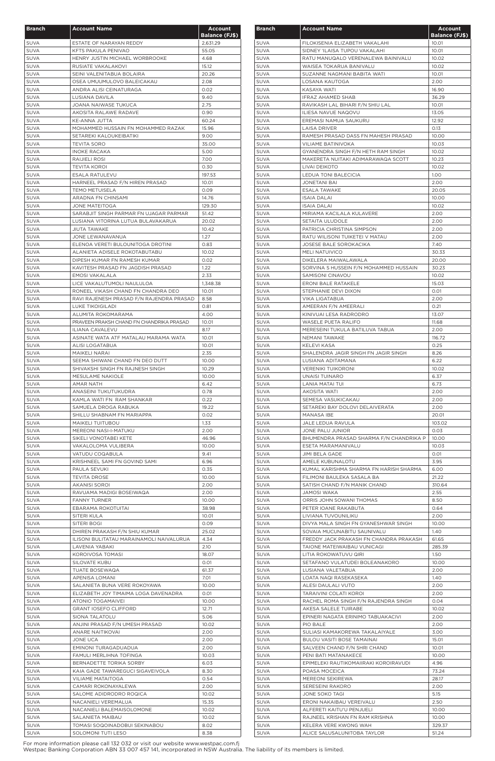| <b>Branch</b>              | <b>Account Name</b>                                           | <b>Account</b>        |
|----------------------------|---------------------------------------------------------------|-----------------------|
|                            |                                                               | <b>Balance (FJ\$)</b> |
| <b>SUVA</b>                | ESTATE OF NARAYAN REDDY                                       | 2,631.29              |
| <b>SUVA</b>                | KFTS PAKULA PENIVAO                                           | 55.05                 |
| <b>SUVA</b>                | HENRY JUSTIN MICHAEL WORBROOKE                                | 4.68                  |
| <b>SUVA</b>                | RUSIATE VAKALAKOVI                                            | 15.12                 |
| <b>SUVA</b><br><b>SUVA</b> | SEINI VALENITABUA BOLAIRA<br>OSEA UMUUMULOVO BALEICAKAU       | 20.26<br>2.08         |
| <b>SUVA</b>                | ANDRA ALISI CEINATURAGA                                       | 0.02                  |
| <b>SUVA</b>                | LUSIANA DAVILA                                                | 9.40                  |
| <b>SUVA</b>                | <b>JOANA NAIWASE TUKUCA</b>                                   | 2.75                  |
| <b>SUVA</b>                | AKOSITA RALAWE RADAVE                                         | 0.90                  |
| <b>SUVA</b>                | KE-ANNA JUTTA                                                 | 60.24                 |
| <b>SUVA</b>                | MOHAMMED HUSSAIN FN MOHAMMED RAZAK                            | 15.96                 |
| <b>SUVA</b>                | SETAREKI KALOUKEIBATIKI                                       | 9.00                  |
| <b>SUVA</b>                | <b>TEVITA SORO</b>                                            | 35.00                 |
| <b>SUVA</b>                | <b>INOKE RACAKA</b>                                           | 5.00                  |
| <b>SUVA</b>                | RAIJIELI ROSI                                                 | 7.00                  |
| <b>SUVA</b>                | <b>TEVITA KOROI</b>                                           | 0.30                  |
| <b>SUVA</b>                | <b>ESALA RATULEVU</b>                                         | 197.53                |
| <b>SUVA</b>                | HARNEEL PRASAD F/N HIREN PRASAD                               | 10.01                 |
| <b>SUVA</b>                | <b>TEMO METUISELA</b>                                         | 0.09                  |
| <b>SUVA</b>                | ARADNA FN CHINSAMI                                            | 14.76                 |
| <b>SUVA</b>                | <b>JONE MATEITOGA</b>                                         | 129.30                |
| <b>SUVA</b>                | SARABJIT SINGH PARMAR FN UJAGAR PARMAR                        | 51.42                 |
| <b>SUVA</b>                | LUSIANA VITORINA LUTUA BULAVAKARUA                            | 20.02                 |
| <b>SUVA</b>                | <b>JIUTA TAWAKE</b>                                           | 10.42                 |
| <b>SUVA</b>                | JONE LEWANAVANUA                                              | 1.27                  |
| <b>SUVA</b>                | ELENOA VERETI BULOUNITOGA DROTINI                             | 0.83                  |
| <b>SUVA</b>                | ALANIETA ADISELE ROKOTABUTABU<br>DIPESH KUMAR FN RAMESH KUMAR | 10.02                 |
| <b>SUVA</b><br><b>SUVA</b> | KAVITESH PRASAD FN JAGDISH PRASAD                             | 0.02<br>1.22          |
| <b>SUVA</b>                | EMOSI VAKALALA                                                | 2.33                  |
| <b>SUVA</b>                | LICE VAKALUTUMOLI NAULULOA                                    | 1,348.38              |
| <b>SUVA</b>                | RONEEL VIKASH CHAND FN CHANDRA DEO                            | 10.01                 |
| <b>SUVA</b>                | RAVI RAJENESH PRASAD F/N RAJENDRA PRASAD                      | 8.58                  |
| <b>SUVA</b>                | LUKE TIKOIGILADI                                              | 0.81                  |
| <b>SUVA</b>                | ALUMITA ROKOMARAMA                                            | 4.00                  |
| <b>SUVA</b>                | PRAVEEN PRAKSH CHAND FN CHANDRIKA PRASAD                      | 10.01                 |
| <b>SUVA</b>                | <b>ILIANA CAVALEVU</b>                                        | 8.17                  |
| <b>SUVA</b>                | ASINATE WATA ATF MATALAU MARAMA WATA                          | 10.01                 |
| <b>SUVA</b>                | ALISI LOGATABUA                                               | 10.01                 |
| <b>SUVA</b>                | MAIKELI NARAI                                                 | 2.35                  |
| <b>SUVA</b>                | SEEMA SHIWANI CHAND FN DEO DUTT                               | 10.00                 |
| <b>SUVA</b>                | SHIVAKSHI SINGH FN RAJNESH SINGH                              | 10.29                 |
| <b>SUVA</b>                | MESULAME NAKIOLE                                              | 10.00                 |
| <b>SUVA</b>                | AMAR NATH                                                     | 6.42                  |
| <b>SUVA</b>                | ANASEINI TUKUTUKUDRA                                          | 0.78                  |
| <b>SUVA</b>                | KAMLA WATI FN RAM SHANKAR                                     | 0.22                  |
| <b>SUVA</b>                | SAMUELA DROGA RABUKA                                          | 19.22                 |
| <b>SUVA</b>                | SHILLU SHABNAM FN MARIAPPA                                    | 0.02                  |
| <b>SUVA</b>                | MAIKELI TUITUBOU                                              | 1.33                  |
| <b>SUVA</b>                | MEREONI NASI-I-MATUKU                                         | 2.00                  |
| <b>SUVA</b>                | SIKELI VONOTABEI KETE                                         | 46.96                 |
| <b>SUVA</b>                | VAKALOLOMA VULIBERA                                           | 10.00                 |
| <b>SUVA</b>                | VATUDU COQABULA                                               | 9.41<br>6.96          |
| <b>SUVA</b><br><b>SUVA</b> | KRISHNEEL SAMI FN GOVIND SAMI<br>PAULA SEVUKI                 | 0.35                  |
| <b>SUVA</b>                | <b>TEVITA DROSE</b>                                           | 10.00                 |
| <b>SUVA</b>                | AKANISI SOROI                                                 | 2.00                  |
| <b>SUVA</b>                | RAVUAMA MADIGI BOSEIWAQA                                      | 2.00                  |
| <b>SUVA</b>                | <b>FANNY TURNER</b>                                           | 10.00                 |
| <b>SUVA</b>                | EBARAMA ROKOTUITAI                                            | 38.98                 |
| <b>SUVA</b>                | SITERI KULA                                                   | 10.01                 |
| <b>SUVA</b>                | SITERI BOGI                                                   | 0.09                  |
| <b>SUVA</b>                | DHIREN PRAKASH F/N SHIU KUMAR                                 | 25.02                 |
| <b>SUVA</b>                | ILISONI BULITATAU MARAINAMOLI NAIVALURUA                      | 4.34                  |
| <b>SUVA</b>                | LAVENIA YABAKI                                                | 2.10                  |
| <b>SUVA</b>                | KOROIVOSA TOMASI                                              | 18.07                 |
| <b>SUVA</b>                | SILOVATE KUBU                                                 | 0.01                  |
| <b>SUVA</b>                | <b>TUATE BOSEWAQA</b>                                         | 61.37                 |
| <b>SUVA</b>                | APENISA LOMANI                                                | 7.01                  |
| <b>SUVA</b>                | SALANIETA BUNA VERE ROKOYAWA                                  | 10.00                 |
| <b>SUVA</b>                | ELIZABETH JOY TIMAIMA LOGA DAVENADRA                          | 0.01                  |
| <b>SUVA</b>                | ATONIO TOGAMAIVEI                                             | 10.00                 |
| <b>SUVA</b>                | <b>GRANT IOSEFO CLIFFORD</b>                                  | 12.71                 |
| <b>SUVA</b><br>SUVA        | SIONA TALATOLU                                                | 5.06<br>10.02         |
| <b>SUVA</b>                | ANJINI PRASAD F/N UMESH PRASAD<br>ANARE NAITIKOVAI            | 2.00                  |
| <b>SUVA</b>                | JONE UCA                                                      | 2.00                  |
| <b>SUVA</b>                | EMINONI TURAGADUADUA                                          | 2.00                  |
| <b>SUVA</b>                | FAMULI MERLIHNA TOFINGA                                       | 10.03                 |
| <b>SUVA</b>                | BERNADETTE TORIKA SORBY                                       | 6.03                  |
| <b>SUVA</b>                | KAIA GADE TAWAREGUCI SIGAVEIVOLA                              | 8.30                  |
| <b>SUVA</b>                | VILIAME MATAITOGA                                             | 0.54                  |
| <b>SUVA</b>                | CAMARI ROKONAYALEWA                                           | 2.00                  |
| <b>SUVA</b>                | SALOME ADIDRODRO ROQICA                                       | 10.02                 |
| <b>SUVA</b>                | NACANIELI VEREMALUA                                           | 15.35                 |
| <b>SUVA</b>                | NACANIELI BALEMAISOLOMONE                                     | 10.02                 |
| <b>SUVA</b>                | SALANIETA MAIBAU                                              | 10.02                 |
| <b>SUVA</b>                | TOMASI SOQOINADOBUI SEKINABOU                                 | 8.02                  |
| SUVA                       | SOLOMONI TUTI LESO                                            | 8.38                  |

| <b>Branch</b>              | <b>Account Name</b>                                           | <b>Account</b><br><b>Balance (FJ\$)</b> |
|----------------------------|---------------------------------------------------------------|-----------------------------------------|
| <b>SUVA</b>                | FILOKISENIA ELIZABETH VAKALAHI                                | 10.01                                   |
| <b>SUVA</b>                | SIDNEY 'ILAISA TUPOU VAKALAHI                                 | 10.01                                   |
| <b>SUVA</b>                | RATU MANUQALO VERENALEWA BAINIVALU                            | 10.02                                   |
| <b>SUVA</b>                | WAISEA TOKARUA BANIVALU                                       | 10.02                                   |
| <b>SUVA</b>                | SUZANNE NAGMANI BABITA WATI                                   | 10.01                                   |
| <b>SUVA</b>                | LOSANA KAUTOGA                                                | 2.00                                    |
| <b>SUVA</b>                | KASAYA WATI                                                   | 16.90                                   |
| <b>SUVA</b>                | <b>IFRAZ AHAMED SHAB</b>                                      | 36.29                                   |
| <b>SUVA</b>                | RAVIKASH LAL BIHARI F/N SHIU LAL                              | 10.01                                   |
| <b>SUVA</b><br><b>SUVA</b> | ILIESA NAVUE NAQOVU<br>EREMASI NAMUA SAUKURU                  | 13.05<br>12.92                          |
| <b>SUVA</b>                | LAISA DRIVER                                                  | 0.13                                    |
| <b>SUVA</b>                | RAMESH PRASAD DASS FN MAHESH PRASAD                           | 10.00                                   |
| <b>SUVA</b>                | <b>VILIAME BATINIVOKA</b>                                     | 10.03                                   |
| <b>SUVA</b>                | GYANENDRA SINGH F/N HETH RAM SINGH                            | 10.02                                   |
| <b>SUVA</b>                | MAKERETA NUITAKI ADIMARAWAQA SCOTT                            | 10.23                                   |
| <b>SUVA</b>                | LIVAI DEIKOTO                                                 | 10.02                                   |
| <b>SUVA</b>                | LEDUA TONI BALECICIA                                          | 1.00                                    |
| <b>SUVA</b>                | <b>JONETANI BAI</b>                                           | 2.00                                    |
| <b>SUVA</b>                | <b>ESALA TAWAKE</b>                                           | 20.05                                   |
| <b>SUVA</b>                | <b>ISAIA DALAI</b>                                            | 10.00                                   |
| <b>SUVA</b>                | <b>ISAIA DALAI</b>                                            | 10.02                                   |
| <b>SUVA</b>                | MIRIAMA KACILALA KULAVERE                                     | 2.00                                    |
| <b>SUVA</b>                | SETAITA ULUDOLE                                               | 2.00                                    |
| <b>SUVA</b><br><b>SUVA</b> | PATRICIA CHRISTINA SIMPSON<br>RATU WILISONI TUIKETEI V MATAU  | 2.00<br>2.00                            |
| <b>SUVA</b>                | <b>JOSESE BALE SOROKACIKA</b>                                 | 7.40                                    |
| <b>SUVA</b>                | <b>MELI NATUIVICO</b>                                         | 30.33                                   |
| <b>SUVA</b>                | DIKELERA MAIWALAWALA                                          | 20.00                                   |
| <b>SUVA</b>                | SORVINA S HUSSEIN F/N MOHAMMED HUSSAIN                        | 30.23                                   |
| <b>SUVA</b>                | SAMISONI CINAVOU                                              | 10.02                                   |
| <b>SUVA</b>                | ERONI BALE RATAKELE                                           | 15.03                                   |
| <b>SUVA</b>                | STEPHANIE DEVI DIXON                                          | 0.01                                    |
| <b>SUVA</b>                | VIKA LIGATABUA                                                | 2.00                                    |
| <b>SUVA</b>                | AMEERAN F/N AMEERALI                                          | 0.21                                    |
| <b>SUVA</b>                | KINIVUAI LESA RADRODRO                                        | 13.07                                   |
| <b>SUVA</b>                | <b>WASELE PUETA RALIFO</b>                                    | 11.68                                   |
| <b>SUVA</b>                | MERESEINI TUKULA BATILUVA TABUA                               | 2.00                                    |
| <b>SUVA</b><br><b>SUVA</b> | NEMANI TAWAKE<br>KELEVI KASA                                  | 116.72<br>0.25                          |
| <b>SUVA</b>                | SHALENDRA JAGIR SINGH FN JAGIR SINGH                          | 8.26                                    |
| <b>SUVA</b>                | LUSIANA ADITAMANA                                             | 6.22                                    |
| <b>SUVA</b>                | <b>VERENIKI TUIKORONI</b>                                     | 10.02                                   |
| <b>SUVA</b>                | <b>UNAISI TUINARO</b>                                         | 6.37                                    |
| <b>SUVA</b>                | LANIA MATAI TUI                                               | 6.73                                    |
| <b>SUVA</b>                | <b>AKOSITA WATI</b>                                           | 2.00                                    |
| <b>SUVA</b>                | SEMESA VASUKICAKAU                                            | 2.00                                    |
| <b>SUVA</b>                | SETAREKI BAY DOLOVI DELAIVERATA                               | 2.00                                    |
| <b>SUVA</b>                | MANASA IBE                                                    | 20.01                                   |
| <b>SUVA</b>                | JALE LEDUA RAVULA                                             | 103.02                                  |
| <b>SUVA</b>                | JONE PALU JUNIOR                                              | 0.03                                    |
| <b>SUVA</b><br><b>SUVA</b> | BHUMENDRA PRASAD SHARMA F/N CHANDRIKA P<br>ESETA MARAMANIVALU | 10.00<br>10.03                          |
| <b>SUVA</b>                | <b>JIMI BELA GADE</b>                                         | 0.01                                    |
| <b>SUVA</b>                | AMELE KUBUNALOTU                                              | 3.95                                    |
| <b>SUVA</b>                | KUMAL KARISHMA SHARMA FN HARISH SHARMA                        | 6.00                                    |
| <b>SUVA</b>                | FILIMONI BAULEKA SASALA BA                                    | 21.22                                   |
| <b>SUVA</b>                | SATISH CHAND F/N MANIK CHAND                                  | 310.64                                  |
| <b>SUVA</b>                | JAMOSI WAKA                                                   | 2.55                                    |
| <b>SUVA</b>                | ORRIS JOHN SOWANI THOMAS                                      | 8.50                                    |
| <b>SUVA</b>                | PETER IOANE RAKABUTA                                          | 0.64                                    |
| <b>SUVA</b>                | LIVIANA TUVOUNILIKU                                           | 2.00                                    |
| <b>SUVA</b>                | DIVYA MALA SINGH FN GYANESHWAR SINGH                          | 10.00                                   |
| <b>SUVA</b>                | SOVAIA MUCUNABITU SAUNIVALU                                   | 1.40                                    |
| <b>SUVA</b>                | FREDDY JACK PRAKASH FN CHANDRA PRAKASH                        | 61.65                                   |
| <b>SUVA</b><br><b>SUVA</b> | TAIONE MATEIWAIBAU VUNICAGI<br>LITIA ROKOWATUVU QIRI          | 285.39<br>1.50                          |
| <b>SUVA</b>                | SETAFANO VULATUDEI BOLEANAKORO                                | 10.00                                   |
| <b>SUVA</b>                | LUSIANA VALETABUA                                             | 2.00                                    |
| <b>SUVA</b>                | LOATA NAQI RASEKASEKA                                         | 1.40                                    |
| <b>SUVA</b>                | ALESI DAULALI VUTO                                            | 2.00                                    |
| SUVA                       | TARAIVINI COLATI KOROI                                        | 2.00                                    |
| <b>SUVA</b>                | RACHEL ROMA SINGH F/N RAJENDRA SINGH                          | 0.04                                    |
| <b>SUVA</b>                | AKESA SALELE TUIRABE                                          | 10.02                                   |
| <b>SUVA</b>                | EPINERI NAGATA ERINIMO TABUAKACIVI                            | 2.00                                    |
| <b>SUVA</b>                | PIO BALE                                                      | 2.00                                    |
| SUVA                       | SULIASI KAMAKOREWA TAKALAIYALE                                | 3.00                                    |
| <b>SUVA</b>                | BULOU VASITI BOSE TAMAINAI                                    | 15.01                                   |
| <b>SUVA</b>                | SALVEEN CHAND F/N SHRI CHAND                                  | 10.01                                   |
| <b>SUVA</b>                | PENI BATI MATANAKECE                                          | 10.00                                   |
| <b>SUVA</b><br><b>SUVA</b> | EPIMELEKI RAUTIKOMAIIRAKI KOROIRAVUDI<br>POASA MOCEICA        | 4.96<br>73.24                           |
| <b>SUVA</b>                | MEREONI SEKIREWA                                              | 28.17                                   |
| <b>SUVA</b>                | SERESEINI RAKORO                                              | 2.00                                    |
| <b>SUVA</b>                | <b>JONE SOKO TAGI</b>                                         | 5.15                                    |
| <b>SUVA</b>                | ERONI NAKAIBAU VEREIVALU                                      | 2.50                                    |
| <b>SUVA</b>                | ALFERETI KAITU'U PENJUELI                                     | 10.00                                   |
| <b>SUVA</b>                | RAJNEEL KRISHAN FN RAM KRISHNA                                | 10.00                                   |
| <b>SUVA</b>                | KELERA VERE KWONG WAH                                         | 329.37                                  |
| SUVA                       | ALICE SALUSALUNITOBA TAYLOR                                   | 51.24                                   |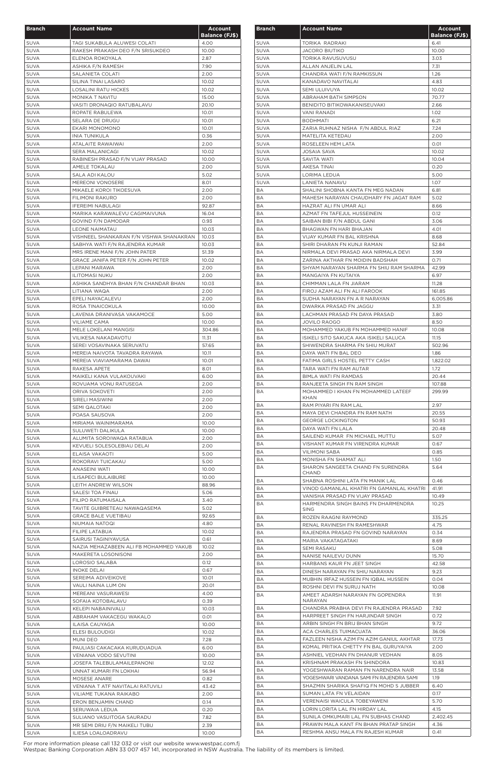| <b>Branch</b>              | <b>Account Name</b>                     | <b>Account</b>        |
|----------------------------|-----------------------------------------|-----------------------|
|                            |                                         | <b>Balance (FJ\$)</b> |
| <b>SUVA</b>                | TAGI SUKABULA ALUWESI COLATI            | 4.00                  |
| <b>SUVA</b>                | RAKESH PRAKASH DEO F/N SRISUKDEO        | 10.00                 |
| <b>SUVA</b>                | ELENOA ROKOYALA                         | 2.87                  |
| <b>SUVA</b>                | ASHIKA F/N RAMESH                       | 7.90                  |
| <b>SUVA</b>                | SALANIETA COLATI                        | 2.00                  |
| <b>SUVA</b>                | SILINA TINAI LASARO                     | 10.02                 |
| <b>SUVA</b>                | LOSALINI RATU HICKES                    | 10.02                 |
| <b>SUVA</b>                | <b>MONIKA T NAVITU</b>                  | 15.00                 |
| <b>SUVA</b>                | VASITI DRONAQIO RATUBALAVU              | 20.10                 |
| <b>SUVA</b>                | ROPATE RABULEWA                         | 10.01                 |
| <b>SUVA</b>                | SELARA DE DRUGU                         | 10.01                 |
| <b>SUVA</b>                | EKARI MONOMONO                          | 10.01                 |
| <b>SUVA</b>                | <b>INIA TUNIKULA</b>                    | 0.36                  |
| <b>SUVA</b>                | ATALAITE RAWAIWAI                       | 2.00                  |
| <b>SUVA</b>                | <b>SERA MALANICAGI</b>                  | 10.02                 |
| <b>SUVA</b>                | RABINESH PRASAD F/N VIJAY PRASAD        | 10.00                 |
| <b>SUVA</b>                | AMELE TOKALAU                           | 2.00                  |
| <b>SUVA</b>                | SALA ADI KALOU                          | 5.02                  |
| <b>SUVA</b>                | <b>MEREONI VONOSERE</b>                 | 8.01                  |
| <b>SUVA</b>                | MIKAELE KOROI TIKOESUVA                 | 2.00                  |
| <b>SUVA</b>                | <b>FILIMONI RAKURO</b>                  | 2.00                  |
| <b>SUVA</b>                | <b>IFEREIMI NABULAGI</b>                | 92.87                 |
| <b>SUVA</b>                | MARIKA KARAWALEVU CAGIMAIVUNA           | 16.04                 |
| <b>SUVA</b>                | GOVIND F/N DAMODAR                      | 0.93                  |
| <b>SUVA</b>                | <b>LEONE NAIMATAU</b>                   | 10.03                 |
| <b>SUVA</b>                | VISHNEEL SHANKARAN F/N VISHWA SHANAKRAN | 10.03                 |
| <b>SUVA</b>                | SABHYA WATI F/N RAJENDRA KUMAR          | 10.03                 |
| <b>SUVA</b>                | MRS IRENE MANI F/N JOHN PATER           | 51.39                 |
| <b>SUVA</b>                | GRACE JANIFA PETER F/N JOHN PETER       | 10.02                 |
| <b>SUVA</b>                | LEPANI MARAWA                           | 2.00                  |
| SUVA                       | <b>ILITOMASI NUKU</b>                   | 2.00                  |
| <b>SUVA</b>                | ASHIKA SANDHYA BHAN F/N CHANDAR BHAN    | 10.03                 |
| <b>SUVA</b>                | LITIANA WAQA                            | 2.00                  |
| <b>SUVA</b>                | EPELI NAYACALEVU                        | 2.00                  |
| <b>SUVA</b>                | ROSA TINAICOKULA                        | 10.00                 |
| <b>SUVA</b>                | LAVENIA DRANIVASA VAKAMOCE              | 5.00                  |
| <b>SUVA</b>                | VILIAME CAMA                            | 10.00                 |
| SUVA                       | MELE LOKELANI MANGISI                   | 304.86                |
| <b>SUVA</b>                | VILIKESA NAKADAVOTU                     | 11.31                 |
| <b>SUVA</b>                | SEREI VOSAVINAKA SERUVATU               | 57.65                 |
| <b>SUVA</b>                | MEREIA NAIVOTA TAVADRA RAYAWA           | 10.11                 |
| <b>SUVA</b>                | MEREIA VIAVIAMARAMA DAWAI               | 10.01                 |
| <b>SUVA</b>                | RAKESA APETE                            | 8.01                  |
| <b>SUVA</b>                | MAIKELI KANA VULAKOUVAKI                | 6.00                  |
| <b>SUVA</b>                | ROVUAMA VONU RATUSEGA                   | 2.00                  |
| <b>SUVA</b>                | ORIVA SOKOVETI                          | 2.00                  |
| <b>SUVA</b>                | SIRELI MASIWINI                         | 2.00                  |
| <b>SUVA</b>                | <b>SEMI QALOTAKI</b>                    | 2.00                  |
| <b>SUVA</b>                | POASA SAUSOVA                           | 2.00                  |
| <b>SUVA</b>                | MIRIAMA WAINIMARAMA                     | 10.00                 |
| <b>SUVA</b>                | SULUWETI DALIKULA                       | 10.00                 |
| <b>SUVA</b>                | ALUMITA SOROIWAQA RATABUA               | 2.00                  |
| <b>SUVA</b>                | KEVUELI SOLESOLEBIAU DELAI              | 2.00                  |
| <b>SUVA</b>                | ELAISA VAKAOTI                          | 5.00                  |
| <b>SUVA</b>                | ROKORAVI TUICAKAU                       | 5.00                  |
| <b>SUVA</b>                | ANASEINI WATI                           | 10.00                 |
| <b>SUVA</b>                | <b>ILISAPECI BULAIBURE</b>              | 10.00                 |
| <b>SUVA</b>                | LEITH ANDREW WILSON                     | 88.96                 |
| <b>SUVA</b>                | SALESI TOA FINAU                        | 5.06                  |
| <b>SUVA</b>                | FILIPO RATUMAISALA                      | 3.40                  |
| <b>SUVA</b>                | TAVITE GUIBRETEAU NAWAQASEMA            | 5.02                  |
| <b>SUVA</b>                | <b>GRACE BALE VUETIBAU</b>              | 92.65                 |
| <b>SUVA</b>                | NIUMAIA NATOQI                          | 4.80                  |
| <b>SUVA</b>                | FILIPE LATABUA                          | 10.02                 |
| <b>SUVA</b>                | SAIRUSI TAGINIYAVUSA                    | 0.61                  |
| <b>SUVA</b>                | NAZIA MEHAZABEEN ALI FB MOHAMMED YAKUB  | 10.02                 |
| <b>SUVA</b>                | MAKERETA LOSONISONI                     | 2.00                  |
| <b>SUVA</b>                | LOROSIO SALABA                          | 0.12                  |
| <b>SUVA</b>                | <b>INOKE DELAI</b>                      | 0.67                  |
| <b>SUVA</b>                | SEREIMA ADIVEIKOVE                      | 10.01                 |
| <b>SUVA</b>                | VAULI NAINA LUM ON                      | 20.01                 |
| <b>SUVA</b>                | MEREANI VASURAWESI                      | 4.00                  |
| <b>SUVA</b>                | SOFAIA KOTOBALAVU                       | 0.39                  |
| <b>SUVA</b>                | KELEPI NABAINIVALU                      | 10.03                 |
| <b>SUVA</b>                | ABRAHAM VAKACEGU WAKALO                 | 0.01                  |
| <b>SUVA</b>                | ILAISA CAUYAGA                          | 10.00                 |
| <b>SUVA</b>                | ELESI BULOUDIGI                         | 10.02                 |
| <b>SUVA</b>                | MUNI DEO                                | 7.28                  |
| <b>SUVA</b>                | PAULIASI CAKACAKA KURUDUADUA            | 6.00                  |
| <b>SUVA</b>                | VENIANA VODO SEVUTINI                   | 10.00                 |
| <b>SUVA</b>                | JOSEFA TALEBULAMAILEPANONI              | 12.02                 |
| <b>SUVA</b>                | UNNAT KUMARI FN LOKHAI                  | 56.94                 |
| <b>SUVA</b>                | MOSESE ANARE                            | 0.82                  |
| <b>SUVA</b>                | VENIANA T ATF NAVITALAI RATUVILI        | 43.42                 |
| <b>SUVA</b>                | VILIAME TUKANA RAIKABO                  | 2.00                  |
|                            |                                         | 0.14                  |
| <b>SUVA</b><br><b>SUVA</b> | ERON BENJAMIN CHAND<br>SERUWAIA LEDUA   | 0.20                  |
| <b>SUVA</b>                | SULIANO VASUITOGA SAURADU               | 7.82                  |
| <b>SUVA</b>                | MR SEMI DRIU F/N MAIKELI TUBU           | 2.39                  |
|                            | ILIESA LOALOADRAVU                      |                       |
| <b>SUVA</b>                |                                         | 10.00                 |

| <b>Branch</b>              | <b>Account Name</b>                                                          | <b>Account</b><br><b>Balance (FJ\$)</b> |
|----------------------------|------------------------------------------------------------------------------|-----------------------------------------|
| <b>SUVA</b>                | TORIKA RADRAKI                                                               | 6.41                                    |
| <b>SUVA</b>                | <b>JACORO BIUTIKO</b>                                                        | 10.00                                   |
| <b>SUVA</b>                | TORIKA RAVUSUVUSU                                                            | 3.03                                    |
| <b>SUVA</b>                | ALLAN ANJELIN LAL                                                            | 7.31                                    |
| <b>SUVA</b>                | CHANDRA WATI F/N RAMKISSUN                                                   | 1.26                                    |
| <b>SUVA</b>                | KANADAVO NAVITALAI                                                           | 4.83                                    |
| <b>SUVA</b><br><b>SUVA</b> | SEMI ULUIVUYA<br>ABRAHAM BATH SIMPSON                                        | 10.02<br>70.77                          |
| <b>SUVA</b>                | BENIDITO BITIKOWAKANISEUVAKI                                                 | 2.66                                    |
| <b>SUVA</b>                | VANI RANADI                                                                  | 1.02                                    |
| <b>SUVA</b>                | <b>BODHMATI</b>                                                              | 6.21                                    |
| <b>SUVA</b>                | ZARIA RUHNAZ NISHA F/N ABDUL RIAZ                                            | 7.24                                    |
| <b>SUVA</b>                | MATELITA KETEDAU                                                             | 2.00                                    |
| <b>SUVA</b>                | ROSELEEN HEM LATA                                                            | 0.01                                    |
| <b>SUVA</b>                | <b>JOSAIA SAVA</b>                                                           | 10.02                                   |
| <b>SUVA</b><br><b>SUVA</b> | SAVITA WATI<br>AKESA TINAI                                                   | 10.04<br>0.20                           |
| <b>SUVA</b>                | LORIMA LEDUA                                                                 | 5.00                                    |
| <b>SUVA</b>                | <b>LANIETA NANAVU</b>                                                        | 1.07                                    |
| BA                         | SHALINI SHOBNA KANTA FN MEG NADAN                                            | 6.81                                    |
| BA                         | MAHESH NARAYAN CHAUDHARY FN JAGAT RAM                                        | 5.02                                    |
| BA                         | HAZRAT ALI FN UMAR ALI                                                       | 8.66                                    |
| BA                         | AZMAT FN TAFEJUL HUSSEINEIN                                                  | 0.12                                    |
| BA                         | SAIBAN BIBI F/N ABDUL GANI                                                   | 3.06                                    |
| BA                         | BHAGWAN FN HARI BHAJAN                                                       | 4.01                                    |
| ВA                         | VIJAY KUMAR FN BAL KRISHNA                                                   | 8.68                                    |
| BA<br>BA                   | SHIRI DHARAN FN KUNJI RAMAN<br>NIRMALA DEVI PRASAD AKA NIRMALA DEVI          | 52.84<br>3.99                           |
| BA                         | ZARINA AKTHAR FN MOIDIN BADSHAH                                              | 0.71                                    |
| ВA                         | SHYAM NARAYAN SHARMA FN SHIU RAM SHARMA                                      | 42.99                                   |
| BA                         | MANGAIYA FN KUTAIYA                                                          | 6.97                                    |
| BA                         | CHIMMAN LALA FN JIARAM                                                       | 11.28                                   |
| ВA                         | FIROJ AZAM ALI FN ALI FAROOK                                                 | 161.85                                  |
| BA                         | SUDHA NARAYAN FN A R NARAYAN                                                 | 6,005.86                                |
| BA                         | DWARKA PRASAD FN JAGGU                                                       | 3.31                                    |
| BA                         | LACHMAN PRASAD FN DAYA PRASAD                                                | 3.80                                    |
| <b>BA</b>                  | <b>JOVILO RAOGO</b>                                                          | 8.50                                    |
| BA<br>ВA                   | MOHAMMED YAKUB FN MOHAMMED HANIF<br>ISIKELI SITO SAKUCA AKA ISIKELI SALUCA   | 10.08<br>11.15                          |
| ВA                         | SHIWENDRA SHARMA FN SHIU MURAT                                               | 502.96                                  |
| BA                         | DAYA WATI FN BAL DEO                                                         | 1.86                                    |
| BA                         | FATIMA GIRLS HOSTEL PETTY CASH                                               | 1,822.02                                |
| ВA                         | TARA WATI FN RAM AUTAR                                                       | 1.72                                    |
| BA.                        | BIMLA WATI FN RAMDAS                                                         | 20.44                                   |
| ВA                         | RANJEETA SINGH FN RAM SINGH                                                  | 107.88                                  |
| BA.                        | MOHAMMED I KHAN FN MOHAMMED LATEEF<br><b>KHAN</b>                            | 299.99                                  |
| BA                         | RAM PIYARI FN RAM LAL                                                        | 2.97                                    |
| BA                         | MAYA DEVI CHANDRA FN RAM NATH                                                | 20.55                                   |
| ВA                         | <b>GEORGE LOCKINGTON</b>                                                     | 50.93                                   |
| BA                         | DAYA WATI FN LALA                                                            | 20.48                                   |
| ВA                         | SAILEND KUMAR FN MICHAEL MUTTU                                               | 5.07                                    |
| ВA                         | VISHANT KUMAR FN VIRENDRA KUMAR                                              | 0.67                                    |
| BA                         | <b>VILIMONI SABA</b>                                                         | 0.85                                    |
| BA<br>ВA                   | MONISHA FN SHAMAT ALI<br>SHARON SANGEETA CHAND FN SURENDRA                   | 1.50<br>5.64                            |
|                            | CHAND                                                                        |                                         |
| ВA                         | SHABNA ROSHINI LATA FN MANIK LAL                                             | 0.46                                    |
| ВA                         | VINOD GAMANLAL KHATRI FN GAMANLAL KHATRI                                     | 41.91                                   |
| BA                         | VANISHA PRASAD FN VIJAY PRASAD                                               | 10.49                                   |
| ВA                         | HARMENDRA SINGH BAINS FN DHARMENDRA<br><b>SING</b>                           | 10.25                                   |
| BA                         | ROZEN RAAGNI RAYMOND                                                         | 335.25                                  |
| BA                         | RENAL RAVINESH FN RAMESHWAR                                                  | 4.75                                    |
| ВA                         | RAJENDRA PRASAD FN GOVIND NARAYAN                                            | 0.34                                    |
| ВA                         | MARIA VAKATAGATAKI                                                           | 8.69                                    |
| BA                         | <b>SEMI RASAKU</b>                                                           | 5.08                                    |
| BA                         | NANISE NAILEVU DUNN                                                          | 15.70                                   |
| ВA                         | HARBANS KAUR FN JEET SINGH                                                   | 42.58                                   |
| ВA<br>ВA                   | DINESH NARAYAN FN SHIU NARAYAN<br>MUBHIN IRFAZ HUSSEIN FN IQBAL HUSSEIN      | 9.23<br>0.04                            |
| ВA                         | ROSHNI DEVI FN SURUJ NATH                                                    | 10.08                                   |
| ВA                         | AMEET ADARSH NARAYAN FN GOPENDRA                                             | 11.91                                   |
|                            | NARAYAN                                                                      |                                         |
| ВA                         | CHANDRA PRABHA DEVI FN RAJENDRA PRASAD                                       | 7.92                                    |
| ВA                         | HARPREET SINGH FN HARJINDAR SINGH                                            | 0.72                                    |
| BA                         | ARBIN SINGH FN BRIJ BHAN SINGH                                               | 9.72                                    |
| ВA<br>ВA                   | ACA CHARLES TUIMACUATA<br>FAZLEEN NISHA AZIM FN AZIM GANIUL AKHTAR           | 36.06<br>17.73                          |
| BA                         | KOMAL PRITIKA CHETTY FN BAL GURUYAIYA                                        | 2.00                                    |
| BA                         | ASHNIEL VEDHAN FN DHANUR VEDHAN                                              | 8.05                                    |
| BA                         | KRISHNAM PRAKASH FN SHINDORA                                                 | 10.83                                   |
| BA                         | YOGESHWARAN RAMAN FN NARENDRA NAIR                                           | 13.58                                   |
| BA                         | YOGESHWARI VANDANA SAMI FN RAJENDRA SAMI                                     | 1.19                                    |
| ВA                         | SHAZMIN SHARIKA SHAFIQ FN MOHD S JUBBER                                      | 6.40                                    |
| BA                         | SUMAN LATA FN VELAIDAN                                                       | 0.17                                    |
| BA                         | VERENAISI WAICULA TOBEYAWENI                                                 | 5.70                                    |
| ВA                         | LORIN LORITA LAL FN HIRDAY LAL                                               | 4.15                                    |
| BA<br>BA                   | SUNILA OMKUMARI LAL FN SUBHAS CHAND<br>PRAWIN MALA KANT FN BHAN PRATAP SINGH | 2,402.45<br>4.36                        |
| ВA                         | RESHMA ANSU MALA FN RAJESH KUMAR                                             | 0.41                                    |
|                            |                                                                              |                                         |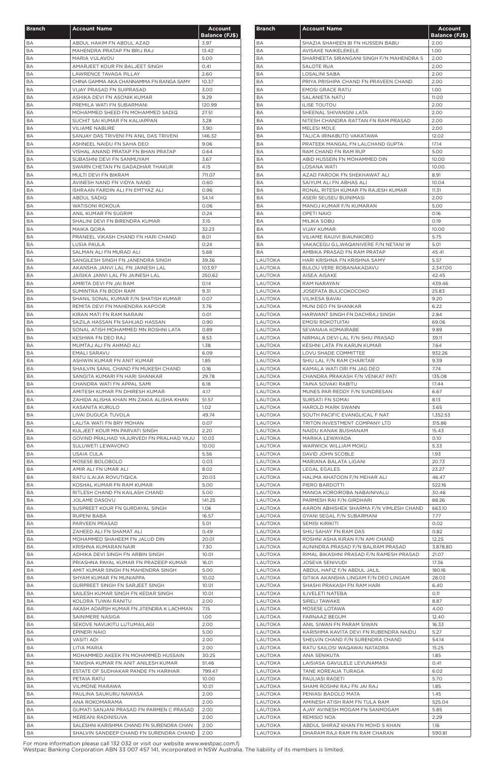| <b>Branch</b>   | <b>Account Name</b>                                                       | <b>Account</b>                |
|-----------------|---------------------------------------------------------------------------|-------------------------------|
| <b>BA</b>       | ABDUL HAKIM FN ABDUL AZAD                                                 | <b>Balance (FJ\$)</b><br>3.97 |
| BA              | MAHENDRA PRATAP FN BRIJ RAJ                                               | 13.42                         |
| BA              | MARIA VULAVOU                                                             | 5.00                          |
| <b>BA</b><br>BA | AMARJEET KOUR FN BALJEET SINGH<br>LAWRENCE TAVAGA PILLAY                  | 0.41<br>2.60                  |
| BA              | CHINA GAMMA AKA CHANNAMMA FN RANGA SAMY                                   | 10.37                         |
| BA              | VIJAY PRASAD FN SUIPRASAD                                                 | 3.00                          |
| BA              | ASHIKA DEVI FN ASONIK KUMAR                                               | 9.29                          |
| BA<br><b>BA</b> | PREMILA WATI FN SUBARMANI<br>MOHAMMED SHEED FN MOHAMMED SADIQ             | 120.99<br>27.51               |
| BA              | SUCHIT SAI KUMAR FN KALIAPPAN                                             | 3.28                          |
| BA              | <b>VILIAME NABURE</b>                                                     | 3.90                          |
| BA              | SANJAY DAS TRIVENI FN ANIL DAS TRIVENI                                    | 146.32                        |
| BA<br>BA        | ASHNEEL NAIDU FN SAHA DEO<br>VISHAL ANAND PRATAP FN BHAN PRATAP           | 9.06<br>0.64                  |
| ВA              | SUBASHNI DEVI FN SANMUYAM                                                 | 3.67                          |
| BA              | SWARN CHETAN FN GADADHAR THAKUR                                           | 4.15                          |
| BA              | MULTI DEVI FN BIKRAM                                                      | 711.07                        |
| ВA<br>BA        | AVINESH NAND FN VIDYA NAND<br>ISHRAAN FARDIN ALI FN EMTYAZ ALI            | 0.60<br>0.96                  |
| BA              | ABDUL SADIQ                                                               | 54.14                         |
| BA              | WATISONI ROKOUA                                                           | 0.06                          |
| ВA              | ANIL KUMAR FN SUGRIM                                                      | 0.24                          |
| <b>BA</b>       | SHALINI DEVI FN BIRENDRA KUMAR                                            | 3.15                          |
| BA<br>BA        | MAIKA QORA<br>PRANEEL VIKASH CHAND FN HARI CHAND                          | 32.23<br>8.01                 |
| BA              | LUSIA PAULA                                                               | 0.24                          |
| BA              | SALMAN ALI FN MURAD ALI                                                   | 5.68                          |
| BA              | SANGILESH SINGH FN JANENDRA SINGH                                         | 39.36                         |
| BA<br>BA        | AKANSHA JANVI LAL FN JAINESH LAL<br>JAISIKA JANVI LAL FN JAINESH LAL      | 103.97<br>250.62              |
| BA              | AMRITA DEVI FN JAI RAM                                                    | 0.14                          |
| BA              | SUMINTRA FN BODH RAM                                                      | 9.31                          |
| BA              | SHANIL SONAL KUMAR F/N SHATISH KUMAR                                      | 0.07                          |
| BA              | REMITA DEVI FN MAHENDRA KAPOOR                                            | 3.76                          |
| ВA<br>BA        | KIRAN MATI FN RAM NARAIN<br>SAZILA HASSAN FN SAHIJAD HASSAN               | 0.01<br>0.90                  |
| ВA              | SONAL ATISH MOHAMMED MN ROSHNI LATA                                       | 0.89                          |
| BA              | KESHWA FN DEO RAJ                                                         | 8.53                          |
| BA              | MUMTAJ ALI FN AHMAD ALI                                                   | 1.38                          |
| BA<br>BA        | <b>EMALI SARAVU</b><br>ASHWIN KUMAR FN ANIT KUMAR                         | 6.09<br>1.85                  |
| BA              | SHAILVIN SANIL CHAND FN MUKESH CHAND                                      | 0.16                          |
| BA              | SANGITA KUMARI FN HARI SHANKAR                                            | 29.78                         |
| BA              | CHANDRA WATI FN APPAL SAMI                                                | 6.18                          |
| ВA              | AMITESH KUMAR FN DHIRESH KUMAR                                            | 4.17                          |
| ВA<br>BA        | ZAHIDA ALISHA KHAN MN ZAKIA ALISHA KHAN<br>KASANITA KURULO                | 51.57<br>1.02                 |
| BA              | LIVAI DUGUCA TUVOLA                                                       | 49.74                         |
| BA              | LALITA WATI FN BRY MOHAN                                                  | 0.07                          |
| BA              | KULJEET KOUR MN PARVATI SINGH                                             | 2.20                          |
| BA<br>BA        | GOVIND PRALHAD YAJURVEDI FN PRALHAD YAJU<br>SULUWETI LEWAVONO             | 10.03<br>10.00                |
| BA              | USAIA CULA                                                                | 5.56                          |
| BA              | MOSESE BOLOBOLO                                                           | 0.03                          |
| ВA              | AMIR ALI FN UMAR ALI                                                      | 8.02                          |
| BA              | RATU ILAIJIA ROVUTIQICA                                                   | 20.03                         |
| BA<br>BA        | KOSHAL KUMAR FN RAM KUMAR<br>RITLESH CHAND FN KAILASH CHAND               | 5.00<br>5.00                  |
| BA              | JOLAME DASOVU                                                             | 141.25                        |
| ВA              | SUSPREET KOUR FN GURDAYAL SINGH                                           | 1.06                          |
| BA              | RUPENI BABA                                                               | 16.57                         |
| ВA<br>BA        | PARVEEN PRASAD<br>ZAHEED ALI FN SHAMAT ALI                                | 5.01<br>0.49                  |
| BA              | MOHAMMED SHAHEEM FN JALUD DIN                                             | 20.01                         |
| ВA              | KRISHNA KUMARAN NAIR                                                      | 7.30                          |
| BA              | ADHIKA DEVI SINGH FN ARBIN SINGH                                          | 10.01                         |
| BA<br>BA        | PRIASHNA PAYAL KUMAR FN PRADEEP KUMAR                                     | 16.01<br>5.00                 |
| BA              | AMIT KUMAR SINGH FN MAHENDRA SINGH<br>SHYAM KUMAR FN MUNIAPPA             | 10.02                         |
| ВA              | GURPREET SINGH FN SARJEET SINGH                                           | 10.01                         |
| BA              | SAILESH KUMAR SINGH FN KEDAR SINGH                                        | 10.01                         |
| ВA              | KOLORA TUWAI RANITU                                                       | 2.00                          |
| BA<br>BA        | AKASH ADARSH KUMAR FN JITENDRA K LACHMAN<br>SAINIMERE NASIGA              | 7.15<br>1.00                  |
| BA              | SEKOVE NAVUKITU LUTUMAILAGI                                               | 2.00                          |
| BA              | EPINERI NAIO                                                              | 5.00                          |
| BA              | <b>VASITI ADI</b>                                                         | 2.00                          |
| BA              | LITIA MARIA                                                               | 2.00                          |
| BA<br>BA        | MOHAMMED AKEEK FN MOHAMMED HUSSAIN<br>TANISHA KUMAR FN ANIT ANILESH KUMAR | 30.25<br>51.46                |
| BA              | ESTATE OF SUDHAKAR PANDE FN HARIHAR                                       | 799.47                        |
| ВA              | PETAIA RATU                                                               | 10.00                         |
| ВA              | <b>VILIMONE MARAWA</b>                                                    | 10.01                         |
| BA<br>ВA        | PAULINA SAUKURU NAWASA<br>ANA ROKOMARAMA                                  | 2.00<br>2.00                  |
| ВA              | GUMATI SANJANI PRASAD FN PARMEN C PRASAD                                  | 2.00                          |
| ВA              | MEREANI RADINISUVA                                                        | 2.00                          |
| ВA              | SALESHNI KARISHMA CHAND FN SURENDRA CHAN                                  | 2.00                          |
| ВA              | SHALVIN SANDEEP CHAND FN SURENDRA CHAND                                   | 2.00                          |

| <b>Branch</b>      | <b>Account Name</b>                                  | Account<br><b>Balance (FJ\$)</b> |
|--------------------|------------------------------------------------------|----------------------------------|
| BA                 | SHAZIA SHAHEEN BI FN HUSSEIN BABU                    | 2.00                             |
| ВA                 | <b>AVISAKE NAIKELEKELE</b>                           | 1.00                             |
| BA                 | SHARNEETA SIRANGANI SINGH F/N MAHENDRA S             | 2.00                             |
| BA                 | SALOTE RUA                                           | 2.00                             |
| ΒA                 | LOSALINI SABA                                        | 2.00                             |
| BA                 | PRIYA PRISHIPA CHAND FN PRAVEEN CHAND                | 2.00                             |
| BA                 | <b>EMOSI GRACE RATU</b>                              | 1.00                             |
| ВA                 | <b>SALANIETA NATU</b>                                | 11.00                            |
| ВA                 | <b>ILISE TOUTOU</b>                                  | 2.00                             |
| ВA                 | SHEENAL SHIVANGNI LATA                               | 2.00                             |
| ВA                 | NITESH CHANDRA RATTAN FN RAM PRASAD                  | 2.00                             |
| ВA                 | MELESI MOLE                                          | 2.00                             |
| BA                 | TALICA IRINABUTO VAKATAWA                            | 12.02                            |
| BA                 | PRATEEK MANGAL FN LALCHAND GUPTA                     | 17.14                            |
| BA<br>BA           | RAM CHAND FN RAM RUP<br>ABID HUSSEIN FN MOHAMMED DIN | 5.00<br>10.00                    |
| BA                 | LOSANA WATI                                          | 10.00                            |
| BA                 | AZAD FAROOK FN SHEKHAWAT ALI                         | 8.91                             |
| <b>BA</b>          | SAIYUM ALI FN ABHAS ALI                              | 10.04                            |
| BA                 | RONAL RITESH KUMAR FN RAJESH KUMAR                   | 11.31                            |
| BA                 | ASERI SEUSEU BUINIMASI                               | 2.00                             |
| BA                 | MANOJ KUMAR F/N KUMARAN                              | 5.00                             |
| BA                 | <b>OPETI NAIO</b>                                    | 0.16                             |
| BA                 | <b>MILIKA SOBU</b>                                   | 0.19                             |
| ВA                 | <b>VIJAY KUMAR</b>                                   | 10.00                            |
| BA                 | VILIAME RAUIVI BIAUNIKORO                            | 5.75                             |
| <b>BA</b>          | VAKACEGU G.L.WAQANIVERE F/N NETANI W                 | 5.01                             |
| ВA                 | AMBIKA PRASAD FN RAM PRATAP                          | 45.41                            |
| LAUTOKA            | HARI KRISHNA FN KRISHNA SAMY                         | 5.57                             |
| LAUTOKA            | BULOU VERE ROBANAKADAVU                              | 2,347.00                         |
| LAUTOKA            | AISEA AISAKE                                         | 42.45                            |
| LAUTOKA            | RAM NARAYAN                                          | 439.46                           |
| LAUTOKA            | JOSEFATA BULICOKOCOKO                                | 25.83                            |
| LAUTOKA            | <b>VILIKESA BAVAI</b>                                | 9.20                             |
| LAUTOKA            | MUNI DEO FN SHANKAR                                  | 6.22                             |
| LAUTOKA            | HARWANT SINGH FN DACHRAJ SINGH                       | 2.84                             |
| LAUTOKA            | <b>EMOSI ROKOTUITAI</b>                              | 69.06                            |
| LAUTOKA            | SEVANAIA KOMAIRABE                                   | 9.89                             |
| LAUTOKA            | NIRMALA DEVI LAL F/N SHIU PRASAD                     | 39.11                            |
| LAUTOKA            | KESHNI LATA FN KARUN KUMAR                           | 7.64                             |
| LAUTOKA            | LOVU SHADE COMMITTEE                                 | 932.26                           |
| LAUTOKA            | SHIU LAL F/N RAM CHARITAR                            | 9.39                             |
| LAUTOKA            | KAMALA WATI ORI FN JAG DEO                           | 7.74                             |
| LAUTOKA            | CHANDRA PRAKASH F/N VENKAT PATI                      | 135.08                           |
| LAUTOKA            | TAINA SOVAKI RABITU                                  | 17.44                            |
| LAUTOKA            | MUNES PAR REDDY F/N SUNDRESAN                        | 6.67                             |
| LAUTOKA            | SURSATI FN SOMAI                                     | 8.13                             |
| LAUTOKA            | HAROLD MARK SWANN                                    | 3.65                             |
| LAUTOKA            | SOUTH PACIFIC EVANGLICAL F NAT                       | 1,352.53                         |
| LAUTOKA            | TRITON INVESTMENT COMPANY LTD                        | 315.86                           |
| LAUTOKA            | NAIDU KANAK BUSHANAM                                 | 15.43                            |
| LAUTOKA            | MARIKA LEWAYADA                                      | 0.10                             |
| LAUTOKA            | WARWICK WILLIAM MOKU                                 | 5.33                             |
| LAUTOKA            | DAVID JOHN SCOBLE<br>MARIANA BALATA LIGANI           | 1.93                             |
| LAUTOKA<br>LAUTOKA | LEGAL EGALES                                         | 20.73<br>23.27                   |
| LAUTOKA            | HALIMA KHATOON F/N MEHAR ALI                         | 46.47                            |
| LAUTOKA            | PIERO BARDOTTI                                       | 522.16                           |
| LAUTOKA            | MANOA KOROIROBA NABAINIVALU                          | 30.46                            |
| LAUTOKA            | PARMESH RAI F/N GIRDHARI                             | 88.26                            |
| LAUTOKA            | AARON ABHISHEK SHARMA F/N VIMLESH CHAND              | 663.10                           |
| LAUTOKA            | GYANI SEGAL F/N SUBARMANI                            | 7.77                             |
| LAUTOKA            | <b>SEMISI KIRIKITI</b>                               | 0.02                             |
| LAUTOKA            | SHIU SAHAY FN RAM DAS                                | 0.82                             |
| LAUTOKA            | ROSHNI ASHA KIRAN F/N AMI CHAND                      | 12.25                            |
| LAUTOKA            | AUNINDRA PRASAD F/N BALRAM PRASAD                    | 3,878.80                         |
| <b>LAUTOKA</b>     | RIMAL BIKASHNI PRASAD F/N RAMESH PRASAD              | 21.07                            |
| LAUTOKA            | <b>JOSEVA SENIVUDI</b>                               | 17.36                            |
| LAUTOKA            | ABDUL HAFIZ F/N ABDUL JALIL                          | 180.16                           |
| LAUTOKA            | GITIKA AKANSHA LINGAM F/N DEO LINGAM                 | 28.03                            |
| LAUTOKA            | SHASHI PRAKASH FN RAM HARI                           | 6.40                             |
| LAUTOKA            | ILIVELETI NATEBA                                     | 0.11                             |
| LAUTOKA            | SIRELI TAWAKE                                        | 8.87                             |
| LAUTOKA            | MOSESE LOTAWA                                        | 4.00                             |
| LAUTOKA            | FARNAAZ BEGUM                                        | 12.40                            |
| LAUTOKA            | ANIL SIWAN FN PARAM SIWAN                            | 16.33                            |
| LAUTOKA            | KARISHMA KAVITA DEVI FN RUBENDRA NAIDU               | 5.27                             |
| LAUTOKA            | SHELVIN CHAND F/N SURENDRA CHAND                     | 54.14                            |
| LAUTOKA            | RATU SAILOSI WAQAWAI NATADRA                         | 15.25                            |
| LAUTOKA            | ANA SENIKUTA                                         | 1.85                             |
| LAUTOKA            | LAISIASA GAVULELE LEVUNAMASI                         | 0.41                             |
| LAUTOKA            | TANE KOREAUA TURAGA                                  | 6.02                             |
| LAUTOKA            | PAULIASI RAGETI                                      | 5.70                             |
| LAUTOKA            | SHAMI ROSHNI RAJ FN JAI RAJ                          | 1.85                             |
| LAUTOKA            | PENIASI BADOLO MATA                                  | 1.45                             |
| LAUTOKA            | AMINESH ATISH RAM FN TULA RAM                        | 525.04                           |
| LAUTOKA            | AJAY AVINESH MOGAM FN SANMOGAM                       | 5.85                             |
| LAUTOKA            | REMISIO NOA                                          | 2.29                             |
| LAUTOKA            | ABDUL SHIRAZ KHAN FN MOHD S KHAN                     | 1.16                             |
| LAUTOKA            | DHARAM RAJI RAM FN RAM CHARAN                        | 590.81                           |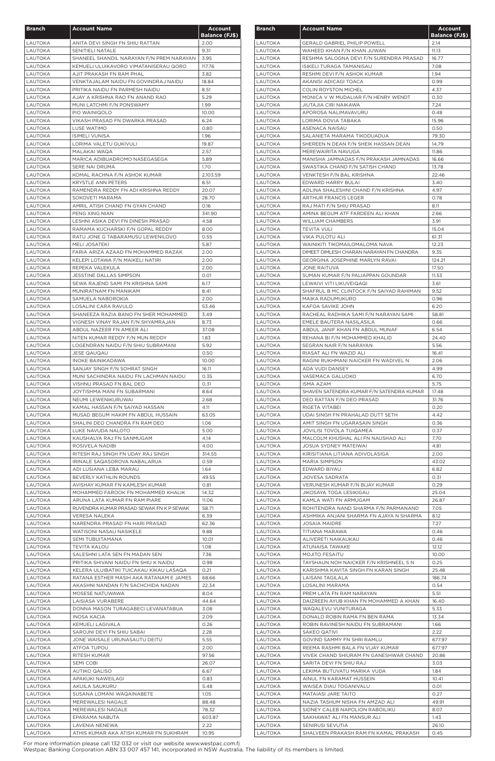| <b>Branch</b>             | <b>Account Name</b>                                                                | Account               |
|---------------------------|------------------------------------------------------------------------------------|-----------------------|
|                           |                                                                                    | <b>Balance (FJ\$)</b> |
| LAUTOKA<br>LAUTOKA        | ANITA DEVI SINGH FN SHIU RATTAN<br>SENITIELI NATALE                                | 2.00<br>9.31          |
| <b>LAUTOKA</b>            | SHANEEL SHANDIL NARAYAN F/N PREM NARAYAN                                           | 3.95                  |
| <b>LAUTOKA</b>            | KEMUELI ULUIKAVORO VIMATANISERAU QORO                                              | 117.76                |
| LAUTOKA                   | AJIT PRAKASH FN RAM PHAL                                                           | 3.82                  |
| LAUTOKA                   | VENKTAJALAM NAIDU FN GOVINDRAJ NAIDU                                               | 18.84                 |
| <b>LAUTOKA</b><br>LAUTOKA | PRITIKA NAIDU FN PARMESH NAIDU<br>AJAY A KRISHNA RAO FN ANAND RAO                  | 8.51<br>5.29          |
| LAUTOKA                   | MUNI LATCHMI F/N PONSWAMY                                                          | 1.99                  |
| LAUTOKA                   | PIO WAINIQOLO                                                                      | 10.00                 |
| LAUTOKA                   | VIKASH PRASAD FN DWARKA PRASAD                                                     | 6.24                  |
| LAUTOKA                   | LUSE WATIMO                                                                        | 0.80                  |
| LAUTOKA                   | <b>ISIMELI VUNISA</b>                                                              | 1.96                  |
| LAUTOKA<br>LAUTOKA        | LORIMA VALETU GUKIVULI<br>MALAKAI WAQA                                             | 19.87<br>2.57         |
| LAUTOKA                   | MARICA ADIBUADROMO NASEGASEGA                                                      | 5.89                  |
| LAUTOKA                   | SERE NAI DRUMA                                                                     | 1.70                  |
| LAUTOKA                   | KOMAL RACHNA F/N ASHOK KUMAR                                                       | 2,103.59              |
| LAUTOKA                   | <b>KRYSTLE ANN PETERS</b>                                                          | 8.51                  |
| LAUTOKA                   | RAMENDRA REDDY FN ADI KRISHNA REDDY                                                | 20.07                 |
| LAUTOKA<br>LAUTOKA        | SOKOVETI MARAMA<br>AMRIL ATISH CHAND FN GYAN CHAND                                 | 28.70<br>0.16         |
| <b>LAUTOKA</b>            | PENG XING NIAN                                                                     | 341.90                |
| LAUTOKA                   | LESHNI ASIKA DEVI FN DINESH PRASAD                                                 | 4.58                  |
| LAUTOKA                   | RAMAMA KUCHARSKI F/N GOPAL REDDY                                                   | 8.00                  |
| LAUTOKA                   | RATU JONE G TABARAMUSU LEWENILOVO                                                  | 0.55                  |
| LAUTOKA                   | <b>MELI JOSATEKI</b>                                                               | 5.87                  |
| LAUTOKA<br>LAUTOKA        | FARIA ARIZA AZAAD FN MOHAMMED RAZAK<br>KELEPI LOTAWA F/N MAIKELI NATIRI            | 2.00<br>2.00          |
| LAUTOKA                   | REPEKA VALEKULA                                                                    | 2.00                  |
| LAUTOKA                   | JESSTINE DALLAS SIMPSON                                                            | 0.01                  |
| LAUTOKA                   | SEWA RAJEND SAMI FN KRISHNA SAMI                                                   | 6.17                  |
| LAUTOKA                   | MUNIRATNAM FN MANIKAM                                                              | 8.41                  |
| LAUTOKA                   | SAMUELA NABOROKIA                                                                  | 2.00                  |
| LAUTOKA<br>LAUTOKA        | LOSALINI CARA RAVULO<br>SHANEEZA RAZIA BANO FN SHER MOHAMMED                       | 53.46<br>3.49         |
| LAUTOKA                   | VIGNESH VINAY RAJAN F/N SHYAMRAJAN                                                 | 8.73                  |
| LAUTOKA                   | ABDUL NAZEER FN AMEER ALI                                                          | 37.08                 |
| LAUTOKA                   | NITEN KUMAR REDDY F/N MUN REDDY                                                    | 1.83                  |
| LAUTOKA                   | LOGENDRAN NAIDU F/N SHIU SUBRAMANI                                                 | 5.92                  |
| LAUTOKA                   | <b>JESE QAUQAU</b>                                                                 | 0.50                  |
| LAUTOKA<br>LAUTOKA        | <b>INOKE BAINIKADAWA</b><br>SANJAY SINGH F/N SOHRAT SINGH                          | 10.00<br>16.11        |
| LAUTOKA                   | MUNI SACHINDRA NAIDU FN LACHMAN NAIDU                                              | 0.35                  |
| LAUTOKA                   | VISHNU PRASAD FN BAL DEO                                                           | 0.31                  |
| <b>LAUTOKA</b>            | JOYTISHMA MANI FN SUBARMANI                                                        | 8.64                  |
| LAUTOKA                   | NEUMI LEWENIKURUWAI                                                                | 2.68                  |
| LAUTOKA<br>LAUTOKA        | KAMAL HASSAN F/N SAIYAD HASSAN<br>MUSAD BEGUM HAKIM FN ABDUL HUSSAIN               | 4.11<br>63.05         |
| LAUTOKA                   | SHALINI DEO CHANDRA FN RAM DEO                                                     | 1.06                  |
| LAUTOKA                   | LUKE NAVUDA NALOTO                                                                 | 5.00                  |
| LAUTOKA                   | KAUSHALYA RAJ FN SANMUGAM                                                          | 4.14                  |
| LAUTOKA                   | ROSIVELA NADIBI                                                                    | 4.00                  |
| LAUTOKA                   | RITESH RAJ SINGH FN UDAY RAJ SINGH                                                 | 314.55                |
| LAUTOKA<br>LAUTOKA        | IRINALE SAQASOROVA NABALARUA<br>ADI LUSIANA LEBA MARAU                             | 0.59<br>1.64          |
| LAUTOKA                   | BEVERLY KATHLIN ROUNDS                                                             | 49.55                 |
| LAUTOKA                   | AVISHAY KUMAR FN KAMLESH KUMAR                                                     | 0.81                  |
| LAUTOKA                   | MOHAMMED FAROOK FN MOHAMMED KHALIK                                                 | 14.32                 |
| LAUTOKA                   | ARUNA LATA KUMAR FN RAM PIARE                                                      | 11.06                 |
| LAUTOKA                   | RUVENDRA KUMAR PRASAD SEWAK FN K P SEWAK                                           | 58.71                 |
| LAUTOKA<br>LAUTOKA        | VERESA NALEKA<br>NARENDRA PRASAD FN HARI PRASAD                                    | 6.39<br>62.36         |
| LAUTOKA                   | <b>WATISONI NASAU NASIKELE</b>                                                     | 9.88                  |
| LAUTOKA                   | SEMI TUBUITAMANA                                                                   | 10.01                 |
| LAUTOKA                   | <b>TEVITA KALOU</b>                                                                | 1.08                  |
| LAUTOKA                   | SALESHNI LATA SEN FN MADAN SEN                                                     | 7.36                  |
| LAUTOKA<br>LAUTOKA        | PRITIKA SHIVANI NAIDU FN SHIU K NAIDU                                              | 0.98                  |
| <b>LAUTOKA</b>            | KELERA ULUIBATIKI TUICAKAU KIKAU LASAQA<br>RATANA ESTHER MASIH AKA RATANAM E JAMES | 0.21<br>68.66         |
| LAUTOKA                   | AKASHNI NANDAN F/N SACHCHIDA NADAN                                                 | 22.34                 |
| LAUTOKA                   | MOSESE NATUWAWA                                                                    | 8.04                  |
| LAUTOKA                   | <b>LAISIASA VURABERE</b>                                                           | 44.64                 |
| LAUTOKA                   | DONNA MASON TURAGABECI LEVANATABUA                                                 | 3.08                  |
| LAUTOKA                   | INOSA KACIA<br>KEMUELI LAGIVALA                                                    | 2.09                  |
| LAUTOKA<br>LAUTOKA        | SAROJNI DEVI FN SHIU SABAI                                                         | 0.26<br>2.28          |
| LAUTOKA                   | JONE WAISALE URUNASAUTU DEITU                                                      | 5.55                  |
| LAUTOKA                   | ATFOA TUPOU                                                                        | 2.00                  |
| LAUTOKA                   | RITESH KUMAR                                                                       | 97.56                 |
| LAUTOKA                   | SEMI COBI                                                                          | 26.07                 |
| LAUTOKA                   | <b>AUTIKO QALISO</b><br>APAKUKI NAWEILAGI                                          | 6.67<br>0.83          |
| LAUTOKA<br>LAUTOKA        | AKUILA SAUKURU                                                                     | 5.48                  |
| LAUTOKA                   | SUSANA LOMANI WAQAINABETE                                                          | 1.05                  |
| LAUTOKA                   | MEREWALESI NAGALE                                                                  | 88.48                 |
| LAUTOKA                   | MEREWALESI NAGALE                                                                  | 78.32                 |
| LAUTOKA                   | EPARAMA NABUTA                                                                     | 603.87                |
| LAUTOKA<br>LAUTOKA        | LAVENIA NENEWA<br>ATHIS KUMAR AKA ATISH KUMAR FN SUKHRAM                           | 2.22<br>10.95         |
|                           |                                                                                    |                       |

| <b>Branch</b>             | <b>Account Name</b>                                | <b>Account</b><br><b>Balance (FJ\$)</b> |
|---------------------------|----------------------------------------------------|-----------------------------------------|
| LAUTOKA                   | <b>GERALD GABRIEL PHILIP POWELL</b>                | 2.14                                    |
| <b>LAUTOKA</b>            | WAHEED KHAN F/N KHAN JUWAN                         | 11.13                                   |
| LAUTOKA                   | RESHMA SALOGNA DEVI F/N SURENDRA PRASAD            | 16.77                                   |
| <b>LAUTOKA</b>            | ISIKELI TURAGA TAMANISAU                           | 7.08                                    |
| LAUTOKA                   | RESHMI DEVI F/N ASHOK KUMAR                        | 1.94                                    |
| LAUTOKA                   | AKANISI ADICAGI TOACA                              | 0.99                                    |
| LAUTOKA                   | <b>COLIN ROYSTON MICHEL</b>                        | 4.37                                    |
| LAUTOKA                   | MONICA V W MUDALIAR F/N HENRY WENDT                | 0.30                                    |
| <b>LAUTOKA</b>            | JIUTAJIA CIRI NAIKAWA                              | 7.24                                    |
| LAUTOKA                   | APOROSA NALIMAVAVURU                               | 0.48                                    |
| LAUTOKA                   | LORIMA DOVIA TABAKA                                | 15.96                                   |
| LAUTOKA                   | ASENACA NAISAU                                     | 0.50                                    |
| LAUTOKA                   | SALANIETA MARAMA TIKODUADUA                        | 79.30                                   |
| LAUTOKA                   | SHEREEN N DEAN F/N SHEIK HASSAN DEAN               | 14.79                                   |
| LAUTOKA                   | MEREWAIRITA NAVUGA                                 | 11.86                                   |
| LAUTOKA                   | MANISHA JAMNADAS F/N PRAKASH JAMNADAS              | 16.66                                   |
| LAUTOKA                   | SWASTIKA CHAND F/N SATISH CHAND                    | 13.78                                   |
| LAUTOKA                   | VENKTESH F/N BAL KRISHNA                           | 22.46                                   |
| LAUTOKA                   | EDWARD HARRY BULAI                                 | 3.40                                    |
| LAUTOKA                   | ADLINA SHALESHNI CHAND F/N KRISHNA                 | 4.97                                    |
| LAUTOKA                   | <b>ARTHUR FRANCIS LEGER</b>                        | 0.78                                    |
| LAUTOKA                   | RAJ MATI F/N SHIU PRASAD                           | 8.11                                    |
| <b>LAUTOKA</b>            | AMINA BEGUM ATF FARDEEN ALI KHAN                   | 2.66                                    |
| LAUTOKA                   | <b>WILLIAM CHAMBERS</b>                            | 3.91                                    |
| LAUTOKA                   | <b>TEVITA VULI</b>                                 | 15.04                                   |
| LAUTOKA                   | <b>VIKA PULOTU ALI</b>                             | 61.31                                   |
| LAUTOKA                   | WAINIKITI TIKOMAILOMALOMA NAVA                     | 12.23                                   |
| LAUTOKA                   | DIMEET DIMLESH CHARAN NARAYAN FN CHANDRA           | 9.35                                    |
| LAUTOKA                   | GEORGINA JOSEPHINE MARLYN RAVAI                    | 124.21                                  |
| LAUTOKA                   | <b>JONE RAITUVA</b>                                | 17.50                                   |
| LAUTOKA                   | SUMAN KUMAR F/N PALIAPPAN GOUNDAR                  | 11.53                                   |
| LAUTOKA                   | LEWAIVI VITI LIKUVEIQAQI                           | 3.61                                    |
| <b>LAUTOKA</b>            | SHAFRUL B MC CLINTOCK F/N SAIYAD RAHIMAN           | 9.52                                    |
| <b>LAUTOKA</b>            | MAIKA RADUMUKURO                                   | 0.96                                    |
| LAUTOKA                   | KAFOA SAVIKE JOHN                                  | 6.20                                    |
| <b>LAUTOKA</b>            | RACHEAL RADHIKA SAMI F/N NARAYAN SAMI              | 58.81                                   |
| LAUTOKA                   | EMELE BAUTERA NASILASILA                           | 0.66                                    |
| LAUTOKA                   | ABDUL JANIF KHAN FN ABDUL MUNAF                    | 6.54                                    |
| LAUTOKA                   | REHANA BI F/N MOHAMMED KHALID                      | 24.40                                   |
| <b>LAUTOKA</b>            | SEGRAN NAIR F/N NARAYAN                            | 5.56                                    |
| LAUTOKA                   | RIASAT ALI FN WAZID ALI                            | 16.41                                   |
| LAUTOKA                   | RAGINI RUKHMANI NAICKER FN WADIVEL N               | 2.06                                    |
| <b>LAUTOKA</b>            | ADA VUDI DANSEY                                    | 4.99                                    |
| LAUTOKA                   | VASEMACA GALUOKO                                   | 6.70                                    |
| <b>LAUTOKA</b>            | <b>ISMA AZAM</b>                                   | 5.75                                    |
| LAUTOKA                   | SHAVEN SATENDRA KUMAR F/N SATENDRA KUMAR           | 17.48                                   |
| <b>LAUTOKA</b>            | DEO RATTAN F/N DEO PRASAD                          | 31.76                                   |
| LAUTOKA                   | RIGETA VITABEI                                     | 0.20                                    |
| LAUTOKA                   | UDAI SINGH FN PRAHALAD DUTT SETH                   | 4.42                                    |
| LAUTOKA                   | AMIT SINGH FN UGARASAIN SINGH                      | 0.36                                    |
| LAUTOKA                   | JOVILISI TOVOLA TUIQAMEA                           | 0.37                                    |
| LAUTOKA                   | MALCOLM KHUSHAL ALI FN NAUSHAD ALI                 | 7.70                                    |
| LAUTOKA                   | JOSUA SYDNEY MATEIWAI                              | 4.81                                    |
| LAUTOKA                   | KIRISITIANA LITIANA ADIVOLASIGA                    | 2.00                                    |
| LAUTOKA                   | <b>MARIA SIMPSON</b>                               | 43.02                                   |
| LAUTOKA                   | EDWARD BIYAU                                       | 6.82                                    |
| LAUTOKA                   | JIOVESA SADRATA                                    | 0.31                                    |
| LAUTOKA                   | VERUNESH KUMAR F/N BIJAY KUMAR                     | 0.29                                    |
| LAUTOKA                   | <b>JIKOSAYA TOGA LESIKIGAU</b>                     | 25.04                                   |
| LAUTOKA                   | KAMLA WATI FN ARMUGAM                              | 26.87                                   |
| LAUTOKA                   | ROHITENDRA NAND SHARMA F/N PARMANAND               | 7.05                                    |
| LAUTOKA                   | ASHMIKA ANJANI SHARMA FN AJAYA N SHARMA            | 8.12                                    |
| LAUTOKA                   | <b>JOSAIA MAIDRE</b>                               | 7.27                                    |
| LAUTOKA                   | TITIANA MARAWA                                     | 0.46                                    |
| LAUTOKA                   | ALIVERETI NAIKAUKAU<br><b>ATUNAISA TAWAKE</b>      | 0.46                                    |
| LAUTOKA                   | <b>MOJITO FESAITU</b>                              | 12.12                                   |
| LAUTOKA                   |                                                    | 10.00                                   |
| LAUTOKA                   | TAYSHAUN NOH NAICKER F/N KRISHNEEL S N             | 0.25                                    |
| <b>LAUTOKA</b>            | KARISHMA KAVITA SINGH FN KARAN SINGH               | 25.48                                   |
| LAUTOKA                   | <b>LAISANI TAGILALA</b>                            | 186.74                                  |
| LAUTOKA                   | <b>LOSALINI MARAMA</b><br>PREM LATA FN RAM NARAYAN | 0.54<br>5.51                            |
| LAUTOKA<br><b>LAUTOKA</b> | DAIZREEN AYUB KHAN FN MOHAMMED A KHAN              | 16.40                                   |
| LAUTOKA                   | WAQALEVU VUNITURAGA                                | 5.33                                    |
| <b>LAUTOKA</b>            | DONALD ROBIN RAMA FN BEN RAMA                      | 13.34                                   |
| LAUTOKA                   | ROBIN RAVINESH NAIDU FN SUBRAMANI                  | 1.66                                    |
| LAUTOKA                   | SAKEO QATIVI                                       | 2.22                                    |
| LAUTOKA                   | GOVIND SAMMY FN SHRI RAMLU                         | 677.97                                  |
| LAUTOKA                   | REEMA RASHMI BALA FN VIJAY KUMAR                   | 677.97                                  |
| LAUTOKA                   | VIVEK CHAND SHIURAM FN GANESHWAR CHAND             | 20.86                                   |
| LAUTOKA                   | SARITA DEVI FN SHIU RAJ                            | 3.03                                    |
| LAUTOKA                   | LEKIMA BUTUVATU MARIKA VUDA                        | 1.84                                    |
| LAUTOKA                   | AINUL FN KARAMAT HUSSEIN                           | 10.41                                   |
| LAUTOKA                   | WAISEA DIAU TOGANIVALU                             | 0.01                                    |
| LAUTOKA                   | <b>MATAIASI JARE TAITO</b>                         | 0.27                                    |
| LAUTOKA                   | NAZIA TASHUM NISHA FN AMZAD ALI                    | 49.91                                   |
| LAUTOKA                   | SIDNEY CALEB NAPOLION RABOILIKU                    | 8.07                                    |
| LAUTOKA                   | SAKHAWAT ALI FN MANSUR ALI                         | 1.43                                    |
| LAUTOKA                   | SENIRUSI SEVUTIA                                   | 26.10                                   |
| <b>LAUTOKA</b>            | SHALVEEN PRAKASH RAM FN KAMAL PRAKASH              | 0.45                                    |
|                           |                                                    |                                         |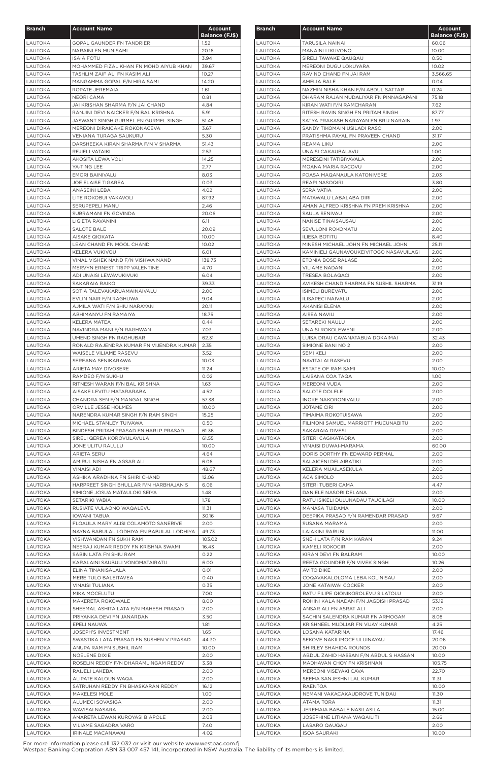| <b>Branch</b>             | <b>Account Name</b>                                                     | <b>Account</b>        |
|---------------------------|-------------------------------------------------------------------------|-----------------------|
|                           |                                                                         | <b>Balance (FJ\$)</b> |
| <b>LAUTOKA</b><br>LAUTOKA | <b>GOPAL GAUNDER FN TANDRIER</b><br>NARAINI FN MUNISAMI                 | 1.52<br>20.16         |
| LAUTOKA                   | <b>ISAIA FOTU</b>                                                       | 3.94                  |
| LAUTOKA                   | MOHAMMED FIZAL KHAN FN MOHD AIYUB KHAN                                  | 39.67                 |
| LAUTOKA                   | TASHLIM ZAIF ALI FN KASIM ALI                                           | 10.27                 |
| LAUTOKA                   | MANGAMMA GOPAL F/N HIRA SAMI                                            | 14.20                 |
| LAUTOKA                   | ROPATE JEREMAIA                                                         | 1.61                  |
| LAUTOKA<br><b>LAUTOKA</b> | <b>NEORI CAMA</b><br>JAI KRISHAN SHARMA F/N JAI CHAND                   | 0.81<br>4.84          |
| LAUTOKA                   | RANJINI DEVI NAICKER F/N BAL KRISHNA                                    | 5.91                  |
| LAUTOKA                   | JASWANT SINGH GURMEL FN GURMEL SINGH                                    | 51.45                 |
| LAUTOKA                   | MEREONI DIRAICAKE ROKONACEVA                                            | 3.67                  |
| LAUTOKA                   | VENIANA TURAGA SAUKURU                                                  | 5.30                  |
| LAUTOKA                   | DARSHEEKA KIRAN SHARMA F/N V SHARMA                                     | 51.43<br>2.53         |
| LAUTOKA<br>LAUTOKA        | REJIELI VATAIKI<br>AKOSITA LEWA VOLI                                    | 14.25                 |
| LAUTOKA                   | YA-TING LEE                                                             | 2.77                  |
| LAUTOKA                   | <b>EMORI BAINIVALU</b>                                                  | 8.03                  |
| LAUTOKA                   | <b>JOE ELAISE TIGAREA</b>                                               | 0.03                  |
| LAUTOKA                   | ANASEINI LEBA                                                           | 4.02                  |
| LAUTOKA                   | LITE ROKOBUI VAKAVOLI                                                   | 87.92<br>2.46         |
| LAUTOKA<br><b>LAUTOKA</b> | <b>SERUPEPELI MANU</b><br>SUBRAMANI FN GOVINDA                          | 20.06                 |
| LAUTOKA                   | LIGIETA RAVANINI                                                        | 6.11                  |
| LAUTOKA                   | SALOTE BALE                                                             | 20.09                 |
| LAUTOKA                   | AISAKE QIOKATA                                                          | 10.00                 |
| LAUTOKA                   | LEAN CHAND FN MOOL CHAND                                                | 10.02                 |
| LAUTOKA                   | KELERA VUKIVOU                                                          | 6.01                  |
| LAUTOKA                   | VINAL VISHEK NAND F/N VISHWA NAND                                       | 138.73                |
| LAUTOKA<br>LAUTOKA        | MERVYN ERNEST TRIPP VALENTINE<br>ADI UNAISI LEWAVUKIVUKI                | 4.70<br>6.04          |
| LAUTOKA                   | SAKARAIA RAIKO                                                          | 39.33                 |
| LAUTOKA                   | SOTIA TALEVAKARUAMAINAIVALU                                             | 2.00                  |
| LAUTOKA                   | EVLIN NAIR F/N RAGHUWA                                                  | 9.04                  |
| LAUTOKA                   | AJMILA WATI F/N SHIU NARAYAN                                            | 20.11                 |
| LAUTOKA                   | ABHIMANYU FN RAMAIYA                                                    | 18.75                 |
| LAUTOKA                   | KELERA MATEA                                                            | 0.44                  |
| <b>LAUTOKA</b>            | NAVINDRA MANI F/N RAGHWAN                                               | 7.03                  |
| LAUTOKA                   | UMEND SINGH FN RAGHUBAR                                                 | 62.31                 |
| <b>LAUTOKA</b><br>LAUTOKA | RONALD RAJENDRA KUMAR FN VIJENDRA KUMAR<br>WAISELE VILIAME RASEVU       | 2.35<br>3.52          |
| <b>LAUTOKA</b>            | SEREANA SENIKARAWA                                                      | 10.03                 |
| <b>LAUTOKA</b>            | ARIETA MAY DIVOSERE                                                     | 11.24                 |
| LAUTOKA                   | RAMDEO F/N SUKHU                                                        | 0.02                  |
| LAUTOKA                   | RITNESH WARAN F/N BAL KRISHNA                                           | 1.63                  |
| LAUTOKA                   | AISAKE LEVITU MATARARABA                                                | 4.52                  |
| <b>LAUTOKA</b>            | CHANDRA SEN F/N MANGAL SINGH                                            | 57.38                 |
| LAUTOKA                   | ORVILLE JESSE HOLMES                                                    | 10.00                 |
| LAUTOKA                   | NARENDRA KUMAR SINGH F/N RAM SINGH                                      | 15.25                 |
| LAUTOKA<br>LAUTOKA        | MICHAEL STANLEY TUIVAWA<br>BINDESH PRITAM PRASAD FN HARI P PRASAD       | 0.50<br>61.36         |
| LAUTOKA                   | SIRELI QEREA KOROVULAVULA                                               | 61.55                 |
| LAUTOKA                   | JONE ULITU RALULU                                                       | 10.00                 |
| LAUTOKA                   | <b>ARIETA SERU</b>                                                      | 4.64                  |
| LAUTOKA                   | AMIRUL NISHA FN AGSAR ALI                                               | 6.06                  |
| LAUTOKA                   | <b>VINAISI ADI</b>                                                      | 48.67                 |
| LAUTOKA                   | ASHIKA ARADHNA FN SHIRI CHAND                                           | 12.06                 |
| LAUTOKA<br>LAUTOKA        | HARPREET SINGH BHULLAR F/N HARBHAJAN S<br>SIMIONE JOSUA MATAULOKI SEIYA | 6.06<br>1.48          |
| LAUTOKA                   | SETARIKI YABIA                                                          | 1.78                  |
| LAUTOKA                   | RUSIATE VULAONO WAQALEVU                                                | 11.31                 |
| LAUTOKA                   | <b>IOWANI TABUA</b>                                                     | 30.16                 |
| LAUTOKA                   | FLOAULA MARY ALISI COLAMOTO SANERIVE                                    | 2.00                  |
| LAUTOKA                   | NAYNA BABULAL LODHIYA FN BABULAL LODHIYA                                | 49.73                 |
| <b>LAUTOKA</b>            | VISHWANDAN FN SUKH RAM                                                  | 103.02                |
| LAUTOKA                   | NEERAJ KUMAR REDDY FN KRISHNA SWAMI                                     | 16.43                 |
| <b>LAUTOKA</b><br>LAUTOKA | SABIN LATA FN SHIU RAM<br>KARALAINI SAUBULI VONOMATAIRATU               | 0.22<br>6.00          |
| LAUTOKA                   | ELINA TINANISALALA                                                      | 0.01                  |
| <b>LAUTOKA</b>            | MERE TULO BALEITAVEA                                                    | 0.40                  |
| LAUTOKA                   | <b>VINAISI TULIANA</b>                                                  | 0.35                  |
| LAUTOKA                   | MIKA MOCELUTU                                                           | 7.00                  |
| LAUTOKA                   | MAKERETA ROKOWALE                                                       | 8.00                  |
| LAUTOKA                   | SHEEMAL ASHITA LATA F/N MAHESH PRASAD                                   | 2.00                  |
| LAUTOKA                   | PRIYANKA DEVI FN JANARDAN                                               | 3.50                  |
| LAUTOKA<br>LAUTOKA        | EPELI NAUWA<br>JOSEPH'S INVESTMENT                                      | 1.81<br>1.65          |
| LAUTOKA                   | SWASTIKA LATA PRASAD FN SUSHEN V PRASAD                                 | 44.30                 |
| LAUTOKA                   | ANUPA RAM FN SUSHIL RAM                                                 | 10.00                 |
| LAUTOKA                   | NOELENE DIXIE                                                           | 2.00                  |
| LAUTOKA                   | ROSELIN REDDY F/N DHARAMLINGAM REDDY                                    | 3.38                  |
| LAUTOKA                   | RAIJELI LAKEBA                                                          | 2.00                  |
| LAUTOKA                   | ALIPATE KALOUNIWAQA                                                     | 2.00                  |
| LAUTOKA                   | SATRUHAN REDDY FN BHASKARAN REDDY                                       | 16.12                 |
| LAUTOKA                   | MAKELESI MOLE                                                           | 1.00                  |
| LAUTOKA                   | ALUMECI SOVASIGA                                                        | 2.00                  |
| LAUTOKA<br>LAUTOKA        | WAVISAI NASARA<br>ANARETA LEWANIKUROYASI B APOLE                        | 2.00<br>2.03          |
| LAUTOKA                   | VILIAME SAGADRA VARO                                                    | 7.40                  |
| LAUTOKA                   | IRINALE MACANAWAI                                                       | 4.02                  |

| <b>Branch</b>      | <b>Account Name</b>                                                        | <b>Account</b><br><b>Balance (FJ\$)</b> |
|--------------------|----------------------------------------------------------------------------|-----------------------------------------|
| LAUTOKA            | TARUSILA NAINAI                                                            | 60.06                                   |
| LAUTOKA            | <b>MANAINI LIKUVONO</b>                                                    | 10.00                                   |
| LAUTOKA            | SIRELI TAWAKE QAUQAU                                                       | 0.50                                    |
| LAUTOKA            | MEREONI DUGU LOKUYARA                                                      | 10.02                                   |
| LAUTOKA            | RAVIND CHAND FN JAI RAM                                                    | 3,566.65                                |
| LAUTOKA            | AMELIA BALE                                                                | 0.04                                    |
| LAUTOKA            | NAZMIN NISHA KHAN F/N ABDUL SATTAR                                         | 0.24                                    |
| LAUTOKA            | DHARAM RAJAN MUDALIYAR FN PINNAGAPANI                                      | 75.18                                   |
| LAUTOKA            | KIRAN WATI F/N RAMCHARAN                                                   | 7.62                                    |
| LAUTOKA<br>LAUTOKA | RITESH RAVIN SINGH FN PRITAM SINGH<br>SATYA PRAKASH NARAYAN FN BRIJ NARAIN | 87.77<br>1.97                           |
| LAUTOKA            | SANDY TIKOMAINIUSILADI RASO                                                | 2.00                                    |
| LAUTOKA            | PRATISHMA PAYAL FN PRAVEEN CHAND                                           | 31.17                                   |
| LAUTOKA            | REAMA LIKU                                                                 | 2.00                                    |
| LAUTOKA            | UNAISI CAKAUBALAVU                                                         | 1.00                                    |
| LAUTOKA            | MERESEINI TATIBIYAVALA                                                     | 2.00                                    |
| <b>LAUTOKA</b>     | MOANA MARIA RACOVU                                                         | 2.00                                    |
| LAUTOKA            | POASA MAQANAULA KATONIVERE                                                 | 2.03                                    |
| LAUTOKA            | REAPI NASOQIRI                                                             | 3.80                                    |
| <b>LAUTOKA</b>     | <b>SERA VATIA</b>                                                          | 2.00                                    |
| <b>LAUTOKA</b>     | MATAWALU LABALABA DIRI                                                     | 2.00                                    |
| LAUTOKA            | AMAN ALFRED KRISHNA FN PREM KRISHNA                                        | 2.00                                    |
| LAUTOKA            | SAULA SENIVAU                                                              | 2.00                                    |
| LAUTOKA            | NANISE TINAISAUSAU                                                         | 2.00                                    |
| LAUTOKA<br>LAUTOKA | SEVULONI ROKOMATU<br><b>ILIESA BOTITU</b>                                  | 2.00<br>8.40                            |
| LAUTOKA            | MINESH MICHAEL JOHN FN MICHAEL JOHN                                        | 25.11                                   |
| LAUTOKA            | KAMINIELI GAUNAVOUKEIVITOGO NASAVUILAGI                                    | 2.00                                    |
| LAUTOKA            | ETONIA BOSE RALASE                                                         | 2.00                                    |
| LAUTOKA            | <b>VILIAME NADANI</b>                                                      | 2.00                                    |
| LAUTOKA            | <b>TRESEA BOLAQACI</b>                                                     | 2.00                                    |
| LAUTOKA            | AVIKESH CHAND SHARMA FN SUSHIL SHARMA                                      | 31.19                                   |
| LAUTOKA            | <b>ISIMELI BUREVATU</b>                                                    | 2.00                                    |
| LAUTOKA            | ILISAPECI NAIVALU                                                          | 2.00                                    |
| <b>LAUTOKA</b>     | AKANISI ELENA                                                              | 2.00                                    |
| LAUTOKA            | AISEA NAVIU                                                                | 2.00                                    |
| LAUTOKA            | <b>SETAREKI NAULU</b>                                                      | 2.00                                    |
| LAUTOKA            | UNAISI ROKOLEWENI                                                          | 2.00                                    |
| LAUTOKA<br>LAUTOKA | LUISA DRAU CAVANATABUA DOKAIMAI<br>SIMIONE BANI NO 2                       | 32.43<br>2.00                           |
| LAUTOKA            | <b>SEMI KELI</b>                                                           | 2.00                                    |
| LAUTOKA            | NAVITALAI RASEVU                                                           | 2.00                                    |
| LAUTOKA            | ESTATE OF RAM SAMI                                                         | 10.00                                   |
| LAUTOKA            | LAISANA COA TAQA                                                           | 1.00                                    |
| <b>LAUTOKA</b>     | <b>MEREONI VUDA</b>                                                        | 2.00                                    |
| LAUTOKA            | <b>SALOTE DOLELE</b>                                                       | 2.00                                    |
| LAUTOKA            | <b>INOKE NAKORONIVALU</b>                                                  | 2.00                                    |
| LAUTOKA            | <b>JOTAME CIRI</b>                                                         | 2.00                                    |
| LAUTOKA            | TIMAIMA ROKOTUISAWA                                                        | 2.00                                    |
| LAUTOKA            | FILIMONI SAMUEL MARRIOTT MUCUNABITU                                        | 2.00                                    |
| LAUTOKA            | SAKARAIA DIVESI                                                            | 2.00                                    |
| LAUTOKA<br>LAUTOKA | SITERI CAGIKATADRA<br>VINAISI DUWAI-MARAMA                                 | 2.00<br>60.00                           |
| LAUTOKA            | DORIS DORTHY FN EDWARD PERMAL                                              | 2.00                                    |
| LAUTOKA            | SALAICENI DELAIBATIKI                                                      | 2.00                                    |
| LAUTOKA            | KELERA MUAILASEKULA                                                        | 2.00                                    |
| LAUTOKA            | ACA SIMOLO                                                                 | 2.00                                    |
| LAUTOKA            | SITERI TUBERI CAMA                                                         | 4.47                                    |
| LAUTOKA            | DANIELE NASORI DELANA                                                      | 2.00                                    |
| LAUTOKA            | RATU ISIKELI DULUNADAU TAUCILAGI                                           | 10.00                                   |
| LAUTOKA            | MANASA TUIDAMA                                                             | 2.00                                    |
| LAUTOKA            | DEEPIKA PRASAD F/N RAMENDAR PRASAD                                         | 9.67                                    |
| LAUTOKA            | SUSANA MARAMA                                                              | 2.00                                    |
| LAUTOKA            | <b>LAIAKINI RARUBI</b>                                                     | 11.00                                   |
| LAUTOKA            | SNEH LATA F/N RAM KARAN                                                    | 9.24                                    |
| LAUTOKA<br>LAUTOKA | <b>KAMELI ROKOCIRI</b><br>KIRAN DEVI FN BALRAM                             | 2.00<br>10.00                           |
| LAUTOKA            | REETA GOUNDER F/N VIVEK SINGH                                              | 10.26                                   |
| LAUTOKA            | <b>AVITO DIKE</b>                                                          | 2.00                                    |
| LAUTOKA            | COQAVAKALOLOMA LEBA KOLINISAU                                              | 2.00                                    |
| <b>LAUTOKA</b>     | JONE KATAIWAI COCKER                                                       | 2.00                                    |
| LAUTOKA            | RATU FILIPE QIONIKOROLEVU SILATOLU                                         | 2.00                                    |
| LAUTOKA            | ROHINI KALA NADAN F/N JAGDISH PRASAD                                       | 53.19                                   |
| <b>LAUTOKA</b>     | ANSAR ALI FN ASRAT ALI                                                     | 2.00                                    |
| LAUTOKA            | SACHIN SALENDRA KUMAR FN ARMOGAM                                           | 8.08                                    |
| LAUTOKA            | KRISHNEEL MUDLIAR FN VIJAY KUMAR                                           | 4.25                                    |
| LAUTOKA            | LOSANA KATARINA                                                            | 17.46                                   |
| LAUTOKA            | SEKOVE NAKILIMOCE ULUINAYAU                                                | 20.06                                   |
| LAUTOKA            | SHIRLEY SHAHIDA ROUNDS                                                     | 20.00                                   |
| LAUTOKA            | ABDUL ZAHID HASSAN F/N ABDUL S HASSAN                                      | 10.00                                   |
| LAUTOKA            | MADHAVAN CHOY FN KRISHNAN                                                  | 105.75                                  |
| LAUTOKA<br>LAUTOKA | MEREONI VISEYAKI CAVA<br>SEEMA SANJESHNI LAL KUMAR                         | 22.70<br>11.31                          |
| LAUTOKA            | RAENTOA                                                                    | 10.00                                   |
| LAUTOKA            | NEMANI VAKACAKAUDROVE TUNIDAU                                              | 11.30                                   |
| LAUTOKA            | ATAMA TORA                                                                 | 11.31                                   |
| LAUTOKA            | JEREMAIA BABALE NASILASILA                                                 | 15.00                                   |
| LAUTOKA            | JOSEPHINE LITIANA WAQAILITI                                                | 2.66                                    |
| LAUTOKA            | LASARO QAUQAU                                                              | 2.00                                    |
| <b>LAUTOKA</b>     | <b>ISOA SAURAKI</b>                                                        | 10.00                                   |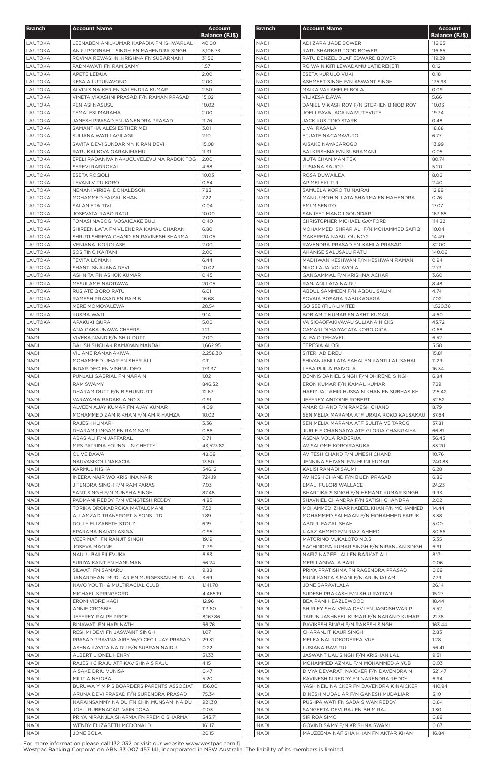| <b>Branch</b>              | <b>Account Name</b>                                                              | Account               |
|----------------------------|----------------------------------------------------------------------------------|-----------------------|
|                            |                                                                                  | <b>Balance (FJ\$)</b> |
| <b>LAUTOKA</b><br>LAUTOKA  | LEENABEN ANILKUMAR KAPADIA FN ISHWARLAL<br>ANJU POONAM L SINGH FN MAHENDRA SINGH | 40.00<br>3,106.73     |
| LAUTOKA                    | ROVINA REWASHNI KRISHNA FN SUBARMANI                                             | 31.56                 |
| LAUTOKA                    | PADMAWATI FN RAM SAMY                                                            | 1.57                  |
| LAUTOKA                    | <b>APETE LEDUA</b>                                                               | 2.00                  |
| LAUTOKA                    | KESAIA LUTUNAVONO                                                                | 2.00                  |
| <b>LAUTOKA</b><br>LAUTOKA  | ALVIN S NAIKER FN SALENDRA KUMAR<br>VINETA VIKASHNI PRASAD F/N RAMAN PRASAD      | 2.50<br>15.02         |
| LAUTOKA                    | PENIASI NASUSU                                                                   | 10.02                 |
| LAUTOKA                    | TEMALESI MARAMA                                                                  | 2.00                  |
| LAUTOKA                    | JANESH PRASAD FN JANENDRA PRASAD                                                 | 11.76                 |
| LAUTOKA                    | SAMANTHA ALESI ESTHER MEI                                                        | 3.01                  |
| LAUTOKA                    | SULIANA WATI LAGILAGI                                                            | 2.10                  |
| LAUTOKA<br>LAUTOKA         | SAVITA DEVI SUNDAR MN KIRAN DEVI<br>RATU KALIOVA QARANINAMU                      | 15.08<br>11.31        |
| LAUTOKA                    | EPELI RADANIVA NAKUCUVELEVU NAIRABOKITOG                                         | 2.00                  |
| <b>LAUTOKA</b>             | SEREVI RADROKAI                                                                  | 4.68                  |
| LAUTOKA                    | ESETA ROQOLI                                                                     | 10.03                 |
| LAUTOKA                    | LEVANI V TUIKORO                                                                 | 0.64                  |
| LAUTOKA                    | NEMANI VIRIBAI DONALDSON                                                         | 7.83                  |
| LAUTOKA<br>LAUTOKA         | MOHAMMED FAIZAL KHAN<br>SALANIETA TIVI                                           | 7.22<br>0.04          |
| <b>LAUTOKA</b>             | <b>JOSEVATA RABO RATU</b>                                                        | 10.00                 |
| LAUTOKA                    | TOMASI NABOGI VOSAICAKE BULI                                                     | 0.40                  |
| LAUTOKA                    | SHIREEN LATA FN VIJENDRA KAMAL CHARAN                                            | 6.80                  |
| LAUTOKA                    | SHRUTI SHREYA CHAND FN RAVINESH SHARMA                                           | 20.05                 |
| LAUTOKA                    | VENIANA KOROLASE                                                                 | 2.00                  |
| LAUTOKA<br><b>LAUTOKA</b>  | SOSITINO KAITANI<br><b>TEVITA LOMANI</b>                                         | 2.00<br>6.44          |
| LAUTOKA                    | SHANTI SNAJANA DEVI                                                              | 10.02                 |
| LAUTOKA                    | ASHNITA FN ASHOK KUMAR                                                           | 0.45                  |
| LAUTOKA                    | MESULAME NAQITAWA                                                                | 20.05                 |
| LAUTOKA                    | RUSIATE QORO RATU                                                                | 6.01                  |
| <b>LAUTOKA</b>             | RAMESH PRASAD FN RAM B                                                           | 16.68                 |
| LAUTOKA<br>LAUTOKA         | MERE MOMOYALEWA<br>KUSMA WATI                                                    | 28.54<br>9.14         |
| LAUTOKA                    | APAKUKI QURA                                                                     | 5.00                  |
| <b>NADI</b>                | ANA CAKAUNAWA CHEERS                                                             | 1.21                  |
| <b>NADI</b>                | VIVEKA NAND F/N SHIU DUTT                                                        | 2.00                  |
| <b>NADI</b>                | BAL SHISHCHAK RAMAYAN MANDALI                                                    | 1,662.95              |
| <b>NADI</b>                | VILIAME RAMANAKIWAI                                                              | 2,258.30              |
| <b>NADI</b><br><b>NADI</b> | MOHAMMED UMAR FN SHER ALI<br><b>INDAR DEO FN VISHNU DEO</b>                      | O.11<br>173.37        |
| <b>NADI</b>                | PUNJALI GABRIAL FN NARAIN                                                        | 1.02                  |
| <b>NADI</b>                | <b>RAM SWAMY</b>                                                                 | 846.32                |
| <b>NADI</b>                | DHARAM DUTT F/N BISHUNDUTT                                                       | 12.67                 |
| <b>NADI</b>                | VARAYAMA RADAKUA NO 3                                                            | 0.91                  |
| <b>NADI</b>                | ALVEEN AJAY KUMAR FN AJAY KUMAR                                                  | 4.09                  |
| <b>NADI</b><br><b>NADI</b> | MOHAMMED ZAMIR KHAN F/N AMIR HAMZA<br>RAJESH KUMAR                               | 10.02<br>3.36         |
| <b>NADI</b>                | DHARAM LINGAM FN RAM SAMI                                                        | 0.86                  |
| NADI                       | ABAS ALI F/N JAFFARALI                                                           | 0.71                  |
| <b>NADI</b>                | MRS PATRINA YOUNG LIN CHETTY                                                     | 43,523.82             |
| <b>NADI</b>                | <b>OLIVE DAWAI</b>                                                               | 48.09                 |
| <b>NADI</b>                | NAUVASIKOLI NAKACIA                                                              | 13.50                 |
| <b>NADI</b><br><b>NADI</b> | <b>KARMUL NISHA</b><br>INEERA NAIR WO KRISHNA NAIR                               | 546.12<br>724.19      |
| <b>NADI</b>                | JITENDRA SINGH F/N RAM PARAS                                                     | 7.03                  |
| <b>NADI</b>                | SANT SINGH F/N MUNSHA SINGH                                                      | 87.48                 |
| <b>NADI</b>                | PADMANI REDDY F/N VENGTESH REDDY                                                 | 4.85                  |
| <b>NADI</b>                | TORIKA DROKADROKA MATALOMANI                                                     | 7.52                  |
| <b>NADI</b>                | ALI AMZAD TRANSPORT & SONS LTD                                                   | 1.89                  |
| <b>NADI</b><br><b>NADI</b> | DOLLY ELIZABETH STOLZ<br>EPARAMA NAIVOLASIGA                                     | 6.19<br>0.95          |
| NADI                       | <b>VEER MATI FN RANJIT SINGH</b>                                                 | 19.19                 |
| <b>NADI</b>                | <b>JOSEVA MAONE</b>                                                              | 11.39                 |
| <b>NADI</b>                | NAULU BALEILEVUKA                                                                | 6.63                  |
| <b>NADI</b>                | SURIYA KANT FN HANUMAN                                                           | 56.24                 |
| <b>NADI</b>                | SILWATI FN SAMARU                                                                | 9.88                  |
| <b>NADI</b><br><b>NADI</b> | JANARDHAN MUDLIAR FN MURGESSAN MUDLIAR<br>NAVO YOUTH & MULTIRACIAL CLUB          | 3.69<br>1,141.78      |
| <b>NADI</b>                | MICHAEL SPRINGFORD                                                               | 4,465.19              |
| <b>NADI</b>                | ERONI VIDRE KAGI                                                                 | 12.96                 |
| <b>NADI</b>                | <b>ANNIE CROSBIE</b>                                                             | 113.60                |
| <b>NADI</b>                | JEFFREY RALPF PRICE                                                              | 8,167.86              |
| <b>NADI</b>                | BINAWATI FN HARI NATH                                                            | 56.76                 |
| NADI<br>NADI               | RESHMI DEVI FN JASWANT SINGH<br>PRASAD PRAVINA AIRE W/O CECIL JAY PRASAD         | 1.07<br>29.31         |
| NADI                       | ASHNA KAVITA NAIDU F/N SUBRAN NAIDU                                              | 0.22                  |
| <b>NADI</b>                | ALBERT LIONEL HENRY                                                              | 51.33                 |
| <b>NADI</b>                | RAJESH C RAJU ATF KAVISHNA S RAJU                                                | 4.15                  |
| NADI                       | AISAKE DRIU VUNISA                                                               | 0.47                  |
| <b>NADI</b>                | MILITIA NEIOBA                                                                   | 5.20                  |
| <b>NADI</b>                | BURUWA Y M P S BOARDERS PARENTS ASSOCIAT                                         | 156.00                |
| <b>NADI</b><br><b>NADI</b> | ARUNA DEVI PRASAD F/N SURENDRA PRASAD<br>NARAINSAMMY NAIDU FN CHIN MUNSAMI NAIDU | 75.34<br>921.30       |
| <b>NADI</b>                | JOELI RUBENACAGI VAINITOBA                                                       | 0.03                  |
| NADI                       | PRIYA NIRANJLA SHARMA FN PREM C SHARMA                                           | 543.71                |
| <b>NADI</b>                | WENDY ELIZABETH MCDONALD                                                         | 161.17                |
| <b>NADI</b>                | <b>JONE BOLA</b>                                                                 | 20.15                 |

| <b>Branch</b>              | <b>Account Name</b>                                                        | Account<br><b>Balance (FJ\$)</b> |
|----------------------------|----------------------------------------------------------------------------|----------------------------------|
| <b>NADI</b>                | ADI ZARA JADE BOWER                                                        | 116.65                           |
| <b>NADI</b>                | RATU SHARKAR TODD BOWER                                                    | 116.65                           |
| <b>NADI</b>                | RATU DENZEL OLAF EDWARD BOWER                                              | 119.29                           |
| <b>NADI</b>                | RO WAINIKITI LEWADAMU LATIDREKETI                                          | 0.12                             |
| <b>NADI</b>                | ESETA KURULO VUKI                                                          | 0.18                             |
| <b>NADI</b>                | ASHMEET SINGH F/N ASWANT SINGH                                             | 135.93                           |
| NADI                       | MAIKA VAKAMELEI BOLA                                                       | 0.09                             |
| NADI                       | VILIKESA DAWAI                                                             | 5.66                             |
| NADI                       | DANIEL VIKASH ROY F/N STEPHEN BINOD ROY                                    | 10.03                            |
| <b>NADI</b>                | JOELI RAVALACA NAIVUTEVUTE                                                 | 19.34                            |
| <b>NADI</b>                | JACK KUSITINO STARK                                                        | 0.48                             |
| <b>NADI</b>                | LIVAI RASALA                                                               | 18.68                            |
| <b>NADI</b>                | ETUATE NACAMAVUTO                                                          | 6.77                             |
| <b>NADI</b>                | AISAKE NAYACAROGO                                                          | 13.99                            |
| <b>NADI</b><br><b>NADI</b> | BALKRISHNA F/N SUBRAMANI                                                   | 0.05                             |
| <b>NADI</b>                | JIUTA CHAN MAN TEK<br>LUSIANA SAUCU                                        | 80.74<br>5.20                    |
| <b>NADI</b>                | ROSA DUWAILEA                                                              | 8.06                             |
| <b>NADI</b>                | <b>APIMELEKI TUI</b>                                                       | 2.40                             |
| <b>NADI</b>                | SAMUELA KOROITUINAIRAI                                                     | 12.89                            |
| <b>NADI</b>                | MANJU MOHINI LATA SHARMA FN MAHENDRA                                       | 0.76                             |
| <b>NADI</b>                | <b>EMI M SENITO</b>                                                        | 17.07                            |
| <b>NADI</b>                | SANJEET MANOJ GOUNDAR                                                      | 163.88                           |
| <b>NADI</b>                | CHRISTOPHER MICHAEL GAYFORD                                                | 114.22                           |
| <b>NADI</b>                | MOHAMMED ISHRAR ALI F/N MOHAMMED SAFIQ                                     | 10.04                            |
| <b>NADI</b>                | MAKERETA NABULOU NO.2                                                      | 14.49                            |
| <b>NADI</b>                | RAVENDRA PRASAD FN KAMLA PRASAD                                            | 32.00                            |
| <b>NADI</b>                | AKANISE SALUSALU RATU                                                      | 140.06                           |
| <b>NADI</b>                | MADHWAN KESHWAN F/N KESHWAN RAMAN                                          | 0.94                             |
| <b>NADI</b>                | NIKO LAUA VOLAVOLA                                                         | 2.73                             |
| <b>NADI</b>                | GANGAMMAL F/N KRISHNA ACHARI                                               | 3.60                             |
| <b>NADI</b>                | RANJANI LATA NAIDU                                                         | 8.48                             |
| <b>NADI</b>                | ABDUL SAMMEEM F/N ABDUL SALIM                                              | 4.74                             |
| <b>NADI</b>                | SOVAIA BOSARA RABUKAGAGA                                                   | 7.02                             |
| <b>NADI</b>                | <b>GO SEE (FIJI) LIMITED</b>                                               | 1,520.36                         |
| <b>NADI</b>                | BOB AMIT KUMAR FN ASHT KUMAR                                               | 4.60                             |
| <b>NADI</b>                | VAISIOAOFAKIVAVAU SULIANA HICKS                                            | 43.72                            |
| NADI                       | CAMARI DIMAIYACATA KOROIQICA                                               | 0.68                             |
| <b>NADI</b>                | ALFAIO TEKAVEI                                                             | 6.52                             |
| <b>NADI</b>                | <b>TERESIA ALOSI</b>                                                       | 5.58                             |
| NADI                       | SITERI ADIDREU                                                             | 15.81                            |
| <b>NADI</b>                | SHIVANJANI LATA SAHAI FN KANTI LAL SAHAI                                   | 11.29                            |
| <b>NADI</b><br><b>NADI</b> | LEBA PIJILA RAIVOLA<br>DENNIS DANIEL SINGH F/N DHIREND SINGH               | 16.34<br>6.84                    |
| <b>NADI</b>                | ERON KUMAR F/N KAMAL KUMAR                                                 | 7.29                             |
| NADI                       | HAFIZUAL AMIR HUSSAIN KHAN FN SUBHAS KH                                    | 215.42                           |
| <b>NADI</b>                | JEFFREY ANTOINE ROBERT                                                     | 52.52                            |
| NADI                       | AMAR CHAND F/N RAMESH CHAND                                                | 8.79                             |
| <b>NADI</b>                | SENIMELIA MARAMA ATF URAIA ROKO KALSAKAU                                   | 37.64                            |
| <b>NADI</b>                | SENIMELIA MARAMA ATF SULITA VEITAROGI                                      | 37.81                            |
| NADI                       | JIURIE F CHANGAIYA ATF GLORIA CHANGAIYA                                    | 66.81                            |
| <b>NADI</b>                | ASENA VOLA RADERUA                                                         | 36.43                            |
| <b>NADI</b>                | AVISALOME KOROIRABUKA                                                      | 33.20                            |
| <b>NADI</b>                | AVITESH CHAND F/N UMESH CHAND                                              | 10.76                            |
| <b>NADI</b>                | JENNINA SHIVANI F/N MUNI KUMAR                                             | 240.83                           |
| NADI                       | KALISI RANADI SAUMI                                                        | 6.28                             |
| NADI                       | AVINESH CHAND F/N BIJEN PRASAD                                             | 6.86                             |
| <b>NADI</b>                | EMALI FULORI WALLACE                                                       | 24.23                            |
| <b>NADI</b>                | BHARTIKA S SINGH F/N HEMANT KUMAR SINGH                                    | 9.93                             |
| <b>NADI</b>                | SHAVNIEL CHANDRA F/N SATISH CHANDRA                                        | 2.02                             |
| NADI                       | MOHAMMED IZHAAR NABEEL KHAN F/N MOHAMMED                                   | 14.44                            |
| NADI                       | MOHAMMED SALMAAN F/N MOHAMMED FARUK                                        | 3.38                             |
| <b>NADI</b>                | ABDUL FAZAL SHAH                                                           | 5.00                             |
| <b>NADI</b>                | IJAAZ AHMED F/N RIAZ AHMED                                                 | 30.66                            |
| <b>NADI</b>                | MATORINO VUKALOTO NO.3                                                     | 5.35                             |
| <b>NADI</b><br><b>NADI</b> | SACHINDRA KUMAR SINGH F/N NIRANJAN SINGH<br>NAFIZ NAZEEL ALI FN BARKAT ALI | 6.91<br>8.13                     |
| <b>NADI</b>                | MERI LAGIVALA BARI                                                         | 0.06                             |
| <b>NADI</b>                | PRIYA PRATISHMA FN RAGENDRA PRASAD                                         | 0.69                             |
| <b>NADI</b>                | MUNI KANTA S MANI F/N ARUNJALAM                                            | 7.79                             |
| <b>NADI</b>                | <b>JONE BARAVILALA</b>                                                     | 26.14                            |
| <b>NADI</b>                | SUDESH PRAKASH F/N SHIU RATTAN                                             | 15.27                            |
| <b>NADI</b>                | BEA RANI HEAZLEWOOD                                                        | 18.44                            |
| <b>NADI</b>                | SHIRLEY SHALVENA DEVI FN JAGDISHWAR P                                      | 5.52                             |
| <b>NADI</b>                | TARUN JASHNEEL KUMAR F/N NARAND KUMAR                                      | 21.38                            |
| <b>NADI</b>                | RAVIKESH SINGH F/N RAKESH SINGH                                            | 163.44                           |
| NADI                       | CHARANJIT KAUR SINGH                                                       | 2.83                             |
| <b>NADI</b>                | MELEA NAI ROKODEREA VUE                                                    | 1.28                             |
| <b>NADI</b>                | LUSIANA RAVUTU                                                             | 56.41                            |
| <b>NADI</b>                | JASWANT LAL SINGH F/N KRISHAN LAL                                          | 9.51                             |
| NADI                       | MOHAMMED AZMAL F/N MOHAMMED AIYUB                                          | 0.03                             |
| <b>NADI</b>                | DIVYA DEVARATI NAICKER F/N DAVENDRA N                                      | 321.47                           |
| <b>NADI</b>                | KAVINESH N REDDY FN NARENDRA REDDY                                         | 6.94                             |
| <b>NADI</b>                | YASH NEIL NAICKER FN DAVENDRA K NAICKER                                    | 410.94                           |
| <b>NADI</b>                | DINESH MUDALIAR F/N GANESH MUDALIAR                                        | 5.10                             |
| <b>NADI</b>                | PUSHPA WATI FN SADA SIWAN REDDY                                            | 0.64                             |
| <b>NADI</b>                | SANGEETA DEVI RAJ FN BHIM RAJ                                              | 1.30                             |
| <b>NADI</b>                | SIRIROA SIMO                                                               | 0.89                             |
| <b>NADI</b>                | GOVIND SAMY F/N KRISHNA SWAMI                                              | 0.63                             |
| NADI                       | MAUZEEMA NAFISHA KHAN FN AKTAR KHAN                                        | 16.84                            |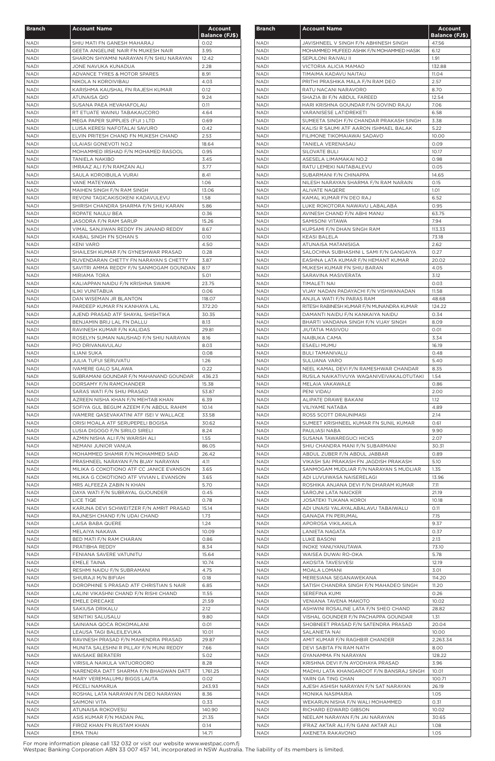| <b>Branch</b>              | <b>Account Name</b>                                                       | <b>Account</b>                |
|----------------------------|---------------------------------------------------------------------------|-------------------------------|
| <b>NADI</b>                | SHIU MATI FN GANESH MAHARAJ                                               | <b>Balance (FJ\$)</b><br>0.02 |
| <b>NADI</b>                | GEETA ANGELINE NAIR FN MUKESH NAIR                                        | 3.95                          |
| <b>NADI</b>                | SHARON SHYAMNI NARAYAN F/N SHIU NARAYAN                                   | 12.42                         |
| <b>NADI</b>                | JONE NAVUKA KUNADUA                                                       | 2.28                          |
| NADI                       | ADVANCE TYRES & MOTOR SPARES                                              | 8.91                          |
| <b>NADI</b>                | NIKOLA N KOROIVIBAU                                                       | 4.03                          |
| NADI<br><b>NADI</b>        | KARISHMA KAUSHAL FN RAJESH KUMAR<br>ATUNAISA QIO                          | 0.12<br>9.24                  |
| <b>NADI</b>                | SUSANA PAEA HEVAHAFOLAU                                                   | O.11                          |
| NADI                       | RT ETUATE WAINIU TABAKAUCORO                                              | 4.64                          |
| <b>NADI</b>                | MEGA PAPER SUPPLIES (FIJI) LTD                                            | 0.69                          |
| <b>NADI</b>                | LUISA KERESI NAFOTALAI SAVURO                                             | 0.42                          |
| <b>NADI</b>                | ELVIN PRITESH CHAND FN MUKESH CHAND                                       | 2.53                          |
| <b>NADI</b><br>NADI        | ULAIASI GONEVOTI NO.2<br>MOHAMMED IRSHAD F/N MOHAMED RASOOL               | 18.64<br>0.95                 |
| <b>NADI</b>                | <b>TANIELA NAKIBO</b>                                                     | 3.45                          |
| <b>NADI</b>                | IMRAAZ ALI F/N RAMZAN ALI                                                 | 3.77                          |
| <b>NADI</b>                | SAULA KOROIBUILA VURAI                                                    | 8.41                          |
| <b>NADI</b>                | VANE MATEYAWA                                                             | 1.06                          |
| NADI                       | MAIHEN SINGH F/N RAM SINGH                                                | 13.06                         |
| <b>NADI</b><br>NADI        | REVONI TAGICAKISOKENI KADAVULEVU<br>SHIRISH CHANDRA SHARMA F/N SHIU KARAN | 1.58<br>5.86                  |
| NADI                       | ROPATE NAULU BEA                                                          | 0.36                          |
| <b>NADI</b>                | JASODRA F/N RAM SARUP                                                     | 15.26                         |
| NADI                       | VIMAL SANJIWAN REDDY FN JANAND REDDY                                      | 8.67                          |
| <b>NADI</b>                | KABAL SINGH FN SOHAN S                                                    | 0.10                          |
| <b>NADI</b>                | <b>KENI VARO</b>                                                          | 4.50                          |
| <b>NADI</b>                | SHAILESH KUMAR F/N GYNESHWAR PRASAD                                       | 0.28                          |
| <b>NADI</b>                | RUVENDARAN CHETTY FN NARAYAN S CHETTY                                     | 3.87                          |
| <b>NADI</b>                | SAVITRI AMMA REDDY F/N SANMOGAM GOUNDAN                                   | 8.17                          |
| NADI<br><b>NADI</b>        | MIRIAMA TORA                                                              | 5.01                          |
| <b>NADI</b>                | KALIAPPAN NAIDU F/N KRISHNA SWAMI<br>ILIKI VUNITABUA                      | 23.75<br>0.06                 |
| <b>NADI</b>                | DAN WISEMAN JR BLANTON                                                    | 118.07                        |
| <b>NADI</b>                | PARDEEP KUMAR FN KANHAYA LAL                                              | 372.20                        |
| NADI                       | AJEND PRASAD ATF SHAYAL SHISHTIKA                                         | 30.35                         |
| NADI                       | BENJAMIN BRIJ LAL FN DALLU                                                | 8.13                          |
| NADI                       | RAVINESH KUMAR F/N KALIDAS                                                | 29.81                         |
| <b>NADI</b>                | ROSELYN SUMAN NAUSHAD F/N SHIU NARAYAN                                    | 8.16                          |
| <b>NADI</b>                | PIO DRIVANAVULAU                                                          | 8.03                          |
| <b>NADI</b>                | <b>ILIANI SUKA</b>                                                        | 0.08                          |
| <b>NADI</b><br><b>NADI</b> | JULIA TUFUI SERUVATU<br>IVAMERE GALO SALAWA                               | 1.26<br>0.22                  |
| <b>NADI</b>                | SUBRAMANI GOUNDAR F/N MAHANAND GOUNDAR                                    | 436.23                        |
| NADI                       | DORSAMY F/N RAMCHANDER                                                    | 15.38                         |
| NADI                       | SARAS WATI F/N SHIU PRASAD                                                | 53.87                         |
| <b>NADI</b>                | AZREEN NISHA KHAN F/N MEHTAB KHAN                                         | 6.39                          |
| <b>NADI</b>                | SOFIYA GUL BEGUM AZEEM F/N ABDUL RAHIM                                    | 10.14                         |
| <b>NADI</b>                | IVAMERE QASEVAKATINI ATF ISEI V WALLACE                                   | 33.58                         |
| <b>NADI</b><br><b>NADI</b> | ORISI MOALA ATF SERUPEPELI BOGISA<br>LUSIA DIGOGO F/N SIRILO SIRELI       | 30.62<br>8.24                 |
| <b>NADI</b>                | AZMIN NISHA ALI F/N WARISH ALI                                            | 1.55                          |
| <b>NADI</b>                | NEMANI JUNIOR VANUA                                                       | 86.05                         |
| <b>NADI</b>                | MOHAMMED SHAMIR F/N MOHAMMED SAID                                         | 26.42                         |
| <b>NADI</b>                | PRASHNEEL NARAYAN F/N BIJAY NARAYAN                                       | 4.11                          |
| <b>NADI</b>                | MILIKA G COKOTIONO ATF CC JANICE EVANSON                                  | 3.65                          |
| <b>NADI</b>                | MILIKA G COKOTIONO ATF VIVIAN L EVANSON                                   | 3.65                          |
| <b>NADI</b>                | MRS ALFEEZA ZABIN N KHAN                                                  | 5.70                          |
| <b>NADI</b>                | DAYA WATI F/N SUBRAYAL GUOUNDER                                           | 0.45                          |
| <b>NADI</b><br><b>NADI</b> | LICE TIQE<br>KARUNA DEVI SCHWEITZER F/N AMRIT PRASAD                      | 0.78<br>15.14                 |
| NADI                       | RAJNESH CHAND F/N UDAI CHAND                                              | 1.73                          |
| <b>NADI</b>                | LAISA BABA QUERE                                                          | 1.24                          |
| <b>NADI</b>                | MELAIYA NAKAVA                                                            | 10.09                         |
| <b>NADI</b>                | BED MATI F/N RAM CHARAN                                                   | 0.86                          |
| <b>NADI</b>                | PRATIBHA REDDY                                                            | 8.34                          |
| <b>NADI</b>                | FENIANA SAVERE VATUNITU<br><b>EMELE TAINA</b>                             | 15.64                         |
| <b>NADI</b><br><b>NADI</b> |                                                                           | 10.74<br>4.75                 |
| <b>NADI</b>                | RESHMI NAIDU F/N SUBRAMANI<br>SHIURAJI M/N BIFIAH                         | 0.18                          |
| <b>NADI</b>                | DOROPHINE S PRASAD ATF CHRISTIAN S NAIR                                   | 6.85                          |
| NADI                       | LALINI VIKASHNI CHAND F/N RISHI CHAND                                     | 11.55                         |
| <b>NADI</b>                | <b>EMELE DRECAKE</b>                                                      | 21.59                         |
| <b>NADI</b>                | SAKIUSA DRIKALU                                                           | 2.12                          |
| <b>NADI</b>                | SENITIKI SALUSALU                                                         | 9.80                          |
| <b>NADI</b>                | SAINIANA QOCA ROKOMALANI                                                  | 0.01                          |
| <b>NADI</b><br>NADI        | LEAUSA TAGI BALEILEVUKA<br>RAVINESH PRASAD F/N MAHENDRA PRASAD            | 10.01<br>29.87                |
| <b>NADI</b>                | MUNITA SALESHNI R PILLAY F/N MUNI REDDY                                   | 7.66                          |
| <b>NADI</b>                | WAISAKE BERATERI                                                          | 5.02                          |
| <b>NADI</b>                | VIRISILA NAIKULA VATUOROORO                                               | 8.28                          |
| <b>NADI</b>                | NARENDRA DATT SHARMA F/N BHAGWAN DATT                                     | 1,761.25                      |
| <b>NADI</b>                | MARY VEREMALUMU BIGGS LAUTA                                               | 0.02                          |
| <b>NADI</b>                | PECELI NAMARUA                                                            | 243.93                        |
| <b>NADI</b>                | ROSHAL LATA NARAYAN F/N DEO NARAYAN                                       | 8.36                          |
| <b>NADI</b>                | <b>SAIMONI VITA</b>                                                       | 0.33                          |
| <b>NADI</b><br><b>NADI</b> | ATUNAISA ROKOVESU<br>ASIS KUMAR F/N MADAN PAL                             | 140.90<br>21.35               |
| <b>NADI</b>                | FIROZ KHAN FN RUSTAM KHAN                                                 | 0.14                          |
| NADI                       | <b>EMA TINAI</b>                                                          | 14.71                         |

| <b>Branch</b>              | <b>Account Name</b>                                            | <b>Account</b><br><b>Balance (FJ\$)</b> |
|----------------------------|----------------------------------------------------------------|-----------------------------------------|
| <b>NADI</b>                | JAVISHNEEL V SINGH F/N ABHINESH SINGH                          | 47.56                                   |
| <b>NADI</b>                | MOHAMMED MUFEED ASHIK F/N MOHAMMED HASIK                       | 6.12                                    |
| <b>NADI</b>                | SEPULONI RAIVAU II                                             | 1.91                                    |
| <b>NADI</b>                | <b>VICTORIA ALICIA MAMAO</b>                                   | 132.88                                  |
| NADI                       | TIMAIMA KADAVU NAITAU                                          | 11.04                                   |
| <b>NADI</b><br><b>NADI</b> | PRITHI PRASHIKA MALA F/N RAM DEO<br>RATU NACANI NARAVORO       | 2.57<br>8.70                            |
| <b>NADI</b>                | SHAZIA BI F/N ABDUL FAREED                                     | 12.54                                   |
| <b>NADI</b>                | HARI KRISHNA GOUNDAR F/N GOVIND RAJU                           | 7.06                                    |
| <b>NADI</b>                | <b>VARANISESE LATIDREKETI</b>                                  | 6.58                                    |
| <b>NADI</b>                | SUMEETA SINGH F/N CHANDAR PRAKASH SINGH                        | 3.38                                    |
| <b>NADI</b>                | KALISI R SAUMI ATF AARON ISHMAEL BALAK                         | 5.22                                    |
| <b>NADI</b>                | FILIMONE TIKOMAIAWAI SADAVO                                    | 10.00                                   |
| <b>NADI</b>                | TANIELA VERENASAU                                              | 0.09                                    |
| <b>NADI</b>                | SILOVATE BULI                                                  | 10.17                                   |
| <b>NADI</b><br><b>NADI</b> | ASESELA LIMAMAKAI NO.2<br>RATU LEMEKI NAITABALEVU              | 0.98<br>0.05                            |
| <b>NADI</b>                | SUBARMANI F/N CHINAPPA                                         | 14.65                                   |
| <b>NADI</b>                | NILESH NARAYAN SHARMA F/N RAM NARAIN                           | 0.15                                    |
| <b>NADI</b>                | <b>ALIVATE NAQERE</b>                                          | 1.01                                    |
| <b>NADI</b>                | KAMAL KUMAR FN DEO RAJ                                         | 6.52                                    |
| <b>NADI</b>                | LUKE ROKOTORA NAWAVU LABALABA                                  | 0.95                                    |
| <b>NADI</b>                | AVINESH CHAND F/N ABHI MANU                                    | 63.75                                   |
| <b>NADI</b>                | SAMISONI VITAWA                                                | 7.94                                    |
| <b>NADI</b>                | KUPSAMI F/N DHAN SINGH RAM                                     | 113.33                                  |
| <b>NADI</b>                | <b>KEASI BALELA</b>                                            | 73.18                                   |
| <b>NADI</b><br><b>NADI</b> | ATUNAISA MATANISIGA<br>SALOCHNA SUBHASHNI L SAMI F/N GANGAIYA  | 2.62<br>0.27                            |
| <b>NADI</b>                | EASHNA LATA KUMAR F/N HEMANT KUMAR                             | 20.02                                   |
| NADI                       | MUKESH KUMAR FN SHIU BARAN                                     | 4.05                                    |
| <b>NADI</b>                | SARAVINA MASIVERATA                                            | 3.12                                    |
| <b>NADI</b>                | TIMALETI NAI                                                   | 0.03                                    |
| <b>NADI</b>                | VIJAY NADAN PADAYACHI F/N VISHWANADAN                          | 11.58                                   |
| <b>NADI</b>                | ANJILA WATI F/N PARAS RAM                                      | 48.68                                   |
| <b>NADI</b>                | RITESH RABINESH KUMAR F/N MUNANDRA KUMAR                       | 124.22                                  |
| <b>NADI</b>                | DAMANTI NAIDU F/N KANKAIYA NAIDU                               | 0.34                                    |
| <b>NADI</b>                | BHARTI VANDANA SINGH F/N VIJAY SINGH                           | 8.09                                    |
| <b>NADI</b><br>NADI        | JIUTATIA MASIVOU<br>NAIBUKA CAMA                               | 0.01<br>3.34                            |
| <b>NADI</b>                | <b>ESAELI MUMU</b>                                             | 16.19                                   |
| <b>NADI</b>                | <b>BULI TAMANIVALU</b>                                         | 0.48                                    |
| NADI                       | SULUANA VARO                                                   | 5.40                                    |
| <b>NADI</b>                | NEEL KAMAL DEVI F/N RAMESHWAR CHANDAR                          | 8.35                                    |
| <b>NADI</b>                | RUSILA NAIKATIVUYA WAQANIVEIVAKALOTUTAKI                       | 1.54                                    |
| <b>NADI</b>                | MELAIA VAKAWALE                                                | 0.86                                    |
| <b>NADI</b>                | PENI VIDAU                                                     | 2.00                                    |
| <b>NADI</b>                | ALIPATE DRAWE BAKANI                                           | 1.12                                    |
| <b>NADI</b>                | <b>VILIYAME NATABA</b>                                         | 4.89                                    |
| <b>NADI</b><br><b>NADI</b> | ROSS SCOTT DRAUNIMASI<br>SUMEET KRISHNEEL KUMAR FN SUNIL KUMAR | 2.14<br>0.61                            |
| <b>NADI</b>                | PAULIASI NABA                                                  | 9.90                                    |
| <b>NADI</b>                | SUSANA TAWAREGUCI HICKS                                        | 2.07                                    |
| <b>NADI</b>                | SHIU CHANDRA MANI F/N SUBARMANI                                | 30.31                                   |
| <b>NADI</b>                | ABDUL ZUBER F/N ABDUL JABBAR                                   | 0.89                                    |
| <b>NADI</b>                | VIKASH SAI PRAKASH FN JAGDISH PRAKASH                          | 5.10                                    |
| NADI                       | SANMOGAM MUDLIAR F/N NARAYAN S MUDLIAR                         | 1.35                                    |
| <b>NADI</b>                | ADI LUVUIWASA NAISERELAGI                                      | 13.96                                   |
| <b>NADI</b>                | ROSHIKA ANJANA DEVI F/N DHARAM KUMAR                           | 7.11                                    |
| <b>NADI</b><br><b>NADI</b> | SAROJNI LATA NAICKER<br><b>JOSATEKI TUKANA KOROI</b>           | 21.19<br>10.18                          |
| <b>NADI</b>                | ADI UNAISI YALAYALABALAVU TABAIWALU                            | 0.11                                    |
| <b>NADI</b>                | <b>GANADA FN PERUMAL</b>                                       | 7.15                                    |
| <b>NADI</b>                | APOROSA VIKILAKILA                                             | 9.37                                    |
| <b>NADI</b>                | LANIETA NAGATA                                                 | 0.37                                    |
| <b>NADI</b>                | LUKE BASONI                                                    | 2.13                                    |
| <b>NADI</b>                | <b>INOKE YANUYANUTAWA</b>                                      | 73.10                                   |
| NADI                       | WAISEA DUWAI RO-OKA                                            | 5.78                                    |
| <b>NADI</b>                | <b>AKOSITA TAVESIVESI</b>                                      | 12.19                                   |
| <b>NADI</b><br>NADI        | MOALA LOMANI<br>MERESIANA SEGANAWEKANA                         | 3.01<br>114.20                          |
| NADI                       | SATISH CHANDRA SINGH F/N MAHADEO SINGH                         | 11.20                                   |
| <b>NADI</b>                | SEREFINA KUMI                                                  | 0.26                                    |
| <b>NADI</b>                | VENIANA TAVENA MAKOTO                                          | 10.02                                   |
| <b>NADI</b>                | ASHWINI ROSALINE LATA F/N SHEO CHAND                           | 28.82                                   |
| <b>NADI</b>                | VISHAL GOUNDER F/N PACHAPPA GOUNDAR                            | 1.31                                    |
| <b>NADI</b>                | SHOBNEET PRASAD F/N SATENDRA PRASAD                            | 20.04                                   |
| <b>NADI</b>                | SALANIETA NAI                                                  | 10.00                                   |
| NADI                       | AMIT KUMAR F/N RAGHBIR CHANDER                                 | 2,263.34                                |
| <b>NADI</b><br><b>NADI</b> | DEVI SABITA FN RAM NATH                                        | 8.00<br>128.22                          |
| <b>NADI</b>                | GYANAMMA FN NARAYAN<br>KRISHNA DEVI F/N AYODHAYA PRASAD        | 3.96                                    |
| <b>NADI</b>                | MADHU LATA KHANGAROOT F/N BANSRAJ SINGH                        | 10.01                                   |
| <b>NADI</b>                | YARN GA TING CHAN                                              | 100.71                                  |
| <b>NADI</b>                | AJESH ASHISH NARAYAN F/N SAT NARAYAN                           | 26.19                                   |
| <b>NADI</b>                | MONIKA NASIMARIA                                               | 1.05                                    |
| <b>NADI</b>                | WEKARUN NISHA F/N WALI MOHAMMED                                | 0.31                                    |
| <b>NADI</b>                | RICHARD EDWARD GIBSON                                          | 10.02                                   |
| <b>NADI</b>                | NEELAM NARAYAN F/N JAI NARAYAN                                 | 30.65                                   |
| <b>NADI</b><br>NADI        | IFRAZ AKTAR ALI F/N GANI AKTAR ALI<br>AKENETA RAKAVONO         | 1.08<br>1.05                            |
|                            |                                                                |                                         |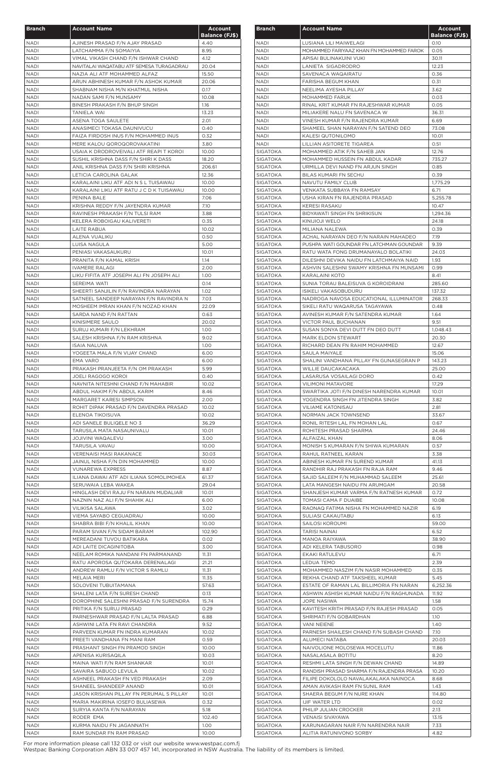| <b>Branch</b>              | <b>Account Name</b>                                                             | <b>Account</b>        |
|----------------------------|---------------------------------------------------------------------------------|-----------------------|
|                            |                                                                                 | <b>Balance (FJ\$)</b> |
| <b>NADI</b>                | AJINESH PRASAD F/N AJAY PRASAD                                                  | 4.40                  |
| <b>NADI</b>                | LATCHAMMA F/N SOMAIYIA                                                          | 8.95                  |
| <b>NADI</b><br><b>NADI</b> | VIMAL VIKASH CHAND F/N ISHWAR CHAND<br>NAVITALAI WAQATABU ATF SEMESA TURAGADRAU | 4.12<br>20.04         |
| <b>NADI</b>                | NAZIA ALI ATF MOHAMMED ALFAZ                                                    | 15.50                 |
| <b>NADI</b>                | ARUN ABHINESH KUMAR F/N ASHOK KUMAR                                             | 20.06                 |
| <b>NADI</b>                | SHABNAM NISHA M/N KHATMUL NISHA                                                 | 0.17                  |
| <b>NADI</b>                | NADAN SAMI F/N MUNSAMY                                                          | 10.08                 |
| <b>NADI</b>                | BINESH PRAKASH F/N BHUP SINGH                                                   | 1.16                  |
| NADI                       | TANIELA WAI                                                                     | 13.23                 |
| <b>NADI</b>                | ASENA TOGA SAULETE                                                              | 2.01                  |
| <b>NADI</b><br><b>NADI</b> | ANASIMECI TOKASA DAUNIVUCU<br>FAIZA FIRDOSH INUS F/N MOHAMMED INUS              | 0.40<br>0.32          |
| NADI                       | MERE KALOU QOROQOROVAKATINI                                                     | 3.80                  |
| <b>NADI</b>                | USAIA K DRODROVEIVALI ATF REAPI T KOROI                                         | 10.00                 |
| <b>NADI</b>                | SUSHIL KRISHNA DASS F/N SHIRI K DASS                                            | 18.20                 |
| <b>NADI</b>                | ANIL KRISHNA DASS F/N SHIRI KRISHNA                                             | 206.61                |
| <b>NADI</b>                | LETICIA CAROLINA GALAK                                                          | 12.36                 |
| <b>NADI</b>                | KARALAINI LIKU ATF ADI N S L TUISAWAU                                           | 10.00                 |
| <b>NADI</b>                | KARALAINI LIKU ATF RATU J C D K TUISAWAU                                        | 10.00                 |
| <b>NADI</b><br><b>NADI</b> | PENINA BALE<br>KRISHNA REDDY F/N JAYENDRA KUMAR                                 | 7.06<br>7.10          |
| <b>NADI</b>                | RAVINESH PRAKASH F/N TULSI RAM                                                  | 3.88                  |
| NADI                       | KELERA ROBOIGAU KALIVERETI                                                      | 0.35                  |
| <b>NADI</b>                | LAITE RABUA                                                                     | 10.02                 |
| NADI                       | ALENA VUALIKU                                                                   | 0.50                  |
| <b>NADI</b>                | LUISA NAGULA                                                                    | 5.00                  |
| <b>NADI</b>                | PENIASI VAKASAUKURU                                                             | 10.01                 |
| <b>NADI</b>                | PRANITA F/N KAMAL KRISH                                                         | 1.14                  |
| <b>NADI</b>                | <b>IVAMERE RALAGI</b>                                                           | 2.00                  |
| <b>NADI</b><br><b>NADI</b> | LIKU FIFITA ATF JOSEPH ALI FN JOSEPH ALI<br>SEREIMA WATI                        | 1.00<br>0.14          |
| <b>NADI</b>                | SHEERTI SANJILIN F/N RAVINDRA NARAYAN                                           | 1.02                  |
| <b>NADI</b>                | SATNEEL SANDEEP NARAYAN F/N RAVINDRA N                                          | 7.03                  |
| <b>NADI</b>                | MOSHEEM IMRAN KHAN F/N NOZAD KHAN                                               | 22.09                 |
| <b>NADI</b>                | SARDA NAND F/N RATTAN                                                           | 0.63                  |
| <b>NADI</b>                | KINISIMERE SAULO                                                                | 20.02                 |
| NADI                       | SURUJ KUMARI F/N LEKHRAM                                                        | 1.00                  |
| <b>NADI</b>                | SALESH KRISHNA F/N RAM KRISHNA                                                  | 9.02                  |
| <b>NADI</b>                | <b>ISAIA NALUVA</b>                                                             | 1.00                  |
| <b>NADI</b>                | YOGEETA MALA F/N VIJAY CHAND                                                    | 6.00                  |
| <b>NADI</b><br><b>NADI</b> | <b>EMA VARO</b><br>PRAKASH PRANJEETA F/N OM PRAKASH                             | 6.00<br>5.99          |
| <b>NADI</b>                | <b>JOELI RAGOGO KOROI</b>                                                       | 0.40                  |
| <b>NADI</b>                | NAVNITA NITESHNI CHAND F/N MAHABIR                                              | 10.02                 |
| <b>NADI</b>                | ABDUL HAKIM F/N ABDUL KARIM                                                     | 8.46                  |
| NADI                       | MARGARET KARESI SIMPSON                                                         | 2.00                  |
| <b>NADI</b>                | ROHIT DIPAK PRASAD F/N DAVENDRA PRASAD                                          | 10.02                 |
| <b>NADI</b>                | ELENOA TIKOISUVA                                                                | 10.02                 |
| <b>NADI</b>                | ADI SANELE BULIQELE NO 3                                                        | 36.29                 |
| NADI<br><b>NADI</b>        | TARUSILA MATA NASAUNIVALU                                                       | 10.01<br>3.00         |
| <b>NADI</b>                | <b>JOJIVINI WAQALEVU</b><br>TARUSILA VAVAU                                      | 10.00                 |
| <b>NADI</b>                | VERENAISI MASI RAKANACE                                                         | 30.03                 |
| <b>NADI</b>                | JAINUL NISHA F/N DIN MOHAMMED                                                   | 10.00                 |
| <b>NADI</b>                | <b>VUNAREWA EXPRESS</b>                                                         | 8.87                  |
| <b>NADI</b>                | ILIANA DAWAI ATF ADI ILIANA SOMOLIMOHEA                                         | 61.37                 |
| <b>NADI</b>                | SERUWAIA LEBA WAKEA                                                             | 29.04                 |
| <b>NADI</b>                | HINGLASH DEVI RAJU FN NARAIN MUDALIAR                                           | 10.01                 |
| <b>NADI</b>                | NAZNIN NAZ ALI F/N SHAHIK ALI                                                   | 6.00                  |
| NADI<br><b>NADI</b>        | VILIKISA SALAWA<br>VIEMA SAYABO CEGUADRAU                                       | 3.02<br>10.00         |
| <b>NADI</b>                | SHABRA BIBI F/N KHALIL KHAN                                                     | 10.00                 |
| NADI                       | PARAM SIVAN F/N SIDAM BARAM                                                     | 102.90                |
| NADI                       | MEREADANI TUVOU BATIKARA                                                        | 0.02                  |
| NADI                       | ADI LAITE DICAGINITOBA                                                          | 3.00                  |
| <b>NADI</b>                | NEELAM ROMIKA NANDANI FN PARMANAND                                              | 11.31                 |
| <b>NADI</b>                | RATU APOROSA QUTOKARA DERENALAGI                                                | 21.21                 |
| <b>NADI</b>                | ANDREW RAMLU F/N VICTOR S RAMLU                                                 | 11.31                 |
| <b>NADI</b>                | MELAIA MERI                                                                     | 11.35                 |
| <b>NADI</b><br><b>NADI</b> | SOLOVENI TUBUITAMANA<br>SHALENI LATA F/N SURESH CHAND                           | 57.63<br>0.13         |
| <b>NADI</b>                | DOROPHINE SALESHNI PRASAD F/N SURENDRA                                          | 15.74                 |
| <b>NADI</b>                | PRITIKA F/N SURUJ PRASAD                                                        | 0.29                  |
| <b>NADI</b>                | PARNESHWAR PRASAD F/N LALTA PRASAD                                              | 6.88                  |
| <b>NADI</b>                | ASHWINI LATA FN RAVI CHANDRA                                                    | 9.52                  |
| NADI                       | PARVEEN KUMAR FN INDRA KUMARAN                                                  | 10.02                 |
| NADI                       | PREETI VANDHANA FN MANI RAM                                                     | 0.59                  |
| <b>NADI</b>                | PRASHANT SINGH FN PRAMOD SINGH                                                  | 10.00                 |
| <b>NADI</b>                | APENISA KURISAQILA                                                              | 10.03                 |
| <b>NADI</b>                | MAINA WATI F/N RAM SHANKAR                                                      | 10.01                 |
| <b>NADI</b><br><b>NADI</b> | SAVAIRA SABUCO LEVULA<br>ASHNEEL PRAKASH FN VED PRAKASH                         | 10.02<br>2.09         |
| <b>NADI</b>                | SHANEEL SHANDEEP ANAND                                                          | 10.01                 |
| <b>NADI</b>                | JASON KRISHAN PILLAY FN PERUMAL S PILLAY                                        | 10.01                 |
| <b>NADI</b>                | MARIA MAKIRINA IOSEFO BULIASEWA                                                 | 0.32                  |
| <b>NADI</b>                | SURYIA KANTA F/N NARAYAN                                                        | 5.18                  |
| NADI                       | RODER EMA                                                                       | 102.40                |
| <b>NADI</b>                | KURMA NAIDU FN JAGANNATH                                                        | 1.00                  |
| <b>NADI</b>                | RAM SUNDAR FN RAM PRASAD                                                        | 10.00                 |

| <b>Branch</b>                      | <b>Account Name</b>                                                    | <b>Account</b>                |
|------------------------------------|------------------------------------------------------------------------|-------------------------------|
| <b>NADI</b>                        | LUSIANA LILI MAIWELAGI                                                 | <b>Balance (FJ\$)</b><br>0.10 |
| <b>NADI</b>                        | MOHAMMED FARIYAAZ KHAN FN MOHAMMED FAROK                               | 0.05                          |
| <b>NADI</b>                        | APISAI BULINAKUINI VUKI                                                | 30.11                         |
| <b>NADI</b>                        | LANIETA SIGADRODRO                                                     | 12.23                         |
| <b>NADI</b>                        | SAVENACA WAQAIRATU                                                     | 0.36                          |
| <b>NADI</b>                        | FARISHA BEGUM KHAN                                                     | 0.31                          |
| <b>NADI</b>                        | NEELIMA AYESHA PILLAY                                                  | 3.62                          |
| <b>NADI</b>                        | MOHAMMED FARUK                                                         | 0.03                          |
| <b>NADI</b>                        | RINAL KRIT KUMAR FN RAJESHWAR KUMAR                                    | 0.05                          |
| NADI                               | MILIAKERE NALU FN SAVENACA W                                           | 36.31                         |
| NADI<br>NADI                       | VINESH KUMAR F/N RAJENDRA KUMAR<br>SHAMEEL SHAN NARAYAN F/N SATEND DEO | 6.69<br>73.08                 |
| <b>NADI</b>                        | <b>KALESI QUTONILOMO</b>                                               | 10.01                         |
| <b>NADI</b>                        | LILLIAN ASITORETE TIGAREA                                              | 0.51                          |
| <b>SIGATOKA</b>                    | MOHAMMED ATIK F/N SAHEB JAN                                            | 12.76                         |
| <b>SIGATOKA</b>                    | MOHAMMED HUSSEIN FN ABDUL KADAR                                        | 735.27                        |
| <b>SIGATOKA</b>                    | URMILLA DEVI NAND FN ARJUN SINGH                                       | 0.85                          |
| <b>SIGATOKA</b>                    | BILAS KUMARI FN SECHU                                                  | 0.39                          |
| <b>SIGATOKA</b>                    | NAVUTU FAMILY CLUB                                                     | 1,775.29                      |
| <b>SIGATOKA</b>                    | VENKATA SUBBAYA FN RAMSAY                                              | 6.71                          |
| <b>SIGATOKA</b>                    | USHA KIRAN FN RAJENDRA PRASAD                                          | 5,255.78                      |
| <b>SIGATOKA</b>                    | <b>KERESI RASAKU</b>                                                   | 10.47                         |
| <b>SIGATOKA</b>                    | BIDYAWATI SINGH FN SHRIKISUN                                           | 1,294.36                      |
| <b>SIGATOKA</b>                    | KINIJIOJI WELO                                                         | 24.18                         |
| <b>SIGATOKA</b><br>SIGATOKA        | MILIANA NALEWA<br>ACHAL NARAYAN DEO F/N NARAIN MAHADEO                 | 0.39<br>7.19                  |
| <b>SIGATOKA</b>                    | PUSHPA WATI GOUNDAR FN LATCHMAN GOUNDAR                                | 9.39                          |
| SIGATOKA                           | RATU WATA FONG DRUMANAYALO BOLATIKI                                    | 24.03                         |
| SIGATOKA                           | DILESHNI DEVIKA NAIDU FN LATCHMAIYA NAID                               | 1.93                          |
| SIGATOKA                           | ASHVIN SALESHNI SWAMY KRISHNA FN MUNSAMI                               | 0.99                          |
| SIGATOKA                           | KARALAINI KOTO                                                         | 8.41                          |
| <b>SIGATOKA</b>                    | SUNIA TORAU BALEISUVA G KOROIDRANI                                     | 285.60                        |
| <b>SIGATOKA</b>                    | <b>ISIKELI VAKASOBUDURU</b>                                            | 137.32                        |
| <b>SIGATOKA</b>                    | NADROGA NAVOSA EDUCATIONAL ILLUMINATOR                                 | 268.33                        |
| <b>SIGATOKA</b>                    | SIKELI RATU WAQARUSA TAGAYAWA                                          | 0.48                          |
| SIGATOKA                           | AVINESH KUMAR F/N SATENDRA KUMAR                                       | 1.64                          |
| <b>SIGATOKA</b>                    | <b>VICTOR PAUL BUCHANAN</b>                                            | 9.51                          |
| SIGATOKA<br><b>SIGATOKA</b>        | SUSAN SONYA DEVI DUTT FN DEO DUTT<br>MARK ELDON STEWART                | 1,048.43<br>20.30             |
| <b>SIGATOKA</b>                    | RICHARD DEAN FN RAHIM MOHAMMED                                         | 12.67                         |
| <b>SIGATOKA</b>                    | SAULA MAIYALE                                                          | 15.06                         |
| SIGATOKA                           | SHALINI VANDHANA PILLAY FN GUNASEGRAN P                                | 143.23                        |
| SIGATOKA                           | WILLIE DAUCAKACAKA                                                     | 25.00                         |
| <b>SIGATOKA</b>                    | LASARUSA VOSAILAGI DORO                                                | 0.42                          |
| <b>SIGATOKA</b>                    | <b>VILIMONI MATAVORE</b>                                               | 17.29                         |
| SIGATOKA                           | SWARTIKA JOTI F/N DINESH NARENDRA KUMAR                                | 10.01                         |
| SIGATOKA                           | YOGENDRA SINGH FN JITENDRA SINGH                                       | 3.82                          |
| <b>SIGATOKA</b>                    | <b>VILIAME KATONISAU</b>                                               | 2.81                          |
| SIGATOKA                           | NORMAN JACK TOWNSEND                                                   | 33.67                         |
| SIGATOKA                           | RONIL RITESH LAL FN MOHAN LAL                                          | 0.67<br>24.46                 |
| SIGATOKA<br>SIGATOKA               | ROHITESH PRASAD SHARMA<br>ALFAIZAL KHAN                                | 8.06                          |
| SIGATOKA                           | MONISH S KUMARAN F/N SHIWA KUMARAN                                     | 0.57                          |
| <b>SIGATOKA</b>                    | RAHUL RATNEEL KARAN                                                    | 3.38                          |
| <b>SIGATOKA</b>                    | ABINESH KUMAR FN SUREND KUMAR                                          | 41.13                         |
| SIGATOKA                           | RANDHIR RAJ PRAKASH FN RAJA RAM                                        | 9.46                          |
| SIGATOKA                           | SAJID SALEEM F/N MUHAMMAD SALEEM                                       | 25.61                         |
| SIGATOKA                           | LATA MANGESH NAIDU FN ARUMGAM                                          | 20.58                         |
| SIGATOKA                           | SHANJESH KUMAR VARMA F/N RATNESH KUMAR                                 | 0.72                          |
| SIGATOKA                           | TOMASI CAMA F DUAIBE                                                   | 10.08                         |
| SIGATOKA                           | RAONAQ FATIMA NISHA FN MOHAMMED NAZIR                                  | 6.19                          |
| SIGATOKA                           | SULIASI CAKAUTABU                                                      | 6.13                          |
| <b>SIGATOKA</b>                    | SAILOSI KOROUMI                                                        | 59.00                         |
| <b>SIGATOKA</b><br><b>SIGATOKA</b> | TARISI NAINAI<br>MANOA RAIYAWA                                         | 6.52<br>38.90                 |
| SIGATOKA                           | ADI KELERA TABUSORO                                                    | 0.98                          |
| <b>SIGATOKA</b>                    | EKAKI RATULEVU                                                         | 6.71                          |
| <b>SIGATOKA</b>                    | <b>LEDUA TEMO</b>                                                      | 2.39                          |
| <b>SIGATOKA</b>                    | MOHAMMED NASZIM F/N NASIR MOHAMMED                                     | 0.35                          |
| <b>SIGATOKA</b>                    | REKHA CHAND ATF TAKSHEEL KUMAR                                         | 5.45                          |
| <b>SIGATOKA</b>                    | ESTATE OF RAMAN LAL BILLIMORIA FN NARAN                                | 6,252.36                      |
| <b>SIGATOKA</b>                    | ASHWIN ASHISH KUMAR NAIDU F/N RAGHUNADA                                | 11.92                         |
| <b>SIGATOKA</b>                    | JOPE NASIWA                                                            | 1.58                          |
| <b>SIGATOKA</b>                    | KAVITESH KRITH PRASAD F/N RAJESH PRASAD                                | 0.05                          |
| <b>SIGATOKA</b>                    | SHRIMATI F/N GOBARDHAN                                                 | 1.10                          |
| <b>SIGATOKA</b><br>SIGATOKA        | <b>VANI NEIENE</b><br>PARNESH SHAILESH CHAND F/N SUBASH CHAND          | 1.40<br>7.10                  |
| <b>SIGATOKA</b>                    | ALUMECI NATABA                                                         | 20.03                         |
| SIGATOKA                           | NAIVOLIONE MOLOSEWA MOCELUTU                                           | 11.86                         |
| <b>SIGATOKA</b>                    | NASALASALA BOTITU                                                      | 8.20                          |
| SIGATOKA                           | RESHMI LATA SINGH F/N DEWAN CHAND                                      | 14.89                         |
| <b>SIGATOKA</b>                    | RANDISH PRASAD SHARMA F/N RAJENDRA PRASA                               | 10.20                         |
| <b>SIGATOKA</b>                    | FILIPE DOKOLOLO NAVALAKALAKA NAINOCA                                   | 8.68                          |
| <b>SIGATOKA</b>                    | AMAN AVIKASH RAM FN SUNIL RAM                                          | 1.43                          |
| <b>SIGATOKA</b>                    | SHAERA BEGUM F/N NURE KHAN                                             | 114.80                        |
| <b>SIGATOKA</b>                    | IJIF WATER LTD                                                         | 0.02                          |
| SIGATOKA                           | PHILIP JULIAN CROCKER                                                  | 2.13                          |
| <b>SIGATOKA</b>                    | <b>VENAISI SIVAYAWA</b>                                                | 13.15                         |
| SIGATOKA<br>SIGATOKA               | KARUNAGARAN NAIR F/N NARENDRA NAIR<br>ALITIA RATUNIVONO SORBY          | 7.33<br>4.82                  |
|                                    |                                                                        |                               |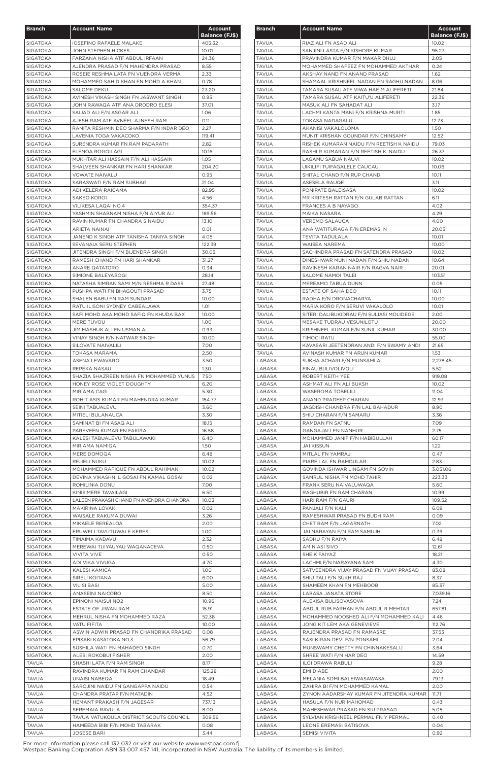| <b>Branch</b>                      | <b>Account Name</b>                                                        | <b>Account</b>        |
|------------------------------------|----------------------------------------------------------------------------|-----------------------|
|                                    |                                                                            | <b>Balance (FJ\$)</b> |
| <b>SIGATOKA</b>                    | <b>IOSEFINO RAFAELE MALAKE</b>                                             | 405.32                |
| <b>SIGATOKA</b>                    | <b>JOHN STEPHEN HICKES</b>                                                 | 10.01                 |
| <b>SIGATOKA</b>                    | FARZANA NISHA ATF ABDUL IRFAAN                                             | 24.36                 |
| <b>SIGATOKA</b>                    | AJENDRA PRASAD F/N MAHENDRA PRASAD                                         | 8.55                  |
| <b>SIGATOKA</b><br><b>SIGATOKA</b> | ROSEIE RESHMA LATA FN VIJENDRA VERMA<br>MOHAMMED SAHID KHAN FN MOHD A KHAN | 2.33<br>0.78          |
| <b>SIGATOKA</b>                    | <b>SALOME DEKU</b>                                                         | 23.20                 |
| <b>SIGATOKA</b>                    | AVINESH VIKASH SINGH FN JASWANT SINGH                                      | 0.95                  |
| <b>SIGATOKA</b>                    | JOHN RAWAQA ATF ANA DRODRO ELESI                                           | 37.01                 |
| <b>SIGATOKA</b>                    | SAIJAD ALI F/N ASGAR ALI                                                   | 1.06                  |
| <b>SIGATOKA</b>                    | AJESH RAM ATF AVNEEL AJNESH RAM                                            | 0.11                  |
| <b>SIGATOKA</b>                    | RANITA RESHMIN DEO SHARMA F/N INDAR DEO                                    | 2.27                  |
| <b>SIGATOKA</b>                    | LAVENIA TOGA VAKACOKO                                                      | 119.41                |
| <b>SIGATOKA</b>                    | SURENDRA KUMAR FN RAM PADARATH                                             | 2.82                  |
| <b>SIGATOKA</b>                    | ELENOA ROGOILAGI                                                           | 10.16                 |
| SIGATOKA                           | MUKHTAR ALI HASSAIN F/N ALI HASSAIN                                        | 1.05                  |
| <b>SIGATOKA</b>                    | SHALVEEN SHANKAR FN HARI SHANKAR<br><b>VOWATE NAIVALU</b>                  | 204.20                |
| <b>SIGATOKA</b><br><b>SIGATOKA</b> | SARASWATI F/N RAM SUBHAG                                                   | 0.95<br>21.04         |
| <b>SIGATOKA</b>                    | ADI KELERA RAICAMA                                                         | 82.95                 |
| <b>SIGATOKA</b>                    | <b>SAKEO KOROI</b>                                                         | 4.56                  |
| <b>SIGATOKA</b>                    | VILIKESA LAQAI NO.4                                                        | 354.37                |
| SIGATOKA                           | YASHMIN SHABNAM NISHA F/N AIYUB ALI                                        | 189.56                |
| <b>SIGATOKA</b>                    | RAVIN KUMAR FN CHANDRA S NAIDU                                             | 13.10                 |
| SIGATOKA                           | ARIETA NAINAI                                                              | 0.01                  |
| <b>SIGATOKA</b>                    | JANEND K SINGH ATF TANISHA TANIYA SINGH                                    | 4.05                  |
| <b>SIGATOKA</b>                    | SEVANAIA SERU STEPHEN                                                      | 122.39                |
| <b>SIGATOKA</b>                    | JITENDRA SINGH F/N BIJENDRA SINGH                                          | 30.05                 |
| <b>SIGATOKA</b>                    | RAMESH CHAND FN HARI SHANKAR                                               | 31.27                 |
| SIGATOKA                           | ANARE QATATORO                                                             | 0.34                  |
| <b>SIGATOKA</b><br><b>SIGATOKA</b> | SIMIONE BALEYABOGI<br>NATASHA SIMRAN SAMI M/N RESHMA R DASS                | 28.14<br>27.48        |
| <b>SIGATOKA</b>                    | PUSHPA WATI FN BHAGOUTI PRASAD                                             | 3.75                  |
| <b>SIGATOKA</b>                    | SHALEN BABU FN RAM SUNDAR                                                  | 10.00                 |
| <b>SIGATOKA</b>                    | RATU ILISONI SYDNEY CABEALAWA                                              | 1.01                  |
| <b>SIGATOKA</b>                    | SAFI MOHD AKA MOHD SAFIQ FN KHUDA BAX                                      | 10.00                 |
| SIGATOKA                           | MERE TUVOU                                                                 | 1.00                  |
| <b>SIGATOKA</b>                    | JIM MASHUK ALI FN USMAN ALI                                                | 0.93                  |
| SIGATOKA                           | VINAY SINGH F/N NATWAR SINGH                                               | 10.00                 |
| <b>SIGATOKA</b>                    | SILOVATE NAIVALILI                                                         | 7.00                  |
| <b>SIGATOKA</b>                    | <b>TOKASA MARAMA</b>                                                       | 2.50                  |
| <b>SIGATOKA</b>                    | ASENA LEWAVARO                                                             | 3.50                  |
| <b>SIGATOKA</b>                    | REPEKA NASAU                                                               | 1.30                  |
| <b>SIGATOKA</b><br><b>SIGATOKA</b> | SHAZIA SHAZREEN NISHA FN MOHAMMED YUNUS<br>HONEY ROSE VIOLET DOUGHTY       | 7.50<br>6.20          |
| <b>SIGATOKA</b>                    | MIRIAMA CAGI                                                               | 5.30                  |
| <b>SIGATOKA</b>                    | ROHIT ASIS KUMAR FN MAHENDRA KUMAR                                         | 154.77                |
| <b>SIGATOKA</b>                    | SEINI TABUALEVU                                                            | 3.60                  |
| <b>SIGATOKA</b>                    | MITIELI BULANAUCA                                                          | 3.30                  |
| <b>SIGATOKA</b>                    | SAMINAT BI FN ASAQ ALI                                                     | 18.15                 |
| <b>SIGATOKA</b>                    | PAREVEEN KUMAR FN FAKIRA                                                   | 16.58                 |
| <b>SIGATOKA</b>                    | KALESI TABUALEVU TABULAWAKI                                                | 6.40                  |
| <b>SIGATOKA</b>                    | MIRIAMA NAMIQA                                                             | 1.50                  |
| <b>SIGATOKA</b>                    | MERE DOMOQA                                                                | 6.48                  |
| <b>SIGATOKA</b>                    | REJIELI NUKU                                                               | 10.02                 |
| <b>SIGATOKA</b>                    | MOHAMMED RAFIQUE FN ABDUL RAHIMAN                                          | 10.02                 |
| <b>SIGATOKA</b><br><b>SIGATOKA</b> | DEVINA VIKASHNI L GOSAI FN KAMAL GOSAI<br>ROMILINIA DONU                   | 0.02<br>7.00          |
| <b>SIGATOKA</b>                    | KINISIMERE TAVAILAGI                                                       | 6.50                  |
| <b>SIGATOKA</b>                    | LALEEN PRAKASH CHAND FN AMENDRA CHANDRA                                    | 10.03                 |
| <b>SIGATOKA</b>                    | MAKIRINA LOVAKI                                                            | 0.02                  |
| <b>SIGATOKA</b>                    | WAISALE RAKUMA DUWAI                                                       | 3.26                  |
| <b>SIGATOKA</b>                    | MIKAELE REREALOA                                                           | 2.00                  |
| <b>SIGATOKA</b>                    | ERUWELI TAVUTUWALE KERESI                                                  | 1.00                  |
| <b>SIGATOKA</b>                    | TIMAIMA KADAVU                                                             | 2.32                  |
| <b>SIGATOKA</b>                    | MEREWAI TUIYAUYAU WAQANACEVA                                               | 0.50                  |
| <b>SIGATOKA</b>                    | <b>VIVITA VIVE</b>                                                         | 0.50                  |
| <b>SIGATOKA</b>                    | ADI VIKA VIVUGA                                                            | 4.70                  |
| <b>SIGATOKA</b>                    | KALESI KAMICA<br><b>SIRELI KOITANA</b>                                     | 1.00                  |
| <b>SIGATOKA</b><br><b>SIGATOKA</b> | <b>VILISI BASI</b>                                                         | 6.00<br>5.00          |
| <b>SIGATOKA</b>                    | ANASEINI NAICOBO                                                           | 8.50                  |
| <b>SIGATOKA</b>                    | EPINONI NAISUI NO2                                                         | 10.96                 |
| <b>SIGATOKA</b>                    | ESTATE OF JIWAN RAM                                                        | 15.91                 |
| <b>SIGATOKA</b>                    | MEHRUL NISHA FN MOHAMMED RAZA                                              | 52.38                 |
| <b>SIGATOKA</b>                    | VATU FIFITA                                                                | 10.00                 |
| <b>SIGATOKA</b>                    | ASWIN ADWIN PRASAD FN CHANDRIKA PRASAD                                     | 0.08                  |
| <b>SIGATOKA</b>                    | EPISAKI KASATOKA NO.3                                                      | 56.79                 |
| <b>SIGATOKA</b>                    | SUSHILA WATI FN MAHADEO SINGH                                              | 0.70                  |
| <b>SIGATOKA</b>                    | <b>ALESI ROKOBUI FISHER</b>                                                | 2.00                  |
| <b>TAVUA</b>                       | SHASHI LATA F/N RAM SINGH                                                  | 8.17                  |
| <b>TAVUA</b>                       | RAVINDRA KUMAR FN RAM CHANDAR                                              | 125.28                |
| TAVUA                              | UNAISI NABEQA                                                              | 18.49                 |
| <b>TAVUA</b>                       | SAROJINI NAIDU FN GANGAPPA NAIDU                                           | 0.54                  |
| <b>TAVUA</b><br><b>TAVUA</b>       | CHANDRA PRATAP F/N MATADIN<br>HEMANT PRAKASH F/N JAGESAR                   | 4.52<br>737.13        |
| <b>TAVUA</b>                       | SEREMAIA RAVULA                                                            | 8.00                  |
| <b>TAVUA</b>                       | TAVUA VATUKOULA DISTRICT SCOUTS COUNCIL                                    | 309.56                |
| <b>TAVUA</b>                       | HAMEEDA BIBI F/N MOHD TABARAK                                              | 0.08                  |
| <b>TAVUA</b>                       | <b>JOSESE BARI</b>                                                         | 3.44                  |

| <b>Branch</b>    | <b>Account Name</b>                                                           | <b>Account</b><br><b>Balance (FJ\$)</b> |
|------------------|-------------------------------------------------------------------------------|-----------------------------------------|
| <b>TAVUA</b>     | RIAZ ALI FN ASAD ALI                                                          | 10.02                                   |
| <b>TAVUA</b>     | SANJINI LASTA F/N KISHORE KUMAR                                               | 95.27                                   |
| <b>TAVUA</b>     | PRAVINDRA KUMAR F/N MAKAR DHUJ                                                | 2.05                                    |
| <b>TAVUA</b>     | MOHAMMED SHAFEEZ FN MOHAMMED AKTHAR                                           | 0.24                                    |
| <b>TAVUA</b>     | AKSHAY NAND FN ANAND PRASAD                                                   | 1.62                                    |
| <b>TAVUA</b>     | SHAMAAL KRISHNEEL NADAN FN RAGHU NADAN                                        | 8.06                                    |
| <b>TAVUA</b>     | TAMARA SUSAU ATF VIWA HAE M ALIFERETI                                         | 21.84                                   |
| <b>TAVUA</b>     | TAMARA SUSAU ATF KAITU'U ALIFERETI                                            | 22.36                                   |
| <b>TAVUA</b>     | MASUK ALI FN SAHADAT ALI                                                      | 3.17                                    |
| TAVUA            | LACHMI KANTA MANI F/N KRISHNA MURTI                                           | 1.85                                    |
| <b>TAVUA</b>     | <b>TOKASA NADAGALU</b>                                                        | 12.73                                   |
| <b>TAVUA</b>     | AKANISI VAKALOLOMA                                                            | 1.50                                    |
| <b>TAVUA</b>     | MUNIT KRISHAN GOUNDAR F/N CHINSAMY                                            | 12.52                                   |
| <b>TAVUA</b>     | RISHEK KUMARAN NAIDU F/N REETISH K NAIDU                                      | 79.03                                   |
| <b>TAVUA</b>     | RASHI R KUMARAN F/N REETISH K. NAIDU                                          | 26.37                                   |
| <b>TAVUA</b>     | LAGAMU SABUA NAUVI                                                            | 10.02                                   |
| <b>TAVUA</b>     | UIKILIFI TUIFAGALELE CAUCAU                                                   | 10.06                                   |
| <b>TAVUA</b>     | SHITAL CHAND F/N RUP CHAND                                                    | 10.11                                   |
| <b>TAVUA</b>     | ASESELA RAUQE                                                                 | 3.11                                    |
| <b>TAVUA</b>     | PONIPATE BALEISASA                                                            | 10.02                                   |
| <b>TAVUA</b>     | MR KRITESH RATTAN F/N GULAB RATTAN                                            | 6.11                                    |
| TAVUA            | FRANCES A B NAYAGO                                                            | 4.02                                    |
| <b>TAVUA</b>     | MAIKA NASARA                                                                  | 4.29                                    |
| <b>TAVUA</b>     | <b>VEREMO SALAUCA</b>                                                         | 4.00                                    |
| <b>TAVUA</b>     | ANA WATITURAGA F/N EREMASI N                                                  | 20.05                                   |
| <b>TAVUA</b>     | <b>TEVITA TADULALA</b>                                                        | 10.01                                   |
| <b>TAVUA</b>     | <b>WAISEA NAREMA</b>                                                          | 10.00                                   |
| <b>TAVUA</b>     | SACHINDRA PRASAD FN SATENDRA PRASAD                                           | 10.02                                   |
| <b>TAVUA</b>     | DINESHWAR MUNI NADAN F/N SHIU NADAN                                           | 10.64                                   |
| <b>TAVUA</b>     | RAVINESH KARAN NAIR F/N RAGVA NAIR                                            | 20.01                                   |
| <b>TAVUA</b>     | SALOME NAMOI TALEI                                                            | 103.51                                  |
| <b>TAVUA</b>     | MEREAMO TABUA DUNN                                                            | 0.05                                    |
| <b>TAVUA</b>     | ESTATE OF SAHA DEO                                                            | 10.11                                   |
| <b>TAVUA</b>     | RADHA F/N DRONACHARYA                                                         | 10.00                                   |
| <b>TAVUA</b>     | MARIA KORO F/N SERUVI VAKALOLO                                                | 10.01                                   |
| <b>TAVUA</b>     | SITERI DALIBUKIDRAU F/N SULIASI MOLIDEGE                                      | 2.00                                    |
| <b>TAVUA</b>     | MESAKE TUDRAU VESUNILOTU                                                      | 20.00                                   |
| <b>TAVUA</b>     | KRISHNEEL KUMAR F/N SUNIL KUMAR                                               | 30.00                                   |
| <b>TAVUA</b>     | <b>TIMOCI RATU</b>                                                            | 55.00                                   |
| <b>TAVUA</b>     | KAVASARI JEETENDRAN ANDI F/N SWAMY ANDI                                       | 21.65                                   |
| <b>TAVUA</b>     | AVINASH KUMAR FN ARUN KUMAR                                                   | 1.53                                    |
| LABASA           | SUKHA ACHARI F/N MUNSAMI A                                                    | 2.278.45                                |
| LABASA           | FINAU BULIVOLIVOLI                                                            | 5.52                                    |
| LABASA           | ROBERT KEITH YEE                                                              | 919.08                                  |
| LABASA           | ASHMAT ALI FN ALI BUKSH                                                       | 10.02                                   |
| LABASA           |                                                                               | 11.04                                   |
|                  | WASEROMA TOBELILI                                                             | 12.93                                   |
| LABASA           | ANAND PRADEEP CHARAN                                                          |                                         |
| LABASA           | JAGDISH CHANDRA F/N LAL BAHADUR                                               | 8.90                                    |
| LABASA           | SHIU CHARAN F/N SAMARU                                                        | 3.36                                    |
| LABASA           | RAMDAN FN SATNU                                                               | 7.09                                    |
| LABASA           | <b>GANGAJALI FN NANHUR</b>                                                    | 2.75                                    |
| LABASA           | MOHAMMED JANIF F/N HABIBULLAH                                                 | 60.17                                   |
| LABASA           | <b>JAI KISSUN</b>                                                             | 1.22                                    |
| LABASA           | MITLAL FN YAMRAJ                                                              | 0.47                                    |
| LABASA           | PIARE LAL FN RAMDULAR                                                         | 2.83                                    |
| LABASA           | GOVINDA ISHWAR LINGAM FN GOVIN                                                | 3,051.06                                |
| LABASA           | SAMRUL NISHA FN MOHD TAHIR                                                    | 223.33                                  |
| LABASA           | FRANK SERU NAIVALUWAQA                                                        | 5.60                                    |
| LABASA           | RAGHUBIR FN RAM CHARAN                                                        | 10.99                                   |
| LABASA           | HARI RAM F/N GAURI                                                            | 109.52                                  |
| LABASA           | PANJALI F/N KALI                                                              | 6.09                                    |
| LABASA           | RAMESHWAR PRASAD FN BUDH RAM                                                  | 0.09                                    |
| LABASA           | CHET RAM F/N JAGARNATH                                                        | 7.02                                    |
| LABASA           | JAI NARAYAN F/N RAM SAMUJH                                                    | 0.39                                    |
| LABASA           | SADHU F/N RAIYA                                                               | 6.48                                    |
| LABASA           | AMINIASI SIVO                                                                 | 12.61                                   |
| LABASA           | SHEIK FAIYAZ                                                                  | 18.21                                   |
| LABASA<br>LABASA | LACHMI F/N NARAYANA SAMI<br>SATVEENDRA VIJAY PRASAD FN VIJAY PRASAD           | 4.30<br>83.08                           |
|                  |                                                                               |                                         |
| LABASA<br>LABASA | SHIU PALI F/N SUKH RAJ<br>SHAMEEM KHAN FN MEHBOOB                             | 8.37<br>85.37                           |
|                  |                                                                               |                                         |
| LABASA<br>LABASA | LABASA JANATA STORE<br>ALEKISA BULISOVASOVA                                   | 7,039.16<br>7.24                        |
| LABASA           |                                                                               |                                         |
|                  | ABDUL RUB FARHAN F/N ABDUL R MEHTAR<br>MOHAMMED NOOSHED ALI F/N MOHAMMED KALI | 657.81<br>4.46                          |
| LABASA           |                                                                               |                                         |
| LABASA           | JONG KIT LEM AKA GENEVIEVE                                                    | 112.76                                  |
| LABASA           | RAJENDRA PRASAD FN RAMASRE                                                    | 37.53                                   |
| LABASA           | SASI KIRAN DEVI F/N PONSAMI                                                   | 2.04                                    |
| LABASA           | MUNSWAMY CHETTY FN CHINNAKESALU                                               | 3.64                                    |
| LABASA           | SHREE WATI F/N HAR DEO                                                        | 14.59                                   |
| LABASA           | <b>ILOI DRAWA RABULI</b>                                                      | 9.28                                    |
| LABASA           | EMI DIABE                                                                     | 2.00                                    |
| LABASA           | MELANIA SOMI BALEIWASAWASA                                                    | 79.13                                   |
| LABASA           | ZAHIRA BI F/N MOHAMMED KAMAL                                                  | 2.00                                    |
| LABASA           | ZYNON AADARSHAY KUMAR FN JITENDRA KUMAR                                       | 11.71                                   |
| LABASA           | HASULA F/N NUR MAHOMAD                                                        | 0.43                                    |
| LABASA           | MAHESHWAR PRASAD FN SIU PRASAD                                                | 5.05                                    |
| LABASA           | SYLVIAN KRISHNEEL PERMAL FN Y PERMAL                                          | 0.40                                    |
| LABASA           | LEONE EREMASI BATISOVA                                                        | 0.04                                    |
| LABASA           | SEMISI VIVITA                                                                 | 0.92                                    |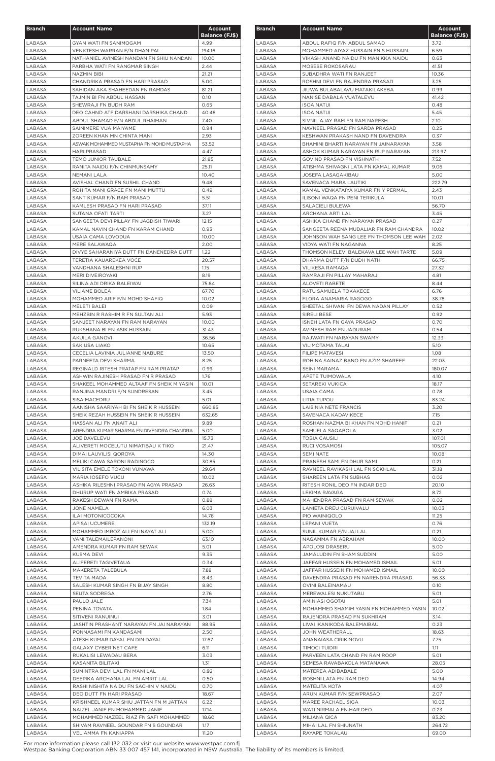| <b>Branch</b>    | <b>Account Name</b>                                                          | <b>Account</b>        |
|------------------|------------------------------------------------------------------------------|-----------------------|
|                  |                                                                              | <b>Balance (FJ\$)</b> |
| LABASA           | <b>GYAN WATI FN SANIMOGAM</b>                                                | 4.99                  |
| LABASA           | VENKTESH WARRAN F/N DHAN PAL                                                 | 194.16                |
| LABASA           | NATHANIEL AVINESH NANDAN FN SHIU NANDAN                                      | 10.00                 |
| LABASA<br>LABASA | PARBHA WATI FN RANGMAR SINGH<br>NAZMIN BIBI                                  | 2.44<br>21.21         |
| LABASA           | CHANDRIKA PRASAD FN HARI PRASAD                                              | 5.00                  |
| LABASA           | SAHIDAN AKA SHAHEEDAN FN RAMDAS                                              | 81.21                 |
| LABASA           | TAJMIN BI FN ABDUL HASSAN                                                    | 0.10                  |
| LABASA           | SHEWRAJI FN BUDH RAM                                                         | 0.65                  |
| LABASA           | DEO CAHND ATF DARSHANI DARSHIKA CHAND                                        | 40.48                 |
| LABASA           | ABDUL SHAMAD F/N ABDUL RHAIMAN                                               | 7.40                  |
| LABASA           | SAINIMERE VUA MAIYAME                                                        | 0.94                  |
| LABASA           | ZOREEN KHAN MN CHINTA MANI                                                   | 2.93                  |
| LABASA           | ASWAK MOHAMMED MUSTAPHA FN MOHD MUSTAPHA                                     | 53.52                 |
| LABASA           | <b>HARI PRASAD</b>                                                           | 4.47                  |
| LABASA<br>LABASA | <b>TEMO JUNIOR TAUBALE</b><br>RANITA NAIDU F/N CHINMUNSAMY                   | 21.85<br>25.11        |
| LABASA           | NEMANI LALA                                                                  | 10.40                 |
| LABASA           | AVISHAL CHAND FN SUSHIL CHAND                                                | 9.48                  |
| LABASA           | ROHITA MANI GRACE FN MANI MUTTU                                              | 0.49                  |
| LABASA           | SANT KUMAR F/N RAM PRASAD                                                    | 5.51                  |
| LABASA           | KAMLESH PRASAD FN HARI PRASAD                                                | 37.11                 |
| LABASA           | SUTANA OFATI TARTI                                                           | 3.27                  |
| LABASA           | SANGEETA DEVI PILLAY FN JAGDISH TIWARI                                       | 12.15                 |
| LABASA           | KAMAL NAVIN CHAND FN KARAM CHAND                                             | 0.93                  |
| LABASA           | USAIA CAMA LOVODUA                                                           | 10.00                 |
| LABASA           | MERE SALAWAQA                                                                | 2.00                  |
| LABASA           | DIVYE SAHARANIYA DUTT FN DANENEDRA DUTT                                      | 1.22                  |
| LABASA           | TERETIA KAUAREKEA VOCE                                                       | 20.57                 |
| LABASA<br>LABASA | VANDHANA SHALESHNI RUP<br><b>MERI DIVEIROYAKI</b>                            | 1.15<br>8.19          |
|                  |                                                                              |                       |
| LABASA<br>LABASA | SILINA ADI DRIKA BALEIWAI<br><b>VILIAME BOLEA</b>                            | 75.84<br>67.70        |
| LABASA           | MOHAMMED ARIF F/N MOHD SHAFIQ                                                | 10.02                 |
| LABASA           | MELETI BALEI                                                                 | 0.09                  |
| LABASA           | MEHZBIN R RASHIM R FN SULTAN ALI                                             | 5.93                  |
| LABASA           | SANJEET NARAYAN FN RAM NARAYAN                                               | 10.00                 |
| LABASA           | RUKSHANA BI FN ASIK HUSSAIN                                                  | 31.43                 |
| LABASA           | AKUILA GANOVI                                                                | 36.56                 |
| LABASA           | SAKIUSA LIAKO                                                                | 10.65                 |
| LABASA           | CECELIA LAVINIA JULIANNE NABURE                                              | 13.50                 |
| LABASA           | PARNEETA DEVI SHARMA                                                         | 8.25                  |
| LABASA           | REGINALD RITESH PRATAP FN RAM PRATAP                                         | 0.99                  |
| LABASA           | ASHWIN RAJINESH PRASAD FN R PRASAD                                           | 1.76                  |
| LABASA<br>LABASA | SHAKEEL MOHAMMED ALTAAF FN SHEIK M YASIN<br>RANJINA MANDRI F/N SUNDRESAN     | 10.01<br>3.45         |
| LABASA           | SISA MACEDRU                                                                 | 5.01                  |
| LABASA           | AANISHA SAARIYAH BI FN SHEIK R HUSSEIN                                       | 660.85                |
| LABASA           | SHEIK REZAH HUSSEIN FN SHEIK R HUSSEIN                                       | 632.65                |
| LABASA           | HASSAN ALI FN ANAIT ALI                                                      | 9.89                  |
| LABASA           | ARENDRA KUMAR SHARMA FN DIVENDRA CHANDRA                                     | 5.00                  |
| LABASA           | JOE DAVELEVU                                                                 | 15.73                 |
| LABASA           | ALIVERETI MOCELUTU NIMATIBAU K TIKO                                          | 21.47                 |
| LABASA           | DIMAI LAUVILISI QOROYA                                                       | 14.30                 |
| LABASA           | MELIKI CAWA SARONI RADINOCO                                                  | 30.85                 |
| LABASA           | VILISITA EMELE TOKONI VUNAWA                                                 | 29.64                 |
| LABASA<br>LABASA | MARIA IOSEFO VUCU<br>ASHIKA RILESHNI PRASAD FN AGYA PRASAD                   | 10.02<br>26.63        |
| LABASA           | DHURUP WATI FN AMBIKA PRASAD                                                 | 0.74                  |
| LABASA           | RAKESH DEWAN FN RAMA                                                         | 0.88                  |
| LABASA           | JONE NAMELA                                                                  | 6.03                  |
| LABASA           | ILAI MOTONICOCOKA                                                            | 14.76                 |
| LABASA           | APISAI UCUMERE                                                               | 132.19                |
| LABASA           | MOHAMMED IMROZ ALI FN INAYAT ALI                                             | 5.00                  |
| LABASA           | <b>VANI TALEMAILEPANONI</b>                                                  | 63.10                 |
| LABASA           | AMENDRA KUMAR FN RAM SEWAK                                                   | 5.01                  |
| LABASA           | KUSMA DEVI                                                                   | 9.35                  |
| LABASA           | ALIFERETI TAGIVETAUA                                                         | 0.34                  |
| LABASA           | MAKERETA TALEBULA                                                            | 7.88                  |
| LABASA<br>LABASA | <b>TEVITA MADA</b><br>SALESH KUMAR SINGH FN BIJAY SINGH                      | 8.43<br>8.80          |
| LABASA           | SEUTA SODREGA                                                                | 2.76                  |
| LABASA           | PAULO JALE                                                                   | 7.34                  |
| LABASA           | PENINA TOVATA                                                                | 1.84                  |
| LABASA           | SITIVENI RANUINUI                                                            | 3.01                  |
| LABASA           | JASHTIN PRASHANT NARAYAN FN JAI NARAYAN                                      | 88.95                 |
| LABASA           | PONNASAMI FN KANDASAMI                                                       | 2.50                  |
| LABASA           | ATESH KUMAR DAYAL FN DIN DAYAL                                               | 17.67                 |
| LABASA           | <b>GALAXY CYBER NET CAFE</b>                                                 | 6.11                  |
| LABASA           | RUKALISI LEWADAU BERA                                                        | 3.03                  |
| LABASA           | KASANITA BILITAKI                                                            | 1.31                  |
| LABASA           | SUMINTRA DEVI LAL FN MANI LAL                                                | 0.92                  |
| LABASA           | DEEPIKA ARCHANA LAL FN AMRIT LAL                                             | 0.50                  |
| LABASA           | RASHI NISHITA NAIDU FN SACHIN V NAIDU                                        | 0.70                  |
| LABASA           | DEO DUTT FN HARI PRASAD                                                      | 18.67                 |
| LABASA           | KRISHNEEL KUMAR SHIU JATTAN FN M JATTAN                                      | 6.22                  |
| LABASA<br>LABASA | NAIZEL JANIF FN MOHAMMED JANIF                                               | 17.14                 |
| LABASA           | MOHAMMED NAZEEL RIAZ FN SAFI MOHAMMED<br>SHIVAM RAVNEEL GOUNDAR FN S GOUNDAR | 18.60<br>1.17         |
| LABASA           | VELIAMMA FN KANIAPPA                                                         | 11.20                 |
|                  |                                                                              |                       |

| <b>Branch</b>    | <b>Account Name</b>                                                      | <b>Account</b><br><b>Balance (FJ\$)</b> |
|------------------|--------------------------------------------------------------------------|-----------------------------------------|
| LABASA           | ABDUL RAFIQ F/N ABDUL SAMAD                                              | 3.72                                    |
| LABASA           | MOHAMMED AIYAZ HUSSAIN FN S HUSSAIN                                      | 6.59                                    |
| LABASA           | VIKASH ANAND NAIDU FN MANIKKA NAIDU                                      | 0.63                                    |
| LABASA           | MOSESE ROKOSARAU                                                         | 41.51                                   |
| LABASA           | SUBADHRA WATI FN RANJEET                                                 | 10.36                                   |
| LABASA<br>LABASA | ROSHNI DEVI FN RAJENDRA PRASAD<br>JIUWA BULABALAVU MATAKILAKEBA          | 3.25<br>0.99                            |
| LABASA           | NANISE DABALA VUATALEVU                                                  | 41.42                                   |
| LABASA           | <b>ISOA NATUI</b>                                                        | 0.48                                    |
| LABASA           | ISOA NATUI                                                               | 5.45                                    |
| LABASA           | SIVNIL AJAY RAM FN RAM NARESH                                            | 2.10                                    |
| LABASA           | NAVNEEL PRASAD FN SARDA PRASAD                                           | 0.25                                    |
| LABASA<br>LABASA | KESHWAN PRAKASH NAND FN DAVENDRA<br>BHAMINI BHARTI NARAYAN FN JAINARAYAN | 0.37<br>3.58                            |
| LABASA           | ASHOK KUMAR NARAYAN FN RUP NARAYAN                                       | 213.97                                  |
| LABASA           | GOVIND PRASAD FN VISHNATH                                                | 7.52                                    |
| LABASA           | ATISHMA SHIVAGNI LATA FN KAMAL KUMAR                                     | 9.06                                    |
| LABASA           | <b>JOSEFA LASAGAKIBAU</b>                                                | 5.00                                    |
| LABASA           | SAVENACA MARA LAUTIKI                                                    | 222.79<br>2.43                          |
| LABASA<br>LABASA | KAMAL VENKATAIYA KUMAR FN Y PERMAL<br>ILISONI WAQA FN PENI TERIKULA      | 10.01                                   |
| LABASA           | SALACIELI BULEWA                                                         | 56.70                                   |
| LABASA           | ARCHANA ARTI LAL                                                         | 3.45                                    |
| LABASA           | ASHIKA CHAND FN NARAYAN PRASAD                                           | 0.27                                    |
| LABASA           | SANGEETA REENA MUDALIAR FN RAM CHANDRA                                   | 10.02                                   |
| LABASA           | JOHNSON WAH SANG LEE FN THOMSON LEE WAH                                  | 2.02                                    |
| LABASA           | VIDYA WATI FN NAGANNA                                                    | 8.25                                    |
| LABASA<br>LABASA | THOMSON KELEVI BALEKAVA LEE WAH TARTE<br>DHARMA DUTT F/N DUDH NATH       | 5.09<br>66.75                           |
| LABASA           | VILIKESA RAMAQA                                                          | 27.32                                   |
| LABASA           | RAMRAJI FN PILLAY MAHARAJI                                               | 4.81                                    |
| LABASA           | ALOVETI RABETE                                                           | 8.44                                    |
| LABASA           | RATU SAMUELA TOKAKECE                                                    | 6.76                                    |
| LABASA           | FLORA ANAMARIA RAGOGO                                                    | 38.78                                   |
| LABASA           | SHEETAL SHIVANI FN DEWA NADAN PILLAY                                     | 0.52                                    |
| LABASA<br>LABASA | SIRELI BESE<br>ISNEH LATA FN GAYA PRASAD                                 | 0.92<br>0.70                            |
| LABASA           | AVINESH RAM FN JADURAM                                                   | 0.54                                    |
| LABASA           | RAJWATI FN NARAYAN SWAMY                                                 | 12.33                                   |
| LABASA           | VILIMOTAMA TALAI                                                         | 5.10                                    |
| LABASA           | <b>FILIPE MATAVESI</b>                                                   | 1.08                                    |
| LABASA           | ROHINA SAINAZ BANO FN AZIM SHAREEF                                       | 22.03                                   |
| LABASA           | SEINI MARAMA                                                             | 180.07                                  |
| LABASA           | APETE TUIMOWALA                                                          | 4.10                                    |
| LABASA           | SETAREKI VUKICA                                                          | 18.17                                   |
| LABASA           | USAIA CAMA                                                               | 0.78                                    |
| LABASA<br>LABASA | LITIA TUPOU<br>LAISINIA NETE FRANCIS                                     | 83.24<br>3.20                           |
| LABASA           | SAVENACA KADAVIKECE                                                      | 7.15                                    |
| LABASA           | ROSHAN NAZMA BI KHAN FN MOHD HANIF                                       | 0.21                                    |
| LABASA           | SAMUELA SAQABOLA                                                         | 3.02                                    |
| LABASA           | <b>TOBIA CAUSILI</b>                                                     | 107.01                                  |
| LABASA           | RUCI VOSAMOSI                                                            | 105.07                                  |
| LABASA           | <b>SEMI NATE</b>                                                         | 10.08                                   |
| LABASA           | PRANESH SAMI FN DHUR SAMI                                                | 0.21                                    |
| LABASA           | RAVNEEL RAVIKASH LAL FN SOKHLAL<br>SHAREEN LATA FN SUBHAS                | 31.18<br>0.02                           |
| LABASA<br>LABASA | RITESH RONIL DEO FN INDAR DEO                                            | 20.10                                   |
| LABASA           | LEKIMA RAVAGA                                                            | 8.72                                    |
| LABASA           | MAHENDRA PRASAD FN RAM SEWAK                                             | 0.02                                    |
| LABASA           | LANIETA DREU CURUIVALU                                                   | 10.03                                   |
| LABASA           | PIO WAINIQOLO                                                            | 11.25                                   |
| LABASA           | LEPANI VUETA                                                             | 0.76                                    |
| LABASA           | SUNIL KUMAR F/N JAI LAL                                                  | 0.21                                    |
| LABASA           | NAGAMMA FN ABRAHAM                                                       | 10.00                                   |
| LABASA<br>LABASA | APOLOSI DRASERU<br><b>JAMALUDIN FN SHAM SUDDIN</b>                       | 5.00<br>5.00                            |
| LABASA           | JAFFAR HUSSEIN FN MOHAMED ISMAIL                                         | 5.01                                    |
| LABASA           | JAFFAR HUSSEIN FN MOHAMED ISMAIL                                         | 10.00                                   |
| LABASA           | DAVENDRA PRASAD FN NARENDRA PRASAD                                       | 56.33                                   |
| LABASA           | OVINI BALEINAMAU                                                         | 0.10                                    |
| LABASA           | MEREWALESI NUKUTABU                                                      | 5.01                                    |
| LABASA           | AMINIASI OGOTAI                                                          | 5.01                                    |
| LABASA<br>LABASA | MOHAMMED SHAMIM YASIN FN MOHAMMED YASIN<br>RAJENDRA PRASAD FN SUKHRAM    | 10.02<br>3.14                           |
| LABASA           | LIVAI IKANIKODA BALEMAIBAU                                               | 0.23                                    |
| LABASA           | JOHN WEATHERALL                                                          | 18.63                                   |
| LABASA           | <b>ANANAIASA CIRIKINOVU</b>                                              | 7.75                                    |
| LABASA           | <b>TIMOCI TUIDRI</b>                                                     | 1.11                                    |
| LABASA           | PARVEEN LATA CHAND FN RAM ROOP                                           | 5.01                                    |
| LABASA           | SEMESA RAVABAKOLA MATANAWA                                               | 28.05                                   |
| LABASA           | MATEREA ADIBABALE                                                        | 5.00                                    |
| LABASA           | ROSHNI LATA FN RAM DEO                                                   | 14.94                                   |
| LABASA           | <b>MATELITA KOTA</b>                                                     | 4.07                                    |
| LABASA<br>LABASA | ARUN KUMAR F/N SEWPRASAD<br>MAREE RACHAEL SIGA                           | 2.07<br>10.03                           |
| LABASA           | WATI NIRMALA FN HAR DEO                                                  | 0.23                                    |
| LABASA           | MILIANA QICA                                                             | 83.20                                   |
| LABASA           | MIHAI LAL FN SHIUNATH                                                    | 264.72                                  |
| LABASA           | RAYAPE TOKALAU                                                           | 69.00                                   |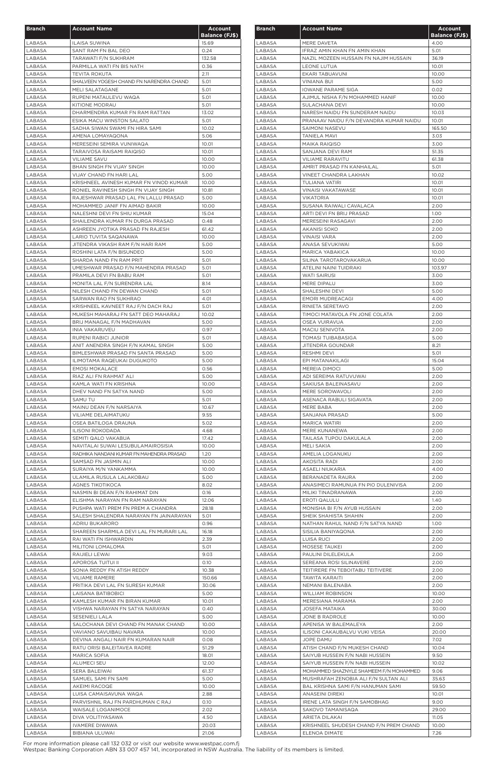| <b>Branch</b>    | <b>Account Name</b>                                        | <b>Account</b>        |
|------------------|------------------------------------------------------------|-----------------------|
|                  |                                                            | <b>Balance (FJ\$)</b> |
| LABASA<br>LABASA | <b>ILAISA SUWINA</b><br>SANT RAM FN BAL DEO                | 15.69<br>0.24         |
| LABASA           | TARAWATI F/N SUKHRAM                                       | 132.58                |
| LABASA           | PARMILLA WATI FN BIS NATH                                  | 0.36                  |
| LABASA           | <b>TEVITA ROKUTA</b>                                       | 2.11                  |
| LABASA           | SHALVEEN YOGESH CHAND FN NARENDRA CHAND                    | 5.01                  |
| LABASA<br>LABASA | MELI SALATAGANE<br>RUPENI MATAULEVU WAQA                   | 5.01<br>5.01          |
| LABASA           | <b>KITIONE MODRAU</b>                                      | 5.01                  |
| LABASA           | DHARMENDRA KUMAR FN RAM RATTAN                             | 13.02                 |
| LABASA           | ESIKA MACU WINSTON SALATO                                  | 5.01                  |
| LABASA           | SADHA SIWAN SWAMI FN HIRA SAMI                             | 10.02                 |
| LABASA           | AMENA LOMAYAQONA                                           | 5.06                  |
| LABASA           | MERESEINI SEMIRA VUNIWAQA                                  | 10.01                 |
| LABASA<br>LABASA | TARAIVOSA RAISAMI RAIQISO<br><b>VILIAME SAVU</b>           | 10.01<br>10.00        |
| LABASA           | BHAN SINGH FN VIJAY SINGH                                  | 10.00                 |
| LABASA           | <b>VIJAY CHAND FN HARI LAL</b>                             | 5.00                  |
| LABASA           | KRISHNEEL AVINESH KUMAR FN VINOD KUMAR                     | 10.00                 |
| LABASA           | RONIEL RAVINESH SINGH FN VIJAY SINGH                       | 10.81                 |
| LABASA           | RAJESHWAR PRASAD LAL FN LALLU PRASAD                       | 5.00                  |
| LABASA           | MOHAMMED JANIF FN AIMAD BAKIR                              | 10.00                 |
| LABASA           | NALESHNI DEVI FN SHIU KUMAR                                | 15.04                 |
| LABASA           | SHAILENDRA KUMAR FN DURGA PRASAD                           | 0.48                  |
| LABASA<br>LABASA | ASHREEN JYOTIKA PRASAD FN RAJESH<br>LARIO TUVITA SAQANAWA  | 61.42<br>10.00        |
| LABASA           | JITENDRA VIKASH RAM F/N HARI RAM                           | 5.00                  |
| LABASA           | ROSHINI LATA F/N BISUNDEO                                  | 5.00                  |
| LABASA           | SHARDA NAND FN RAM PRIT                                    | 5.01                  |
| LABASA           | UMESHWAR PRASAD F/N MAHENDRA PRASAD                        | 5.01                  |
| LABASA           | PRAMILA DEVI FN BABU RAM                                   | 5.01                  |
| LABASA           | MONITA LAL F/N SURENDRA LAL                                | 8.14                  |
| LABASA           | NILESH CHAND FN DEWAN CHAND                                | 5.01                  |
| LABASA           | SARWAN RAO FN SUKHRAO                                      | 4.01                  |
| LABASA           | KRISHNEEL KAVNEET RAJ F/N DACH RAJ                         | 5.01                  |
| LABASA           | MUKESH MAHARAJ FN SATT DEO MAHARAJ                         | 10.02                 |
| LABASA           | BRIJ MANAGAL F/N MADHAVAN                                  | 5.00                  |
| LABASA<br>LABASA | INIA VAKARUVEU                                             | 0.97<br>5.01          |
| LABASA           | RUPENI RABICI JUNIOR<br>ANIT ANENDRA SINGH F/N KAMAL SINGH | 5.00                  |
| LABASA           | BIMLESHWAR PRASAD FN SANTA PRASAD                          | 5.00                  |
| LABASA           | ILIMOTAMA RAQEUKAI DUGUKOTO                                | 5.00                  |
| LABASA           | <b>EMOSI MOKALACE</b>                                      | 0.56                  |
| LABASA           | RIAZ ALI FN RAHMAT ALI                                     | 5.00                  |
| LABASA           | KAMLA WATI FN KRISHNA                                      | 10.00                 |
| LABASA           | DHEV NAND FN SATYA NAND                                    | 5.00                  |
| LABASA           | SAMU TU                                                    | 5.01                  |
| LABASA           | MAINU DEAN F/N NARSAIYA                                    | 10.67                 |
| LABASA           | VILIAME DELAIMATUKU                                        | 9.55                  |
| LABASA<br>LABASA | OSEA BATILOGA DRAUNA<br><b>ILISONI ROKODADA</b>            | 5.02<br>4.68          |
| LABASA           | SEMITI QALO VAKABUA                                        | 17.42                 |
| LABASA           | NAVITALAI SUWAI LESUBULAMAIROSISIA                         | 10.00                 |
| LABASA           | RADHIKA NANDANI KUMAR FN MAHENDRA PRASAD                   | 1.20                  |
| LABASA           | SAMSAD FN JASMIN ALI                                       | 10.00                 |
| LABASA           | SURAIYA M/N YANKAMMA                                       | 10.00                 |
| LABASA           | ULAMILA RUSULA LALAKOBAU                                   | 5.00                  |
| LABASA           | AGNES TIKOTIKOCA                                           | 8.02                  |
| LABASA           | NASMIN BI DEAN F/N RAHIMAT DIN                             | 0.16                  |
| LABASA           | ELISHMA NARAYAN FN RAM NARAYAN                             | 12.06                 |
| LABASA           | PUSHPA WATI PREM FN PREM A CHANDRA                         | 28.18                 |
| LABASA           | SALESH SHALENDRA NARAYAN FN JAINARAYAN                     | 5.01<br>0.96          |
| LABASA<br>LABASA | ADRIU BUKARORO<br>SHAREEN SHARMILA DEVI LAL FN MURARI LAL  | 16.18                 |
| LABASA           | RAI WATI FN ISHWARDIN                                      | 2.39                  |
| LABASA           | MILITONI LOMALOMA                                          | 5.01                  |
| LABASA           | RAIJIELI LEWAI                                             | 9.03                  |
| LABASA           | APOROSA TUITUI II                                          | 0.10                  |
| LABASA           | SONIA REDDY FN ATISH REDDY                                 | 10.38                 |
| LABASA           | <b>VILIAME RAMERE</b>                                      | 150.66                |
| LABASA           | PRITIKA DEVI LAL FN SURESH KUMAR                           | 30.06                 |
| LABASA           | LAISANA BATIBOBICI                                         | 5.00                  |
| LABASA           | KAMLESH KUMAR FN BIRAN KUMAR                               | 10.01                 |
| LABASA           | VISHWA NARAYAN FN SATYA NARAYAN                            | 0.40                  |
| LABASA<br>LABASA | SESENIELI LALA<br>SALOCHANA DEVI CHAND FN MANAK CHAND      | 5.00<br>10.00         |
| LABASA           | VAVIANO SAVUIBAU NAVARA                                    | 10.00                 |
| LABASA           | DEVINA ANGALI NAIR FN KUMARAN NAIR                         | 0.08                  |
| LABASA           | RATU ORISI BALEITAVEA RADRE                                | 51.29                 |
| LABASA           | <b>MARICA SOFIA</b>                                        | 18.01                 |
| LABASA           | <b>ALUMECI SEU</b>                                         | 12.00                 |
| LABASA           | SERA BALEIWAI                                              | 61.37                 |
| LABASA           | SAMUEL SAMI FN SAMI                                        | 5.00                  |
| LABASA           | AKEIMI RACOQE                                              | 10.00                 |
| LABASA           | LUISA CAMAISAVUNA WAQA                                     | 2.88                  |
| LABASA           | PARVISHNIL RAJ FN PARDHUMAN C RAJ                          | 0.10                  |
| LABASA           | WAISALE LOGANIMOCE                                         | 2.02                  |
| LABASA<br>LABASA | DIVA VOLITIYASAWA<br><b>IVAMERE DIWAWA</b>                 | 4.50<br>20.03         |
| LABASA           | BIBIANA ULUWAI                                             | 21.06                 |
|                  |                                                            |                       |

| <b>Branch</b>    | <b>Account Name</b>                                | Account<br><b>Balance (FJ\$)</b> |
|------------------|----------------------------------------------------|----------------------------------|
| LABASA           | MERE DAVETA                                        | 4.00                             |
| LABASA           | IFRAZ AMIN KHAN FN AMIN KHAN                       | 5.01                             |
| LABASA           | NAZIL MOZEEN HUSSAIN FN NAJIM HUSSAIN              | 36.19                            |
| LABASA           | <b>LEONE LUTUA</b>                                 | 10.01                            |
| LABASA           | EKARI TABUAVUNI                                    | 10.00                            |
| LABASA           | <b>VINIANA BUI</b>                                 | 5.00                             |
| LABASA           | <b>IOWANE PARAME SIGA</b>                          | 0.02                             |
| LABASA           | AJIMUL NISHA F/N MOHAMMED HANIF                    | 10.00                            |
| LABASA           | SULACHANA DEVI                                     | 10.00                            |
| LABASA           | NARESH NAIDU FN SUNDERAM NAIDU                     | 10.03                            |
| LABASA           | PRANAAV NAIDU F/N DEVANDRA KUMAR NAIDU             | 10.01                            |
| LABASA           | SAIMONI NASEVU                                     | 165.50                           |
| LABASA<br>LABASA | <b>TANIELA MAVI</b><br><b>MAIKA RAIQISO</b>        | 3.03<br>3.00                     |
| LABASA           | SANJANA DEVI RAM                                   | 51.35                            |
| LABASA           | <b>VILIAME RARAVITU</b>                            | 61.38                            |
| LABASA           | AMRIT PRASAD FN KANHAILAL                          | 5.01                             |
| LABASA           | <b>VINEET CHANDRA LAKHAN</b>                       | 10.02                            |
| LABASA           | TULIANA VATIRI                                     | 10.01                            |
| LABASA           | <b>VINAISI VAKATAWASE</b>                          | 10.01                            |
| LABASA           | <b>VIKATORIA</b>                                   | 10.01                            |
| LABASA           | SUSANA RAIWALI CAVALACA                            | 2.00                             |
| LABASA           | ARTI DEVI FN BRIJ PRASAD                           | 1.00                             |
| LABASA           | MERESEINI RASAGAVI                                 | 2.00                             |
| LABASA           | AKANISI SOKO                                       | 2.00                             |
| LABASA           | VINAISI VARA                                       | 2.00                             |
| LABASA           | ANASA SEVUKIWAI                                    | 5.00                             |
| LABASA           | MARICA YABAKICA                                    | 10.00                            |
| LABASA           | SILINA TAROTAROVAKARUA                             | 10.00                            |
| LABASA           | ATELINI NAINI TUIDRAKI                             | 103.97                           |
| LABASA           | WATI SAIRUSI                                       | 3.00                             |
| LABASA           | MERE DIPALU                                        | 3.00                             |
| LABASA           | SHALESHNI DEVI                                     | 5.00                             |
| LABASA<br>LABASA | EMORI MUDREACAGI                                   | 4.00                             |
| LABASA           | RINIETA SERETAVO<br>TIMOCI MATAVOLA FN JONE COLATA | 2.00<br>2.00                     |
| LABASA           | OSEA VUIRAVUA                                      | 2.00                             |
| LABASA           | MACIU SENIVOTA                                     | 2.00                             |
| LABASA           | <b>TOMASI TUIBABASIGA</b>                          | 5.00                             |
| LABASA           | JITENDRA GOUNDAR                                   | 8.21                             |
| LABASA           | RESHMI DEVI                                        | 5.01                             |
| LABASA           | EPI MATANAKILAGI                                   | 15.04                            |
| LABASA           | MEREIA DIMOCI                                      | 5.00                             |
| LABASA           | ADI SEREIMA RATUVUWAI                              | 2.00                             |
| LABASA           | SAKIUSA BALEINASAVU                                | 2.00                             |
| LABASA           | MERE SOROWAVOLI                                    | 2.00                             |
| LABASA           | ASENACA RABULI SIGAVATA                            | 2.00                             |
| LABASA           | MERE BABA                                          | 2.00                             |
| LABASA           | SANJANA PRASAD                                     | 5.00                             |
| LABASA           | <b>MARICA WATIRI</b>                               | 2.00                             |
| LABASA           | MERE KUNANEWA                                      | 2.00                             |
| LABASA           | TAILASA TUPOU DAKULALA                             | 2.00                             |
| LABASA           | MELI SAKIA                                         | 2.00                             |
| LABASA           | AMELIA LOGANUKU                                    | 2.00                             |
| LABASA           | AKOSITA RADI                                       | 2.00                             |
| LABASA<br>LABASA | ASAELI NIUKARIA<br>BERANADETA RAURA                | 4.00<br>2.00                     |
| LABASA           | ANASIMECI RAMUNUA FN PIO DULENIVISA                | 2.00                             |
| LABASA           | MILIKI TINADRANAWA                                 | 2.00                             |
| LABASA           | <b>EROTI QALULU</b>                                | 1.40                             |
| LABASA           | MONISHA BI F/N AYUB HUSSAIN                        | 2.00                             |
| LABASA           | SHEIK SHAHISTA SHAHIN                              | 2.00                             |
| LABASA           | NATHAN RAHUL NAND F/N SATYA NAND                   | 1.00                             |
| LABASA           | SISILIA BANIYAQONA                                 | 2.00                             |
| LABASA           | LUISA RUCI                                         | 2.00                             |
| LABASA           | MOSESE TAUKEI                                      | 2.00                             |
| LABASA           | PAULINI DILELEKULA                                 | 2.00                             |
| LABASA           | SEREANA ROSI SILINAVERE                            | 2.00                             |
| LABASA           | TEITIRERE FN TEBOITABU TEITIVERE                   | 2.00                             |
| LABASA           | <b>TAWITA KARAITI</b>                              | 2.00                             |
| LABASA           | NEMANI BALENABA                                    | 2.00                             |
| LABASA           | <b>WILLIAM ROBINSON</b>                            | 10.00                            |
| LABASA           | MERESIANA MARAMA                                   | 2.00                             |
| LABASA<br>LABASA | <b>JOSEFA MATAIKA</b>                              | 30.00<br>10.00                   |
| LABASA           | JONE B RADROLE<br>APENISA W BALEMALEYA             | 2.00                             |
| LABASA           | ILISONI CAKAUBALVU VUKI VEISA                      | 20.00                            |
| LABASA           | JOPE DAMU                                          | 7.02                             |
| LABASA           | ATISH CHAND F/N MUKESH CHAND                       | 10.04                            |
| LABASA           | SAIYUB HUSSEIN F/N NABI HUSSEIN                    | 9.50                             |
| LABASA           | SAIYUB HUSSEIN F/N NABI HUSSEIN                    | 10.02                            |
| LABASA           | MOHAMMED SHAZNYLE SHAMEEM F/N MOHAMMED             | 9.06                             |
| LABASA           | MUSHRAFAH ZENOBIA ALI F/N SULTAN ALI               | 35.63                            |
| LABASA           | BAL KRISHNA SAMI F/N HANUMAN SAMI                  | 59.50                            |
| LABASA           | ANASEINI DIREKI                                    | 10.01                            |
| LABASA           | IRENE LATA SINGH F/N SAMOBHAG                      | 9.00                             |
| LABASA           | SAKOVO TAMANISAQA                                  | 29.00                            |
| LABASA           | ARIETA DILAKAI                                     | 11.05                            |
| LABASA           | KRISHNEEL SHUDESH CHAND F/N PREM CHAND             | 10.00                            |
| LABASA           | ELENOA DIMATE                                      | 7.26                             |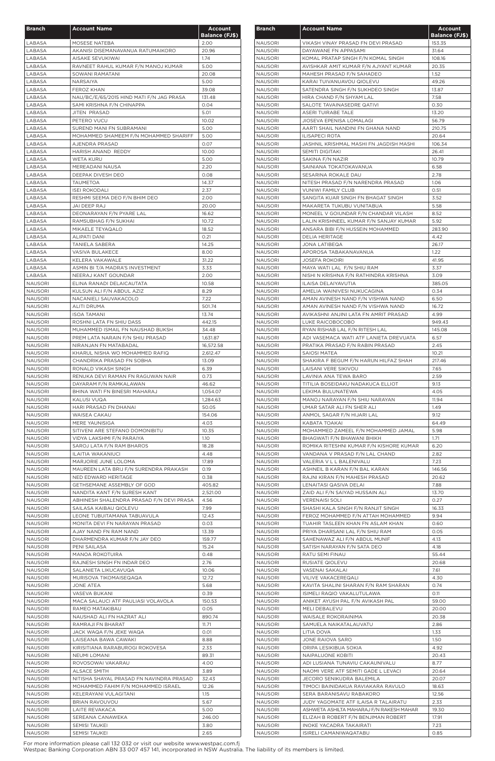| <b>Branch</b>                    | <b>Account Name</b>                                                            | <b>Account</b>                |
|----------------------------------|--------------------------------------------------------------------------------|-------------------------------|
| LABASA                           | MOSESE NATEBA                                                                  | <b>Balance (FJ\$)</b><br>2.00 |
| LABASA                           | AKANISI DISEMANAVANUA RATUMAIKORO                                              | 20.96                         |
| LABASA                           | AISAKE SEVUKIWAI                                                               | 1.74                          |
| LABASA                           | RAVNEET RAHUL KUMAR F/N MANOJ KUMAR                                            | 5.00                          |
| LABASA                           | SOWANI RAMATANI                                                                | 20.08                         |
| LABASA<br>LABASA                 | NARSAIYA<br>FEROZ KHAN                                                         | 5.00<br>39.08                 |
| LABASA                           | NAU/BC/E/65/2015 HIND MATI F/N JAG PRASA                                       | 131.48                        |
| LABASA                           | SAMI KRISHNA F/N CHINAPPA                                                      | 0.04                          |
| LABASA                           | JITEN PRASAD                                                                   | 5.01                          |
| LABASA                           | PETERO VUCU                                                                    | 10.02                         |
| LABASA                           | SUREND MANI FN SUBRAMANI                                                       | 5.00                          |
| LABASA<br>LABASA                 | MOHAMMED SHAMEEM F/N MOHAMMED SHARIFF<br>AJENDRA PRASAD                        | 5.00                          |
| LABASA                           | HARISH ANAND REDDY                                                             | 0.07<br>10.00                 |
| LABASA                           | <b>WETA KURU</b>                                                               | 5.00                          |
| LABASA                           | MEREADANI NAUSA                                                                | 2.20                          |
| LABASA                           | DEEPAK DIVESH DEO                                                              | 0.08                          |
| LABASA                           | <b>TAUMETOA</b>                                                                | 14.37                         |
| LABASA                           | <b>ISEI ROKODALI</b>                                                           | 2.37                          |
| LABASA<br>LABASA                 | RESHMI SEEMA DEO F/N BHIM DEO<br>JAI DEEP RAJ                                  | 2.00                          |
| LABASA                           | DEONARAYAN F/N PYARE LAL                                                       | 20.00<br>16.62                |
| LABASA                           | RAMSUBHAG F/N SUKHAI                                                           | 10.72                         |
| LABASA                           | MIKAELE TEYAQALO                                                               | 18.52                         |
| LABASA                           | ALIPATI DANI                                                                   | 0.21                          |
| LABASA                           | <b>TANIELA SABERA</b>                                                          | 14.25                         |
| LABASA                           | VASIVA BULAKECE                                                                | 8.00                          |
| LABASA                           | KELERA VAKAWALE                                                                | 31.22                         |
| LABASA<br>LABASA                 | ASMIN BI T/A MADRA'S INVESTMENT<br>NEERAJ KANT GOUNDAR                         | 3.33<br>2.00                  |
| <b>NAUSORI</b>                   | ELINA RANADI DELAICAUTATA                                                      | 10.58                         |
| <b>NAUSORI</b>                   | KULSUN ALI F/N ABDUL AZIZ                                                      | 8.29                          |
| <b>NAUSORI</b>                   | NACANIELI SAUVAKACOLO                                                          | 7.22                          |
| <b>NAUSORI</b>                   | <b>ALITI DRUMA</b>                                                             | 501.74                        |
| <b>NAUSORI</b>                   | <b>ISOA TAMANI</b>                                                             | 13.74                         |
| <b>NAUSORI</b>                   | ROSHNI LATA FN SHIU DASS                                                       | 442.15                        |
| <b>NAUSORI</b>                   | MUHAMMED ISMAIL FN NAUSHAD BUKSH                                               | 34.48                         |
| <b>NAUSORI</b>                   | PREM LATA NARAIN F/N SHIU PRASAD                                               | 1,631.87                      |
| <b>NAUSORI</b><br><b>NAUSORI</b> | NIRANJAN FN MATABADAL<br>KHARUL NISHA WO MOHAMMED RAFIQ                        | 16,572.58<br>2,612.47         |
| <b>NAUSORI</b>                   | CHANDRIKA PRASAD FN SOBHA                                                      | 13.09                         |
| <b>NAUSORI</b>                   | RONALD VIKASH SINGH                                                            | 6.39                          |
| <b>NAUSORI</b>                   | RENUKA DEVI RAMAN FN RAGUWAN NAIR                                              | 0.73                          |
| <b>NAUSORI</b>                   | DAYARAM F/N RAMKALAWAN                                                         | 46.62                         |
| <b>NAUSORI</b>                   | BHINA WATI FN BINESRI MAHARAJ                                                  | 1,054.07                      |
| <b>NAUSORI</b>                   | KALUSI VUQA                                                                    | 1,284.63                      |
| <b>NAUSORI</b><br><b>NAUSORI</b> | HARI PRASAD FN DHANAI<br>WAISEA CAKAU                                          | 50.05<br>154.06               |
| <b>NAUSORI</b>                   | MERE YAUNISIGA                                                                 | 4.03                          |
| <b>NAUSORI</b>                   | SITIVENI ARE STEFANO DOMONIBITU                                                | 10.35                         |
| <b>NAUSORI</b>                   | VIDYA LAKSHMI F/N PARAIYA                                                      | 1.10                          |
| <b>NAUSORI</b>                   | SAROJ LATA F/N RAM BHAROS                                                      | 18.28                         |
| <b>NAUSORI</b>                   | <b>ILAITIA WAKANIUCI</b>                                                       | 4.48                          |
| <b>NAUSORI</b>                   | MARJORIE JUNE LOLOMA                                                           | 17.89                         |
| <b>NAUSORI</b><br><b>NAUSORI</b> | MAUREEN LATA BRIJ F/N SURENDRA PRAKASH<br>NED EDWARD HERITAGE                  | 0.19<br>0.38                  |
| <b>NAUSORI</b>                   | GETHSEMANE ASSEMBLY OF GOD                                                     | 405.82                        |
| <b>NAUSORI</b>                   | NANDITA KANT F/N SURESH KANT                                                   | 2,521.00                      |
| <b>NAUSORI</b>                   | ABHINESH SHALENDRA PRASAD F/N DEVI PRASA                                       | 4.56                          |
| <b>NAUSORI</b>                   | SAILASA KAIBAU QIOLEVU                                                         | 7.99                          |
| <b>NAUSORI</b>                   | LEONE TUBUITAMANA TABUAVULA                                                    | 12.43                         |
| <b>NAUSORI</b>                   | MONITA DEVI FN NARAYAN PRASAD                                                  | 0.03                          |
| <b>NAUSORI</b><br><b>NAUSORI</b> | AJAY NAND FN RAM NAND                                                          | 13.39                         |
| <b>NAUSORI</b>                   | DHARMENDRA KUMAR F/N JAY DEO<br>PENI SAILASA                                   | 159.77<br>15.24               |
| <b>NAUSORI</b>                   | MANOA ROKOTUIRA                                                                | 0.48                          |
| <b>NAUSORI</b>                   | RAJNESH SINGH FN INDAR DEO                                                     | 2.76                          |
| <b>NAUSORI</b>                   | SALANIETA LIKUCAVUQA                                                           | 10.06                         |
| <b>NAUSORI</b>                   | MURISOVA TIKOMAISEQAQA                                                         | 12.72                         |
| <b>NAUSORI</b>                   | JONE ATEA                                                                      | 5.68                          |
| <b>NAUSORI</b>                   | VASEVA BUKANI                                                                  | 0.39                          |
| <b>NAUSORI</b><br><b>NAUSORI</b> | MACA SALAUCI ATF PAULIASI VOLAVOLA<br>RAMEO MATAKIBAU                          | 150.53<br>0.05                |
| <b>NAUSORI</b>                   | NAUSHAD ALI FN HAZRAT ALI                                                      | 890.74                        |
| <b>NAUSORI</b>                   | RAMRAJI FN BHARAT                                                              | 11.71                         |
| <b>NAUSORI</b>                   | JACK WAQA F/N JEKE WAQA                                                        | 0.01                          |
| <b>NAUSORI</b>                   | LAISEANA BAWA CAWAKI                                                           | 8.88                          |
| <b>NAUSORI</b>                   | KIRISITIANA RARABUROGI ROKOVESA                                                | 2.33                          |
| <b>NAUSORI</b>                   | NEUMI LOMANI                                                                   | 89.31                         |
| <b>NAUSORI</b>                   | ROVOSOWAI VAKARAU                                                              | 4.00                          |
| <b>NAUSORI</b>                   | ALSACE SMITH                                                                   | 3.89                          |
| <b>NAUSORI</b><br><b>NAUSORI</b> | NITISHA SHAYAL PRASAD FN NAVINDRA PRASAD<br>MOHAMMED FAHIM F/N MOHAMMED ISRAEL | 32.43<br>12.26                |
| <b>NAUSORI</b>                   | KELERAYANI VULAGITANI                                                          | 1.15                          |
| <b>NAUSORI</b>                   | BRIAN RAVOUVOU                                                                 | 5.67                          |
| <b>NAUSORI</b>                   | LAITE REVAKACA                                                                 | 5.00                          |
| <b>NAUSORI</b>                   | SEREANA CANAWEKA                                                               | 246.00                        |
| <b>NAUSORI</b>                   | SEMISI TAUKEI                                                                  | 3.80                          |
| <b>NAUSORI</b>                   | <b>SEMISI TAUKEI</b>                                                           | 2.65                          |

| <b>Branch</b>                    | <b>Account Name</b>                                                            | Account<br><b>Balance (FJ\$)</b> |
|----------------------------------|--------------------------------------------------------------------------------|----------------------------------|
| NAUSORI                          | VIKASH VINAY PRASAD FN DEVI PRASAD                                             | 153.35                           |
| <b>NAUSORI</b>                   | DAYAWANE FN APPASAMI                                                           | 31.64                            |
| <b>NAUSORI</b>                   | KOMAL PRATAP SINGH F/N KOMAL SINGH                                             | 108.16                           |
| NAUSORI<br>NAUSORI               | AVISHKAR AMIT KUMAR F/N AJYANT KUMAR<br>MAHESH PRASAD F/N SAHADEO              | 20.35<br>1.52                    |
| NAUSORI                          | KARAI TUIVANUAVOU QIOLEVU                                                      | 49.26                            |
| NAUSORI                          | SATENDRA SINGH F/N SUKHDEO SINGH                                               | 13.87                            |
| NAUSORI                          | HIRA CHAND F/N SHYAM LAL                                                       | 7.58                             |
| <b>NAUSORI</b>                   | SALOTE TAVAINASEDRE QATIVI                                                     | 0.30                             |
| NAUSORI                          | <b>ASERI TUIRABE TALE</b>                                                      | 13.20                            |
| <b>NAUSORI</b><br><b>NAUSORI</b> | JIOSEVA EPENISA LOMALAGI<br>AARTI SHAIL NANDINI FN GHANA NAND                  | 56.79<br>210.75                  |
| <b>NAUSORI</b>                   | <b>ILISAPECI ROTA</b>                                                          | 20.64                            |
| <b>NAUSORI</b>                   | JASHNIL KRISHMAL MASHI FN JAGDISH MASHI                                        | 106.34                           |
| <b>NAUSORI</b>                   | <b>SEMITI DIGITAKI</b>                                                         | 26.41                            |
| <b>NAUSORI</b><br><b>NAUSORI</b> | SAKINA F/N NAZIR<br>SAINIANA TOKATOKAVANUA                                     | 10.79<br>6.58                    |
| <b>NAUSORI</b>                   | SESARINA ROKALE DAU                                                            | 2.78                             |
| <b>NAUSORI</b>                   | NITESH PRASAD F/N NARENDRA PRASAD                                              | 1.06                             |
| <b>NAUSORI</b>                   | <b>VUNIWI FAMILY CLUB</b>                                                      | 0.51                             |
| <b>NAUSORI</b>                   | SANGITA KUAR SINGH FN BHAGAT SINGH                                             | 3.52                             |
| <b>NAUSORI</b>                   | MAKARETA TUKUBU VUNITABUA                                                      | 5.58<br>8.52                     |
| <b>NAUSORI</b><br><b>NAUSORI</b> | MONEEL V GOIUNDAR F/N CHANDAR VILASH<br>LALIN KRISHNEEL KUMAR F/N SANJAY KUMAR | 5.92                             |
| <b>NAUSORI</b>                   | ANSARA BIBI F/N HUSSEIN MOHAMMED                                               | 283.90                           |
| <b>NAUSORI</b>                   | <b>DELIA HERITAGE</b>                                                          | 4.42                             |
| <b>NAUSORI</b>                   | <b>JONA LATIBEQA</b>                                                           | 26.17                            |
| <b>NAUSORI</b>                   | APOROSA TABAKANAVANUA                                                          | 1.22                             |
| <b>NAUSORI</b><br><b>NAUSORI</b> | <b>JOSEFA ROKOIRI</b><br>MAYA WATI LAL F/N SHIU RAM                            | 41.95<br>3.37                    |
| <b>NAUSORI</b>                   | NISHI N KRISHNA F/N RATHINDRA KRISHNA                                          | 3.09                             |
| <b>NAUSORI</b>                   | ILAISA DELAIYAVUTIA                                                            | 385.05                           |
| <b>NAUSORI</b>                   | AMELIA WAINIVESI NUKUCAGINA                                                    | 0.34                             |
| <b>NAUSORI</b>                   | AMAN AVINESH NAND F/N VISHWA NAND                                              | 6.50                             |
| <b>NAUSORI</b><br><b>NAUSORI</b> | AMAN AVINESH NAND F/N VISHWA NAND<br>AVIKASHNI ANJINI LATA FN AMRIT PRASAD     | 16.72<br>4.99                    |
| <b>NAUSORI</b>                   | LUKE RAICOBOCOBO                                                               | 949.43                           |
| <b>NAUSORI</b>                   | RYAN RISHAB LAL F/N RITESH LAL                                                 | 145.08                           |
| <b>NAUSORI</b>                   | ADI VASEMACA WATI ATF LANIETA DREVUATA                                         | 6.57                             |
| <b>NAUSORI</b>                   | PRATIKA PRASAD F/N RABIN PRASAD                                                | 2.45                             |
| <b>NAUSORI</b><br><b>NAUSORI</b> | SAIOSI MATEA<br>SHAKIRA F BEGUM F/N HARUN HILFAZ SHAH                          | 10.21<br>217.46                  |
| <b>NAUSORI</b>                   | LAISANI VERE SIKIVOU                                                           | 7.65                             |
| <b>NAUSORI</b>                   | LAVINIA ANA TEWA BARO                                                          | 2.59                             |
| <b>NAUSORI</b>                   | TITILIA BOSEIDAKU NADAKUCA ELLIOT                                              | 9.13                             |
| <b>NAUSORI</b>                   | LEKIMA BULUNATEWA                                                              | 4.05                             |
| <b>NAUSORI</b><br><b>NAUSORI</b> | MANOJ NARAYAN F/N SHIU NARAYAN<br>UMAR SATAR ALI FN SHER ALI                   | 11.94<br>1.49                    |
| <b>NAUSORI</b>                   | ANMOL SAGAR F/N HIJARI LAL                                                     | 9.12                             |
| <b>NAUSORI</b>                   | KABATA TOAKAI                                                                  | 64.49                            |
| <b>NAUSORI</b>                   | MOHAMMED ZAMEEL F/N MOHAMMED JAMAL                                             | 5.98                             |
| <b>NAUSORI</b>                   | BHAGWATI F/N BHAWANI BHIKH                                                     | 1.71                             |
| NAUSORI                          | ROMIKA RITESHNI KUMAR F/N KISHORE KUMAR                                        | 6.20                             |
| <b>NAUSORI</b><br><b>NAUSORI</b> | VANDANA V PRASAD F/N LAL CHAND<br>VALERIA V L L BALENIVALU                     | 2.82<br>7.23                     |
| <b>NAUSORI</b>                   | ASHNEIL B KARAN F/N BAL KARAN                                                  | 146.56                           |
| <b>NAUSORI</b>                   | RAJNI KIRAN F/N MAHESH PRASAD                                                  | 20.62                            |
| <b>NAUSORI</b>                   | LENAITASI QASIVA DELAI                                                         | 7.88                             |
| <b>NAUSORI</b>                   | ZAID ALI F/N SAIYAD HUSSAIN ALI                                                | 13.70                            |
| <b>NAUSORI</b><br><b>NAUSORI</b> | <b>VERENAISI SOLI</b><br>SHASHI KALA SINGH F/N RANJIT SINGH                    | 0.27<br>16.33                    |
| <b>NAUSORI</b>                   | FEROZ MOHAMMED F/N ATTAH MOHAMMED                                              | 9.94                             |
| <b>NAUSORI</b>                   | TUAHIR TASLEEN KHAN FN ASLAM KHAN                                              | 0.60                             |
| <b>NAUSORI</b>                   | PRIYA DHARSANI LAL F/N SHIU RAM                                                | 0.05                             |
| <b>NAUSORI</b>                   | SAHENAWAZ ALI F/N ABDUL MUNIF                                                  | 4.13                             |
| <b>NAUSORI</b><br><b>NAUSORI</b> | SATISH NARAYAN F/N SATA DEO<br>RATU SEMI FINAU                                 | 4.18<br>55.44                    |
| <b>NAUSORI</b>                   | <b>RUSIATE QIOLEVU</b>                                                         | 20.68                            |
| <b>NAUSORI</b>                   | VASENAI SAKALAI                                                                | 7.61                             |
| NAUSORI                          | <b>VILIVE VAKACEREQALI</b>                                                     | 4.30                             |
| <b>NAUSORI</b>                   | KAVITA SHALINI SHARAN F/N RAM SHARAN                                           | 0.74                             |
| <b>NAUSORI</b><br><b>NAUSORI</b> | ISIMELI RAQIO VAKALUTULAWA<br>ANIKET AYUSH PAL F/N AVIKASH PAL                 | 0.11<br>59.00                    |
| <b>NAUSORI</b>                   | MELI DEBALEVU                                                                  | 20.00                            |
| <b>NAUSORI</b>                   | WAISALE ROKORAINIMA                                                            | 20.38                            |
| <b>NAUSORI</b>                   | SAMUELA NAIKATALAUVATU                                                         | 2.86                             |
| <b>NAUSORI</b>                   | LITIA DOVA                                                                     | 1.33                             |
| <b>NAUSORI</b><br><b>NAUSORI</b> | JONE RAIOVA SARO<br>ORIPA LESIKIBUA SOKIA                                      | 1.50<br>4.92                     |
| NAUSORI                          | NAIPALUONE KOBITI                                                              | 20.43                            |
| <b>NAUSORI</b>                   | ADI LUSIANA TUNAVIU CAKAUNIVALU                                                | 8.77                             |
| NAUSORI                          | NAOMI VERE ATF SEMITI GADE L LEVACI                                            | 20.64                            |
| <b>NAUSORI</b>                   | JECORO SENIKUDRA BALEMILA                                                      | 20.07                            |
| <b>NAUSORI</b><br><b>NAUSORI</b> | TIMOCI BAINIDAKUA RAVIAKARA RAVULO<br>SERA BARANISAVU RABAKORO                 | 18.63<br>12.56                   |
| NAUSORI                          | JUDY YAGOMATE ATF ILAISA R TALAIRATU                                           | 2.33                             |
| NAUSORI                          | ASHWETA ASHILTA MAHARAJ F/N RAKESH MAHAR                                       | 19.30                            |
| NAUSORI                          | ELIZAH B ROBERT F/N BENJIMAN ROBERT                                            | 17.91                            |
| NAUSORI                          | <b>INOKE YACADRA TAKAIRATI</b>                                                 | 7.23                             |
| <b>NAUSORI</b>                   | ISIRELI CAMANIWAQATABU                                                         | 0.85                             |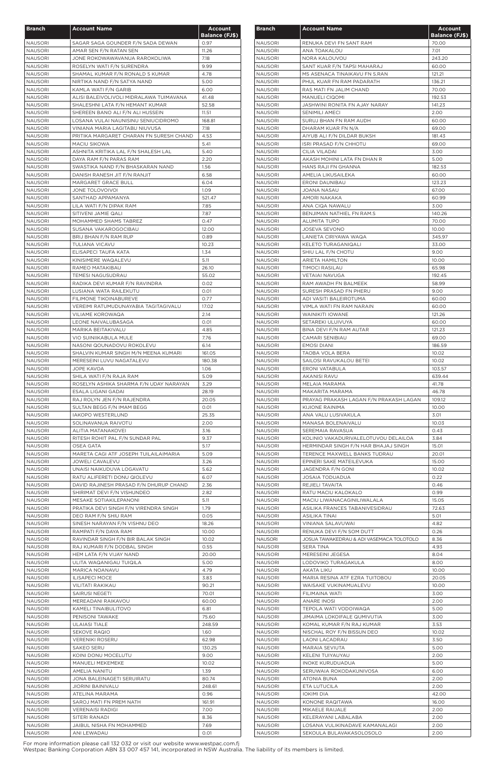| <b>Branch</b>                    | <b>Account Name</b>                                                        | <b>Account</b>        |
|----------------------------------|----------------------------------------------------------------------------|-----------------------|
|                                  |                                                                            | <b>Balance (FJ\$)</b> |
| <b>NAUSORI</b>                   | SAGAR SAGA GOUNDER F/N SADA DEWAN                                          | 0.97                  |
| <b>NAUSORI</b><br><b>NAUSORI</b> | AMAR SEN F/N RATAN SEN<br>JONE ROKOWAWAVANUA RAROKOLIWA                    | 11.26<br>7.18         |
| <b>NAUSORI</b>                   | ROSELYN WATI F/N SURENDRA                                                  | 9.99                  |
| <b>NAUSORI</b>                   | SHAMAL KUMAR F/N RONALD S KUMAR                                            | 4.78                  |
| <b>NAUSORI</b>                   | NIRTIKA NAND F/N SATYA NAND                                                | 5.00                  |
| <b>NAUSORI</b>                   | KAMLA WATI F/N GARIB                                                       | 6.00                  |
| <b>NAUSORI</b><br><b>NAUSORI</b> | ALISI BALEIVOLIVOLI MIDRALAWA TUIMAVANA<br>SHALESHNI LATA F/N HEMANT KUMAR | 41.48                 |
| <b>NAUSORI</b>                   | SHEREEN BANO ALI F/N ALI HUSSEIN                                           | 52.58<br>11.51        |
| <b>NAUSORI</b>                   | LOSANA VULAI NAUNISINU SENIUCIDROMO                                        | 168.81                |
| <b>NAUSORI</b>                   | VINIANA MARIA LAGITABU NIUVUSA                                             | 7.18                  |
| <b>NAUSORI</b>                   | PRITIKA MARGARET CHARAN FN SURESH CHAND                                    | 4.53                  |
| <b>NAUSORI</b>                   | MACIU SIKOWA                                                               | 5.41                  |
| <b>NAUSORI</b><br><b>NAUSORI</b> | ASHNITA KRITIKA LAL F/N SHALESH LAL<br>DAYA RAM F/N PARAS RAM              | 5.40<br>2.20          |
| <b>NAUSORI</b>                   | SWASTIKA NAND F/N BHASKARAN NAND                                           | 1.56                  |
| <b>NAUSORI</b>                   | DANISH RANESH JIT F/N RANJIT                                               | 6.58                  |
| <b>NAUSORI</b>                   | MARGARET GRACE BULL                                                        | 6.04                  |
| <b>NAUSORI</b>                   | JONE TOLOVOIVOI                                                            | 1.09                  |
| <b>NAUSORI</b>                   | SANTHAD APPAMANYA                                                          | 521.47                |
| <b>NAUSORI</b>                   | LILA WATI F/N DIPAK RAM                                                    | 7.85                  |
| <b>NAUSORI</b>                   | SITIVENI JAMIE QALI                                                        | 7.87                  |
| <b>NAUSORI</b><br><b>NAUSORI</b> | MOHAMMED SHAMS TABREZ<br>SUSANA VAKAROGOCIBAU                              | 0.47<br>12.00         |
| <b>NAUSORI</b>                   | BRIJ BHAN F/N RAM RUP                                                      | 0.89                  |
| <b>NAUSORI</b>                   | TULIANA VICAVU                                                             | 10.23                 |
| <b>NAUSORI</b>                   | ELISAPECI TAUFA KATA                                                       | 1.34                  |
| <b>NAUSORI</b>                   | KINISIMERE WAQALEVU                                                        | 5.11                  |
| <b>NAUSORI</b>                   | RAMEO MATAKIBAU                                                            | 26.10                 |
| <b>NAUSORI</b>                   | <b>TEMESI NAGUSUDRAU</b>                                                   | 55.02                 |
| <b>NAUSORI</b>                   | RADIKA DEVI KUMAR F/N RAVINDRA                                             | 0.02                  |
| <b>NAUSORI</b>                   | LUSIANA WATA RAILEKUTU                                                     | 0.01<br>0.77          |
| <b>NAUSORI</b><br><b>NAUSORI</b> | <b>FILIMONE TIKOINABUREVE</b><br>VEREIMI RATUMUDUNAYABIA TAGITAGIVALU      | 17.02                 |
| <b>NAUSORI</b>                   | VILIAME KOROWAQA                                                           | 2.14                  |
| <b>NAUSORI</b>                   | LEONE NAIVALUBASAGA                                                        | 0.01                  |
| <b>NAUSORI</b>                   | MARIKA BEITAKIVALU                                                         | 4.85                  |
| <b>NAUSORI</b>                   | <b>VIO SUINIIKABULA MULE</b>                                               | 7.76                  |
| <b>NAUSORI</b>                   | NASONI QOUNADOVU ROKOLEVU                                                  | 6.14                  |
| <b>NAUSORI</b>                   | SHALVIN KUMAR SINGH M/N MEENA KUMARI                                       | 161.05                |
| <b>NAUSORI</b>                   | MERESEINI LUVU NAGATALEVU                                                  | 180.38                |
| <b>NAUSORI</b>                   | JOPE KAVOA                                                                 | 1.06<br>5.09          |
| <b>NAUSORI</b><br><b>NAUSORI</b> | SHILA WATI F/N RAJA RAM<br>ROSELYN ASHIKA SHARMA F/N UDAY NARAYAN          | 3.29                  |
| <b>NAUSORI</b>                   | ESALA LIGANI GADAI                                                         | 28.19                 |
| <b>NAUSORI</b>                   | RAJ ROLYN JEN F/N RAJENDRA                                                 | 20.05                 |
| NAUSORI                          | SULTAN BEGG F/N IMAM BEGG                                                  | 0.01                  |
| <b>NAUSORI</b>                   | <b>IAKOPO WESTERLUND</b>                                                   | 25.35                 |
| <b>NAUSORI</b>                   | SOLINAVANUA RAIVOTU                                                        | 2.00                  |
| <b>NAUSORI</b>                   | ALITIA MATANAKOVEI                                                         | 3.16                  |
| <b>NAUSORI</b>                   | RITESH ROHIT PAL F/N SUNDAR PAL                                            | 9.37                  |
| <b>NAUSORI</b><br><b>NAUSORI</b> | OSEA GATA<br>MARETA CAGI ATF JOSEPH TUILAILAIMARIA                         | 5.17<br>5.09          |
| <b>NAUSORI</b>                   | JOWELI CAVALEVU                                                            | 3.26                  |
| <b>NAUSORI</b>                   | UNAISI NAIKUDUVA LOGAVATU                                                  | 5.62                  |
| <b>NAUSORI</b>                   | RATU ALIFERETI DONU QIOLEVU                                                | 6.07                  |
| <b>NAUSORI</b>                   | DAVID RAJINESH PRASAD F/N DHURUP CHAND                                     | 2.36                  |
| <b>NAUSORI</b>                   | SHIRIMAT DEVI F/N VISHUNDEO                                                | 2.82                  |
| <b>NAUSORI</b>                   | MESAKE SOTIAKILEPANONI                                                     | 5.11                  |
| <b>NAUSORI</b>                   | PRATIKA DEVI SINGH F/N VIRENDRA SINGH                                      | 1.79                  |
| <b>NAUSORI</b><br><b>NAUSORI</b> | DEO RAM F/N SHIU RAM<br>SINESH NARAYAN F/N VISHNU DEO                      | 0.05<br>18.26         |
| <b>NAUSORI</b>                   | RAMPATI F/N DAYA RAM                                                       | 10.00                 |
| <b>NAUSORI</b>                   | RAVINDAR SINGH F/N BIR BALAK SINGH                                         | 10.02                 |
| <b>NAUSORI</b>                   | RAJ KUMARI F/N DODBAL SINGH                                                | 0.55                  |
| <b>NAUSORI</b>                   | HEM LATA F/N VIJAY NAND                                                    | 20.00                 |
| <b>NAUSORI</b>                   | ULITA WAQANIGAU TUIQILA                                                    | 5.00                  |
| <b>NAUSORI</b>                   | MARICA NOANAVU                                                             | 4.79                  |
| <b>NAUSORI</b>                   | <b>ILISAPECI MOCE</b>                                                      | 3.83                  |
| <b>NAUSORI</b><br><b>NAUSORI</b> | VILITATI RAKIKAU<br><b>SAIRUSI NEGETI</b>                                  | 90.21<br>70.01        |
| <b>NAUSORI</b>                   | MEREADANI RAIKAVOU                                                         | 60.00                 |
| <b>NAUSORI</b>                   | KAMELI TINAIBULITOVO                                                       | 6.81                  |
| <b>NAUSORI</b>                   | PENISONI TAWAKE                                                            | 75.60                 |
| NAUSORI                          | <b>ULAIASI TIALE</b>                                                       | 248.59                |
| <b>NAUSORI</b>                   | SEKOVE RAQIO                                                               | 1.60                  |
| <b>NAUSORI</b>                   | <b>VERENIKI ROSERU</b>                                                     | 62.98                 |
| <b>NAUSORI</b>                   | SAKEO SERU                                                                 | 130.25                |
| <b>NAUSORI</b>                   | KOINI DONU MOCELUTU                                                        | 9.00                  |
| <b>NAUSORI</b><br><b>NAUSORI</b> | MANUELI MEKEMEKE<br>AMELIA NANITU                                          | 10.02<br>1.39         |
| <b>NAUSORI</b>                   | JONA BALEINAGETI SERUIRATU                                                 | 80.74                 |
| <b>NAUSORI</b>                   | <b>JIORINI BAINIVALU</b>                                                   | 248.61                |
| <b>NAUSORI</b>                   | ATELINA MARAMA                                                             | 0.96                  |
| <b>NAUSORI</b>                   | SAROJ MATI FN PREM NATH                                                    | 161.91                |
| <b>NAUSORI</b>                   | <b>VERENAISI RADIGI</b>                                                    | 7.00                  |
| <b>NAUSORI</b>                   | SITERI RANADI                                                              | 8.36                  |
| <b>NAUSORI</b>                   | JAIBUL NISHA FN MOHAMMED                                                   | 7.69                  |
| <b>NAUSORI</b>                   | ANI LEWADAU                                                                | 0.01                  |

| <b>Branch</b>                    | <b>Account Name</b>                                     | <b>Account</b><br><b>Balance (FJ\$)</b> |
|----------------------------------|---------------------------------------------------------|-----------------------------------------|
| <b>NAUSORI</b>                   | RENUKA DEVI FN SANT RAM                                 | 70.00                                   |
| NAUSORI                          | ANA TOAKALOU                                            | 7.01                                    |
| NAUSORI                          | NORA KALOUVOU                                           | 243.20                                  |
| NAUSORI                          | SANT KUAR F/N TAPSI MAHARAJ                             | 60.00                                   |
| <b>NAUSORI</b>                   | MS ASENACA TINAIKAVU FN S.RAN                           | 121.21                                  |
| <b>NAUSORI</b>                   | PHUL KUAR FN RAM PADARATH                               | 136.21                                  |
| <b>NAUSORI</b>                   | RAS MATI FN JALIM CHAND                                 | 70.00                                   |
| <b>NAUSORI</b>                   | <b>MANUELI CIQOMI</b>                                   | 192.53                                  |
| <b>NAUSORI</b>                   | JASHWINI RONITA FN AJAY NARAY                           | 141.23                                  |
| NAUSORI                          | <b>SENIMILI AMECI</b>                                   | 2.00                                    |
| NAUSORI                          | SURUJ BHAN FN RAM AUDH                                  | 60.00                                   |
| NAUSORI                          | DHARAM KUAR FN N/A                                      | 69.00                                   |
| NAUSORI                          | AIYUB ALI F/N DILDAR BUKSH                              | 181.43                                  |
| NAUSORI                          | <b>ISRI PRASAD F/N CHHOTU</b>                           | 69.00                                   |
| NAUSORI                          | CILIA VILADAI                                           | 3.00                                    |
| <b>NAUSORI</b>                   | AKASH MOHINI LATA FN DHAN R                             | 5.00                                    |
| <b>NAUSORI</b>                   | HANS RAJI FN GHANNA                                     | 182.53                                  |
| <b>NAUSORI</b>                   | AMELIA LIKUSAILEKA                                      | 60.00                                   |
| <b>NAUSORI</b>                   | <b>ERONI DAUNIBAU</b>                                   | 123.23                                  |
| <b>NAUSORI</b>                   | JOANA NASAU                                             | 67.00                                   |
| <b>NAUSORI</b>                   | AMORI NAKAKA                                            | 60.99                                   |
| <b>NAUSORI</b>                   | ANA CIQA NAWALU                                         | 3.00                                    |
| <b>NAUSORI</b>                   | BENJIMAN NATHIEL FN RAM.S                               | 140.26                                  |
| <b>NAUSORI</b>                   | <b>ALUMITA TUPO</b>                                     | 70.00                                   |
| <b>NAUSORI</b>                   | <b>JOSEVA SEVONO</b>                                    | 10.00                                   |
| <b>NAUSORI</b>                   | LANIETA CIRIYAWA WAQA                                   | 345.97                                  |
| <b>NAUSORI</b>                   | KELETO TURAGANIQALI                                     | 33.00                                   |
| <b>NAUSORI</b>                   | SHIU LAL F/N CHOTU                                      | 9.00                                    |
| <b>NAUSORI</b>                   | <b>ARIETA HAMILTON</b>                                  | 10.00                                   |
| <b>NAUSORI</b>                   | <b>TIMOCI RASILAU</b>                                   | 65.98                                   |
| <b>NAUSORI</b>                   | VETAIAI NAVUGA                                          | 192.45                                  |
| <b>NAUSORI</b>                   | RAM AWADH FN BALMEEK                                    | 58.99                                   |
| <b>NAUSORI</b>                   | SURESH PRASAD FN PHERU                                  | 9.00                                    |
| <b>NAUSORI</b>                   | ADI VASITI BALEIROTUMA                                  | 60.00                                   |
| <b>NAUSORI</b>                   | VIMLA WATI FN RAM NARAIN                                | 60.00                                   |
| <b>NAUSORI</b>                   | <b>WAINIKITI IOWANE</b>                                 | 121.26                                  |
| <b>NAUSORI</b>                   | SETAREKI ULUIVUYA                                       | 60.00                                   |
| <b>NAUSORI</b>                   | BINA DEVI F/N RAM AUTAR                                 | 121.23                                  |
| <b>NAUSORI</b>                   | CAMARI SENIBIAU                                         | 69.00                                   |
| <b>NAUSORI</b>                   | <b>EMOSI DIANI</b>                                      | 186.59                                  |
| <b>NAUSORI</b>                   | TAOBA VOLA BERA                                         | 10.02                                   |
| <b>NAUSORI</b>                   | SAILOSI RAVUKALOU BETEI                                 | 10.02                                   |
| <b>NAUSORI</b>                   | ERONI VATABULA                                          | 103.57                                  |
| <b>NAUSORI</b>                   | AKANISI RAVU                                            | 639.44                                  |
| <b>NAUSORI</b>                   | MELAIA MARAMA                                           | 41.78                                   |
| <b>NAUSORI</b>                   | MAKARITA MARAMA                                         | 46.78                                   |
| <b>NAUSORI</b>                   | PRAYAG PRAKASH LAGAN F/N PRAKASH LAGAN                  | 109.12                                  |
| <b>NAUSORI</b>                   | KIJIONE RAINIMA                                         | 10.00                                   |
| <b>NAUSORI</b>                   | ANA VALU LUSIVAKULA                                     | 3.01                                    |
| NAUSORI                          | MANASA BOLENAIVALU                                      | 10.03                                   |
| NAUSORI                          | SEREMAIA RAVASUA                                        | 0.43                                    |
| <b>NAUSORI</b>                   | KOLINIO VAKADURIVALELOTUVOU DELAILOA                    | 3.84                                    |
| <b>NAUSORI</b>                   | HERMINDAR SINGH F/N HAR BHAJAJ SINGH                    | 15.01                                   |
| <b>NAUSORI</b>                   | TERENCE MAXWELL BANKS TUDRAU                            | 20.01                                   |
| <b>NAUSORI</b>                   | EPINERI SAKE MATEILEVUKA                                | 15.00                                   |
| NAUSORI                          | JAGENDRA F/N GONI                                       | 10.02                                   |
| <b>NAUSORI</b>                   | JOSAIA TODUADUA                                         | 0.22                                    |
| <b>NAUSORI</b>                   | REJIELI TAVAITA                                         | 0.46                                    |
| <b>NAUSORI</b>                   | RATU MACIU KALOKALO                                     | 0.99                                    |
| <b>NAUSORI</b>                   | MACIU LIWANACAGINILIWALALA                              | 15.05                                   |
| <b>NAUSORI</b>                   | ASILIKA FRANCES TABANIVESIDRAU                          | 72.63                                   |
| <b>NAUSORI</b>                   | ASILIKA TINAI                                           | 5.01                                    |
| <b>NAUSORI</b>                   | VINIANA SALAVUWAI                                       | 4.82                                    |
| <b>NAUSORI</b>                   | RENUKA DEVI F/N SOM DUTT                                | 0.26                                    |
| <b>NAUSORI</b>                   | JOSUA TAWAKEDRAU & ADI VASEMACA TOLOTOLO                | 8.36                                    |
| <b>NAUSORI</b>                   | SERA TINA                                               | 4.93                                    |
| <b>NAUSORI</b>                   | MERESEINI JEGESA                                        | 8.04                                    |
| <b>NAUSORI</b>                   | LODOVIKO TURAGAKULA                                     | 8.00                                    |
| <b>NAUSORI</b>                   | AKATA LIKU                                              | 10.00                                   |
| <b>NAUSORI</b>                   | MARIA RESINA ATF EZRA TUITOBOU                          | 20.05                                   |
| NAUSORI                          | WAISAKE VUKINAMUALEVU                                   | 10.00                                   |
| NAUSORI                          | FILIMAINA WATI                                          | 3.00                                    |
| NAUSORI                          | <b>ANARE INOSI</b>                                      | 2.00                                    |
| <b>NAUSORI</b>                   | TEPOLA WATI VODOIWAQA                                   | 5.00                                    |
|                                  | <b>JIMAIMA LOKOIFALE QUMIVUTIA</b>                      |                                         |
| <b>NAUSORI</b><br><b>NAUSORI</b> |                                                         | 3.00<br>3.53                            |
|                                  | KOMAL KUMAR F/N RAJ KUMAR<br>NISCHAL ROY F/N BISSUN DEO |                                         |
| NAUSORI                          |                                                         | 10.02                                   |
| NAUSORI                          | <b>LAONI LACADRAU</b>                                   | 3.50                                    |
| <b>NAUSORI</b>                   | MARAIA SEVIUTA                                          | 5.00                                    |
| NAUSORI                          | KELENI TUIYAUYAU                                        | 2.00                                    |
| NAUSORI                          | <b>INOKE KURUDUADUA</b>                                 | 5.00                                    |
| NAUSORI                          | SERUWAIA ROKODAKUNIVOSA                                 | 6.00                                    |
| NAUSORI                          | ATONIA BUNA                                             | 2.00                                    |
| NAUSORI                          | ETA LUTUCILA                                            | 2.00                                    |
| <b>NAUSORI</b>                   | <b>IOKIMI DIA</b>                                       | 42.00                                   |
| NAUSORI                          | KONONE RAQITAWA                                         | 16.00                                   |
| NAUSORI                          | MIKAELE RAIJALE                                         | 2.00                                    |
| <b>NAUSORI</b>                   | KELERAYANI LABALABA                                     | 2.00                                    |
| <b>NAUSORI</b>                   | LOSANA VULIKINADAVE KAMANALAGI                          | 2.00                                    |
| <b>NAUSORI</b>                   | SEKOULA BULAVAKASOLOSOLO                                | 2.00                                    |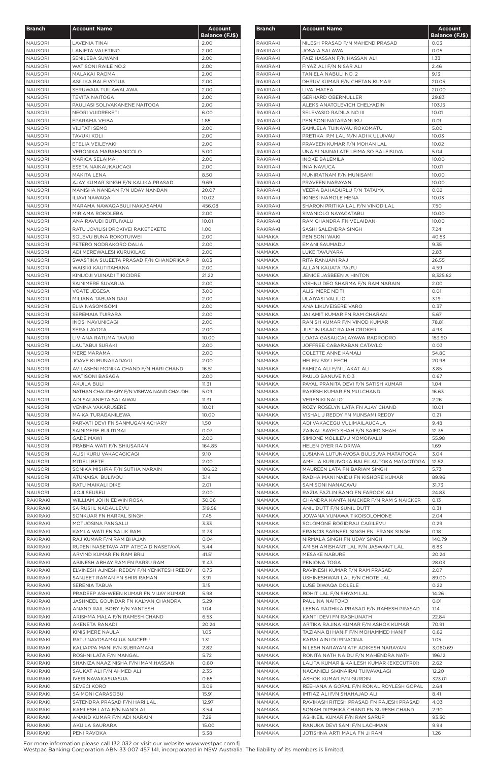| <b>Branch</b>                    | <b>Account Name</b>                                                        | <b>Account</b>        |
|----------------------------------|----------------------------------------------------------------------------|-----------------------|
|                                  |                                                                            | <b>Balance (FJ\$)</b> |
| <b>NAUSORI</b>                   | <b>LAVENIA TINAI</b>                                                       | 2.00                  |
| <b>NAUSORI</b>                   | LANIETA VALETINO                                                           | 2.00                  |
| <b>NAUSORI</b>                   | SENILEBA SUWANI                                                            | 2.00                  |
| <b>NAUSORI</b>                   | <b>WATISONI RAILE NO.2</b>                                                 | 2.00                  |
| <b>NAUSORI</b><br><b>NAUSORI</b> | MALAKAI RAOMA<br>ASILIKA BALEIVOTUA                                        | 2.00<br>2.00          |
| <b>NAUSORI</b>                   | SERUWAIA TUILAWALAWA                                                       | 2.00                  |
| <b>NAUSORI</b>                   | <b>TEVITA NAITOGA</b>                                                      | 2.00                  |
| <b>NAUSORI</b>                   | PAULIASI SOLIVAKANENE NAITOGA                                              | 2.00                  |
| <b>NAUSORI</b>                   | NEORI VUIDREKETI                                                           | 6.00                  |
| <b>NAUSORI</b>                   | EPARAMA VEIBA                                                              | 1.85                  |
| <b>NAUSORI</b>                   | <b>VILITATI SEMO</b>                                                       | 2.00                  |
| <b>NAUSORI</b>                   | <b>TAVUKI KOLI</b>                                                         | 2.00                  |
| <b>NAUSORI</b>                   | ETELIA VEILEYAKI                                                           | 2.00                  |
| <b>NAUSORI</b>                   | VERONIKA MARAMANICOLO                                                      | 5.00                  |
| <b>NAUSORI</b>                   | <b>MARICA SELAIMA</b>                                                      | 2.00                  |
| <b>NAUSORI</b>                   | ESETA NAIKAUKAUCAGI                                                        | 2.00                  |
| <b>NAUSORI</b>                   | <b>MAKITA LENA</b><br>AJAY KUMAR SINGH F/N KALIKA PRASAD                   | 8.50                  |
| <b>NAUSORI</b><br><b>NAUSORI</b> | MANISHA NANDAN F/N UDAY NANDAN                                             | 9.69<br>20.07         |
| <b>NAUSORI</b>                   | ILIAVI NAWAQA                                                              | 10.02                 |
| <b>NAUSORI</b>                   | MARAMA NAWAQABULI NAKASAMAI                                                | 456.08                |
| <b>NAUSORI</b>                   | MIRIAMA ROKOLEBA                                                           | 2.00                  |
| <b>NAUSORI</b>                   | ANA RAVUDI BUTUIVALU                                                       | 10.01                 |
| <b>NAUSORI</b>                   | RATU JOVILISI DROKIVEI RAKETEKETE                                          | 1.00                  |
| <b>NAUSORI</b>                   | SOLEVU BUNA ROKOTUIWEI                                                     | 2.00                  |
| <b>NAUSORI</b>                   | PETERO NODRAKORO DALIA                                                     | 2.00                  |
| <b>NAUSORI</b>                   | ADI MEREWALESI KURUKILAGI                                                  | 2.00                  |
| <b>NAUSORI</b>                   | SWASTIKA SUJEETA PRASAD F/N CHANDRIKA P                                    | 8.03                  |
| <b>NAUSORI</b>                   | WAISIKI KAUTITAMANA                                                        | 2.00                  |
| <b>NAUSORI</b>                   | KINIJOJI VUINADI TIKICIDRE                                                 | 21.22                 |
| <b>NAUSORI</b><br><b>NAUSORI</b> | SAINIMERE SUVARUA<br><b>VOATE JEGESA</b>                                   | 2.00<br>3.00          |
| <b>NAUSORI</b>                   | MILIANA TABUANIDAU                                                         | 2.00                  |
| <b>NAUSORI</b>                   | ELIA NASOMISOMI                                                            | 2.00                  |
| <b>NAUSORI</b>                   | SEREMAIA TUIRARA                                                           | 2.00                  |
| <b>NAUSORI</b>                   | <b>INOSI NAVUNICAGI</b>                                                    | 2.00                  |
| <b>NAUSORI</b>                   | <b>SERA LAVOTA</b>                                                         | 2.00                  |
| <b>NAUSORI</b>                   | LIVIANA RATUMAITAVUKI                                                      | 10.00                 |
| <b>NAUSORI</b>                   | <b>LAUTABUI SURAKI</b>                                                     | 2.00                  |
| <b>NAUSORI</b>                   | MERE MARAMA                                                                | 2.00                  |
| <b>NAUSORI</b>                   | JOAVE KUBUNAKADAVU                                                         | 2.00                  |
| <b>NAUSORI</b>                   | AVILASHNI MONIKA CHAND F/N HARI CHAND                                      | 16.51                 |
| <b>NAUSORI</b>                   | WATISONI BASAGA                                                            | 2.00                  |
| <b>NAUSORI</b><br><b>NAUSORI</b> | <b>AKUILA BULI</b><br>NATHAN CHAUDHARY F/N VISHWA NAND CHAUDH              | 11.31<br>5.09         |
| <b>NAUSORI</b>                   | ADI SALANIETA SALAIWAI                                                     | 11.31                 |
| <b>NAUSORI</b>                   | <b>VENINA VAKARUSERE</b>                                                   | 10.01                 |
| <b>NAUSORI</b>                   | MAIKA TURAGANILEWA                                                         | 10.00                 |
| <b>NAUSORI</b>                   | PARVATI DEVI FN SANMUGAN ACHARY                                            | 1.50                  |
| <b>NAUSORI</b>                   | SAINIMERE BULITIMAI                                                        | 0.07                  |
| <b>NAUSORI</b>                   | <b>GADE MAWI</b>                                                           | 2.00                  |
| <b>NAUSORI</b>                   | PRABHA WATI F/N SHIUSARAN                                                  | 164.85                |
| <b>NAUSORI</b>                   | ALISI KURU VAKACAGICAGI                                                    | 9.10                  |
| <b>NAUSORI</b>                   | MITIELI BETE                                                               | 2.00                  |
| <b>NAUSORI</b>                   | SONIKA MISHRA F/N SUTHA NARAIN                                             | 106.62                |
| <b>NAUSORI</b>                   | ATUNAISA BULIVOU                                                           | 3.14                  |
| <b>NAUSORI</b><br><b>NAUSORI</b> | RATU MAIKALI DIKE<br><b>JIOJI SEUSEU</b>                                   | 2.01<br>2.00          |
| <b>RAKIRAKI</b>                  | WILLIAM JOHN EDWIN ROSA                                                    | 30.06                 |
| RAKIRAKI                         | SAIRUSI L NADAULEVU                                                        | 319.58                |
| RAKIRAKI                         | SONKUAR FN HARPAL SINGH                                                    | 7.45                  |
| RAKIRAKI                         | MOTUOSINA PANGALU                                                          | 3.33                  |
| RAKIRAKI                         | KAMLA WATI FN SALIK RAM                                                    | 11.73                 |
| RAKIRAKI                         | RAJ KUMAR F/N RAM BHAJAN                                                   | 0.04                  |
| <b>RAKIRAKI</b>                  | RUPENI NASETAVA ATF ATECA D NASETAVA                                       | 5.44                  |
| RAKIRAKI                         | ARVIND KUMAR FN RAM BRIJ                                                   | 41.51                 |
| <b>RAKIRAKI</b>                  | ABINESH ABHAY RAM FN PARSU RAM                                             | 11.43                 |
| <b>RAKIRAKI</b>                  | ELVINESH AJNESH REDDY F/N YENKTESH REDDY                                   | 0.75                  |
| <b>RAKIRAKI</b>                  | SANJEET RAMAN FN SHIRI RAMAN                                               | 3.91                  |
| RAKIRAKI                         | SERENIA TABUA                                                              | 3.15                  |
| RAKIRAKI<br><b>RAKIRAKI</b>      | PRADEEP ASHWEEN KUMAR FN VIJAY KUMAR<br>JASHNEEL GOUNDAR FN KALYAN CHANDRA | 5.98<br>5.29          |
| <b>RAKIRAKI</b>                  | ANAND RAIL BOBY F/N YANTESH                                                | 1.04                  |
| RAKIRAKI                         | ARISHMA MALA F/N RAMESH CHAND                                              | 6.53                  |
| RAKIRAKI                         | AKENETA RANADI                                                             | 20.24                 |
| RAKIRAKI                         | KINISIMERE NAULA                                                           | 1.03                  |
| RAKIRAKI                         | RATU NAVOSAMALUA NAICERU                                                   | 1.31                  |
| RAKIRAKI                         | KALIAPPA MANI F/N SUBRAMANI                                                | 2.82                  |
| RAKIRAKI                         | ROSHNI LATA F/N MANGAL                                                     | 5.72                  |
| RAKIRAKI                         | SHANIZA NAAZ NISHA F/N IMAM HASSAN                                         | 0.60                  |
| RAKIRAKI                         | SAUKAT ALI F/N AHMED ALI                                                   | 2.35                  |
| RAKIRAKI                         | IVERI NAVAKASUASUA                                                         | 0.65                  |
| RAKIRAKI                         | SEVECI KORO                                                                | 3.09                  |
| RAKIRAKI                         | SAIMONI CARASOBU                                                           | 15.91                 |
| RAKIRAKI                         | SATENDRA PRASAD F/N HARI LAL                                               | 12.97                 |
| RAKIRAKI                         | KAMLESH LATA F/N NANDLAL                                                   | 3.54                  |
| RAKIRAKI                         | ANAND KUMAR F/N ADI NARAIN                                                 | 7.29                  |
| RAKIRAKI                         | AKUILA SAURARA                                                             | 15.00                 |
| <b>RAKIRAKI</b>                  | PENI RAVOKA                                                                | 5.38                  |

| <b>Branch</b>                  | <b>Account Name</b>                                                 | <b>Account</b><br><b>Balance (FJ\$)</b> |
|--------------------------------|---------------------------------------------------------------------|-----------------------------------------|
| RAKIRAKI                       | NILESH PRASAD F/N MAHEND PRASAD                                     | 0.03                                    |
| RAKIRAKI                       | JOSAIA SALAWA                                                       | 0.05                                    |
| RAKIRAKI                       | FAIZ HASSAN F/N HASSAN ALI                                          | 1.33                                    |
| RAKIRAKI                       | FIYAZ ALI F/N NISAR ALI                                             | 2.46                                    |
| RAKIRAKI                       | TANIELA NABULI NO. 2                                                | 9.13                                    |
| RAKIRAKI                       | DHRUV KUMAR F/N CHETAN KUMAR                                        | 20.05                                   |
| RAKIRAKI                       | LIVAI MATEA                                                         | 20.00                                   |
| RAKIRAKI                       | <b>GERHARD OBERMULLER</b>                                           | 29.83                                   |
| RAKIRAKI<br><b>RAKIRAKI</b>    | ALEKS ANATOLEVICH CHELYADIN                                         | 103.15                                  |
| <b>RAKIRAKI</b>                | SELEVASIO RADILA NO III<br>PENISONI NATARANUKU                      | 10.01<br>0.01                           |
| RAKIRAKI                       | SAMUELA TUINAYAU ROKOMATU                                           | 5.00                                    |
| RAKIRAKI                       | PRETIKA P.M LAL M/N ADI K ULUIVAU                                   | 10.03                                   |
| RAKIRAKI                       | PRAVEEN KUMAR F/N MOHAN LAL                                         | 10.02                                   |
| RAKIRAKI                       | UNAISI NAINAI ATF LEIMA SO BALEISUVA                                | 5.04                                    |
| RAKIRAKI                       | <b>INOKE BALEMILA</b>                                               | 10.00                                   |
| <b>RAKIRAKI</b>                | <b>INIA NAVUCA</b>                                                  | 10.01                                   |
| RAKIRAKI                       | MUNIRATNAM F/N MUNISAMI                                             | 10.00                                   |
| <b>RAKIRAKI</b>                | PRAVEEN NARAYAN                                                     | 10.00                                   |
| RAKIRAKI                       | VEERA BAHADURLU F/N TATAIYA                                         | 0.02                                    |
| RAKIRAKI                       | <b>IKINESI NAMOLE MENA</b>                                          | 10.03                                   |
| RAKIRAKI<br>RAKIRAKI           | SHARON PRITIKA LAL F/N VINOD LAL<br>SIVANIOLO NAYACATABU            | 7.50<br>10.00                           |
| RAKIRAKI                       | RAM CHANDRA FN VELAIDAN                                             | 10.00                                   |
| RAKIRAKI                       | SASHI SALENDRA SINGH                                                | 7.24                                    |
| NAMAKA                         | PENISONI WAKI                                                       | 40.53                                   |
| <b>NAMAKA</b>                  | EMANI SAUMADU                                                       | 9.35                                    |
| NAMAKA                         | LUKE TAVUYARA                                                       | 2.83                                    |
| <b>NAMAKA</b>                  | RITA RANJANI RAJ                                                    | 26.55                                   |
| NAMAKA                         | ALLAN KAUATA PAU'U                                                  | 4.59                                    |
| NAMAKA                         | JENICE JASBEEN A HINTON                                             | 8,325.82                                |
| NAMAKA                         | VISHNU DEO SHARMA F/N RAM NARAIN                                    | 2.00                                    |
| NAMAKA                         | ALISI MERE NEITI                                                    | 0.01                                    |
| NAMAKA                         | ULAIYASI VALILIO                                                    | 3.19                                    |
| NAMAKA                         | ANA LIKUVEISERE VARO                                                | 0.37                                    |
| <b>NAMAKA</b><br><b>NAMAKA</b> | JAI AMIT KUMAR FN RAM CHARAN<br>RANISH KUMAR F/N VINOD KUMAR        | 5.67<br>78.81                           |
| NAMAKA                         | JUSTIN ISAAC RAJAH CROKER                                           | 4.93                                    |
| NAMAKA                         | LOATA GASAUCALAYAWA RADRODRO                                        | 153.90                                  |
| NAMAKA                         | JOFFREE CABARABAN CATAYLO                                           | 0.03                                    |
| NAMAKA                         | <b>COLETTE ANNE KAMALI</b>                                          | 54.80                                   |
| NAMAKA                         | <b>HELEN FAY LEECH</b>                                              | 20.98                                   |
| NAMAKA                         | FAMIZA ALI F/N LIAKAT ALI                                           | 3.85                                    |
| NAMAKA                         | PAULO BANUVE NO.3                                                   | 0.67                                    |
| NAMAKA                         | PAYAL PRANITA DEVI F/N SATISH KUMAR                                 | 1.04                                    |
| NAMAKA                         | RAKESH KUMAR FN MULCHAND                                            | 16.63                                   |
| <b>NAMAKA</b>                  | <b>VERENIKI NALIO</b>                                               | 2.26                                    |
| NAMAKA                         | ROZY ROSELYN LATA FN AJAY CHAND                                     | 10.01                                   |
| <b>NAMAKA</b>                  | VISHAL J REDDY FN MUNSAMI REDDY                                     | 0.21                                    |
| NAMAKA<br>NAMAKA               | ADI VAKACEGU VULIMAILAUCALA<br>ZAINAL SAYED SHAH F/N SAIED SHAH     | 9.48<br>12.35                           |
| NAMAKA                         | SIMIONE MOLILEVU MOMOIVALU                                          | 55.98                                   |
| <b>NAMAKA</b>                  | HELEN DYER RAIDRIWA                                                 | 1.69                                    |
| NAMAKA                         | LUSIANA LUTUNAVOSA BULISUVA MATAITOGA                               | 3.04                                    |
| NAMAKA                         | AMELIA KURUIVOKA BALEILAUTOKA MATAOTOGA                             | 12.52                                   |
| NAMAKA                         | MAUREEN LATA FN BARIAM SINGH                                        | 5.73                                    |
| NAMAKA                         | RADHA MANI NAIDU FN KISHORE KUMAR                                   | 89.96                                   |
| NAMAKA                         | SAMISONI NANACAVU                                                   | 31.73                                   |
| <b>NAMAKA</b>                  | RAZIA FAZLIN BANO FN FAROOK ALI                                     | 24.83                                   |
| NAMAKA                         | CHANDRA KANTA NAICKER F/N RAM S NAICKER                             | 0.13                                    |
| NAMAKA                         | ANIL DUTT F/N SUNIL DUTT                                            | 0.31                                    |
| NAMAKA                         | JOWANA VUNAWA TIKOISOLOMONE                                         | 2.04                                    |
| <b>NAMAKA</b>                  | SOLOMONE BOGIDRAU CAGILEVU                                          | 0.29                                    |
| NAMAKA<br>NAMAKA               | FRANCIS SARNEEL SINGH FN FRANK SINGH<br>NIRMALA SINGH FN UDAY SINGH | 0.18<br>140.79                          |
| NAMAKA                         | AMISH AMISHANT LAL F/N JASWANT LAL                                  | 6.83                                    |
| <b>NAMAKA</b>                  | MESAKE NABURE                                                       | 20.24                                   |
| NAMAKA                         | PENIONA TOGA                                                        | 28.03                                   |
| NAMAKA                         | RAVINESH KUMAR F/N RAM PRASAD                                       | 2.07                                    |
| NAMAKA                         | USHINESHWAR LAL F/N CHOTE LAL                                       | 89.00                                   |
| <b>NAMAKA</b>                  | LUSE DIWAQA DOLELE                                                  | 0.22                                    |
| NAMAKA                         | ROHIT LAL F/N SHYAM LAL                                             | 14.26                                   |
| NAMAKA                         | PAULINA NAITOKO                                                     | 0.01                                    |
| NAMAKA                         | LEENA RADHIKA PRASAD F/N RAMESH PRASAD                              | 1.14                                    |
| NAMAKA                         | KANTI DEVI FN RAGHUNATH                                             | 22.84                                   |
| <b>NAMAKA</b>                  | ARTIKA RAJINA KUMAR F/N ASHOK KUMAR                                 | 70.91                                   |
| NAMAKA                         | TAZIANA BI HANIF F/N MOHAMMED HANIF                                 | 0.62                                    |
| NAMAKA<br>NAMAKA               | KARALAINI DURINACINA<br>NILESH NARAYAN ATF ADIKESH NARAYAN          | 1.05                                    |
| <b>NAMAKA</b>                  | RONITA NATH NAIDU F/N MAHENDRA NATH                                 | 3,060.69<br>196.12                      |
| NAMAKA                         | LALITA KUMAR & KAILESH KUMAR (EXECUTRIX)                            | 2.62                                    |
| NAMAKA                         | NACANIELI SIKINAIRAI TUIVAVALAGI                                    | 12.20                                   |
| NAMAKA                         | ASHOK KUMAR F/N GURDIN                                              | 323.01                                  |
| NAMAKA                         | REEHANA A GOPAL F/N RONAL ROYLESH GOPAL                             | 2.64                                    |
| NAMAKA                         | IMTIAZ ALI F/N SHAHAJAD ALI                                         | 8.41                                    |
| <b>NAMAKA</b>                  | RAVIKASH RITESH PRASAD FN RAJESH PRASAD                             | 4.03                                    |
| NAMAKA                         | SONAM DIPSHIKA CHAND FN SURESH CHAND                                | 2.90                                    |
| NAMAKA                         | ASHNEIL KUMAR F/N RAM SARUP                                         | 93.30                                   |
| NAMAKA                         | RANUKA DEVI SAMI F/N LACHMAN                                        | 9.94                                    |
| NAMAKA                         | JOTISHNA ARTI MALA FN JI RAM                                        | 1.26                                    |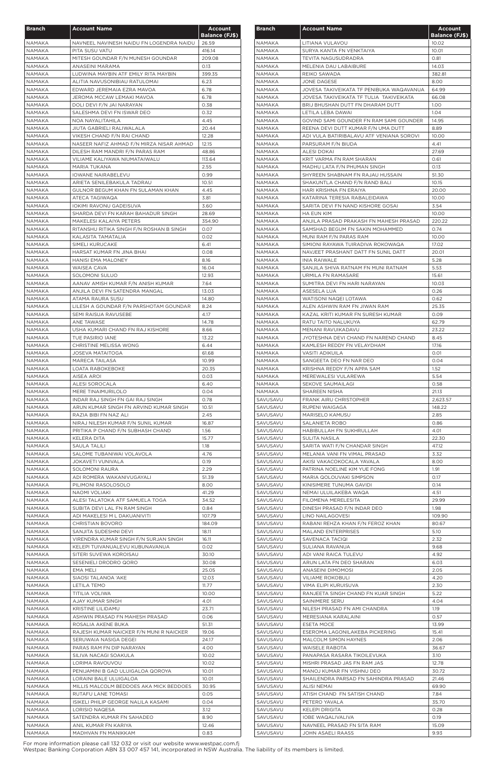| <b>Branch</b>                  | <b>Account Name</b>                                                  | <b>Account</b>        |
|--------------------------------|----------------------------------------------------------------------|-----------------------|
|                                |                                                                      | <b>Balance (FJ\$)</b> |
| NAMAKA<br><b>NAMAKA</b>        | NAVNEEL NAVINESH NAIDU FN LOGENDRA NAIDU<br>PITA SUSU VATU           | 26.59<br>416.14       |
| <b>NAMAKA</b>                  | MITESH GOUNDAR F/N MUNESH GOUNDAR                                    | 209.08                |
| <b>NAMAKA</b>                  | ANASEINI MARAMA                                                      | 0.13                  |
| <b>NAMAKA</b>                  | LUDWINA MAYBIN ATF EMILY RITA MAYBIN                                 | 399.35                |
| <b>NAMAKA</b>                  | ALITIA NAVUSONIBIAU RATULOMAI                                        | 6.23                  |
| <b>NAMAKA</b>                  | EDWARD JEREMAIA EZRA MAVOA                                           | 6.78                  |
| NAMAKA<br><b>NAMAKA</b>        | JEROMA MCCAW LEMAKI MAVOA<br>DOLI DEVI F/N JAI NARAYAN               | 6.78<br>0.38          |
| NAMAKA                         | SALESHMA DEVI FN ISWAR DEO                                           | 0.32                  |
| NAMAKA                         | NOA NAYALITAHILA                                                     | 4.45                  |
| <b>NAMAKA</b>                  | JIUTA GABRIELI RALIWALALA                                            | 20.44                 |
| NAMAKA                         | VIKESH CHAND F/N RAI CHAND                                           | 12.28                 |
| NAMAKA                         | NASEER NAFIZ AHMAD F/N MIRZA NISAR AHMAD                             | 12.15                 |
| NAMAKA<br><b>NAMAKA</b>        | DILESH RAM MANDRI F/N PARAS RAM<br>VILIAME KALIYAWA NIUMATAIWALU     | 48.86<br>113.64       |
| <b>NAMAKA</b>                  | MARIA TUKANA                                                         | 2.55                  |
| <b>NAMAKA</b>                  | <b>IOWANE NAIRABELEVU</b>                                            | 0.99                  |
| <b>NAMAKA</b>                  | ARIETA SENILEBAKULA TADRAU                                           | 10.51                 |
| <b>NAMAKA</b>                  | GULNOR BEGUM KHAN FN SULAMAN KHAN                                    | 4.45                  |
| NAMAKA                         | ATECA TAGIWAQA                                                       | 3.81                  |
| <b>NAMAKA</b><br><b>NAMAKA</b> | <b>IOKIMI RAVONU GADEISUVA</b><br>SHARDA DEVI FN KARAH BAHADUR SINGH | 3.60<br>28.69         |
| NAMAKA                         | MAKELESI KALAIYA PETERS                                              | 354.90                |
| NAMAKA                         | RITANSHU RITIKA SINGH F/N ROSHAN B SINGH                             | 0.07                  |
| NAMAKA                         | KALASITA TAMATALIA                                                   | 0.02                  |
| NAMAKA                         | SIMELI KURUCAKE                                                      | 6.41                  |
| NAMAKA                         | HARSAT KUMAR FN JINA BHAI                                            | 0.08                  |
| <b>NAMAKA</b>                  | <b>HANISI EMA MALONEY</b>                                            | 8.16                  |
| <b>NAMAKA</b>                  | WAISEA CAVA                                                          | 16.04                 |
| NAMAKA<br><b>NAMAKA</b>        | <b>SOLOMONI SULUO</b><br>AANAV AMISH KUMAR F/N ANISH KUMAR           | 12.93<br>7.64         |
| NAMAKA                         | ANJILA DEVI FN SATENDRA MANGAL                                       | 13.03                 |
| NAMAKA                         | ATAMA RAURA SUSU                                                     | 14.80                 |
| NAMAKA                         | LILESH A GOUNDAR F/N PARSHOTAM GOUNDAR                               | 8.24                  |
| NAMAKA                         | SEMI RAISUA RAVUSEBE                                                 | 4.17                  |
| <b>NAMAKA</b>                  | ANE TAWASE                                                           | 14.78                 |
| NAMAKA                         | USHA KUMARI CHAND FN RAJ KISHORE                                     | 8.66                  |
| NAMAKA                         | TUE PASIRIO IANE                                                     | 13.22                 |
| NAMAKA<br>NAMAKA               | CHRISTINE MELISSA WONG<br><b>JOSEVA MATAITOGA</b>                    | 6.44<br>61.68         |
| NAMAKA                         | MARECA TAILASA                                                       | 10.99                 |
| <b>NAMAKA</b>                  | <b>LOATA RABOKEBOKE</b>                                              | 20.35                 |
| <b>NAMAKA</b>                  | AISEA AROI                                                           | 0.03                  |
| <b>NAMAKA</b>                  | ALESI SOROCALA                                                       | 6.40                  |
| NAMAKA                         | MERE TINAIMURILOLO                                                   | 0.04                  |
| NAMAKA                         | INDAR RAJ SINGH FN GAI RAJ SINGH                                     | 0.78                  |
| NAMAKA                         | ARUN KUMAR SINGH FN ARVIND KUMAR SINGH                               | 10.51                 |
| <b>NAMAKA</b><br><b>NAMAKA</b> | RAZIA BIBI FN NAZ ALI<br>NIRAJ NILESH KUMAR F/N SUNIL KUMAR          | 2.45<br>16.87         |
| NAMAKA                         | PRITIKA P CHAND F/N SUBHASH CHAND                                    | 1.56                  |
| NAMAKA                         | KELERA DITA                                                          | 15.77                 |
| <b>NAMAKA</b>                  | <b>SAULA TALILI</b>                                                  | 1.18                  |
| <b>NAMAKA</b>                  | SALOME TUBANIWAI VOLAVOLA                                            | 4.76                  |
| NAMAKA                         | <b>JOKAVETI VUNIVALA</b>                                             | 0.19                  |
| <b>NAMAKA</b>                  | <b>SOLOMONI RAURA</b>                                                | 2.29                  |
| <b>NAMAKA</b>                  | ADI ROMERA WAKANIVUGAYALI<br>PILIMONI RASOLOSOLO                     | 51.39<br>8.00         |
| NAMAKA<br><b>NAMAKA</b>        | NAOMI VOLIAKI                                                        | 41.29                 |
| <b>NAMAKA</b>                  | ALESI TALATOKA ATF SAMUELA TOGA                                      | 34.52                 |
| NAMAKA                         | SUBITA DEVI LAL FN RAM SINGH                                         | 0.84                  |
| NAMAKA                         | ADI MAKELESI M L DAKUANIVITI                                         | 107.79                |
| NAMAKA                         | <b>CHRISTIAN BOVORO</b>                                              | 184.09                |
| <b>NAMAKA</b>                  | SANJITA SUDESHNI DEVI                                                | 18.11                 |
| NAMAKA                         | VIRENDRA KUMAR SINGH F/N SURJAN SINGH                                | 16.11                 |
| <b>NAMAKA</b><br>NAMAKA        | KELEPI TUIVANUALEVU KUBUNAVANUA<br>SITERI SUVEWA KOROISAU            | 0.02<br>30.10         |
| <b>NAMAKA</b>                  | SESENIELI DRODRO QORO                                                | 30.08                 |
| NAMAKA                         | EMA MELI                                                             | 25.05                 |
| <b>NAMAKA</b>                  | SIAOSI TALANOA 'AKE                                                  | 12.03                 |
| NAMAKA                         | <b>LETILA TEMO</b>                                                   | 11.77                 |
| <b>NAMAKA</b>                  | TITILIA VOLIWA                                                       | 10.00                 |
| NAMAKA                         | <b>AJAY KUMAR SINGH</b>                                              | 4.01                  |
| <b>NAMAKA</b>                  | KRISTINE LILIDAMU                                                    | 23.71                 |
| NAMAKA<br>NAMAKA               | ASHWIN PRASAD FN MAHESH PRASAD<br>ROSALIA AKENE BUKA                 | 0.06<br>51.31         |
| NAMAKA                         | RAJESH KUMAR NAICKER F/N MUNI R NAICKER                              | 19.06                 |
| NAMAKA                         | SERUWAIA NASIGA DEGEI                                                | 24.17                 |
| NAMAKA                         | PARAS RAM FN DIP NARAYAN                                             | 4.00                  |
| NAMAKA                         | SILIVA NACAGI SOAKULA                                                | 10.02                 |
| NAMAKA                         | LORIMA RAVOUVOU                                                      | 10.02                 |
| NAMAKA                         | PENIJAMINI B GAD ULUIGALOA QOROYA                                    | 10.01                 |
| NAMAKA                         | LORAINI BALE ULUIGALOA                                               | 10.01                 |
| NAMAKA                         | MILLIS MALCOLM BEDDOES AKA MICK BEDDOES                              | 30.95                 |
| NAMAKA<br>NAMAKA               | RUTAFU LANE TOMASI<br>ISIKELI PHILIP GEORGE NALILA KASAMI            | 0.05<br>0.04          |
| NAMAKA                         | LORISIO NAQESA                                                       | 3.12                  |
| NAMAKA                         | SATENDRA KUMAR FN SAHADEO                                            | 8.90                  |
| NAMAKA                         | ANIL KUMAR FN KARIYA                                                 | 12.46                 |
| NAMAKA                         | MADHVAN FN MANIKKAM                                                  | 0.83                  |

| <b>Branch</b>           | <b>Account Name</b>                                        | <b>Account</b>                 |
|-------------------------|------------------------------------------------------------|--------------------------------|
| NAMAKA                  | LITIANA VULAVOU                                            | <b>Balance (FJ\$)</b><br>10.02 |
| <b>NAMAKA</b>           | SURYA KANTA FN VENKTAIYA                                   | 10.01                          |
| NAMAKA                  | TEVITA NAGUSUDRADRA                                        | 0.81                           |
| NAMAKA                  | MELENIA DAU LABAIBURE                                      | 14.03                          |
| <b>NAMAKA</b>           | REIKO SAWADA                                               | 382.81                         |
| NAMAKA                  | JONE DAGESE                                                | 8.00                           |
| NAMAKA                  | JOVESA TAKIVEIKATA TF PENIBUKA WAQAVANUA                   | 64.99                          |
| <b>NAMAKA</b>           | JOVESA TAKIVEIKATA TF TULIA TAKIVEIKATA                    | 66.08                          |
| <b>NAMAKA</b>           | BRIJ BHUSHAN DUTT FN DHARAM DUTT                           | 1.00                           |
| NAMAKA                  | LETILA LEBA DAWAI                                          | 1.04                           |
| NAMAKA                  | GOVIND SAMI GOUNDER FN RAM SAMI GOUNDER                    | 14.95                          |
| <b>NAMAKA</b>           | REENA DEVI DUTT KUMAR F/N UMA DUTT                         | 8.89                           |
| NAMAKA                  | ADI VULA BATIRIBALAVU ATF VENIANA SOROVI                   | 10.00                          |
| NAMAKA<br>NAMAKA        | PARSURAM F/N BIUDA<br>ALESI DOKAI                          | 4.41<br>27.69                  |
| NAMAKA                  | KRIT VARMA FN RAM SHARAN                                   | 0.61                           |
| NAMAKA                  | MADHU LATA F/N PHUMAN SINGH                                | 0.13                           |
| NAMAKA                  | SHYREEN SHABNAM FN RAJAU HUSSAIN                           | 51.30                          |
| <b>NAMAKA</b>           | SHAKUNTLA CHAND F/N RAND BALI                              | 10.15                          |
| NAMAKA                  | HARI KRISHNA FN ERAIYA                                     | 20.00                          |
| NAMAKA                  | KATARINA TERESIA RABALEIDAWA                               | 10.00                          |
| <b>NAMAKA</b>           | SARITA DEVI FN NAND KISHORE GOSAI                          | 3.54                           |
| NAMAKA                  | HA EUN KIM                                                 | 10.00                          |
| NAMAKA                  | ANJILA PRASAD PRAKASH FN MAHESH PRASAD                     | 220.22                         |
| NAMAKA                  | SAMSHAD BEGUM FN SAKIN MOHAMMED                            | 0.74                           |
| NAMAKA                  | MUNI RAM F/N PARAS RAM                                     | 10.00                          |
| NAMAKA                  | SIMIONI RAYAWA TUIRADIVA ROKOWAQA                          | 17.02                          |
| NAMAKA                  | NAVJEET PRASHANT DATT FN SUNIL DATT                        | 20.01                          |
| <b>NAMAKA</b><br>NAMAKA | INIA RAIWALE<br>SANJILA SHIVA RATNAM FN MUNI RATNAM        | 5.28<br>5.53                   |
| NAMAKA                  | URMILA FN RAMASARE                                         | 15.61                          |
| <b>NAMAKA</b>           | SUMITRA DEVI FN HARI NARAYAN                               | 10.03                          |
| NAMAKA                  | ASESELA LUA                                                | 0.26                           |
| NAMAKA                  | WATISONI NAQEI LOTAWA                                      | 0.62                           |
| <b>NAMAKA</b>           | ALEN ASHWIN RAM FN JIWAN RAM                               | 25.35                          |
| NAMAKA                  | KAZAL KRITI KUMAR FN SURESH KUMAR                          | 0.09                           |
| NAMAKA                  | RATU TAITO NALUKUYA                                        | 62.79                          |
| NAMAKA                  | MENANI RAVUIKADAVU                                         | 23.22                          |
| NAMAKA                  | JYOTESHNA DEVI CHAND FN NAREND CHAND                       | 8.45                           |
| NAMAKA                  | KAMLESH REDDY FN VELAYDHAM                                 | 17.16                          |
| NAMAKA                  | <b>VASITI ADIKUILA</b>                                     | 0.01                           |
| NAMAKA                  | SANGEETA DEO FN NAR DEO                                    | 0.04                           |
| NAMAKA<br>NAMAKA        | KRISHNA REDDY F/N APPA SAM<br>MEREWALESI VULAREWA          | 1.52<br>5.54                   |
| NAMAKA                  | SEKOVE SAUMAILAGI                                          | 0.58                           |
| NAMAKA                  | SHAREEN NISHA                                              | 21.13                          |
| SAVUSAVU                | FRANK AIRU CHRISTOPHER                                     | 2,623.57                       |
| SAVUSAVU                | RUPENI WAIGAGA                                             | 148.22                         |
| SAVUSAVU                | <b>MARISELO KAMUSU</b>                                     | 2.85                           |
| SAVUSAVU                | SALANIETA ROBO                                             | 0.86                           |
| SAVUSAVU                | HABIBULLAH FN SUKHRULLAH                                   | 4.01                           |
| SAVUSAVU                | SULITA NASILA                                              | 22.30                          |
| SAVUSAVU                | SARITA WATI F/N CHANDAR SINGH                              | 47.12                          |
| SAVUSAVU                | MELANIA VANI FN VIMAL PRASAD                               | 3.32                           |
| SAVUSAVU                | AKISI VAKACOKOCALA YAVALA                                  | 8.00                           |
| SAVUSAVU                | PATRINA NOELINE KIM YUE FONG                               | 1.91                           |
| SAVUSAVU<br>SAVUSAVU    | MARIA QOLOUVAKI SIMPSON<br>KINISIMERE TUNUMA GAVIDI        | 0.17<br>0.14                   |
| SAVUSAVU                | NEMAI ULUILAKEBA WAQA                                      | 4.51                           |
| SAVUSAVU                | FILOMENA MERELESITA                                        | 29.99                          |
| SAVUSAVU                | DINESH PRASAD F/N INDAR DEO                                | 1.98                           |
| SAVUSAVU                | LINO NAILAGOVESI                                           | 109.90                         |
| SAVUSAVU                | RABANI REHZA KHAN F/N FEROZ KHAN                           | 80.67                          |
| SAVUSAVU                | <b>MALAND ENTERPRISES</b>                                  | 5.10                           |
| SAVUSAVU                | SAVENACA TACIQI                                            | 2.32                           |
| SAVUSAVU                | SULIANA RAVANUA                                            | 9.68                           |
| SAVUSAVU                | ADI VANI RAICA TULEVU                                      | 4.92                           |
| SAVUSAVU                | ARUN LATA FN DEO SHARAN                                    | 6.03                           |
| SAVUSAVU                | ANASEINI DIMOMOSI                                          | 2.05                           |
| SAVUSAVU                | <b>VILIAME ROKOBULI</b>                                    | 4.20                           |
| SAVUSAVU                | VIMA ELIPI KURUISUVA<br>RANJEETA SINGH CHAND FN KUAR SINGH | 2.30<br>5.22                   |
| SAVUSAVU<br>SAVUSAVU    | SAINIMERE SERU                                             | 4.04                           |
| SAVUSAVU                | NILESH PRASAD FN AMI CHANDRA                               | 1.19                           |
| SAVUSAVU                | MERESIANA KARALAINI                                        | 0.57                           |
| SAVUSAVU                | <b>ESETA MOCE</b>                                          | 13.99                          |
| SAVUSAVU                | ESEROMA LAGONILAKEBA PICKERING                             | 15.41                          |
| SAVUSAVU                | MALCOLM SIMON HAYNES                                       | 2.06                           |
| SAVUSAVU                | <b>WAISELE RABOTA</b>                                      | 36.67                          |
| SAVUSAVU                | PANAPASA RASARA TIKOILEVUKA                                | 3.10                           |
| SAVUSAVU                | MISHRI PRASAD JAS FN RAM JAS                               | 12.78                          |
| SAVUSAVU                | MANOJ KUMAR FN VISHNU DEO                                  | 30.72                          |
| SAVUSAVU                | SHAILENDRA PARSAD FN SAHINDRA PRASAD                       | 21.46                          |
| SAVUSAVU                | ALISI NEMAI                                                | 69.90                          |
| SAVUSAVU                | ATISH CHAND FN SATISH CHAND                                | 7.84                           |
| SAVUSAVU                | PETERO YAVALA                                              | 35.70                          |
| SAVUSAVU                | KELEPI DRIGITA                                             | 0.28<br>0.19                   |
| SAVUSAVU<br>SAVUSAVU    | IOBE WAQALIVALIVA<br>NAVNEEL PRASAD FN SITA RAM            | 15.09                          |
| SAVUSAVU                | JOHN ASAELI RAASS                                          | 9.93                           |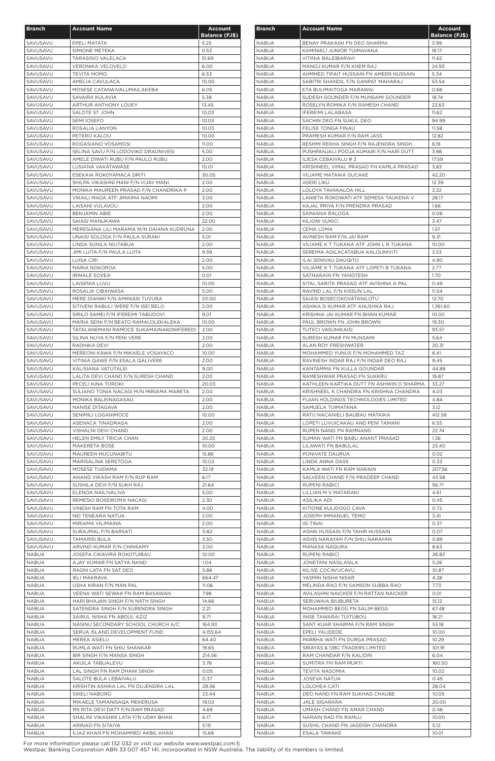| <b>Branch</b>        | <b>Account Name</b>                                             | <b>Account</b>        |
|----------------------|-----------------------------------------------------------------|-----------------------|
|                      |                                                                 | <b>Balance (FJ\$)</b> |
| SAVUSAVU             | EPELI MATATA                                                    | 5.25                  |
| SAVUSAVU             | SIMIONE METEKA                                                  | 0.53                  |
| SAVUSAVU<br>SAVUSAVU | <b>TARASISIO VALELACA</b><br><b>VERONIKA VELOVELO</b>           | 51.69<br>6.00         |
| SAVUSAVU             | <b>TEVITA MOMO</b>                                              | 6.53                  |
| SAVUSAVU             | AMELIA CAVULACA                                                 | 10.00                 |
| SAVUSAVU             | MOSESE CATANAIVALUMAILAKEBA                                     | 6.05                  |
| SAVUSAVU             | SAVAIRA KULAVIA                                                 | 5.38                  |
| SAVUSAVU             | ARTHUR ANTHONY LOUEY                                            | 13.45                 |
| SAVUSAVU             | SALOTE ST JOHN                                                  | 10.03                 |
| SAVUSAVU             | <b>SEMI IOSEFO</b>                                              | 10.03                 |
| SAVUSAVU             | ROSALIA LANYON                                                  | 10.03                 |
| SAVUSAVU             | PETERO KALOU                                                    | 10.00                 |
| SAVUSAVU             | ROGASIANO VOSAMOSI                                              | 11.00                 |
| SAVUSAVU             | SELINA SAVU F/N LODOVIKO DRAUNIVESI                             | 5.00                  |
| SAVUSAVU             | AMELE DIWATI RUBU F/N PAULO RUBU                                | 2.00                  |
| SAVUSAVU             | LUSIANA VAKATAWASE                                              | 10.01                 |
| SAVUSAVU<br>SAVUSAVU | ESEKAIA ROKOYAMACA DRITI<br>SHILPA VIKASHNI MANI F/N VIJAY MANI | 30.05<br>2.00         |
| SAVUSAVU             | MONIKA MAUREEN PRASAD F/N CHANDRIKA P                           | 2.00                  |
| SAVUSAVU             | VIKAILI MADA ATF JIMAIMA NAOMI                                  | 3.00                  |
| SAVUSAVU             | LAISANI VULAVOU                                                 | 2.00                  |
| SAVUSAVU             | <b>BENJAMIN ABIE</b>                                            | 2.00                  |
| SAVUSAVU             | SAIASI MANUKAWA                                                 | 22.00                 |
| SAVUSAVU             | MERESIANA LILI MARAMA M/N DAIANA KUDRUNA                        | 2.00                  |
| SAVUSAVU             | UNAISI SOLOGA F/N PAULA SURAKI                                  | 5.01                  |
| SAVUSAVU             | LINDA SUNILA NIUTABUA                                           | 2.00                  |
| SAVUSAVU             | JIMI LUITA F/N PAULA LUITA                                      | 9.59                  |
| SAVUSAVU             | LUISA CIRI                                                      | 2.00                  |
| SAVUSAVU             | <b>MARIA NOKOROA</b>                                            | 5.00                  |
| SAVUSAVU             | <b>IRINALE SOVEA</b>                                            | 0.01                  |
| SAVUSAVU             | LAISENIA LUVU                                                   | 10.00                 |
| SAVUSAVU             | ROSALIA CIBAIWASA                                               | 5.00                  |
| SAVUSAVU             | MERE DIANIKI F/N AMINIASI TUVURA                                | 20.00                 |
| SAVUSAVU             | SITIVENI RABULI WERE F/N ISEI BELO                              | 2.00                  |
| SAVUSAVU             | SIRILO SAMEI F/N IFEREIMI TABUDOVI                              | 9.01                  |
| SAVUSAVU             | MARIA SEINI F/N BEATO RAMALOLEKALEKA                            | 10.00                 |
| SAVUSAVU             | TATALANEMANI RAMOCE SUKAMAINAKONIFEREDI                         | 2.00                  |
| SAVUSAVU             | SILINA NUYA F/N PENI VERE                                       | 2.00                  |
| SAVUSAVU             | RADHIKA DEVI                                                    | 2.00                  |
| SAVUSAVU             | MEREONI KAWA F/N MIKAELE VOSAYACO                               | 10.00                 |
| SAVUSAVU             | VITINIA QAWE F/N ESALA QALIVERE<br>KALISIANA VATUTALEI          | 2.00                  |
| SAVUSAVU<br>SAVUSAVU | LALITA DEVI CHAND F/N SURESH CHAND                              | 9.00<br>2.00          |
| SAVUSAVU             | PECELI KINA TOROKI                                              | 20.03                 |
| SAVUSAVU             | SULIANO TONIA NACAGI M/N MIRIAMA MARETA                         | 2.00                  |
| SAVUSAVU             | MONIKA BALEINAGASAU                                             | 2.00                  |
| SAVUSAVU             | NANISE DITAGAVA                                                 | 2.00                  |
| SAVUSAVU             | SENIMILI LOGANIMOCE                                             | 10.00                 |
| SAVUSAVU             | ASENACA TINADRAGA                                               | 2.00                  |
| SAVUSAVU             | VISHALNI DEVI CHAND                                             | 2.00                  |
| SAVUSAVU             | HELEN EMILY TRICIA CHAN                                         | 20.25                 |
| SAVUSAVU             | <b>MAKERETA BOSE</b>                                            | 10.00                 |
| SAVUSAVU             | MAUREEN MUCUNABITU                                              | 15.86                 |
| SAVUSAVU             | MARISALINA SERETOGA                                             | 10.02                 |
| SAVUSAVU             | MOSESE TUIDAMA                                                  | 32.19                 |
| SAVUSAVU             | ANAND VIKASH RAM F/N RUP RAM                                    | 6.17                  |
| SAVUSAVU             | SUSHILA DEVI F/N SUKH RAJ                                       | 21.64                 |
| SAVUSAVU             | ELENOA NAILIVALIVA                                              | 5.00                  |
| SAVUSAVU             | REMESIO BOSEIROMA NACAGI                                        | 2.30                  |
| SAVUSAVU             | VINESH RAM FN TOTA RAM                                          | 4.00                  |
| SAVUSAVU             | NEI TENEARA NATUA                                               | 2.00                  |
| SAVUSAVU<br>SAVUSAVU | MIRIAMA VILIMAINA<br>SURAJMAL F/N BARSATI                       | 2.00<br>0.82          |
| SAVUSAVU             | <b>TAMARISI BULA</b>                                            | 3.50                  |
| SAVUSAVU             | ARVIND KUMAR F/N CHINSAMY                                       | 2.00                  |
| <b>NABUA</b>         | <b>JOSEFA CIKAVIRA ROKOTUIBAU</b>                               | 10.00                 |
| <b>NABUA</b>         | AJAY KUMAR FN SATYA NAND                                        | 1.04                  |
| <b>NABUA</b>         | RAGNI LATA FN SAT DEO                                           | 5.86                  |
| <b>NABUA</b>         | <b>IELI MAKRAVA</b>                                             | 664.47                |
| <b>NABUA</b>         | USHA KIRAN F/N MAN PAL                                          | 11.06                 |
| <b>NABUA</b>         | VEENA WATI SEWAK FN RAM BASAWAN                                 | 7.98                  |
| <b>NABUA</b>         | HARI BHAJAN SINGH F/N NATH SINGH                                | 14.66                 |
| <b>NABUA</b>         | SATENDRA SINGH F/N SURENDRA SINGH                               | 2.21                  |
| <b>NABUA</b>         | SAIRUL NISHA FN ABDUL AZIZ                                      | 9.71                  |
| <b>NABUA</b>         | NASINU SECONDARY SCHOOL CHURCH A/C                              | 164.93                |
| <b>NABUA</b>         | SERUA ISLAND DEVELOPMENT FUND                                   | 4,155.64              |
| NABUA                | MEREA ASIELU                                                    | 64.40                 |
| NABUA                | RUMLA WATI FN SHIU SHANKAR                                      | 19.65                 |
| NABUA                | BIR SINGH F/N MANSA SINGH                                       | 214.56                |
| <b>NABUA</b>         | AKUILA TABUALEVU                                                | 3.76                  |
| NABUA                | LAL SINGH FN RAM DHANI SINGH                                    | 0.05                  |
| NABUA                | SALOTE BULA LEBAIVALU                                           | 0.37                  |
| <b>NABUA</b>         | KRISHTIN ASHIKA LAL FN DUJENDRA LAL                             | 29.56                 |
| NABUA                | SIKELI NABORO                                                   | 23.44                 |
| NABUA<br>NABUA       | MIKAELE TAMANISAQA MEKERUSA<br>MS RITA DEVI DATT F/N RAM PRASAD | 19.02<br>4.69         |
| NABUA                | SHALINI VIKASHNI LATA F/N UDAY BHAN                             | 6.17                  |
| NABUA                | ARINAD FN SITAIYA                                               | 5.19                  |
| <b>NABUA</b>         | ILIAZ KHAN FN MOHAMMED AKBIL KHAN                               | 15.68                 |

| <b>Branch</b>                | <b>Account Name</b>                                                                | Account<br><b>Balance (FJ\$)</b> |
|------------------------------|------------------------------------------------------------------------------------|----------------------------------|
| NABUA                        | BENAY PRAKASH FN DEO SHARMA                                                        | 3.99                             |
| NABUA                        | KAMINIELI JUNIOR TUIMAVANA                                                         | 16.17                            |
| NABUA                        | VITINIA BALEIBARAVI                                                                | 11.62                            |
| <b>NABUA</b>                 | MANOJ KUMAR F/N KHEM RAJ                                                           | 24.93                            |
| NABUA<br>NABUA               | AHMMED TIFAIT HUSSAIN FN AMEER HUSSAIN<br>SABITRI SHANDIL F/N GANPAT MAHARAJ       | 5.34<br>53.54                    |
| <b>NABUA</b>                 | ETA BULIMAITOGA MARAWAI                                                            | 0.68                             |
| <b>NABUA</b>                 | SUDESH GOUNDER F/N MUNSAMI GOUNDER                                                 | 18.74                            |
| <b>NABUA</b>                 | ROSELYN ROMIKA F/N RAMESH CHAND                                                    | 22.63                            |
| NABUA                        | <b>IFEREIMI LALABASA</b>                                                           | 11.62                            |
| NABUA                        | SACHIN DEO FN SUKUL DEO                                                            | 94.99                            |
| NABUA                        | FELISE TONGA FINAU                                                                 | 11.58                            |
| NABUA                        | PRAMESH KUMAR F/N RAM JASS                                                         | 12.82                            |
| <b>NABUA</b>                 | RESHMI REKHA SINGH F/N RAJENDRA SINGH                                              | 8.19                             |
| NABUA<br>NABUA               | PUSHPANJALI POOJA KUMARI F/N HARI DUTT<br>ILIESA CEBAIVALU # 2                     | 3.98<br>17.59                    |
| <b>NABUA</b>                 | KRISHNEEL VIMAL PRASAD FN KAMLA PRASAD                                             | 3.83                             |
| NABUA                        | VILIAME MATAIKA GUCAKE                                                             | 42.20                            |
| NABUA                        | <b>ASERI LIKU</b>                                                                  | 12.39                            |
| NABUA                        | LOLOYA TAVAKALOA HILL                                                              | 3.32                             |
| <b>NABUA</b>                 | LANIETA ROKOWATI ATF SEMESA TAUKENA V                                              | 28.17                            |
| <b>NABUA</b>                 | KAJAL PRIYA F/N PRENDRA PRASAD                                                     | 1.66                             |
| NABUA                        | SAINIANA RALOGA                                                                    | 0.06                             |
| <b>NABUA</b>                 | <b>KILIONI VUKICI</b>                                                              | 3.47                             |
| NABUA<br>NABUA               | CEMA LOMA<br>AVINESH RAM F/N JAI RAM                                               | 1.57<br>9.31                     |
| <b>NABUA</b>                 | VILIAME K T TUKANA ATF JOHN L R TUKANA                                             | 10.00                            |
| <b>NABUA</b>                 | SEREIMA ADILACATABUA KALOUNIVITI                                                   | 3.53                             |
| NABUA                        | ILAI SENIVAU DAUQITO                                                               | 4.90                             |
| <b>NABUA</b>                 | VILIAME K T TUKANA ATF LOPETI B TUKANA                                             | 2.77                             |
| <b>NABUA</b>                 | SATNARAIN FN YANGTESH                                                              | 1.70                             |
| <b>NABUA</b>                 | SITAL SARITA PRASAD ATF AVISHNA A PAL                                              | 0.49                             |
| <b>NABUA</b>                 | RAVIND LAL F/N KISSUN LAL                                                          | 11.54                            |
| <b>NABUA</b>                 | SAIASI BOSECOKOVATANILOTU                                                          | 12.70                            |
| <b>NABUA</b><br><b>NABUA</b> | ASHIKA D KUMAR ATF ANUSHKA RAJ<br>KRISHNA JAI KUMAR FN BHAN KUMAR                  | 1,361.60<br>10.00                |
| <b>NABUA</b>                 | PAUL BROWN FN JOHN BROWN                                                           | 19.30                            |
| <b>NABUA</b>                 | TUTECI VASUNIKAISI                                                                 | 93.57                            |
| <b>NABUA</b>                 | SURESH KUMAR FN MUNSAMI                                                            | 5.64                             |
| <b>NABUA</b>                 | ALAN ROY FRESHWATER                                                                | 20.31                            |
| <b>NABUA</b>                 | MOHAMMED YUNUS F/N MOHAMMED TAZ                                                    | 6.41                             |
| <b>NABUA</b>                 | RAVINESH INDAR RAJ F/N INDAR DEO RAJ                                               | 9.45                             |
| <b>NABUA</b>                 | KANTAMMA FN KULLA GOUNDAR                                                          | 44.88                            |
| <b>NABUA</b>                 | RAMESHWAR PRASAD FN SUKKRU                                                         | 19.87                            |
| <b>NABUA</b><br><b>NABUA</b> | KATHLEEN KARTIKA DUTT FN ASHWIN D SHARMA<br>KRISHNEEL K CHANDRA FN KRISHNA CHANDRA | 33.27<br>4.03                    |
| <b>NABUA</b>                 | FIJIAN HOLDINGS TECHNOLOGIES LIMITED                                               | 4.84                             |
| <b>NABUA</b>                 | SAMUELA TUIMATANA                                                                  | 3.12                             |
| <b>NABUA</b>                 | RATU NACANIELI BAUBAU MATAIKA                                                      | 412.59                           |
| <b>NABUA</b>                 | LOPETI LUVUICAKAU AND PENI TAMANI                                                  | 6.55                             |
| <b>NABUA</b>                 | RUPEN NAND FN RAMNAND                                                              | 22.74                            |
| <b>NABUA</b>                 | SUMAN WATI FN BABU ANANT PRASAD                                                    | 1.36                             |
| <b>NABUA</b>                 | LILAWATI FN BABULAL                                                                | 23.40                            |
| <b>NABUA</b>                 | PONIVATE DAURUA                                                                    | 0.02                             |
| <b>NABUA</b><br><b>NABUA</b> | LINDA ANNA DASS<br>KAMLA WATI FN RAM NARAIN                                        | 0.33<br>207.56                   |
| <b>NABUA</b>                 | SALVEEN CHAND F/N PRADEEP CHAND                                                    | 43.58                            |
| <b>NABUA</b>                 | RUPENI RABICI                                                                      | 56.71                            |
| <b>NABUA</b>                 | LILLIAN M V MATARAKI                                                               | 4.61                             |
| <b>NABUA</b>                 | ASILIKA ADI                                                                        | 0.45                             |
| <b>NABUA</b>                 | KITIONE KULIDOGO CAVA                                                              | 0.72                             |
| <b>NABUA</b>                 | JOSEPH IMMANUEL TEMO                                                               | 3.41                             |
| NABUA                        | <b>ISI TINAI</b>                                                                   | 0.37                             |
| <b>NABUA</b><br><b>NABUA</b> | ASHIK HUSSAIN F/N TAHIR HUSSAIN<br>ASHIS NARAYAN F/N SHIU NARAYAN                  | 0.07<br>0.89                     |
| <b>NABUA</b>                 | MANASA NAQURA                                                                      | 8.63                             |
| <b>NABUA</b>                 | RUPENI RABICI                                                                      | 26.83                            |
| <b>NABUA</b>                 | JONETANI NASILASILA                                                                | 5.28                             |
| <b>NABUA</b>                 | KILIVE COCAVUCAVU                                                                  | 10.87                            |
| NABUA                        | YASMIN NISHA NISAR                                                                 | 4.28                             |
| <b>NABUA</b>                 | MELINDA RAO F/N SAMSON SUBBA RAO                                                   | 7.73                             |
| <b>NABUA</b>                 | AVILASHNI NAICKER F/N RATTAN NAICKER                                               | 0.01                             |
| <b>NABUA</b><br><b>NABUA</b> | SERUWAIA BIUBURETA<br>MOHAMMED BEGG FN SALIM BEGG                                  | 15.12                            |
| <b>NABUA</b>                 | INISE TAWARAI TUITUBOU                                                             | 67.48<br>18.21                   |
| <b>NABUA</b>                 | SANT KUAR SHARMA F/N RAM SINGH                                                     | 53.18                            |
| <b>NABUA</b>                 | EPELI YALIDEDE                                                                     | 10.00                            |
| NABUA                        | PARBHA WATI FN DURGA PRASAD                                                        | 10.29                            |
| NABUA                        | SRIAYAS & OBC TRADERS LIMITED                                                      | 101.91                           |
| NABUA                        | RAM CHANDAR F/N KALIDIN                                                            | 6.04                             |
| <b>NABUA</b>                 | SUMITRA FN RAM MURTI                                                               | 160.50                           |
| <b>NABUA</b>                 | <b>TEVITA NASOMIA</b>                                                              | 10.02                            |
| NABUA                        | JOSEVA NATUA                                                                       | 0.45                             |
| NABUA<br><b>NABUA</b>        | LOLOHEA CATI<br>DEO NAND FN RAM SUKHAD CHAUBE                                      | 28.04<br>10.05                   |
| <b>NABUA</b>                 | <b>JALE SIGARARA</b>                                                               | 20.00                            |
| <b>NABUA</b>                 | UMASH CHAND FN AMAR CHAND                                                          | 0.46                             |
| <b>NABUA</b>                 | NARAIN RAO FN RAMLU                                                                | 10.00                            |
| <b>NABUA</b>                 | SUSHIL CHAND FN JAGDISH CHANDRA                                                    | 5.12                             |
| <b>NABUA</b>                 | ESALA TAWAKE                                                                       | 10.01                            |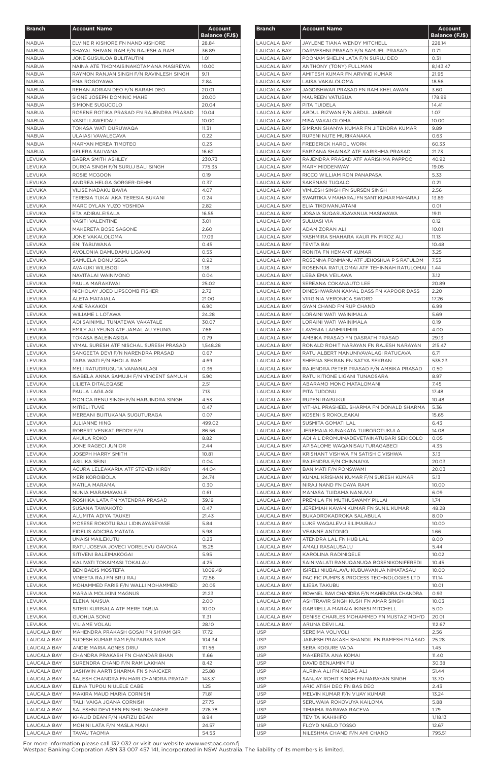| <b>Branch</b>                     | <b>Account Name</b>                                                        | <b>Account</b>        |
|-----------------------------------|----------------------------------------------------------------------------|-----------------------|
|                                   |                                                                            | <b>Balance (FJ\$)</b> |
| <b>NABUA</b><br><b>NABUA</b>      | ELVINE R KISHORE FN NAND KISHORE<br>SHAYAL SHIVANI RAM F/N RAJESH A RAM    | 28.84<br>36.89        |
| <b>NABUA</b>                      | JONE GUSUILOA BULITAUTINI                                                  | 1.01                  |
| <b>NABUA</b>                      | NAINA ATE TIKOMAISINAKOTAMANA MASIREWA                                     | 10.00                 |
| NABUA                             | RAYMON RANJAN SINGH F/N RAVINLESH SINGH                                    | 9.11                  |
| NABUA                             | ENA ROGOYAWA                                                               | 2.84                  |
| <b>NABUA</b><br><b>NABUA</b>      | REHAN ADRIAN DEO F/N BARAM DEO<br>SIONE JOSEPH DOMINIC MAHE                | 20.01<br>20.00        |
| <b>NABUA</b>                      | SIMIONE SUGUCOLO                                                           | 20.04                 |
| <b>NABUA</b>                      | ROSENE ROTIKA PRASAD FN RAJENDRA PRASAD                                    | 10.04                 |
| NABUA                             | VASITI LAWEIDAU                                                            | 10.00                 |
| NABUA                             | TOKASA WATI DURUWAQA                                                       | 11.31                 |
| <b>NABUA</b>                      | ULAIASI VAVALECAVA                                                         | 0.22                  |
| <b>NABUA</b><br><b>NABUA</b>      | MARYAN MEREA TIMOTEO<br>KELERA SAUVANA                                     | 0.23<br>16.62         |
| LEVUKA                            | <b>BABRA SMITH ASHLEY</b>                                                  | 230.73                |
| LEVUKA                            | DURGA SINGH F/N SURUJ BALI SINGH                                           | 775.35                |
| LEVUKA                            | ROSIE MCGOON                                                               | 0.19                  |
| LEVUKA                            | ANDREA HELGA GORGER-DEHM                                                   | 0.37                  |
| LEVUKA                            | VILISE NADAKU BAVIA                                                        | 4.07                  |
| LEVUKA<br>LEVUKA                  | TERESIA TUKAI AKA TERESIA BUKANI<br>MARC DYLAN YUZO YOSHIDA                | 0.24<br>2.82          |
| LEVUKA                            | ETA ADIBALEISALA                                                           | 16.55                 |
| LEVUKA                            | <b>VASITI VALENTINE</b>                                                    | 3.01                  |
| LEVUKA                            | MAKERETA BOSE SAGONE                                                       | 2.60                  |
| LEVUKA                            | JONE VAKALOLOMA                                                            | 17.09                 |
| LEVUKA<br>LEVUKA                  | ENI TABUWANA<br>AVOLONIA DAMUDAMU LIGAVAI                                  | 0.45<br>0.53          |
| LEVUKA                            | SAMUELA DONU SEGA                                                          | 0.92                  |
| LEVUKA                            | AVAKUKI WILIBOGI                                                           | 1.18                  |
| LEVUKA                            | NAVITALAI WAINIVONO                                                        | 0.04                  |
| LEVUKA                            | PAULA MARAKIWAI                                                            | 25.02                 |
| LEVUKA                            | NICHOLAY JOED LIPSCOMB FISHER                                              | 2.72                  |
| LEVUKA<br>LEVUKA                  | <b>ALETA MATAIALA</b><br>ANE RAKAKOI                                       | 21.00<br>6.90         |
| LEVUKA                            | <b>WILIAME L LOTAWA</b>                                                    | 24.28                 |
| LEVUKA                            | ADI SAINIMILI TUNATEWA VAKATALE                                            | 30.07                 |
| LEVUKA                            | EMILY AU YEUNG ATF JAMAL AU YEUNG                                          | 7.66                  |
| LEVUKA                            | TOKASA BALEINASIGA                                                         | 0.79                  |
| LEVUKA                            | VIMAL SURESH ATF NISCHAL SURESH PRASAD                                     | 1,548.28              |
| LEVUKA<br>LEVUKA                  | SANGEETA DEVI F/N NARENDRA PRASAD<br>TARA WATI F/N BHOLA RAM               | 0.67<br>4.69          |
| LEVUKA                            | MELI RATUDRUGUTA VANANALAGI                                                | 0.36                  |
| LEVUKA                            | ISABELA ANNA SAMUJH F/N VINCENT SAMUJH                                     | 5.90                  |
| LEVUKA                            | LILIETA DITALEQASE                                                         | 2.51                  |
| LEVUKA                            | PAULA LAGILAGI                                                             | 7.13                  |
| LEVUKA                            | MONICA RENU SINGH F/N HARJINDRA SINGH                                      | 4.53                  |
| LEVUKA<br>LEVUKA                  | MITIELI TUVE<br>MEREANI BUITUKANA SUGUTURAGA                               | 0.47<br>0.07          |
| LEVUKA                            | <b>JULIANNE HING</b>                                                       | 499.02                |
| LEVUKA                            | ROBERT VENKAT REDDY F/N                                                    | 86.56                 |
| LEVUKA                            | AKUILA ROKO                                                                | 8.82                  |
| LEVUKA                            | JONE RAGECI JUNIOR                                                         | 2.44                  |
| LEVUKA<br>LEVUKA                  | <b>JOSEPH HARRY SMITH</b><br><b>ASILIKA SEINI</b>                          | 10.81<br>0.04         |
| LEVUKA                            | ACURA LELEAKARIA ATF STEVEN KIRBY                                          | 44.04                 |
| LEVUKA                            | <b>MERI KOROIBOLA</b>                                                      | 24.74                 |
| LEVUKA                            | MATILA MARAMA                                                              | 0.30                  |
| LEVUKA                            | NUNIA MARAMAWALE                                                           | 0.61                  |
| LEVUKA                            | ROSHIKA LATA FN YATENDRA PRASAD                                            | 39.19                 |
| LEVUKA<br>LEVUKA                  | SUSANA TAWAKOTO<br>ALUMITA ADIYA TAUKEI                                    | 0.47<br>21.43         |
| LEVUKA                            | MOSESE ROKOTUIBAU LIDINAYASEYASE                                           | 5.84                  |
| LEVUKA                            | FIDELIS ADICIBA MATATA                                                     | 5.98                  |
| LEVUKA                            | UNAISI MAILEKUTU                                                           | 0.23                  |
| LEVUKA                            | RATU JOSEVA JOVECI VORELEVU GAVOKA                                         | 15.25                 |
| LEVUKA                            | SITIVENI BALEIMAKOGAI                                                      | 5.95                  |
| LEVUKA<br>LEVUKA                  | KALIVATI TOKAIMASI TOKALAU<br><b>BEN BADIS MOSTEFA</b>                     | 4.25<br>1,009.49      |
| LEVUKA                            | VINEETA RAJ FN BRIJ RAJ                                                    | 72.56                 |
| LEVUKA                            | MOHAMMED FARIS F/N WALLI MOHAMMED                                          | 20.05                 |
| LEVUKA                            | MARAIA MOLIKINI MAGNUS                                                     | 21.23                 |
| LEVUKA                            | ELENA NAISUA                                                               | 2.00                  |
| LEVUKA                            | SITERI KURISALA ATF MERE TABUA                                             | 10.00                 |
| LEVUKA<br>LEVUKA                  | <b>GUOHUA SONG</b><br>VILIAME VOLAU                                        | 11.31<br>28.10        |
| LAUCALA BAY                       | MAHENDRA PRAKASH GOSAI FN SHYAM GIR                                        | 17.72                 |
| <b>LAUCALA BAY</b>                | SUDESH KUMAR RAM F/N PARAS RAM                                             | 104.34                |
| LAUCALA BAY                       | ANDIE MARIA AGNES DRIU                                                     | 111.56                |
| LAUCALA BAY                       | CHANDRA PRAKASH FN CHANDAR BHAN                                            | 11.66                 |
| LAUCALA BAY                       | SURENDRA CHAND F/N RAM LAKHAN                                              | 8.42                  |
| LAUCALA BAY<br>LAUCALA BAY        | JASHWIN AARTI SHARMA FN S NAICKER<br>SALESH CHANDRA FN HARI CHANDRA PRATAP | 25.88<br>143.31       |
| LAUCALA BAY                       | ELINA TUPOU NIULELE CABE                                                   | 1.25                  |
| <b>LAUCALA BAY</b>                | MAKIRA MAUD MARIA CORNISH                                                  | 71.81                 |
| <b>LAUCALA BAY</b>                | TALII VAIGA JOANA CORNISH                                                  | 27.75                 |
| LAUCALA BAY                       | SALESHNI DEVI SEN FN SHIU SHANKER                                          | 276.78                |
| LAUCALA BAY                       | KHALID DEAN F/N HAFIZU DEAN                                                | 8.94                  |
| <b>LAUCALA BAY</b><br>LAUCALA BAY | MOHINI LATA F/N MASLA MANI<br>TAVAU TAOMIA                                 | 24.57<br>54.53        |

| <b>Branch</b>                     | <b>Account Name</b>                                   | <b>Account</b><br><b>Balance (FJ\$)</b> |
|-----------------------------------|-------------------------------------------------------|-----------------------------------------|
| LAUCALA BAY                       | JAYLENE TIANA WENDY MITCHELL                          | 228.14                                  |
| LAUCALA BAY                       | DARVESHNI PRASAD F/N SAMUEL PRASAD                    | 0.71                                    |
| LAUCALA BAY                       | POONAM SHELIN LATA F/N SURUJ DEO                      | 0.31                                    |
| LAUCALA BAY                       | ANTHONY (TONY) FULLMAN                                | 8,143.47                                |
| LAUCALA BAY                       | AMITESH KUMAR FN ARVIND KUMAR                         | 21.95                                   |
| LAUCALA BAY                       | LAISA VAKALOLOMA                                      | 18.56                                   |
| LAUCALA BAY                       | JAGDISHWAR PRASAD FN RAM KHELAWAN                     | 3.60                                    |
| LAUCALA BAY                       | MAUREEN VATUBUA                                       | 178.99                                  |
| LAUCALA BAY                       | PITA TUIDELA                                          | 14.41                                   |
| LAUCALA BAY<br>LAUCALA BAY        | ABDUL RIZWAN F/N ABDUL JABBAR<br>MISA VAKALOLOMA      | 1.07<br>10.00                           |
| LAUCALA BAY                       | SIMRAN SHANYA KUMAR FN JITENDRA KUMAR                 | 9.89                                    |
| LAUCALA BAY                       | RUPENI NUTE MURIKANAKA                                | 0.63                                    |
| LAUCALA BAY                       | FREDERICK HAROL WORK                                  | 60.33                                   |
| LAUCALA BAY                       | FARZANA SHAINAZ ATF KARISHMA PRASAD                   | 21.73                                   |
| LAUCALA BAY                       | RAJENDRA PRASAD ATF AARISHMA PAPPOO                   | 40.92                                   |
| LAUCALA BAY                       | MARY MIDDENWAY                                        | 19.05                                   |
| LAUCALA BAY                       | RICCO WILLIAM RON PANAPASA                            | 5.33                                    |
| <b>LAUCALA BAY</b>                | SAKENASI TUQALO                                       | 0.21                                    |
| <b>LAUCALA BAY</b>                | VIMLESH SINGH FN SURSEN SINGH                         | 2.56                                    |
| <b>LAUCALA BAY</b>                | SWARTIKA V MAHARAJ FN SANT KUMAR MAHARAJ              | 13.89                                   |
| <b>LAUCALA BAY</b>                | ELIA TIKOIVANUATANI<br>JOSAIA SUQASUQAVANUA MASIWAWA  | 0.01<br>19.11                           |
| LAUCALA BAY<br>LAUCALA BAY        | SULUASI VIA                                           | 0.12                                    |
| LAUCALA BAY                       | ADAM ZORAN ALI                                        | 10.01                                   |
| LAUCALA BAY                       | YASHMIRA SHAHARA KAUR FN FIROZ ALI                    | 11.13                                   |
| LAUCALA BAY                       | <b>TEVITA BAI</b>                                     | 10.48                                   |
| LAUCALA BAY                       | RONITA FN HEMANT KUMAR                                | 3.25                                    |
| LAUCALA BAY                       | ROSENNA FONMANU ATF JEHOSHUA P S RATULOM              | 7.53                                    |
| LAUCALA BAY                       | ROSENNA RATULOMAI ATF TEHINNAH RATULOMAI              | 1.44                                    |
| LAUCALA BAY                       | LEBA EMA VEILAWA                                      | 3.12                                    |
| LAUCALA BAY                       | SEREANA COKANAUTO LEE                                 | 20.89                                   |
| LAUCALA BAY                       | DINESHWARAN KAMAL DASS FN KAPOOR DASS                 | 2.20                                    |
| LAUCALA BAY                       | VIRGINIA VERONICA SWORD                               | 17.26                                   |
| LAUCALA BAY                       | <b>GYAN CHAND FN RUP CHAND</b>                        | 6.99                                    |
| LAUCALA BAY                       | LORAINI WATI WAINIMALA                                | 5.69                                    |
| LAUCALA BAY<br>LAUCALA BAY        | LORAINI WATI WAINIMALA<br><b>LAVENIA LAGIMIRIMIRI</b> | 0.19<br>4.00                            |
| LAUCALA BAY                       | AMBIKA PRASAD FN DASRATH PRASAD                       | 29.13                                   |
| LAUCALA BAY                       | RONALD ROHIT NARAYAN FN RAJESH NARAYAN                | 215.47                                  |
| <b>LAUCALA BAY</b>                | RATU ALBERT MANUNIVAVALAGI RATUCAVA                   | 6.71                                    |
| LAUCALA BAY                       | SHEENA SEKRAN FN SATYA SEKRAN                         | 535.23                                  |
| LAUCALA BAY                       | RAJENDRA PETER PRASAD F/N AMBIKA PRASAD               | 0.50                                    |
| <b>LAUCALA BAY</b>                | RATU KITIONE LIGANI TUNAOSARA                         | 8.97                                    |
| <b>LAUCALA BAY</b>                | ABARAMO MONO MATALOMANI                               | 7.45                                    |
| LAUCALA BAY                       | PITA TUDONU                                           | 17.48                                   |
| LAUCALA BAY                       | RUPENI RAISUKUI                                       | 10.48                                   |
| LAUCALA BAY                       | VITHAL PRASHEEL SHARMA FN DONALD SHARMA               | 5.36                                    |
| LAUCALA BAY                       | KOSENI S ROKOLEAKAI                                   | 15.65                                   |
| LAUCALA BAY<br><b>LAUCALA BAY</b> | SUSMITA GOMATI LAL<br>JEREMAIA KUNAKATA TUIBOROTUKULA | 6.43<br>14.08                           |
| LAUCALA BAY                       | ADI A L DROMUINADEVETAINATUBARI SEKICOLO              | 0.05                                    |
| LAUCALA BAY                       | APISALOME WAQANISAU TURAGABECI                        | 4.35                                    |
| LAUCALA BAY                       | KRISHANT VISHWA FN SATISH C VISHWA                    | 3.13                                    |
| <b>LAUCALA BAY</b>                | RAJENDRA F/N CHINNAIYA                                | 20.03                                   |
| LAUCALA BAY                       | BAN MATI F/N PONSWAMI                                 | 20.03                                   |
| LAUCALA BAY                       | KUNAL KRISHAN KUMAR F/N SURESH KUMAR                  | 5.13                                    |
| LAUCALA BAY                       | NIRAJ NAND FN DAYA RAM                                | 10.00                                   |
| LAUCALA BAY                       | MANASA TUIDAMA NANUVU                                 | 6.09                                    |
| LAUCALA BAY                       | PREMILA FN MUTHUSWAMY PILLAI                          | 1.74                                    |
| LAUCALA BAY                       | JEREMIAH KAVAN KUMAR FN SUNIL KUMAR                   | 48.28                                   |
| LAUCALA BAY                       | BUKADROKADROKA SALABULA                               | 8.00                                    |
| LAUCALA BAY<br><b>LAUCALA BAY</b> | LUKE WAQALEVU SILIMAIBAU<br><b>VEANNE ANTONIO</b>     | 10.00<br>1.66                           |
| <b>LAUCALA BAY</b>                | ATENDRA LAL FN HUB LAL                                | 8.00                                    |
| LAUCALA BAY                       | AMALI RASALUSALU                                      | 5.44                                    |
| LAUCALA BAY                       | KAROLINA RADINIQELE                                   | 10.02                                   |
| LAUCALA BAY                       | SAINIVALATI RANUQANUQA BOSENIKONIFEREDI               | 10.45                                   |
| LAUCALA BAY                       | ISIRELI NIUBALAVU KUBUAVANUA NIMATASAU                | 10.00                                   |
| LAUCALA BAY                       | PACIFIC PUMPS & PROCESS TECHNOLOGIES LTD              | 111.14                                  |
| <b>LAUCALA BAY</b>                | ILIESA TAKUBU                                         | 10.01                                   |
| LAUCALA BAY                       | ROWNEL RAVI CHANDRA F/N MAHENDRA CHANDRA              | 0.93                                    |
| LAUCALA BAY                       | ASHTRAVIR SINGH KUSH FN AMAR SINGH                    | 10.03                                   |
| LAUCALA BAY                       | <b>GABRIELLA MARAIA IKINESI MITCHELL</b>              | 5.00                                    |
| <b>LAUCALA BAY</b>                | DENISE CHARLES MOHAMMED FN MUSTAZ MOH'D               | 20.01                                   |
| LAUCALA BAY<br><b>USP</b>         | ARUNA DEVI LAL<br>SEREIMA VOLIVOLI                    | 112.67<br>2.56                          |
| <b>USP</b>                        | JAINESH PRAKASH SHANDIL FN RAMESH PRASAD              | 25.28                                   |
| <b>USP</b>                        | SERA KOGURE VADA                                      | 1.45                                    |
| <b>USP</b>                        | MAKERETA ANA KOMAI                                    | 11.40                                   |
| <b>USP</b>                        | DAVID BENJAMIN FIU                                    | 30.38                                   |
| <b>USP</b>                        | ALRINA ALI FN ABBAS ALI                               | 51.44                                   |
| USP                               | SANJAY ROHIT SINGH FN NARAYAN SINGH                   | 13.70                                   |
| <b>USP</b>                        | ARIC ATISH DEO FN BAS DEO                             | 2.43                                    |
| <b>USP</b>                        | MELVIN KUMAR F/N VIJAY KUMAR                          | 13.24                                   |
| <b>USP</b>                        | SERUWAIA ROKOVUYA KAILOMA                             | 5.88                                    |
| USP                               | TIMAIMA RARAWA RACEVA                                 | 1.79                                    |
| <b>USP</b>                        | TEVITA IKAHIHIFO                                      | 1,118.13                                |
| <b>USP</b>                        | FLOYD NAELO TOSSO                                     | 12.67<br>795.51                         |
| <b>USP</b>                        | NILESHMA CHAND F/N AMI CHAND                          |                                         |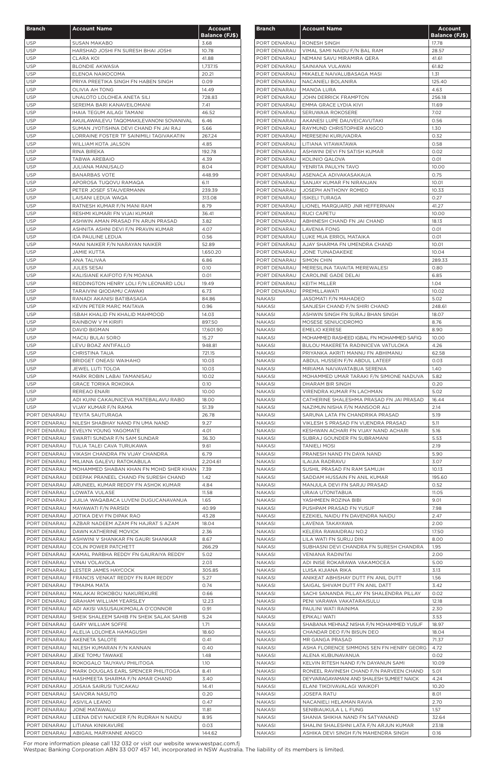| <b>Branch</b>                | <b>Account Name</b>                                                           | <b>Account</b>        |
|------------------------------|-------------------------------------------------------------------------------|-----------------------|
|                              |                                                                               | <b>Balance (FJ\$)</b> |
| <b>USP</b>                   | <b>SUSAN MAKABO</b>                                                           | 3.68                  |
| <b>USP</b><br><b>USP</b>     | HARSHAD JOSHI FN SURESH BHAI JOSHI<br><b>CLARA KOI</b>                        | 10.78<br>41.88        |
| <b>USP</b>                   | <b>BLONDIE AKWASIA</b>                                                        | 1,737.15              |
| <b>USP</b>                   | ELENOA NAIKOCOMA                                                              | 20.21                 |
| <b>USP</b>                   | PRIYA PREETIKA SINGH FN HABEN SINGH                                           | 0.09                  |
| <b>USP</b>                   | <b>OLIVIA AH TONG</b>                                                         | 14.49                 |
| <b>USP</b>                   | UNALOTO LOLOHEA ANETA SILI                                                    | 728.83                |
| <b>USP</b><br><b>USP</b>     | SEREIMA BARI KANAVEILOMANI<br>IHAIA TEGUM AILAGI TAMANI                       | 7.41<br>46.52         |
| <b>USP</b>                   | AKUILAWAILEVU TAQOMAKILEVANONI SOVANIVAL                                      | 6.46                  |
| <b>USP</b>                   | SUMAN JYOTISHNA DEVI CHAND FN JAI RAJ                                         | 5.66                  |
| <b>USP</b>                   | LORRAINE FOSTER TF SAINIMILI TAGIVAKATIN                                      | 267.24                |
| <b>USP</b>                   | <b>WILLIAM KOTA JALSON</b>                                                    | 4.85                  |
| <b>USP</b>                   | RINA BIREKA                                                                   | 192.78                |
| <b>USP</b><br><b>USP</b>     | <b>TABWA AREBAIO</b><br><b>JULIANA MANUSALO</b>                               | 4.39<br>8.04          |
| <b>USP</b>                   | <b>BANARBAS VOTE</b>                                                          | 448.99                |
| <b>USP</b>                   | APOROSA TUQOVU RAMAQA                                                         | 6.11                  |
| <b>USP</b>                   | PETER JOSEF STAUVERMANN                                                       | 239.39                |
| <b>USP</b>                   | LAISANI LEDUA WAQA                                                            | 313.08                |
| <b>USP</b>                   | RATNESH KUMAR F/N MANI RAM                                                    | 8.79                  |
| <b>USP</b><br><b>USP</b>     | RESHMI KUMARI FN VIJAI KUMAR<br>ASHWIN AMAN PRASAD FN ARUN PRASAD             | 36.41<br>3.82         |
| <b>USP</b>                   | ASHNITA ASHNI DEVI F/N PRAVIN KUMAR                                           | 4.07                  |
| <b>USP</b>                   | IDA PAULINE LEDUA                                                             | 0.56                  |
| <b>USP</b>                   | MANI NAIKER F/N NARAYAN NAIKER                                                | 52.89                 |
| <b>USP</b>                   | <b>JAMIE KUTTA</b>                                                            | 1,650.20              |
| <b>USP</b>                   | ANA TALIVAA                                                                   | 6.86                  |
| <b>USP</b><br><b>USP</b>     | <b>JULES SESAI</b><br>KALISIANE KAIFOTO F/N MOANA                             | 0.10<br>0.01          |
| <b>USP</b>                   | REDDINGTON HENRY LOLI F/N LEONARD LOLI                                        | 19.49                 |
| <b>USP</b>                   | TARAIVINI QIODAMU CAWAKI                                                      | 6.73                  |
| <b>USP</b>                   | RANADI AKANISI BATIBASAGA                                                     | 84.86                 |
| <b>USP</b>                   | KEVIN PETER MARC MAITAVA                                                      | 0.96                  |
| <b>USP</b>                   | ISBAH KHALID FN KHALID MAHMOOD                                                | 14.03                 |
| <b>USP</b>                   | RAINBOW V M KIRIFI                                                            | 897.50                |
| <b>USP</b><br><b>USP</b>     | DAVID BIGMAN<br>MACIU BULAI SORO                                              | 17,601.90<br>15.27    |
| <b>USP</b>                   | LEVU BOAZ ANTIFALLO                                                           | 948.81                |
| <b>USP</b>                   | <b>CHRISTINA TAUA</b>                                                         | 721.15                |
| <b>USP</b>                   | <b>BRIDGET ONEASI WAIHAHO</b>                                                 | 10.03                 |
| <b>USP</b>                   | JEWEL LUTI TOLOA                                                              | 10.03                 |
| <b>USP</b>                   | MARK ROBIN LABAI TAMANISAU                                                    | 10.02                 |
| <b>USP</b>                   | <b>GRACE TORIKA ROKOIKA</b>                                                   | 0.10                  |
| <b>USP</b><br><b>USP</b>     | REREAO ENARI<br>ADI KUINI CAKAUNICEVA MATEBALAVU RABO                         | 10.00<br>18.00        |
| <b>USP</b>                   | VIJAY KUMAR F/N RAMA                                                          | 51.39                 |
| PORT DENARAU                 | <b>TEVITA SAUTURAGA</b>                                                       | 26.78                 |
| PORT DENARAU                 | NILESH SHABHAY NAND FN UMA NAND                                               | 9.27                  |
| PORT DENARAU                 | EVELYN YOUNG YAGOMATE                                                         | 4.01                  |
| PORT DENARAU                 | SWARTI SUNDAR F/N SAM SUNDAR                                                  | 36.30                 |
| PORT DENARAU<br>PORT DENARAU | TULIA TALEI CAVA TURUKAWA<br>VIKASH CHANDRA FN VIJAY CHANDRA                  | 9.61<br>6.79          |
| PORT DENARAU                 | MILIANA GALEVU RATOKABULA                                                     | 2,204.61              |
| PORT DENARAU                 | MOHAMMED SHABAN KHAN FN MOHD SHER KHAN                                        | 7.39                  |
| PORT DENARAU                 | DEEPAK PRANEEL CHAND FN SURESH CHAND                                          | 1.42                  |
| PORT DENARAU                 | ARUNEEL KUMAR REDDY FN ASHOK KUMAR                                            | 4.84                  |
| PORT DENARAU                 | LOWATA VULASE                                                                 | 11.58                 |
| PORT DENARAU                 | JIJILIA WAQABACA LUVENI DUGUCANAVANUA                                         | 1.65                  |
| PORT DENARAU<br>PORT DENARAU | MAYAWATI F/N PARSIDI<br>JOTIKA DEVI FN DIPAK RAO                              | 40.99<br>43.28        |
| PORT DENARAU                 | AZBAR NADEEM AZAM FN HAJRAT S AZAM                                            | 18.04                 |
| PORT DENARAU                 | DAWN KATHERINE MOVICK                                                         | 2.36                  |
| PORT DENARAU                 | ASHWINI V SHANKAR FN GAURI SHANKAR                                            | 8.67                  |
| PORT DENARAU                 | COLIN POWER PATCHETT                                                          | 266.29                |
| PORT DENARAU                 | KAMAL PARBHA REDDY FN GAURAIYA REDDY                                          | 5.02                  |
| PORT DENARAU<br>PORT DENARAU | VINAI VOLAVOLA<br>LESTER JAMES HAYCOCK                                        | 2.03<br>305.85        |
| PORT DENARAU                 | FRANCIS VENKAT REDDY FN RAM REDDY                                             | 5.27                  |
| PORT DENARAU                 | TIMAIMA MATA                                                                  | 0.74                  |
| PORT DENARAU                 | MALAKAI ROKOBOU NAKUREKURE                                                    | 0.66                  |
| PORT DENARAU                 | <b>GRAHAM WILLIAM YEARSLEY</b>                                                | 12.23                 |
| PORT DENARAU                 | ADI AKISI VASUSAUKIMOALA O'CONNOR                                             | 0.91                  |
| PORT DENARAU                 | SHEIK SHALEEM SAHIB FN SHEIK SALAK SAHIB<br>PORT DENARAU   GARY WILLIAM SOFFE | 5.24<br>1.71          |
| PORT DENARAU                 | ALELIA LOLOHEA HAMAGUSHI                                                      | 18.60                 |
| PORT DENARAU                 | AKENETA SALOTE                                                                | 0.41                  |
| PORT DENARAU                 | NILESH KUMARAN F/N KANNAN                                                     | 0.40                  |
| PORT DENARAU                 | JEKE TOMU TAWAKE                                                              | 1.48                  |
| PORT DENARAU                 | ROKOGALO TAUYAVU PHILITOGA                                                    | 1.10                  |
| PORT DENARAU                 | MARK DOUGLAS EARL SPENCER PHILITOGA                                           | 8.41                  |
| PORT DENARAU                 | HASHMEETA SHARMA F/N AMAR CHAND                                               | 3.40                  |
| PORT DENARAU<br>PORT DENARAU | <b>JOSAIA SAIRUSI TUICAKAU</b><br>SAIVORA NASUTO                              | 14.41<br>0.20         |
| PORT DENARAU                 | <b>ASIVILA LEANO</b>                                                          | 0.47                  |
| PORT DENARAU                 | JONE MATAWALU                                                                 | 11.81                 |
| PORT DENARAU                 | LEENA DEVI NAICKER F/N RUDRAH N NAIDU                                         | 8.95                  |
| PORT DENARAU                 | LITIANA KINIKAVURE                                                            | 0.03                  |
| PORT DENARAU                 | ABIGAIL MARYANNE ANGCO                                                        | 144.62                |

| <b>Branch</b>                | <b>Account Name</b>                                                       | Account<br><b>Balance (FJ\$)</b> |
|------------------------------|---------------------------------------------------------------------------|----------------------------------|
| PORT DENARAU                 | RONESH SINGH                                                              | 17.78                            |
| PORT DENARAU                 | VIMAL SAMI NAIDU F/N BAL RAM                                              | 28.57                            |
| PORT DENARAU                 | NEMANI SAVU MIRAMIRA QERA                                                 | 41.61                            |
| PORT DENARAU                 | SAINIANA VULAWAI                                                          | 61.82                            |
| PORT DENARAU<br>PORT DENARAU | MIKAELE NAIVALUBASAGA MASI<br>NACANIELI BOLANIRA                          | 1.31<br>125.40                   |
| PORT DENARAU                 | <b>MANOA LURA</b>                                                         | 4.63                             |
| PORT DENARAU                 | <b>JOHN DERRICK FRAMPTON</b>                                              | 256.18                           |
| PORT DENARAU                 | EMMA GRACE LYDIA KIVI                                                     | 11.69                            |
| PORT DENARAU                 | SERUWAIA ROKOSERE                                                         | 7.02                             |
| PORT DENARAU<br>PORT DENARAU | AKANESI LUPE DAUVEICAVUTAKI<br>RAYMUND CHRISTOPHER ANGCO                  | 0.56<br>1.30                     |
| PORT DENARAU                 | MERESEINI KURUVADRA                                                       | 0.32                             |
| PORT DENARAU                 | LITIANA VITAWATAWA                                                        | 0.58                             |
| PORT DENARAU                 | ASHWINI DEVI FN SATISH KUMAR                                              | 0.02                             |
| PORT DENARAU                 | KOLINIO QALOVA                                                            | 0.01                             |
| PORT DENARAU                 | YENRITA PAULYN TAVO                                                       | 10.00                            |
| PORT DENARAU<br>PORT DENARAU | ASENACA ADIVAKASAKAUA                                                     | 0.75                             |
| PORT DENARAU                 | SANJAY KUMAR FN NIRANJAN<br>JOSEPH ANTHONY ROMEO                          | 10.01<br>10.33                   |
| PORT DENARAU                 | <b>ISIKELI TURAGA</b>                                                     | 0.27                             |
| PORT DENARAU                 | LIONEL MARQUARD JNR HEFFERNAN                                             | 41.27                            |
| PORT DENARAU                 | RUCI CAPETU                                                               | 10.00                            |
| PORT DENARAU                 | ABHINESH CHAND FN JAI CHAND                                               | 18.13                            |
| PORT DENARAU                 | <b>LAVENIA FONG</b>                                                       | 0.01                             |
| PORT DENARAU<br>PORT DENARAU | LUKE MUA ERROL MATAIKA<br>AJAY SHARMA FN UMENDRA CHAND                    | 0.01<br>10.01                    |
| PORT DENARAU                 | <b>JONE TUINADAKEKE</b>                                                   | 10.04                            |
| PORT DENARAU                 | SIMON CHIN                                                                | 289.33                           |
| PORT DENARAU                 | MERESILINA TAVAITA MEREWALESI                                             | 0.80                             |
| PORT DENARAU                 | CAROLINE GADE DELAI                                                       | 6.85                             |
| PORT DENARAU                 | KEITH MILLER                                                              | 1.04                             |
| PORT DENARAU                 | PREMILLAWATI                                                              | 10.02                            |
| NAKASI<br><b>NAKASI</b>      | JASOMATI F/N MAHADEO<br>SANJESH CHAND F/N SHIRI CHAND                     | 5.02<br>248.61                   |
| NAKASI                       | ASHWIN SINGH FN SURAJ BHAN SINGH                                          | 18.07                            |
| <b>NAKASI</b>                | MOSESE SENIUCIDROMO                                                       | 8.76                             |
| <b>NAKASI</b>                | <b>EMELIO KERESE</b>                                                      | 8.90                             |
| <b>NAKASI</b>                | MOHAMMED RASHEED IGBAL FN MOHAMMED SAFIQ                                  | 10.00                            |
| NAKASI                       | BULOU MAKERETA RADINICEVA VATULOKA                                        | 4.26                             |
| <b>NAKASI</b>                | PRIYANKA AKRITI MANNU FN ABHIMANU                                         | 62.58                            |
| NAKASI                       | ABDUL HUSSEIN F/N ABDUL LATEEF                                            | 0.03                             |
| NAKASI<br><b>NAKASI</b>      | MIRIAMA NAIVAVATABUA SERENIA<br>MOHAMMED UMAR TARAKI F/N SIMIONE NADUVA   | 1.40<br>5.82                     |
| NAKASI                       | DHARAM BIR SINGH                                                          | 0.20                             |
| <b>NAKASI</b>                | VIRENDRA KUMAR FN LACHMAN                                                 | 5.02                             |
| NAKASI                       | CATHERINE SHALESHMA PRASAD FN JAI PRASAD                                  | 16.44                            |
| NAKASI                       | NAZIMUN NISHA F/N MANSOOR ALI                                             | 2.14                             |
| NAKASI                       | SARUNA LATA FN CHANDRIKA PRASAD                                           | 5.19                             |
| NAKASI                       | VIKLESH S PRASAD FN VIJENDRA PRASAD                                       | 5.11                             |
| <b>NAKASI</b>                | KESHWAN ACHARI FN VIJAY NAND ACHARI                                       | 5.16                             |
| <b>NAKASI</b><br>NAKASI      | SUBRAJ GOUNDER FN SUBRAMANI<br><b>TANIELI MOSI</b>                        | 5.53<br>2.19                     |
| NAKASI                       | PRANESH NAND FN DAYA NAND                                                 | 5.90                             |
| <b>NAKASI</b>                | <b>ILAIJIA RADRAVU</b>                                                    | 3.07                             |
| NAKASI                       | SUSHIL PRASAD FN RAM SAMUJH                                               | 10.13                            |
| <b>NAKASI</b>                | SADDAM HUSSAIN FN ANIL KUMAR                                              | 195.60                           |
| <b>NAKASI</b>                | MANJULA DEVI FN SARJU PRASAD                                              | 0.52                             |
| <b>NAKASI</b>                | URAIA UTONITABUA                                                          | 11.05                            |
| <b>NAKASI</b>                | YASHMEEN ROZINA BIBI                                                      | 9.01                             |
| NAKASI<br>NAKASI             | PUSHPAM PRASAD FN YUSUF<br>EZEKIEL NAIDU FN DAVENDRA NAIDU                | 7.98<br>2.47                     |
| NAKASI                       | LAVENIA TAKAYAWA                                                          | 2.00                             |
| <b>NAKASI</b>                | KELERA RAWAIDRAU NO.2                                                     | 17.50                            |
| <b>NAKASI</b>                | LILA WATI FN SURUJ DIN                                                    | 8.00                             |
| NAKASI                       | SUBHASNI DEVI CHANDRA FN SURESH CHANDRA                                   | 1.95                             |
| NAKASI                       | <b>VENIANA RADINITAI</b>                                                  | 2.00                             |
| <b>NAKASI</b>                | ADI INISE ROKARAWA VAKAMOCEA                                              | 5.00                             |
| NAKASI<br>NAKASI             | LUISA KIJIANA RIKA<br>ANIKEAT ABHISHAY DUTT FN ANIL DUTT                  | 3.13<br>1.56                     |
| NAKASI                       | SAIGAL SHIVAM DUTT FN ANIL DATT                                           | 3.42                             |
| NAKASI                       | SACHI SANANDA PILLAY FN SHALENDRA PILLAY                                  | 0.02                             |
| NAKASI                       | PENI VARAWA VAKATARAISULU                                                 | 12.18                            |
| NAKASI                       | PAULINI WATI RAINIMA                                                      | 2.30                             |
| <b>NAKASI</b>                | EPIKALI WATI                                                              | 3.53                             |
| <b>NAKASI</b>                | SHABANA MEHNAZ NISHA F/N MOHAMMED YUSUF                                   | 18.97                            |
| NAKASI                       | CHANDAR DEO F/N BISUN DEO                                                 | 18.04                            |
| NAKASI                       | MR GANGA PRASAD<br>ASHA FLORENCE SIMMONS SEN FN HENRY GEORG               | 71.37                            |
| NAKASI<br>NAKASI             | ALENA KUBUNAVANUA                                                         | 4.72<br>0.02                     |
| NAKASI                       | KELVIN RITESH NAND F/N DAYANUN SAMI                                       | 10.09                            |
| NAKASI                       | RONEEL RAVINESH CHAND F/N PARVEEN CHAND                                   | 5.01                             |
| <b>NAKASI</b>                | DEYVARAGAYAMANI AND SHALESH SUMEET NAICK                                  | 4.24                             |
| <b>NAKASI</b>                | ELANI TIKOIVAVALAGI WAIKOFI                                               | 10.20                            |
| <b>NAKASI</b>                | <b>JOSEFA RATU</b>                                                        | 8.01                             |
| NAKASI                       | NACANIELI HELAMAN RAVIA                                                   | 2.70                             |
| <b>NAKASI</b>                | SENIBIAUKULA L L FUNG                                                     | 1.57                             |
| NAKASI<br>NAKASI             | SHANIA SHIKHA NAND FN SATYANAND<br>SHALINI SHALESHNI LATA F/N ARJUN KUMAR | 32.64<br>23.18                   |
| NAKASI                       | ASHIKA DEVI SINGH F/N MAHENDRA SINGH                                      | 0.16                             |
|                              |                                                                           |                                  |